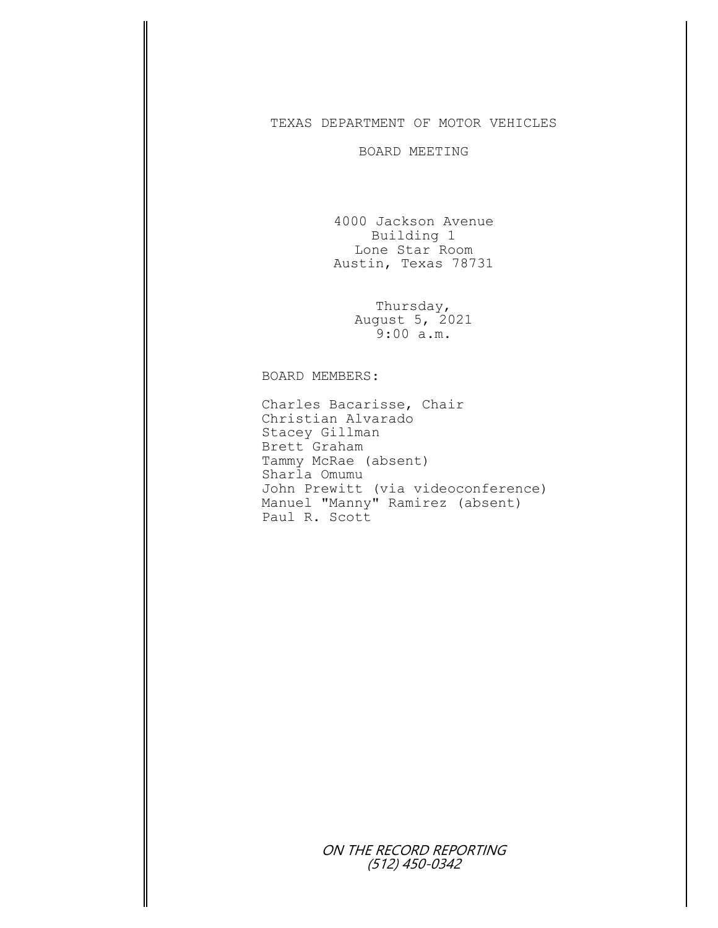## TEXAS DEPARTMENT OF MOTOR VEHICLES

## BOARD MEETING

4000 Jackson Avenue Building 1 Lone Star Room Austin, Texas 78731

> Thursday, August 5, 2021 9:00 a.m.

## BOARD MEMBERS:

Charles Bacarisse, Chair Christian Alvarado Stacey Gillman Brett Graham Tammy McRae (absent) Sharla Omumu John Prewitt (via videoconference) Manuel "Manny" Ramirez (absent) Paul R. Scott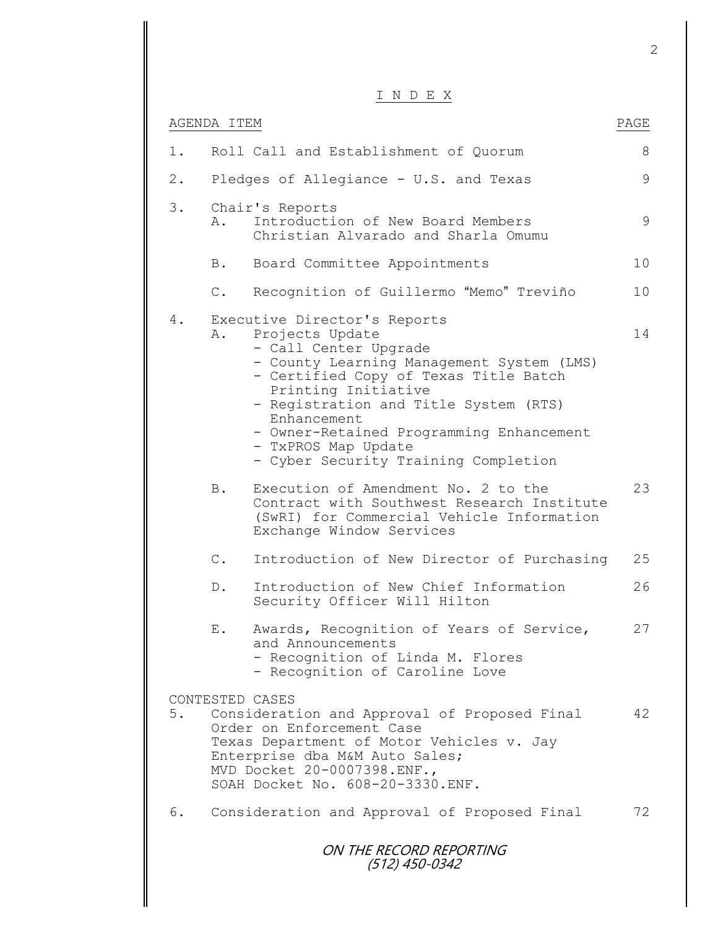I N D E X

|    |                   | N D E X                                                                                                                                                                                                                                                                                                          |      |
|----|-------------------|------------------------------------------------------------------------------------------------------------------------------------------------------------------------------------------------------------------------------------------------------------------------------------------------------------------|------|
|    | AGENDA ITEM       |                                                                                                                                                                                                                                                                                                                  | PAGE |
| 1. |                   | Roll Call and Establishment of Quorum                                                                                                                                                                                                                                                                            | 8    |
| 2. |                   | Pledges of Allegiance - U.S. and Texas                                                                                                                                                                                                                                                                           | 9    |
| 3. | Α.                | Chair's Reports<br>Introduction of New Board Members<br>Christian Alvarado and Sharla Omumu                                                                                                                                                                                                                      | 9    |
|    | B.                | Board Committee Appointments                                                                                                                                                                                                                                                                                     | 10   |
|    | $\mathbb{C}$ .    | Recognition of Guillermo "Memo" Treviño                                                                                                                                                                                                                                                                          | 10   |
| 4. | Α.                | Executive Director's Reports<br>Projects Update<br>- Call Center Upgrade<br>- County Learning Management System (LMS)<br>- Certified Copy of Texas Title Batch<br>Printing Initiative<br>- Registration and Title System (RTS)<br>Enhancement<br>- Owner-Retained Programming Enhancement<br>- TxPROS Map Update | 14   |
|    | B.                | - Cyber Security Training Completion<br>Execution of Amendment No. 2 to the<br>Contract with Southwest Research Institute<br>(SwRI) for Commercial Vehicle Information<br>Exchange Window Services                                                                                                               | 23   |
|    | $\mathsf{C}$ .    | Introduction of New Director of Purchasing                                                                                                                                                                                                                                                                       | 25   |
|    | $D$ .             | Introduction of New Chief Information<br>Security Officer Will Hilton                                                                                                                                                                                                                                            | 26   |
|    | $E_{\rm \star}$ . | Awards, Recognition of Years of Service,<br>and Announcements<br>- Recognition of Linda M. Flores<br>- Recognition of Caroline Love                                                                                                                                                                              | 27   |
| 5. |                   | CONTESTED CASES<br>Consideration and Approval of Proposed Final<br>Order on Enforcement Case<br>Texas Department of Motor Vehicles v. Jay<br>Enterprise dba M&M Auto Sales;<br>MVD Docket 20-0007398.ENF.,<br>SOAH Docket No. 608-20-3330.ENF.                                                                   | 42   |
| 6. |                   | Consideration and Approval of Proposed Final                                                                                                                                                                                                                                                                     | 72   |
|    |                   | ON THE RECORD REPORTING<br>$(512)$ 450-0342                                                                                                                                                                                                                                                                      |      |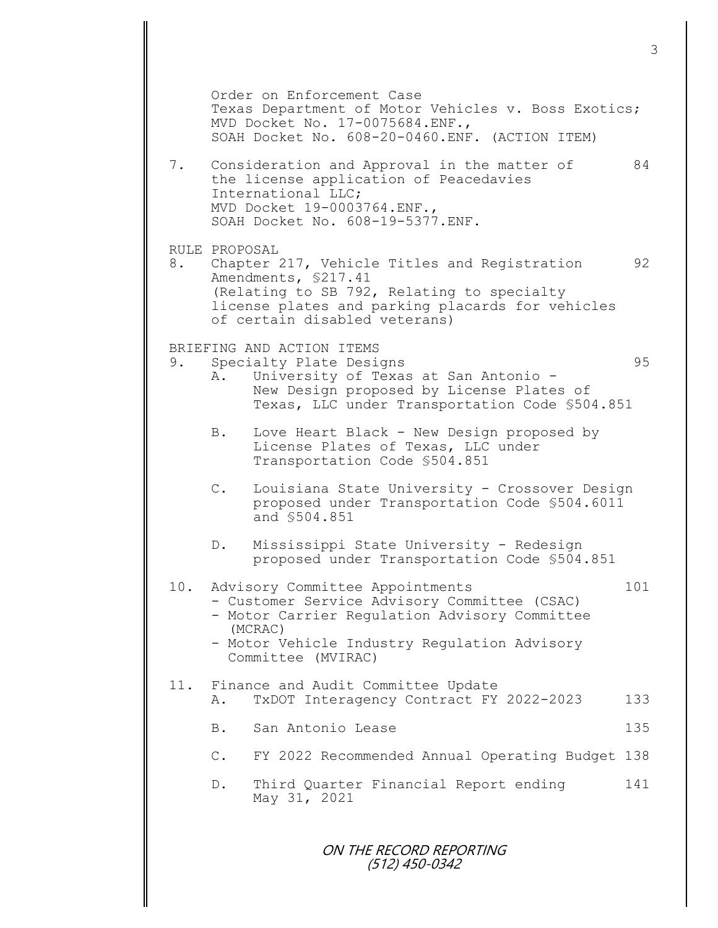Order on Enforcement Case Texas Department of Motor Vehicles v. Boss Exotics; MVD Docket No. 17-0075684.ENF., SOAH Docket No. 608-20-0460.ENF. (ACTION ITEM) 7. Consideration and Approval in the matter of 84 the license application of Peacedavies International LLC; MVD Docket 19-0003764.ENF., SOAH Docket No. 608-19-5377.ENF. RULE PROPOSAL 8. Chapter 217, Vehicle Titles and Registration 92 Amendments, §217.41 (Relating to SB 792, Relating to specialty license plates and parking placards for vehicles of certain disabled veterans) BRIEFING AND ACTION ITEMS 9. Specialty Plate Designs 35 A. University of Texas at San Antonio - New Design proposed by License Plates of Texas, LLC under Transportation Code §504.851 B. Love Heart Black - New Design proposed by License Plates of Texas, LLC under Transportation Code §504.851 C. Louisiana State University - Crossover Design proposed under Transportation Code §504.6011 and §504.851 D. Mississippi State University - Redesign proposed under Transportation Code §504.851 10. Advisory Committee Appointments 101 - Customer Service Advisory Committee (CSAC) - Motor Carrier Regulation Advisory Committee (MCRAC) - Motor Vehicle Industry Regulation Advisory Committee (MVIRAC) 11. Finance and Audit Committee Update A. TxDOT Interagency Contract FY 2022-2023 133 B. San Antonio Lease 135 C. FY 2022 Recommended Annual Operating Budget 138 D. Third Quarter Financial Report ending 141 May 31, 2021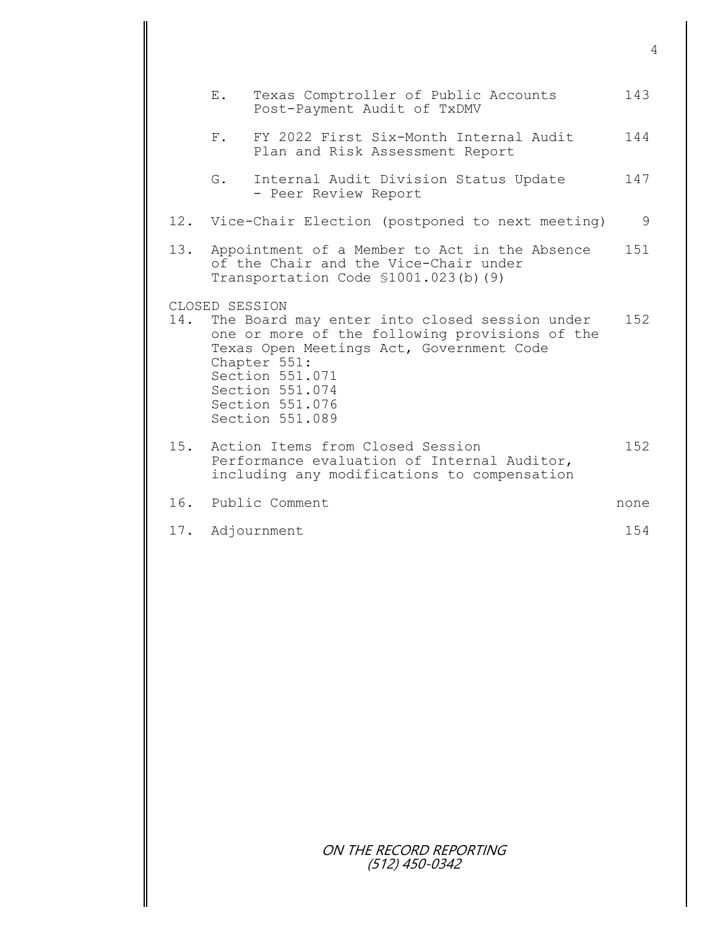|     | $E_{\bullet}$<br>Texas Comptroller of Public Accounts<br>Post-Payment Audit of TxDMV                                                                                                                                                                      | 143  |
|-----|-----------------------------------------------------------------------------------------------------------------------------------------------------------------------------------------------------------------------------------------------------------|------|
|     | FY 2022 First Six-Month Internal Audit<br>$F_{\star}$<br>Plan and Risk Assessment Report                                                                                                                                                                  | 144  |
|     | G <sub>z</sub><br>Internal Audit Division Status Update<br>- Peer Review Report                                                                                                                                                                           | 147  |
|     | 12. Vice-Chair Election (postponed to next meeting)                                                                                                                                                                                                       | 9    |
| 13. | Appointment of a Member to Act in the Absence<br>of the Chair and the Vice-Chair under<br>Transportation Code \$1001.023(b)(9)                                                                                                                            | 151  |
| 14. | CLOSED SESSION<br>The Board may enter into closed session under<br>one or more of the following provisions of the<br>Texas Open Meetings Act, Government Code<br>Chapter 551:<br>Section 551.071<br>Section 551.074<br>Section 551.076<br>Section 551.089 | 152  |
| 15. | Action Items from Closed Session<br>Performance evaluation of Internal Auditor,<br>including any modifications to compensation                                                                                                                            | 152  |
|     | 16. Public Comment                                                                                                                                                                                                                                        | none |
|     | 17. Adjournment                                                                                                                                                                                                                                           | 154  |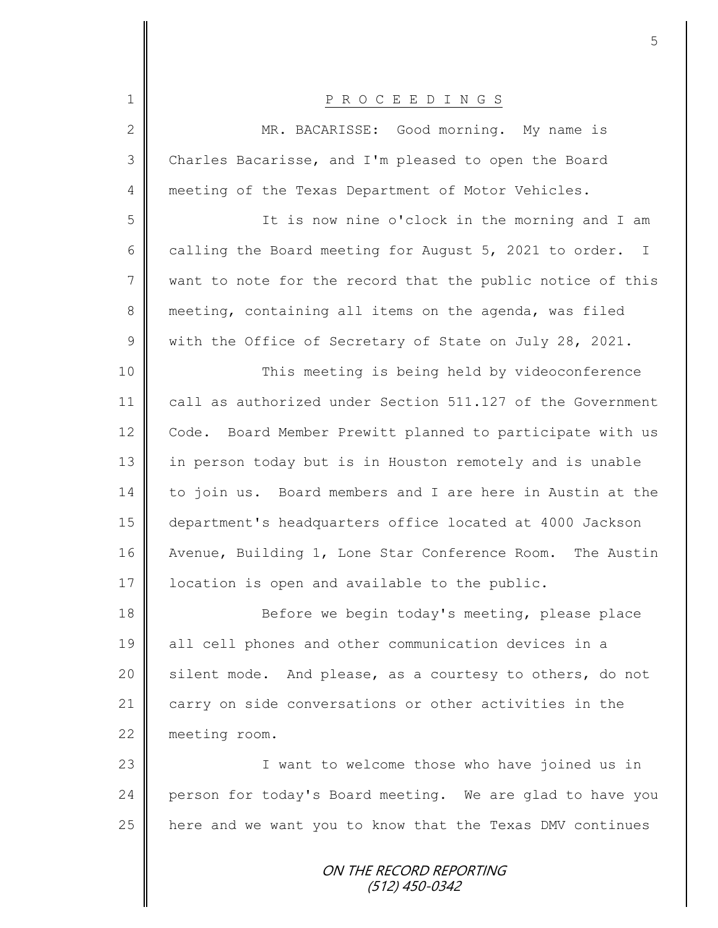|                | 5                                                                      |
|----------------|------------------------------------------------------------------------|
| $\mathbf 1$    | P R O C E E D I N G S                                                  |
| $\mathbf{2}$   | MR. BACARISSE: Good morning. My name is                                |
| 3              | Charles Bacarisse, and I'm pleased to open the Board                   |
| 4              | meeting of the Texas Department of Motor Vehicles.                     |
| 5              | It is now nine o'clock in the morning and I am                         |
| 6              | calling the Board meeting for August 5, 2021 to order.<br>$\mathbb{I}$ |
| $\overline{7}$ | want to note for the record that the public notice of this             |
| $8\,$          | meeting, containing all items on the agenda, was filed                 |
| $\mathcal{G}$  | with the Office of Secretary of State on July 28, 2021.                |
| 10             |                                                                        |
|                | This meeting is being held by videoconference                          |
| 11             | call as authorized under Section 511.127 of the Government             |
| 12             | Board Member Prewitt planned to participate with us<br>Code.           |
| 13             | in person today but is in Houston remotely and is unable               |
| 14             | to join us. Board members and I are here in Austin at the              |
| 15             | department's headquarters office located at 4000 Jackson               |
| 16             | Avenue, Building 1, Lone Star Conference Room.<br>The Austin           |
| 17             | location is open and available to the public.                          |
| 18             | Before we begin today's meeting, please place                          |
| 19             | all cell phones and other communication devices in a                   |
| 20             | silent mode. And please, as a courtesy to others, do not               |
| 21             | carry on side conversations or other activities in the                 |
| 22             | meeting room.                                                          |
| 23             | I want to welcome those who have joined us in                          |
| 24             | person for today's Board meeting. We are glad to have you              |
| 25             | here and we want you to know that the Texas DMV continues              |
|                | ON THE RECORD REPORTING<br>(512) 450-0342                              |

 $\mathbf l$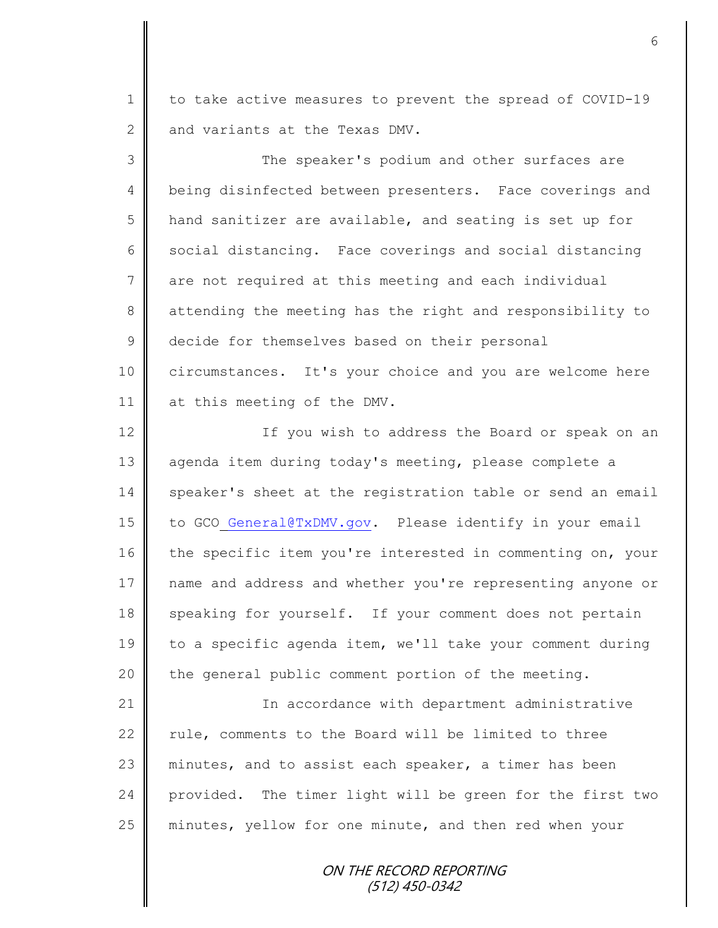1 to take active measures to prevent the spread of COVID-19  $2 \parallel$  and variants at the Texas DMV.

3 || The speaker's podium and other surfaces are 4 being disinfected between presenters. Face coverings and 5 hand sanitizer are available, and seating is set up for 6 social distancing. Face coverings and social distancing 7 are not required at this meeting and each individual 8 attending the meeting has the right and responsibility to 9 decide for themselves based on their personal 10 circumstances. It's your choice and you are welcome here 11 at this meeting of the DMV.

12 | If you wish to address the Board or speak on an 13 || agenda item during today's meeting, please complete a 14 speaker's sheet at the registration table or send an email 15 | to GCO General@TxDMV.gov. Please identify in your email 16 the specific item you're interested in commenting on, your 17 name and address and whether you're representing anyone or 18 speaking for yourself. If your comment does not pertain 19 to a specific agenda item, we'll take your comment during 20  $\parallel$  the general public comment portion of the meeting.

21 | Constant In accordance with department administrative 22  $\parallel$  rule, comments to the Board will be limited to three 23  $\parallel$  minutes, and to assist each speaker, a timer has been 24 provided. The timer light will be green for the first two 25 minutes, yellow for one minute, and then red when your

> ON THE RECORD REPORTING (512) 450-0342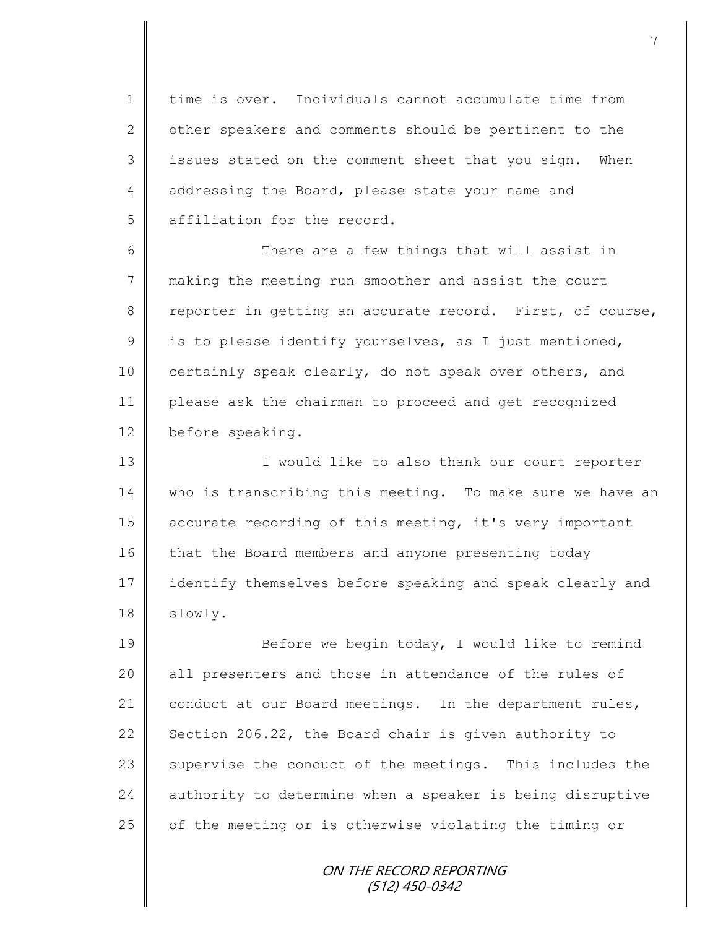1 time is over. Individuals cannot accumulate time from 2 | other speakers and comments should be pertinent to the 3 | issues stated on the comment sheet that you sign. When 4 addressing the Board, please state your name and 5 affiliation for the record.

6 There are a few things that will assist in 7 making the meeting run smoother and assist the court 8 reporter in getting an accurate record. First, of course,  $9 \parallel$  is to please identify yourselves, as I just mentioned, 10 certainly speak clearly, do not speak over others, and 11 please ask the chairman to proceed and get recognized 12 before speaking.

13 || I would like to also thank our court reporter 14 | who is transcribing this meeting. To make sure we have an 15 accurate recording of this meeting, it's very important 16 that the Board members and anyone presenting today 17 identify themselves before speaking and speak clearly and 18 | slowly.

19 || Before we begin today, I would like to remind 20 all presenters and those in attendance of the rules of 21 conduct at our Board meetings. In the department rules, 22 Section 206.22, the Board chair is given authority to 23 supervise the conduct of the meetings. This includes the 24 | authority to determine when a speaker is being disruptive 25  $\parallel$  of the meeting or is otherwise violating the timing or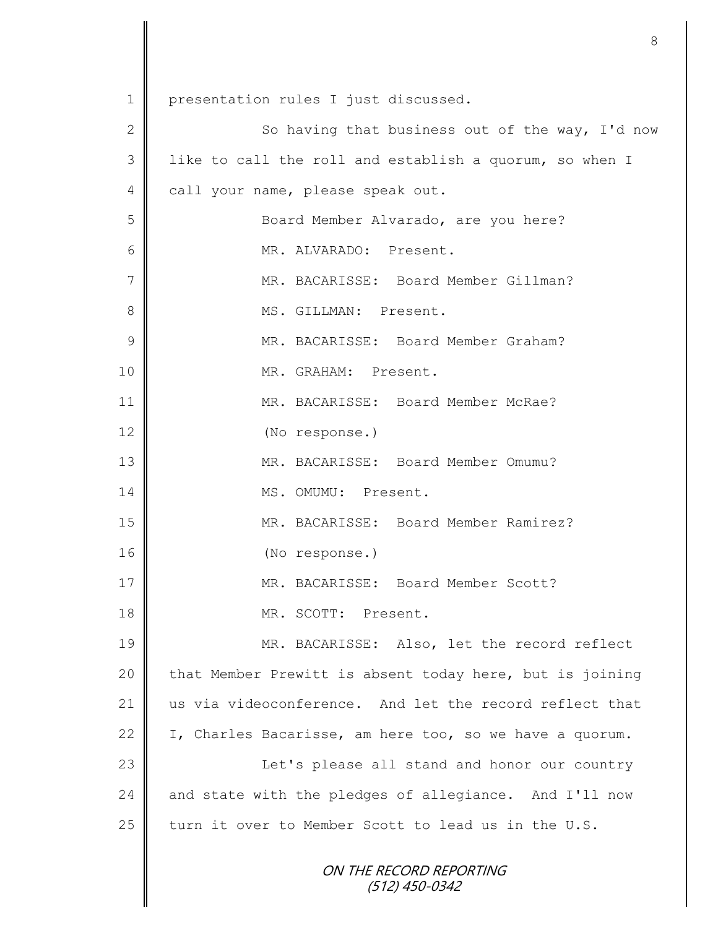ON THE RECORD REPORTING (512) 450-0342 1 | presentation rules I just discussed. 2  $\parallel$  So having that business out of the way, I'd now 3 || like to call the roll and establish a quorum, so when I 4 call your name, please speak out. 5 Board Member Alvarado, are you here? 6 MR. ALVARADO: Present. 7 MR. BACARISSE: Board Member Gillman? 8 || MS. GILLMAN: Present. 9 MR. BACARISSE: Board Member Graham? 10 || MR. GRAHAM: Present. 11 MR. BACARISSE: Board Member McRae? 12 (No response.) 13 MR. BACARISSE: Board Member Omumu? 14 || MS. OMUMU: Present. 15 MR. BACARISSE: Board Member Ramirez? 16 (No response.) 17 MR. BACARISSE: Board Member Scott? 18 | MR. SCOTT: Present. 19 MR. BACARISSE: Also, let the record reflect 20  $\parallel$  that Member Prewitt is absent today here, but is joining 21 us via videoconference. And let the record reflect that 22 | I, Charles Bacarisse, am here too, so we have a quorum. 23 | Constants Let's please all stand and honor our country 24 || and state with the pledges of allegiance. And I'll now 25 turn it over to Member Scott to lead us in the U.S.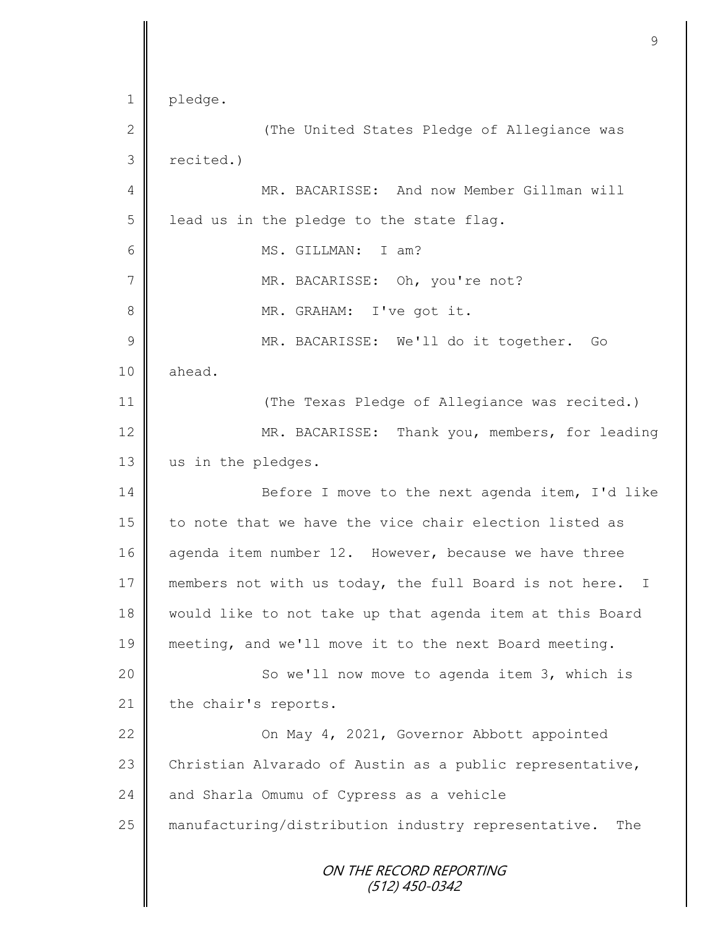ON THE RECORD REPORTING (512) 450-0342 1 pledge. 2 || (The United States Pledge of Allegiance was 3 recited.) 4 MR. BACARISSE: And now Member Gillman will  $5$  | lead us in the pledge to the state flag. 6 MS. GILLMAN: I am? 7 MR. BACARISSE: Oh, you're not? 8 || MR. GRAHAM: I've got it. 9 || MR. BACARISSE: We'll do it together. Go 10 | ahead. 11 | (The Texas Pledge of Allegiance was recited.) 12 MR. BACARISSE: Thank you, members, for leading 13 us in the pledges. 14 Before I move to the next agenda item, I'd like 15 to note that we have the vice chair election listed as 16 agenda item number 12. However, because we have three 17 members not with us today, the full Board is not here. I 18 would like to not take up that agenda item at this Board 19 meeting, and we'll move it to the next Board meeting. 20 | So we'll now move to agenda item 3, which is 21 | the chair's reports. 22 | Con May 4, 2021, Governor Abbott appointed 23 Christian Alvarado of Austin as a public representative,  $24$  and Sharla Omumu of Cypress as a vehicle 25 manufacturing/distribution industry representative. The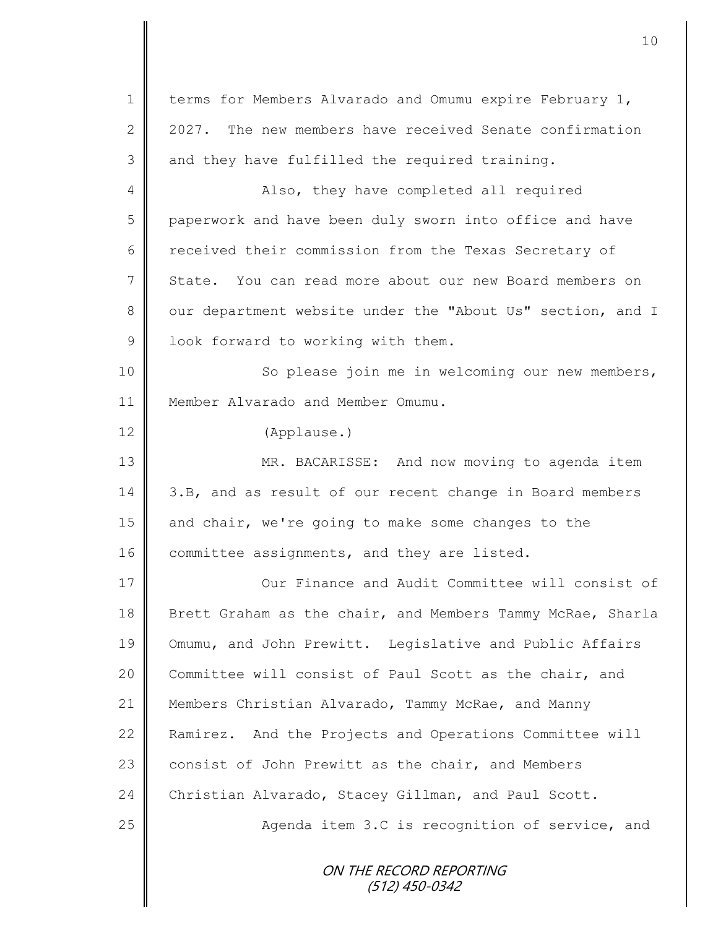|                | 10                                                         |
|----------------|------------------------------------------------------------|
|                |                                                            |
| $\mathbf 1$    | terms for Members Alvarado and Omumu expire February 1,    |
| $\mathbf{2}$   | 2027. The new members have received Senate confirmation    |
| 3              | and they have fulfilled the required training.             |
| 4              | Also, they have completed all required                     |
| 5              | paperwork and have been duly sworn into office and have    |
| 6              | received their commission from the Texas Secretary of      |
| $\overline{7}$ | State. You can read more about our new Board members on    |
| 8              | our department website under the "About Us" section, and I |
| $\mathcal{G}$  | look forward to working with them.                         |
| 10             | So please join me in welcoming our new members,            |
| 11             | Member Alvarado and Member Omumu.                          |
| 12             | (Applause.)                                                |
| 13             | MR. BACARISSE: And now moving to agenda item               |
| 14             | 3.B, and as result of our recent change in Board members   |
| 15             | and chair, we're going to make some changes to the         |
| 16             | committee assignments, and they are listed.                |
| 17             | Our Finance and Audit Committee will consist of            |
| 18             | Brett Graham as the chair, and Members Tammy McRae, Sharla |
| 19             | Omumu, and John Prewitt. Legislative and Public Affairs    |
| 20             | Committee will consist of Paul Scott as the chair, and     |
| 21             | Members Christian Alvarado, Tammy McRae, and Manny         |
| 22             | Ramirez. And the Projects and Operations Committee will    |
| 23             | consist of John Prewitt as the chair, and Members          |
| 24             | Christian Alvarado, Stacey Gillman, and Paul Scott.        |
| 25             | Agenda item 3.C is recognition of service, and             |
|                | ON THE RECORD REPORTING<br>(512) 450-0342                  |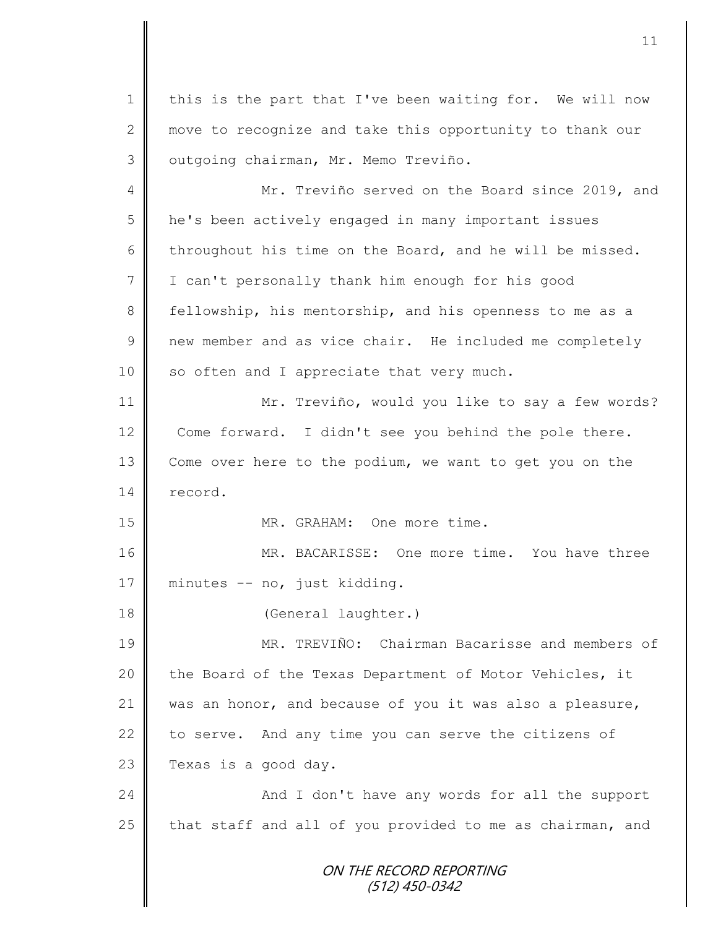ON THE RECORD REPORTING (512) 450-0342 1 | this is the part that I've been waiting for. We will now 2 move to recognize and take this opportunity to thank our 3 | outgoing chairman, Mr. Memo Treviño. 4 || Mr. Treviño served on the Board since 2019, and 5 | he's been actively engaged in many important issues 6 throughout his time on the Board, and he will be missed. 7 | I can't personally thank him enough for his good 8 fellowship, his mentorship, and his openness to me as a 9 | new member and as vice chair. He included me completely  $10$  so often and I appreciate that very much. 11 Mr. Treviño, would you like to say a few words? 12 Come forward. I didn't see you behind the pole there. 13 Come over here to the podium, we want to get you on the 14 record. 15 || MR. GRAHAM: One more time. 16 MR. BACARISSE: One more time. You have three 17 || minutes -- no, just kidding. 18 (General laughter.) 19 MR. TREVIÑO: Chairman Bacarisse and members of 20 the Board of the Texas Department of Motor Vehicles, it 21 was an honor, and because of you it was also a pleasure, 22  $\parallel$  to serve. And any time you can serve the citizens of  $23$  Texas is a good day. 24 || And I don't have any words for all the support 25  $\parallel$  that staff and all of you provided to me as chairman, and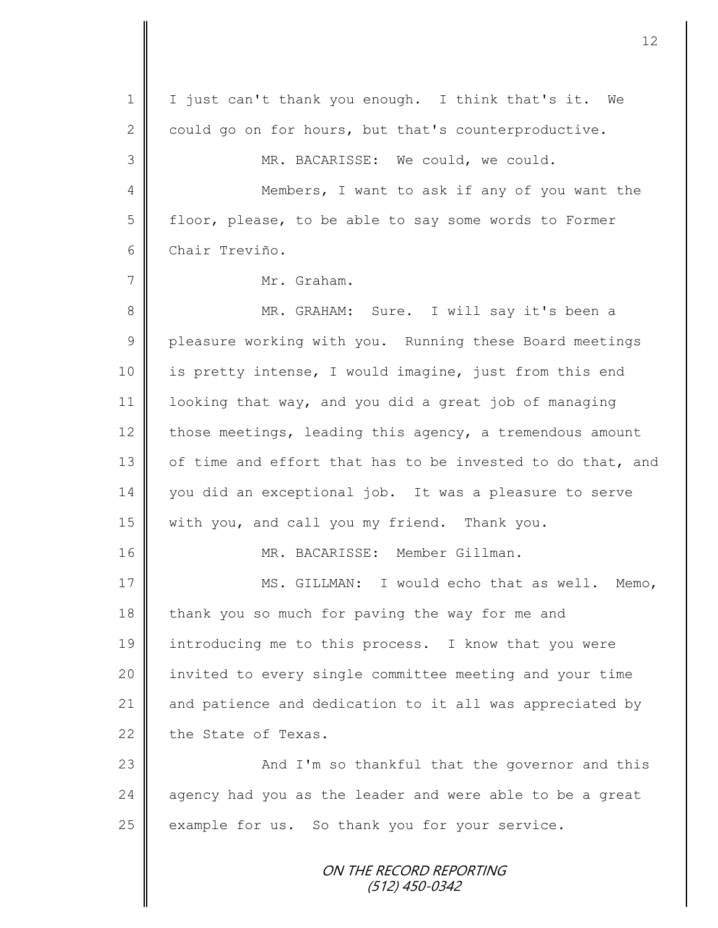ON THE RECORD REPORTING (512) 450-0342 1 | I just can't thank you enough. I think that's it. We 2 could go on for hours, but that's counterproductive. 3 MR. BACARISSE: We could, we could. 4 || Members, I want to ask if any of you want the 5 | floor, please, to be able to say some words to Former 6 Chair Treviño. 7 Mr. Graham. 8 || MR. GRAHAM: Sure. I will say it's been a 9 pleasure working with you. Running these Board meetings 10 is pretty intense, I would imagine, just from this end 11 looking that way, and you did a great job of managing 12 those meetings, leading this agency, a tremendous amount 13 of time and effort that has to be invested to do that, and 14 you did an exceptional job. It was a pleasure to serve 15 with you, and call you my friend. Thank you. 16 MR. BACARISSE: Member Gillman. 17 || MS. GILLMAN: I would echo that as well. Memo, 18 thank you so much for paving the way for me and 19 introducing me to this process. I know that you were 20 || invited to every single committee meeting and your time 21 || and patience and dedication to it all was appreciated by  $22$  the State of Texas. 23 | And I'm so thankful that the governor and this  $24$  agency had you as the leader and were able to be a great  $25$  example for us. So thank you for your service.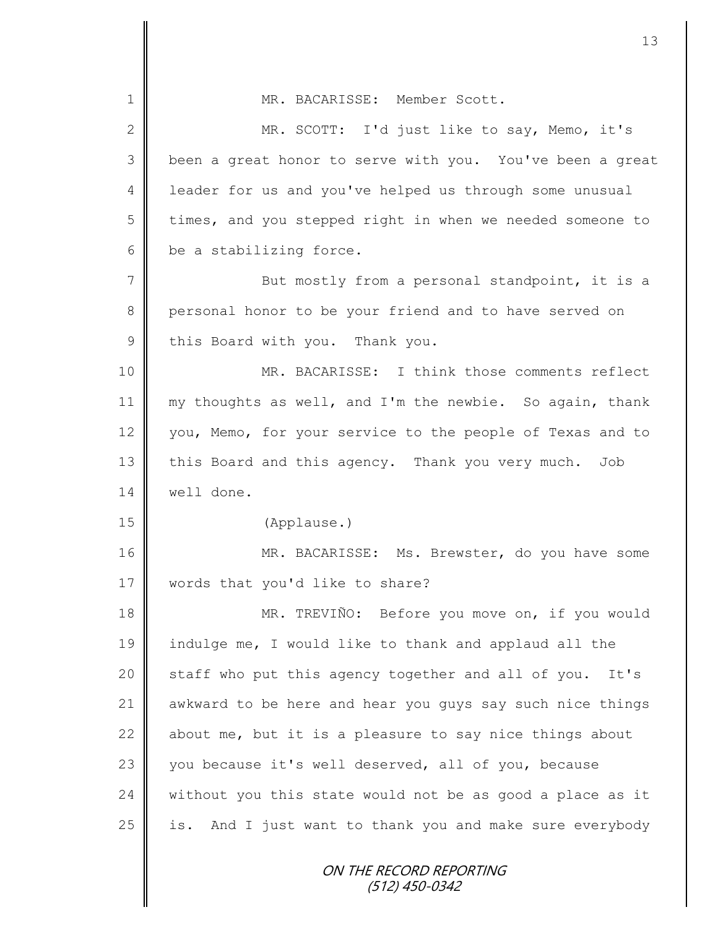| 1             | MR. BACARISSE: Member Scott.                              |
|---------------|-----------------------------------------------------------|
| $\mathbf{2}$  | MR. SCOTT: I'd just like to say, Memo, it's               |
| 3             | been a great honor to serve with you. You've been a great |
| 4             | leader for us and you've helped us through some unusual   |
| 5             | times, and you stepped right in when we needed someone to |
| 6             | be a stabilizing force.                                   |
| 7             | But mostly from a personal standpoint, it is a            |
| 8             | personal honor to be your friend and to have served on    |
| $\mathcal{G}$ | this Board with you. Thank you.                           |
| 10            | MR. BACARISSE: I think those comments reflect             |
| 11            | my thoughts as well, and I'm the newbie. So again, thank  |
| 12            | you, Memo, for your service to the people of Texas and to |
| 13            | this Board and this agency. Thank you very much.<br>Job   |
| 14            | well done.                                                |
| 15            | (Applause.)                                               |
| 16            | MR. BACARISSE: Ms. Brewster, do you have some             |
| 17            | words that you'd like to share?                           |
| 18            | MR. TREVIÑO: Before you move on, if you would             |
| 19            | indulge me, I would like to thank and applaud all the     |
| 20            | staff who put this agency together and all of you. It's   |
| 21            | awkward to be here and hear you guys say such nice things |
| 22            | about me, but it is a pleasure to say nice things about   |
| 23            | you because it's well deserved, all of you, because       |
| 24            | without you this state would not be as good a place as it |
| 25            | is. And I just want to thank you and make sure everybody  |
|               | ON THE RECORD REPORTING<br>(512) 450-0342                 |

 $\overline{\mathsf{I}}$ II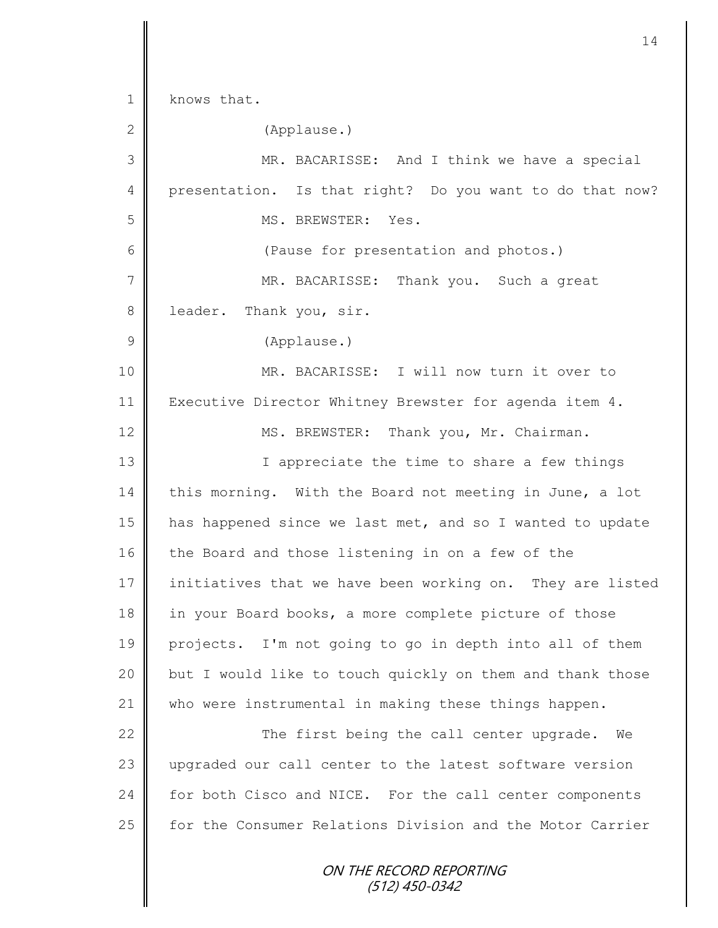ON THE RECORD REPORTING (512) 450-0342 1 knows that. 2 (Applause.) 3 MR. BACARISSE: And I think we have a special 4 presentation. Is that right? Do you want to do that now? 5 || MS. BREWSTER: Yes. 6 || (Pause for presentation and photos.) 7 MR. BACARISSE: Thank you. Such a great 8 | leader. Thank you, sir. 9 (Applause.) 10 MR. BACARISSE: I will now turn it over to 11 | Executive Director Whitney Brewster for agenda item 4. 12 MS. BREWSTER: Thank you, Mr. Chairman. 13 | T appreciate the time to share a few things 14 this morning. With the Board not meeting in June, a lot 15 has happened since we last met, and so I wanted to update 16 the Board and those listening in on a few of the 17 initiatives that we have been working on. They are listed 18 in your Board books, a more complete picture of those 19 projects. I'm not going to go in depth into all of them 20 but I would like to touch quickly on them and thank those 21 who were instrumental in making these things happen. 22  $\parallel$  The first being the call center upgrade. We 23 upgraded our call center to the latest software version 24 for both Cisco and NICE. For the call center components 25 **for the Consumer Relations Division and the Motor Carrier**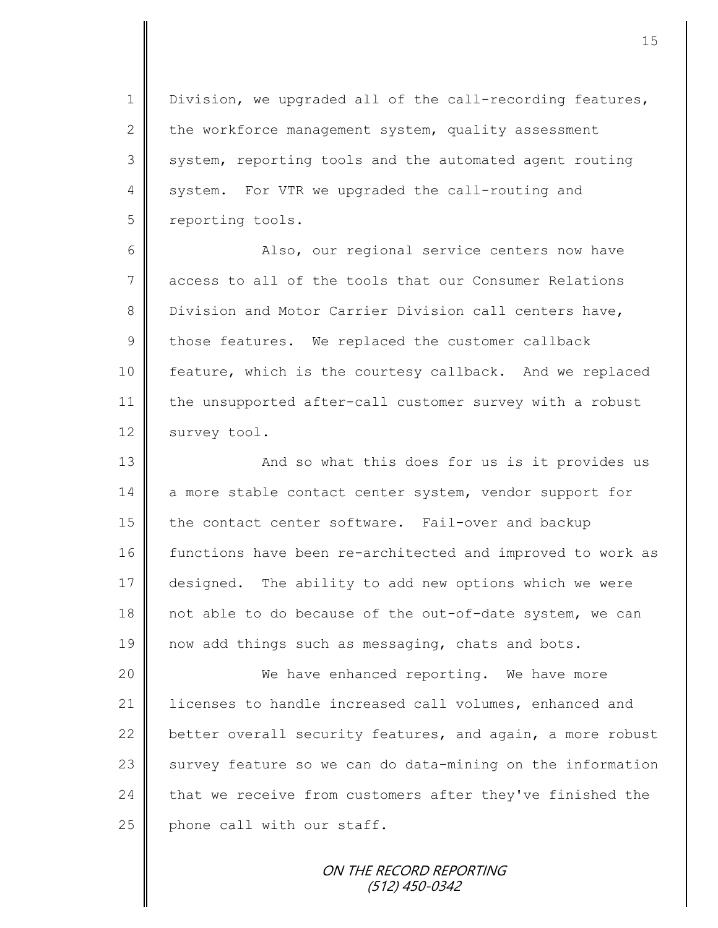$1 \parallel$  Division, we upgraded all of the call-recording features, 2 the workforce management system, quality assessment 3 system, reporting tools and the automated agent routing 4 system. For VTR we upgraded the call-routing and 5 | reporting tools.

6 || Also, our regional service centers now have 7 access to all of the tools that our Consumer Relations 8 U Division and Motor Carrier Division call centers have,  $9 \parallel$  those features. We replaced the customer callback 10 | feature, which is the courtesy callback. And we replaced 11 the unsupported after-call customer survey with a robust 12 survey tool.

13 || And so what this does for us is it provides us 14 a more stable contact center system, vendor support for 15 the contact center software. Fail-over and backup 16 functions have been re-architected and improved to work as 17 designed. The ability to add new options which we were 18 not able to do because of the out-of-date system, we can 19 now add things such as messaging, chats and bots.

 We have enhanced reporting. We have more 21 | licenses to handle increased call volumes, enhanced and 22 better overall security features, and again, a more robust survey feature so we can do data-mining on the information that we receive from customers after they've finished the phone call with our staff.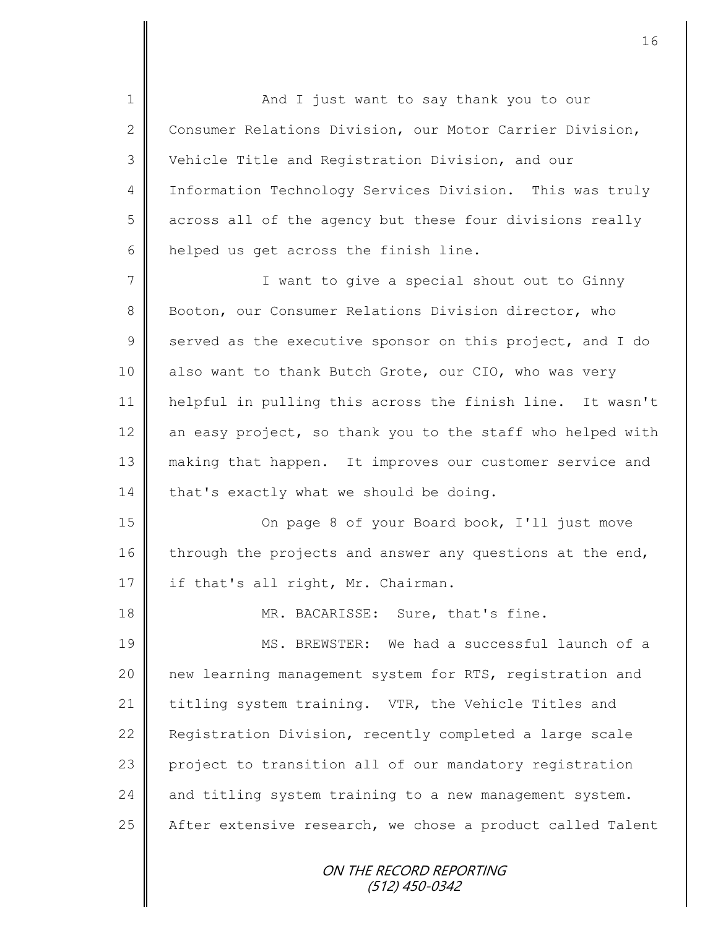1 || And I just want to say thank you to our 2 Consumer Relations Division, our Motor Carrier Division, 3 Vehicle Title and Registration Division, and our 4 Information Technology Services Division. This was truly 5 across all of the agency but these four divisions really  $6$  helped us get across the finish line.

7 || I want to give a special shout out to Ginny 8 Booton, our Consumer Relations Division director, who  $9 \parallel$  served as the executive sponsor on this project, and I do 10 also want to thank Butch Grote, our CIO, who was very 11 helpful in pulling this across the finish line. It wasn't 12 an easy project, so thank you to the staff who helped with 13 making that happen. It improves our customer service and  $14$  | that's exactly what we should be doing.

15 On page 8 of your Board book, I'll just move 16 through the projects and answer any questions at the end, 17 | if that's all right, Mr. Chairman.

18 MR. BACARISSE: Sure, that's fine. 19 || MS. BREWSTER: We had a successful launch of a 20 | new learning management system for RTS, registration and 21 titling system training. VTR, the Vehicle Titles and 22 Registration Division, recently completed a large scale 23 project to transition all of our mandatory registration  $24$  and titling system training to a new management system. 25  $\parallel$  After extensive research, we chose a product called Talent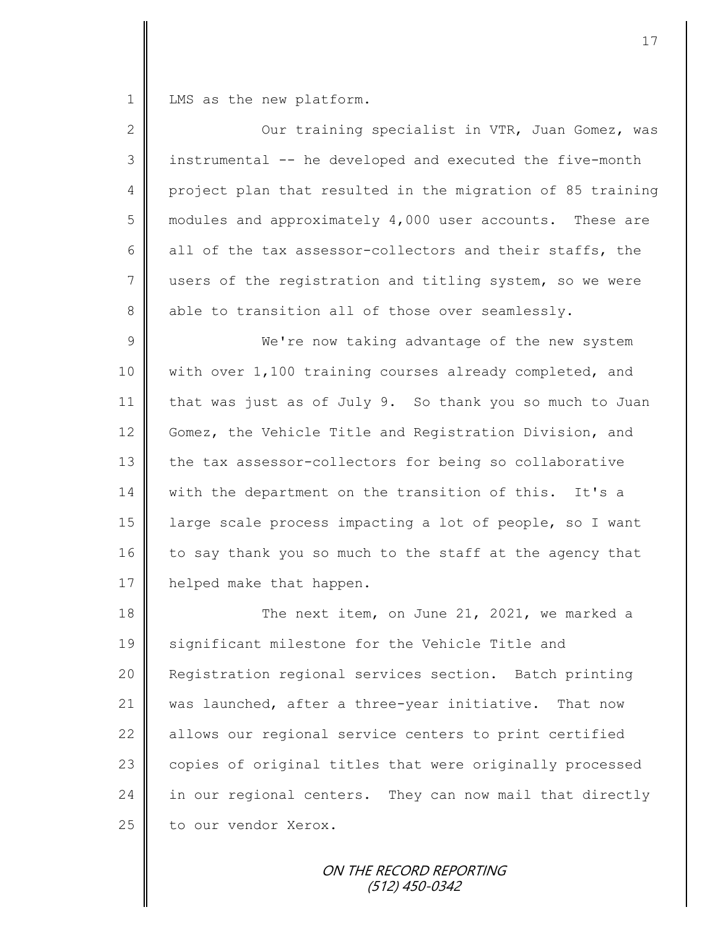1 | LMS as the new platform.

| Our training specialist in VTR, Juan Gomez, was            |
|------------------------------------------------------------|
| instrumental -- he developed and executed the five-month   |
| project plan that resulted in the migration of 85 training |
| modules and approximately 4,000 user accounts. These are   |
| all of the tax assessor-collectors and their staffs, the   |
| users of the registration and titling system, so we were   |
| able to transition all of those over seamlessly.           |
| We're now taking advantage of the new system               |
| with over 1,100 training courses already completed, and    |
| that was just as of July 9. So thank you so much to Juan   |
| Gomez, the Vehicle Title and Registration Division, and    |
| the tax assessor-collectors for being so collaborative     |
| with the department on the transition of this. It's a      |
| large scale process impacting a lot of people, so I want   |
| to say thank you so much to the staff at the agency that   |
| helped make that happen.                                   |
| The next item, on June 21, 2021, we marked a               |
| significant milestone for the Vehicle Title and            |
| Registration regional services section. Batch printing     |
| was launched, after a three-year initiative. That now      |
| allows our regional service centers to print certified     |
| copies of original titles that were originally processed   |
| in our regional centers. They can now mail that directly   |
| to our vendor Xerox.                                       |
|                                                            |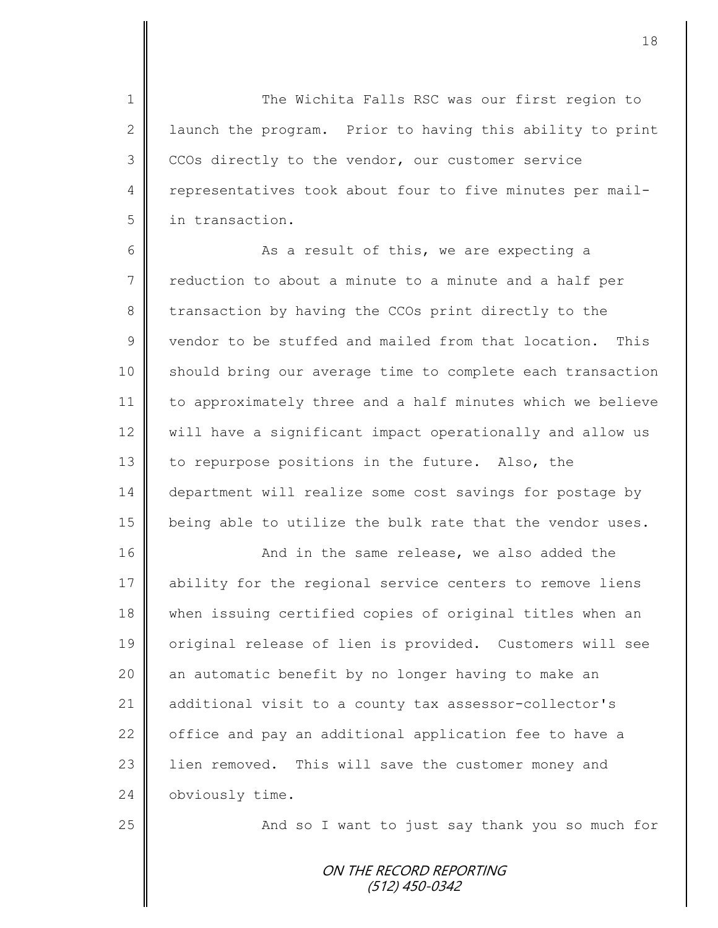1 || The Wichita Falls RSC was our first region to 2 | launch the program. Prior to having this ability to print 3 CCOs directly to the vendor, our customer service 4 | representatives took about four to five minutes per mail-5 | in transaction.

6 **As a result of this, we are expecting a** 7 reduction to about a minute to a minute and a half per 8 transaction by having the CCOs print directly to the 9 vendor to be stuffed and mailed from that location. This 10 | should bring our average time to complete each transaction 11 to approximately three and a half minutes which we believe 12 | will have a significant impact operationally and allow us 13 to repurpose positions in the future. Also, the 14 department will realize some cost savings for postage by 15 being able to utilize the bulk rate that the vendor uses.

16 **And in the same release, we also added the** 17 ability for the regional service centers to remove liens 18 when issuing certified copies of original titles when an 19 original release of lien is provided. Customers will see 20 an automatic benefit by no longer having to make an 21 | additional visit to a county tax assessor-collector's 22 | office and pay an additional application fee to have a 23 | lien removed. This will save the customer money and 24 **obviously** time.

25 | And so I want to just say thank you so much for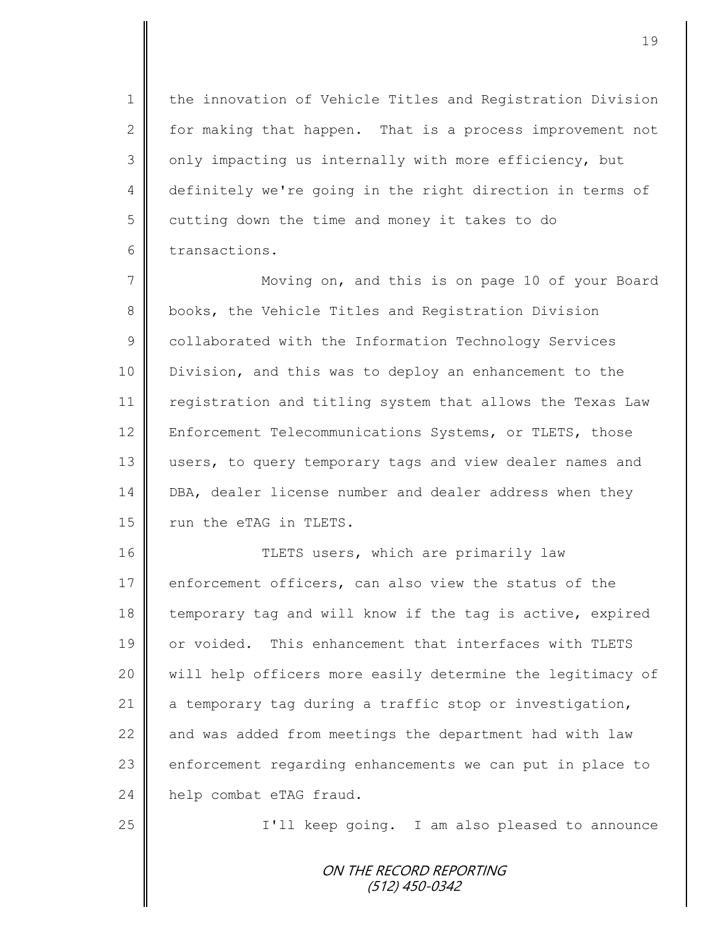1 | the innovation of Vehicle Titles and Registration Division 2  $\parallel$  for making that happen. That is a process improvement not 3 | only impacting us internally with more efficiency, but 4 definitely we're going in the right direction in terms of  $5 \parallel$  cutting down the time and money it takes to do 6 transactions.

7 || Moving on, and this is on page 10 of your Board 8 books, the Vehicle Titles and Registration Division 9 | collaborated with the Information Technology Services 10 Division, and this was to deploy an enhancement to the 11 | registration and titling system that allows the Texas Law 12 Enforcement Telecommunications Systems, or TLETS, those 13 users, to query temporary tags and view dealer names and 14 DBA, dealer license number and dealer address when they 15 Tun the eTAG in TLETS.

16 || TLETS users, which are primarily law 17 enforcement officers, can also view the status of the 18 temporary tag and will know if the tag is active, expired 19 | or voided. This enhancement that interfaces with TLETS 20 | will help officers more easily determine the legitimacy of 21  $\parallel$  a temporary tag during a traffic stop or investigation, 22  $\parallel$  and was added from meetings the department had with law 23 enforcement regarding enhancements we can put in place to 24 help combat eTAG fraud.

25 | T'll keep going. I am also pleased to announce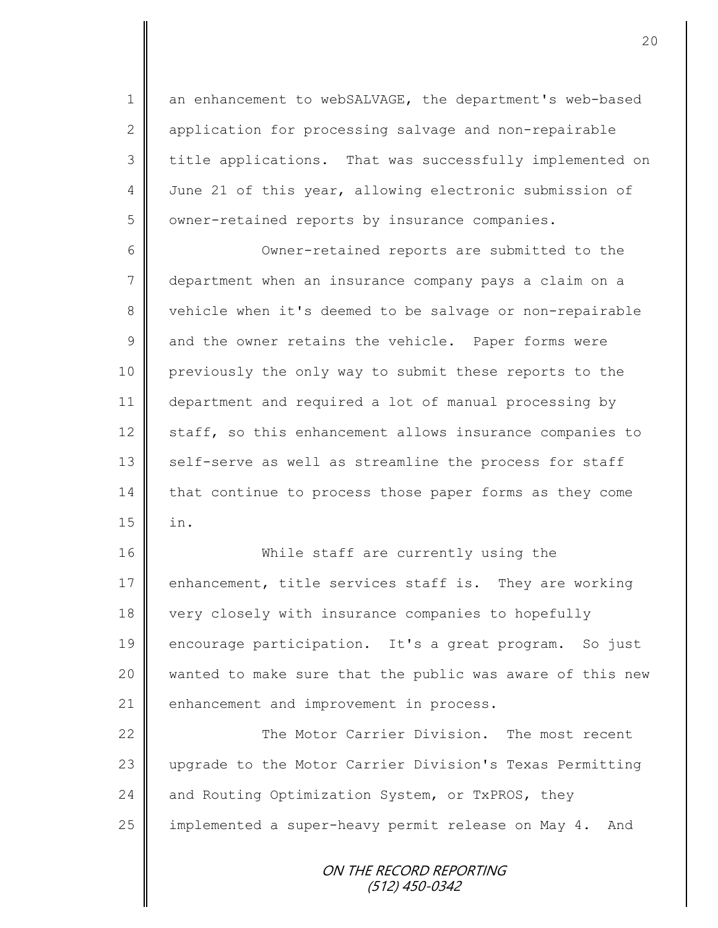1 an enhancement to webSALVAGE, the department's web-based 2 application for processing salvage and non-repairable 3 | title applications. That was successfully implemented on 4 June 21 of this year, allowing electronic submission of  $5 \parallel$  owner-retained reports by insurance companies.

6 Owner-retained reports are submitted to the 7 department when an insurance company pays a claim on a 8 vehicle when it's deemed to be salvage or non-repairable  $9 \parallel$  and the owner retains the vehicle. Paper forms were 10 previously the only way to submit these reports to the 11 department and required a lot of manual processing by 12  $\parallel$  staff, so this enhancement allows insurance companies to 13 self-serve as well as streamline the process for staff 14 that continue to process those paper forms as they come  $15$  | in.

16 While staff are currently using the 17 enhancement, title services staff is. They are working 18 very closely with insurance companies to hopefully 19 encourage participation. It's a great program. So just 20 || wanted to make sure that the public was aware of this new  $21$  | enhancement and improvement in process.

22 The Motor Carrier Division. The most recent 23 upgrade to the Motor Carrier Division's Texas Permitting 24 and Routing Optimization System, or TxPROS, they 25 implemented a super-heavy permit release on May 4. And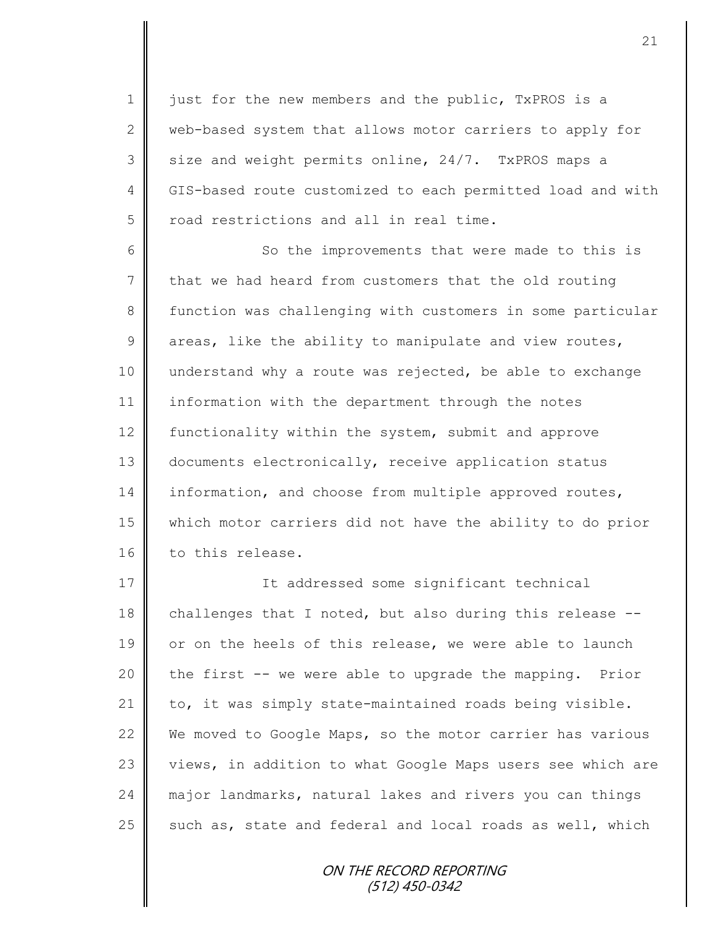1 just for the new members and the public, TxPROS is a 2 web-based system that allows motor carriers to apply for  $3 \parallel$  size and weight permits online, 24/7. TxPROS maps a 4 GIS-based route customized to each permitted load and with 5 | road restrictions and all in real time.

6 || So the improvements that were made to this is 7 that we had heard from customers that the old routing 8 function was challenging with customers in some particular  $9 \parallel$  areas, like the ability to manipulate and view routes, 10 understand why a route was rejected, be able to exchange 11 information with the department through the notes 12 functionality within the system, submit and approve 13 documents electronically, receive application status 14 information, and choose from multiple approved routes, 15 which motor carriers did not have the ability to do prior 16 | to this release.

17 || The addressed some significant technical 18 challenges that I noted, but also during this release  $-$ -19 or on the heels of this release, we were able to launch 20  $\parallel$  the first -- we were able to upgrade the mapping. Prior 21  $\parallel$  to, it was simply state-maintained roads being visible. 22 We moved to Google Maps, so the motor carrier has various 23 views, in addition to what Google Maps users see which are 24 major landmarks, natural lakes and rivers you can things 25  $\parallel$  such as, state and federal and local roads as well, which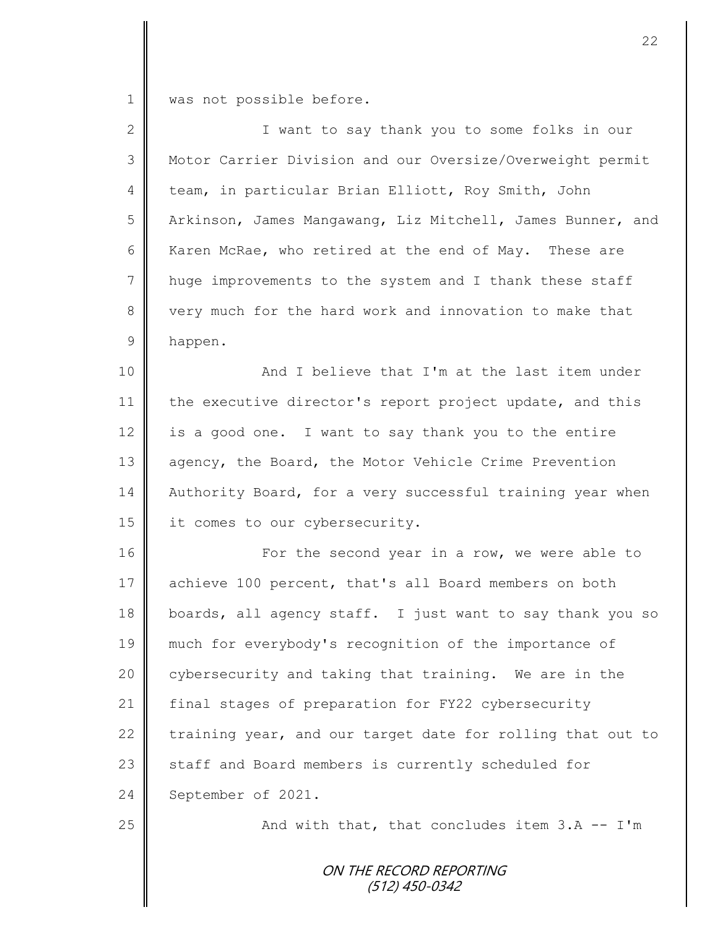1 was not possible before.

| $\overline{2}$ | I want to say thank you to some folks in our               |
|----------------|------------------------------------------------------------|
| 3              | Motor Carrier Division and our Oversize/Overweight permit  |
| 4              | team, in particular Brian Elliott, Roy Smith, John         |
| 5              | Arkinson, James Mangawang, Liz Mitchell, James Bunner, and |
| 6              | Karen McRae, who retired at the end of May. These are      |
| 7              | huge improvements to the system and I thank these staff    |
| 8              | very much for the hard work and innovation to make that    |
| 9              | happen.                                                    |
| 10             | And I believe that I'm at the last item under              |
| 11             | the executive director's report project update, and this   |
| 12             | is a good one. I want to say thank you to the entire       |
| 13             | agency, the Board, the Motor Vehicle Crime Prevention      |
| 14             | Authority Board, for a very successful training year when  |
| 15             | it comes to our cybersecurity.                             |
| 16             | For the second year in a row, we were able to              |
| 17             | achieve 100 percent, that's all Board members on both      |
| 18             | boards, all agency staff. I just want to say thank you so  |
| 19             | much for everybody's recognition of the importance of      |
| 20             | cybersecurity and taking that training. We are in the      |
| 21             | final stages of preparation for FY22 cybersecurity         |
| 22             | training year, and our target date for rolling that out to |
| 23             | staff and Board members is currently scheduled for         |
| 24             | September of 2021.                                         |
| 25             | And with that, that concludes item $3.A$ -- I'm            |
|                | ON THE RECORD REPORTING<br>$(512)$ 450-0342                |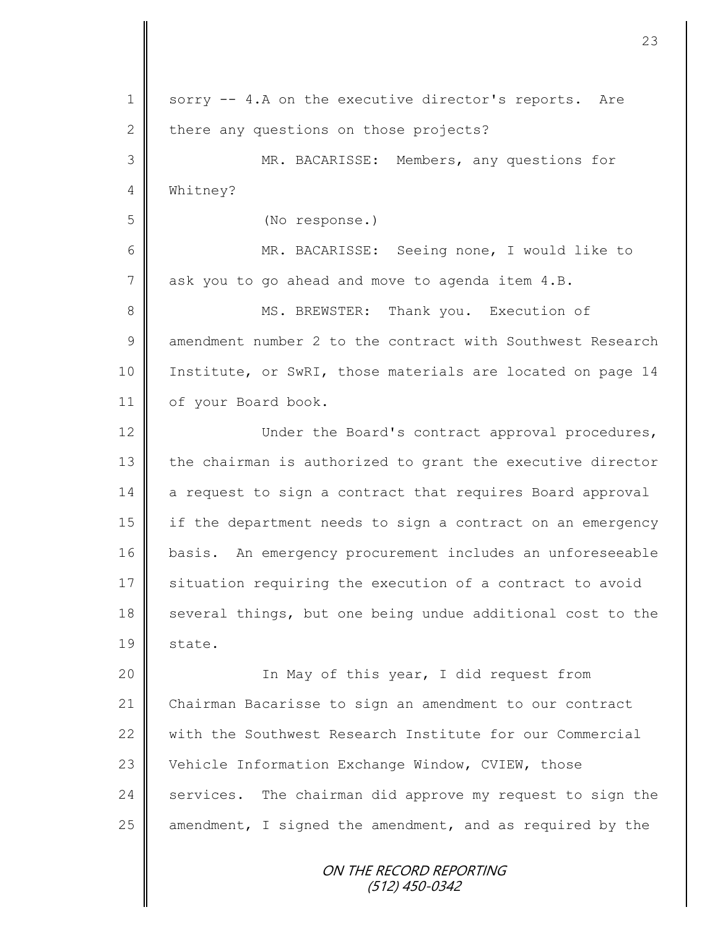ON THE RECORD REPORTING 1 sorry  $-4$ . A on the executive director's reports. Are 2 there any questions on those projects? 3 MR. BACARISSE: Members, any questions for 4 Whitney? 5 (No response.) 6 MR. BACARISSE: Seeing none, I would like to 7 ask you to go ahead and move to agenda item 4.B. 8 MS. BREWSTER: Thank you. Execution of 9 amendment number 2 to the contract with Southwest Research 10 | Institute, or SwRI, those materials are located on page 14 11 | of your Board book. 12 | Under the Board's contract approval procedures, 13 the chairman is authorized to grant the executive director 14 a request to sign a contract that requires Board approval 15 if the department needs to sign a contract on an emergency 16 basis. An emergency procurement includes an unforeseeable 17 Situation requiring the execution of a contract to avoid 18 several things, but one being undue additional cost to the 19 | state. 20 || In May of this year, I did request from 21 Chairman Bacarisse to sign an amendment to our contract 22 with the Southwest Research Institute for our Commercial 23 Vehicle Information Exchange Window, CVIEW, those 24 services. The chairman did approve my request to sign the 25  $\parallel$  amendment, I signed the amendment, and as required by the

(512) 450-0342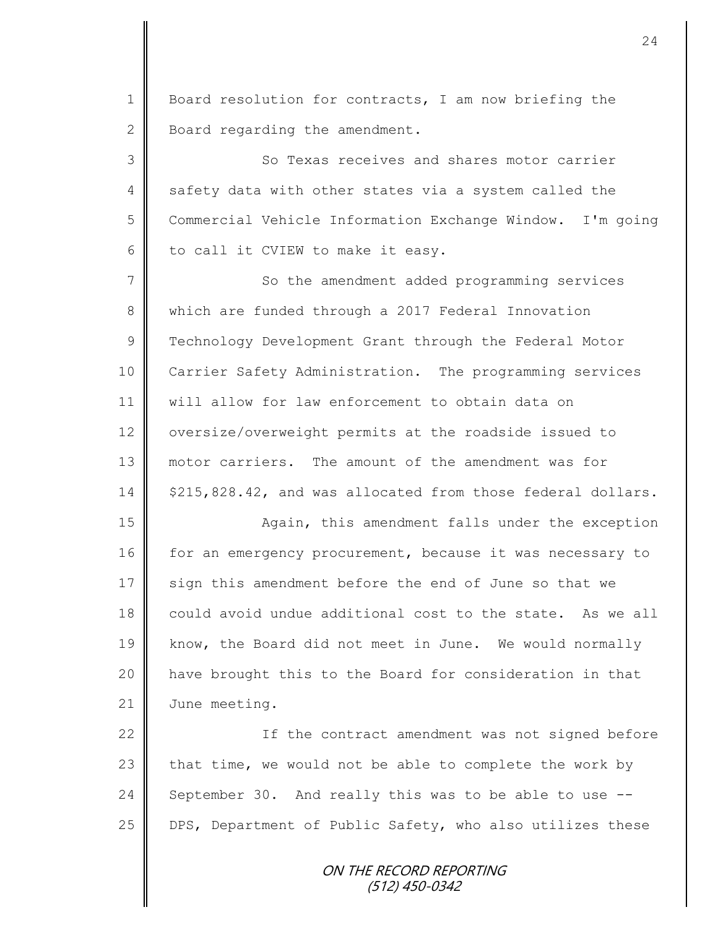1 Board resolution for contracts, I am now briefing the 2 Board regarding the amendment.

3 So Texas receives and shares motor carrier 4 safety data with other states via a system called the 5 Commercial Vehicle Information Exchange Window. I'm going 6 to call it CVIEW to make it easy.

7 So the amendment added programming services 8 which are funded through a 2017 Federal Innovation 9 Technology Development Grant through the Federal Motor 10 Carrier Safety Administration. The programming services 11 will allow for law enforcement to obtain data on 12 | oversize/overweight permits at the roadside issued to 13 motor carriers. The amount of the amendment was for 14 | \$215,828.42, and was allocated from those federal dollars.

15 | Again, this amendment falls under the exception 16 for an emergency procurement, because it was necessary to 17 || sign this amendment before the end of June so that we 18 could avoid undue additional cost to the state. As we all 19 || know, the Board did not meet in June. We would normally 20 have brought this to the Board for consideration in that 21 June meeting.

22 | If the contract amendment was not signed before 23 that time, we would not be able to complete the work by 24 September 30. And really this was to be able to use  $-$ -25 **DPS, Department of Public Safety, who also utilizes these**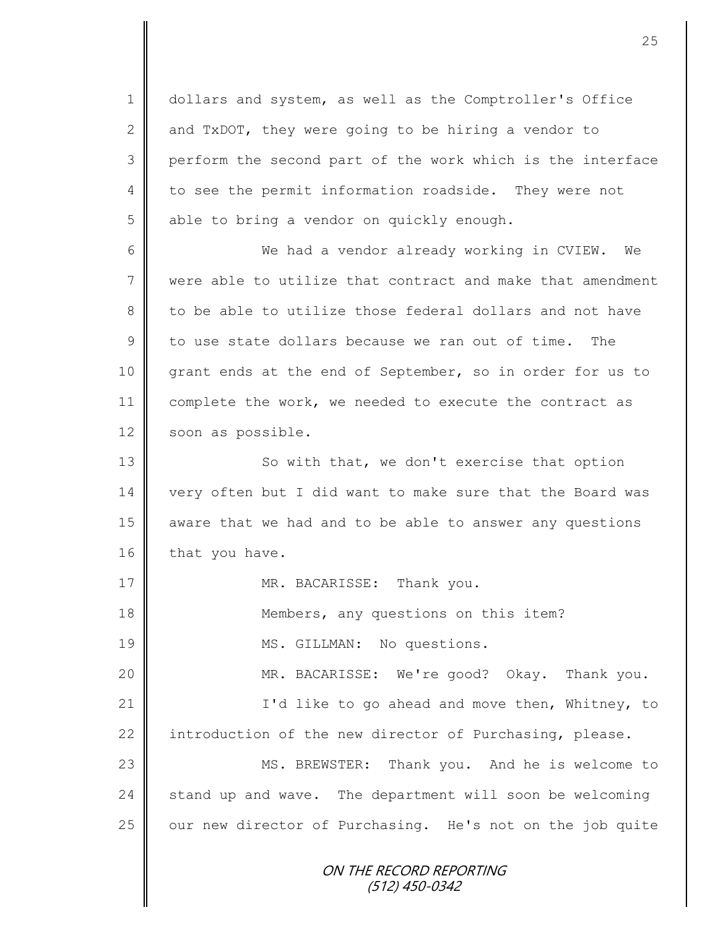1 dollars and system, as well as the Comptroller's Office 2  $\parallel$  and TxDOT, they were going to be hiring a vendor to 3 perform the second part of the work which is the interface 4 to see the permit information roadside. They were not  $5 \parallel$  able to bring a vendor on quickly enough.

6 We had a vendor already working in CVIEW. We 7 were able to utilize that contract and make that amendment 8 to be able to utilize those federal dollars and not have 9 to use state dollars because we ran out of time. The 10 grant ends at the end of September, so in order for us to 11 | complete the work, we needed to execute the contract as 12 soon as possible.

13 So with that, we don't exercise that option 14 very often but I did want to make sure that the Board was 15 || aware that we had and to be able to answer any questions 16 that you have.

17 || MR. BACARISSE: Thank you. 18 | Members, any questions on this item? 19 || MS. GILLMAN: No questions.

20 MR. BACARISSE: We're good? Okay. Thank you.

21 | I'd like to go ahead and move then, Whitney, to 22 introduction of the new director of Purchasing, please.

23 MS. BREWSTER: Thank you. And he is welcome to  $24$  stand up and wave. The department will soon be welcoming 25 | our new director of Purchasing. He's not on the job quite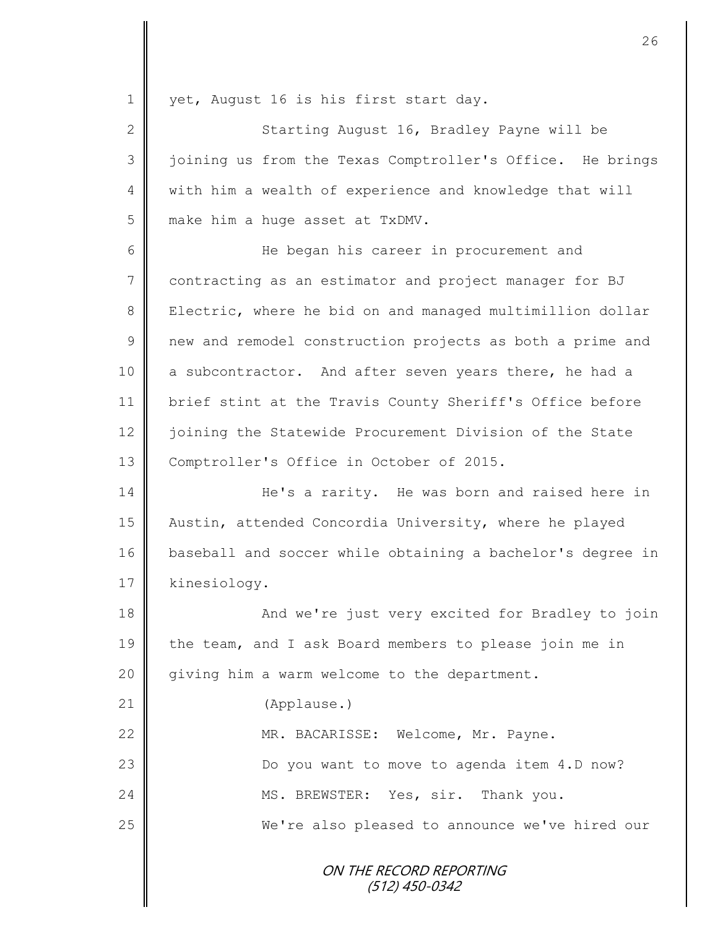1 | yet, August 16 is his first start day.

2 || Starting August 16, Bradley Payne will be 3 | joining us from the Texas Comptroller's Office. He brings 4 | with him a wealth of experience and knowledge that will 5 make him a huge asset at TxDMV.

6 He began his career in procurement and 7 contracting as an estimator and project manager for BJ 8 Electric, where he bid on and managed multimillion dollar 9 || new and remodel construction projects as both a prime and 10 a subcontractor. And after seven years there, he had a 11 brief stint at the Travis County Sheriff's Office before 12 | joining the Statewide Procurement Division of the State 13 Comptroller's Office in October of 2015.

14 He's a rarity. He was born and raised here in 15 | Austin, attended Concordia University, where he played 16 baseball and soccer while obtaining a bachelor's degree in 17 kinesiology.

18 **And we're just very excited for Bradley to join** 19 the team, and I ask Board members to please join me in 20 giving him a warm welcome to the department. 21 (Applause.) 22 | MR. BACARISSE: Welcome, Mr. Payne. 23 | Do you want to move to agenda item 4.D now? 24 MS. BREWSTER: Yes, sir. Thank you. 25 We're also pleased to announce we've hired our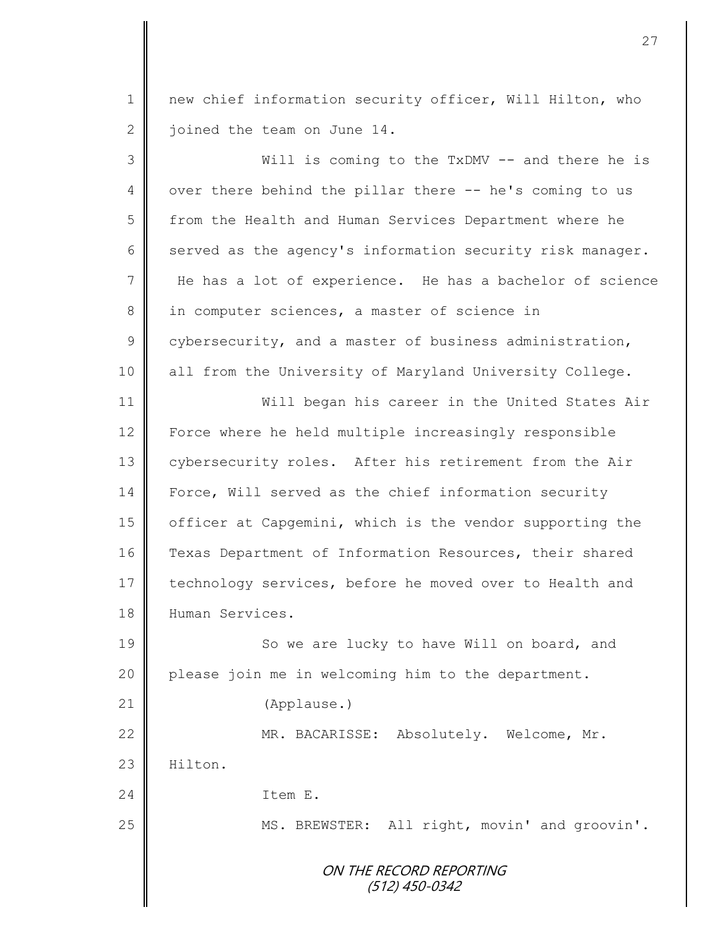1 new chief information security officer, Will Hilton, who 2 | joined the team on June 14.

ON THE RECORD REPORTING (512) 450-0342 3 Will is coming to the TxDMV -- and there he is 4 | over there behind the pillar there -- he's coming to us 5 from the Health and Human Services Department where he 6 served as the agency's information security risk manager. 7 He has a lot of experience. He has a bachelor of science 8 in computer sciences, a master of science in  $9 \parallel$  cybersecurity, and a master of business administration, 10 || all from the University of Maryland University College. 11 Will began his career in the United States Air 12 Force where he held multiple increasingly responsible 13 | cybersecurity roles. After his retirement from the Air 14 | Force, Will served as the chief information security 15 | officer at Capgemini, which is the vendor supporting the 16 | Texas Department of Information Resources, their shared 17 technology services, before he moved over to Health and 18 Human Services. 19 || So we are lucky to have Will on board, and 20 please join me in welcoming him to the department. 21 (Applause.) 22 | MR. BACARISSE: Absolutely. Welcome, Mr. 23 H Hilton. 24 Item E. 25 | MS. BREWSTER: All right, movin' and groovin'.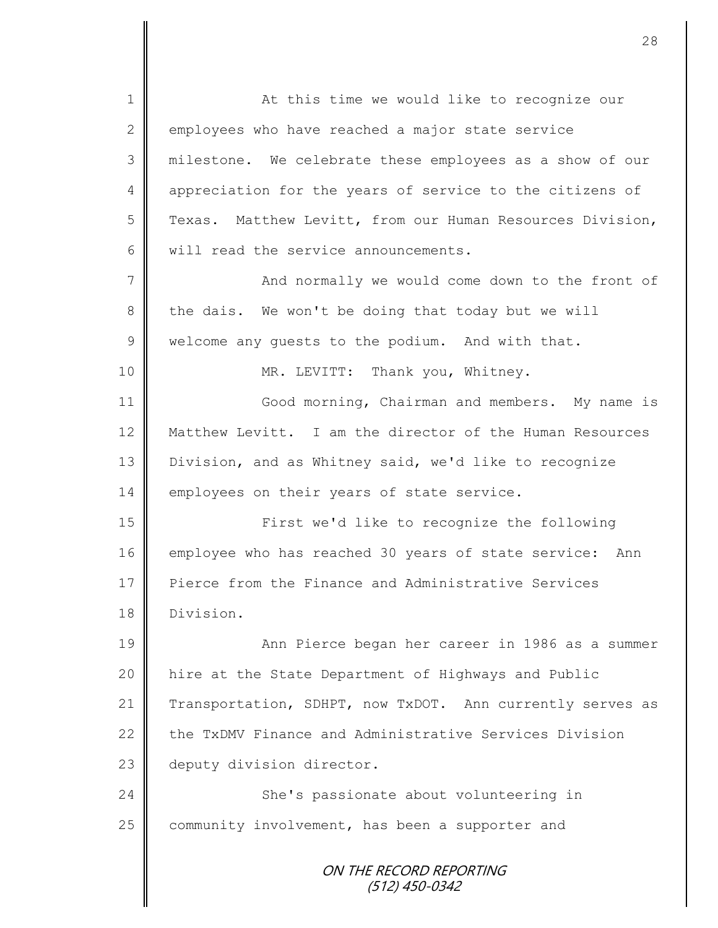ON THE RECORD REPORTING (512) 450-0342 1 At this time we would like to recognize our  $2 \parallel$  employees who have reached a major state service 3 milestone. We celebrate these employees as a show of our 4 appreciation for the years of service to the citizens of 5 Texas. Matthew Levitt, from our Human Resources Division, 6 will read the service announcements. 7 And normally we would come down to the front of  $8 \parallel$  the dais. We won't be doing that today but we will  $9 \parallel$  welcome any quests to the podium. And with that. 10 || MR. LEVITT: Thank you, Whitney. 11 | Good morning, Chairman and members. My name is 12 Matthew Levitt. I am the director of the Human Resources 13 | Division, and as Whitney said, we'd like to recognize 14 employees on their years of state service. 15 || First we'd like to recognize the following 16 employee who has reached 30 years of state service: Ann 17 Pierce from the Finance and Administrative Services 18 Division. 19 || Ann Pierce began her career in 1986 as a summer 20 hire at the State Department of Highways and Public 21 Transportation, SDHPT, now TxDOT. Ann currently serves as 22 the TxDMV Finance and Administrative Services Division 23 deputy division director. 24 | She's passionate about volunteering in  $25$  community involvement, has been a supporter and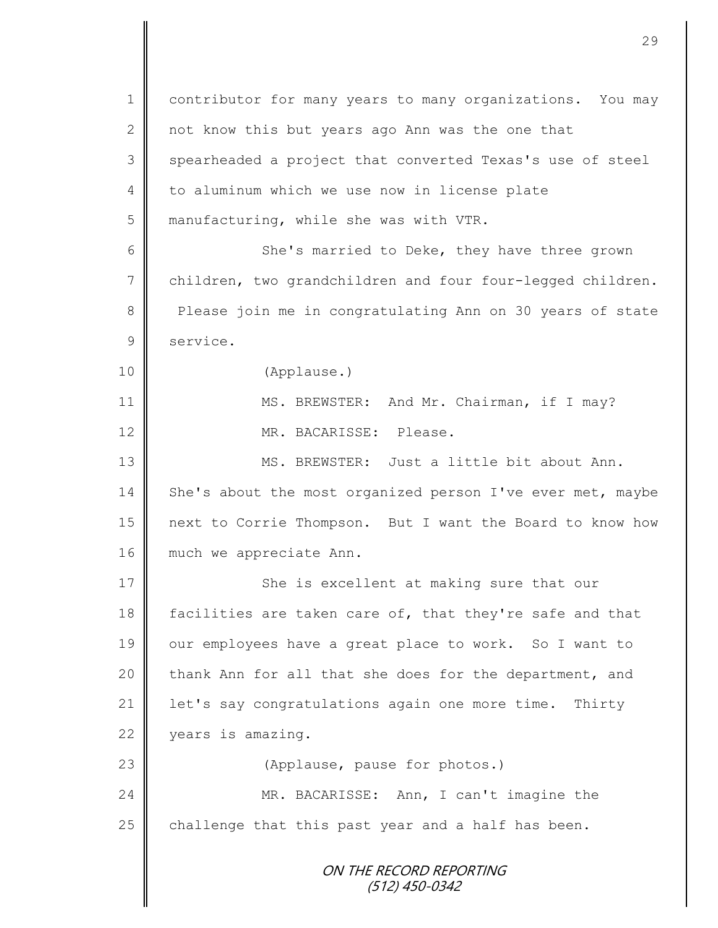ON THE RECORD REPORTING (512) 450-0342 1 contributor for many years to many organizations. You may 2 not know this but years ago Ann was the one that 3 spearheaded a project that converted Texas's use of steel 4 to aluminum which we use now in license plate 5 manufacturing, while she was with VTR. 6 She's married to Deke, they have three grown 7 children, two grandchildren and four four-legged children. 8 Please join me in congratulating Ann on 30 years of state 9 service. 10 (Applause.) 11 | MS. BREWSTER: And Mr. Chairman, if I may? 12 MR. BACARISSE: Please. 13 MS. BREWSTER: Just a little bit about Ann. 14 She's about the most organized person I've ever met, maybe 15 next to Corrie Thompson. But I want the Board to know how 16 much we appreciate Ann. 17 She is excellent at making sure that our 18 facilities are taken care of, that they're safe and that 19 || our employees have a great place to work. So I want to 20 thank Ann for all that she does for the department, and 21 | let's say congratulations again one more time. Thirty 22 vears is amazing. 23 **(Applause, pause for photos.)** 24 | MR. BACARISSE: Ann, I can't imagine the 25  $\parallel$  challenge that this past year and a half has been.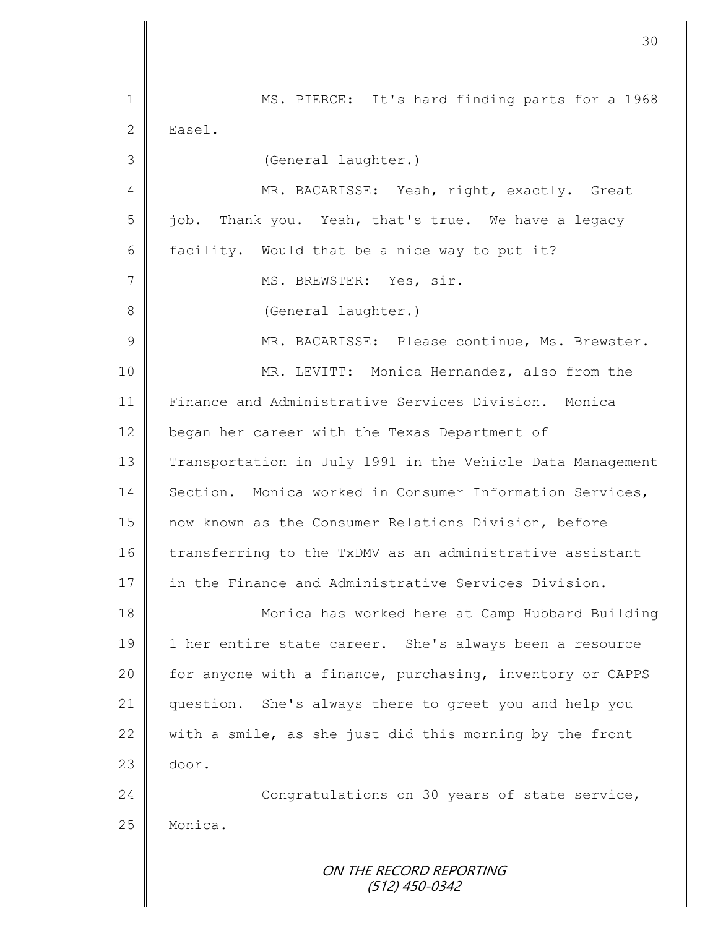ON THE RECORD REPORTING (512) 450-0342 1 || MS. PIERCE: It's hard finding parts for a 1968 2 Easel. 3 (General laughter.) 4 MR. BACARISSE: Yeah, right, exactly. Great  $5 \parallel$  job. Thank you. Yeah, that's true. We have a legacy 6  $\parallel$  facility. Would that be a nice way to put it? 7 | MS. BREWSTER: Yes, sir. 8 || (General laughter.) 9 || MR. BACARISSE: Please continue, Ms. Brewster. 10 MR. LEVITT: Monica Hernandez, also from the 11 Finance and Administrative Services Division. Monica 12 began her career with the Texas Department of 13 Transportation in July 1991 in the Vehicle Data Management 14 Section. Monica worked in Consumer Information Services, 15 | now known as the Consumer Relations Division, before 16 transferring to the TxDMV as an administrative assistant 17 in the Finance and Administrative Services Division. 18 Monica has worked here at Camp Hubbard Building 19 | 1 her entire state career. She's always been a resource 20 | for anyone with a finance, purchasing, inventory or CAPPS 21 question. She's always there to greet you and help you 22  $\parallel$  with a smile, as she just did this morning by the front  $23$  door. 24 Congratulations on 30 years of state service, 25 | Monica.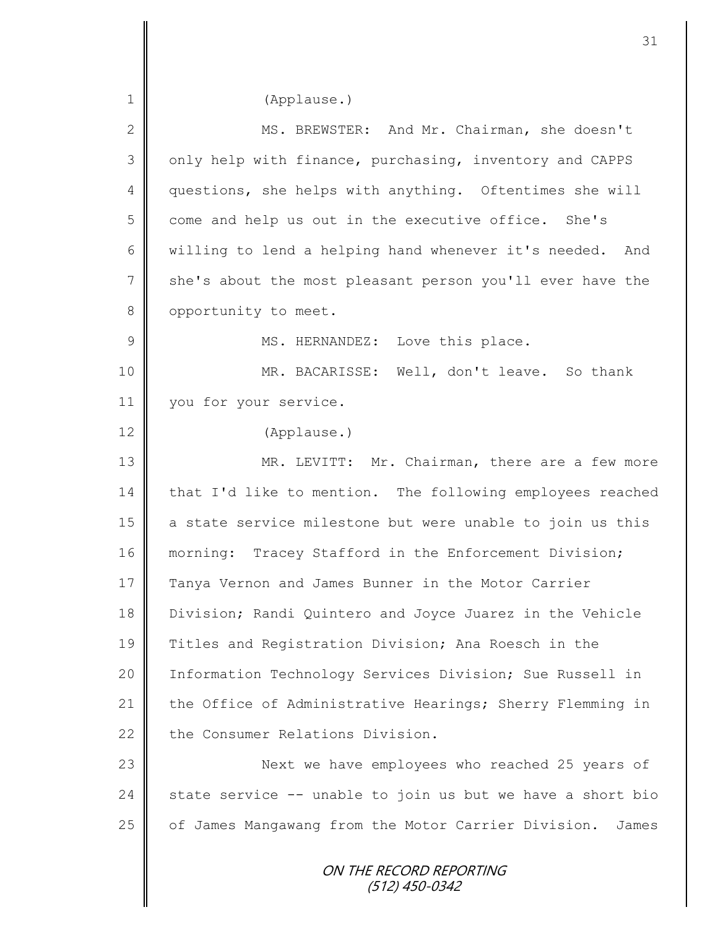ON THE RECORD REPORTING (512) 450-0342 1 (Applause.) 2 MS. BREWSTER: And Mr. Chairman, she doesn't 3 | only help with finance, purchasing, inventory and CAPPS 4 questions, she helps with anything. Oftentimes she will 5 come and help us out in the executive office. She's 6 | willing to lend a helping hand whenever it's needed. And 7 she's about the most pleasant person you'll ever have the 8 | opportunity to meet. 9 || MS. HERNANDEZ: Love this place. 10 MR. BACARISSE: Well, don't leave. So thank 11 | you for your service. 12 (Applause.) 13 **MR.** LEVITT: Mr. Chairman, there are a few more 14 that I'd like to mention. The following employees reached 15 a state service milestone but were unable to join us this 16 | morning: Tracey Stafford in the Enforcement Division; 17 Tanya Vernon and James Bunner in the Motor Carrier 18 Division; Randi Quintero and Joyce Juarez in the Vehicle 19 Titles and Registration Division; Ana Roesch in the 20 | Information Technology Services Division; Sue Russell in 21 the Office of Administrative Hearings; Sherry Flemming in 22 the Consumer Relations Division. 23 || Next we have employees who reached 25 years of 24 state service  $-$ - unable to join us but we have a short bio 25 | of James Mangawang from the Motor Carrier Division. James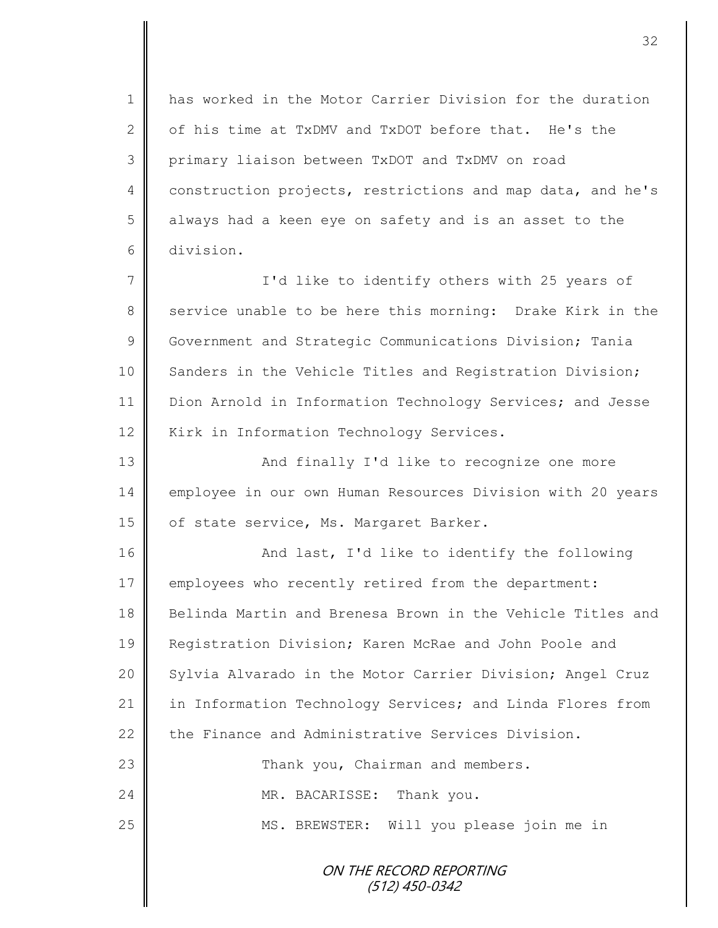1 has worked in the Motor Carrier Division for the duration 2 of his time at TxDMV and TxDOT before that. He's the 3 primary liaison between TxDOT and TxDMV on road 4 construction projects, restrictions and map data, and he's 5 | always had a keen eye on safety and is an asset to the 6 division.

7 || I'd like to identify others with 25 years of 8 service unable to be here this morning: Drake Kirk in the 9 Government and Strategic Communications Division; Tania 10 Sanders in the Vehicle Titles and Registration Division; 11 | Dion Arnold in Information Technology Services; and Jesse 12 | Kirk in Information Technology Services.

13 || And finally I'd like to recognize one more 14 employee in our own Human Resources Division with 20 years 15 | of state service, Ms. Margaret Barker.

16 | Richard Last, I'd like to identify the following 17 employees who recently retired from the department: 18 Belinda Martin and Brenesa Brown in the Vehicle Titles and 19 **Registration Division; Karen McRae and John Poole and** 20 Sylvia Alvarado in the Motor Carrier Division; Angel Cruz 21 in Information Technology Services; and Linda Flores from 22 the Finance and Administrative Services Division. 23 | Thank you, Chairman and members. 24 MR. BACARISSE: Thank you.

25 MS. BREWSTER: Will you please join me in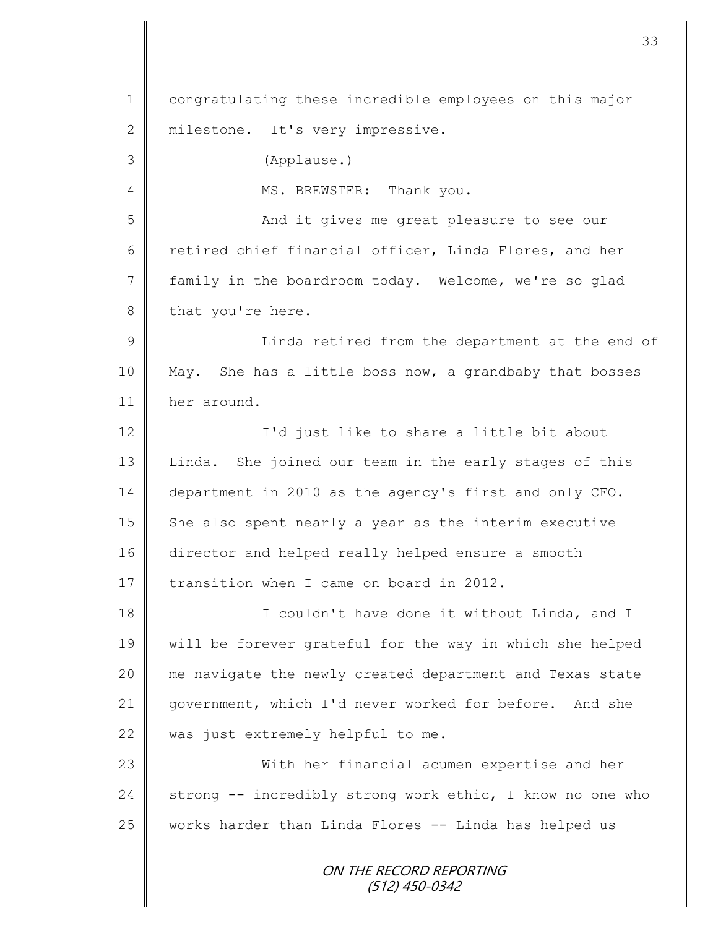ON THE RECORD REPORTING 1 | congratulating these incredible employees on this major 2 milestone. It's very impressive. 3 (Applause.) 4 || MS. BREWSTER: Thank you. 5 || And it gives me great pleasure to see our 6 Tetired chief financial officer, Linda Flores, and her 7 family in the boardroom today. Welcome, we're so glad  $8 \parallel$  that you're here. 9 Linda retired from the department at the end of 10 May. She has a little boss now, a grandbaby that bosses 11 her around. 12 || I'd just like to share a little bit about 13 | Linda. She joined our team in the early stages of this 14 department in 2010 as the agency's first and only CFO. 15  $\parallel$  She also spent nearly a year as the interim executive 16 director and helped really helped ensure a smooth 17 transition when I came on board in 2012. 18 || I couldn't have done it without Linda, and I 19 will be forever grateful for the way in which she helped 20 me navigate the newly created department and Texas state 21 government, which I'd never worked for before. And she 22 was just extremely helpful to me. 23 With her financial acumen expertise and her 24 strong -- incredibly strong work ethic, I know no one who 25  $\parallel$  works harder than Linda Flores -- Linda has helped us

33

(512) 450-0342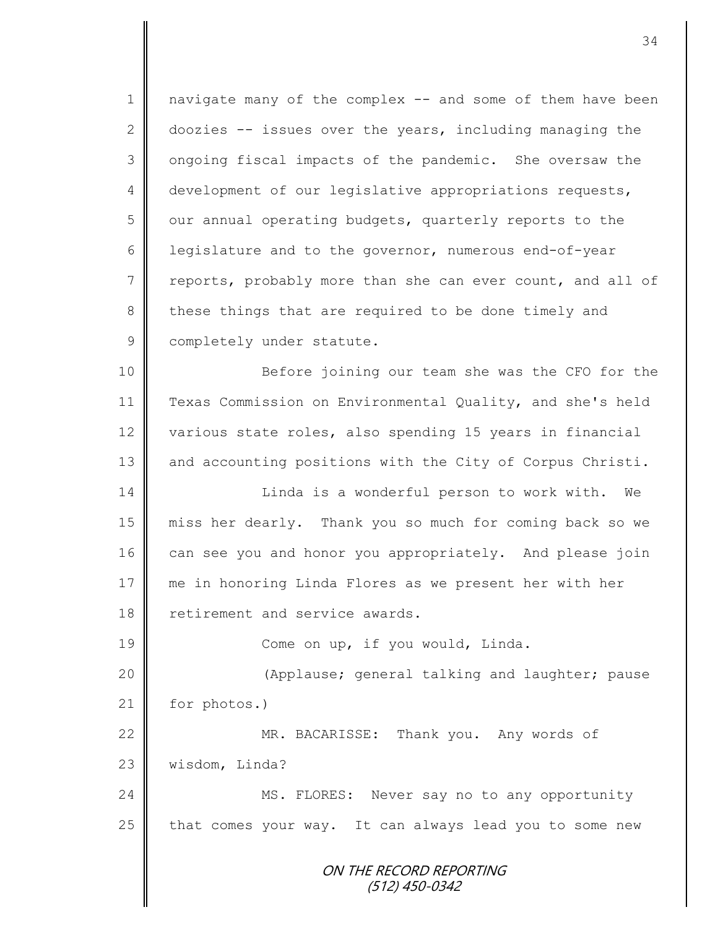1 || navigate many of the complex -- and some of them have been 2 doozies  $-$  issues over the years, including managing the 3 | ongoing fiscal impacts of the pandemic. She oversaw the 4 development of our legislative appropriations requests,  $5 \parallel$  our annual operating budgets, quarterly reports to the 6 | legislature and to the governor, numerous end-of-year  $7 \parallel$  reports, probably more than she can ever count, and all of 8 these things that are required to be done timely and 9 | completely under statute. 10 Before joining our team she was the CFO for the

11 Texas Commission on Environmental Quality, and she's held 12 various state roles, also spending 15 years in financial 13 and accounting positions with the City of Corpus Christi.

14 | Linda is a wonderful person to work with. We 15 miss her dearly. Thank you so much for coming back so we 16 can see you and honor you appropriately. And please join 17 me in honoring Linda Flores as we present her with her 18 retirement and service awards.

19 | Come on up, if you would, Linda.

20 || (Applause; general talking and laughter; pause 21 | for photos.)

22 MR. BACARISSE: Thank you. Any words of 23 wisdom, Linda?

24 MS. FLORES: Never say no to any opportunity  $25$  that comes your way. It can always lead you to some new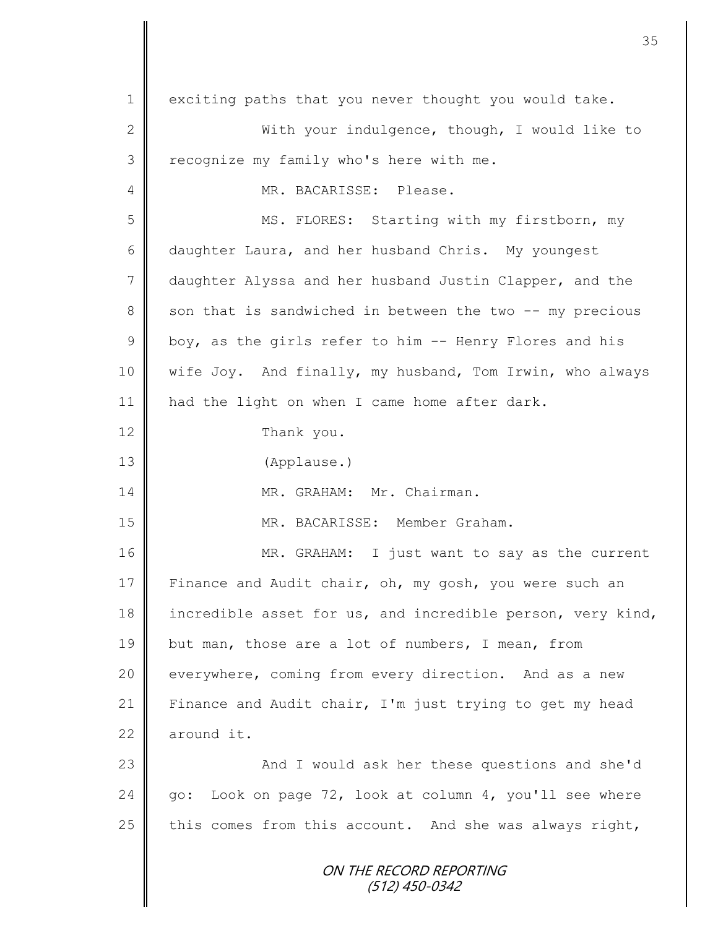ON THE RECORD REPORTING (512) 450-0342 1 exciting paths that you never thought you would take. 2 ||<br>
With your indulgence, though, I would like to 3 | recognize my family who's here with me. 4 MR. BACARISSE: Please. 5 || MS. FLORES: Starting with my firstborn, my 6 daughter Laura, and her husband Chris. My youngest 7 daughter Alyssa and her husband Justin Clapper, and the 8 son that is sandwiched in between the two -- my precious 9  $\parallel$  boy, as the girls refer to him -- Henry Flores and his 10 | wife Joy. And finally, my husband, Tom Irwin, who always 11 | had the light on when I came home after dark. 12 Thank you. 13 (Applause.) 14 | MR. GRAHAM: Mr. Chairman. 15 MR. BACARISSE: Member Graham. 16 MR. GRAHAM: I just want to say as the current 17 Finance and Audit chair, oh, my gosh, you were such an 18 incredible asset for us, and incredible person, very kind, 19 but man, those are a lot of numbers, I mean, from 20 everywhere, coming from every direction. And as a new 21 | Finance and Audit chair, I'm just trying to get my head 22  $\blacksquare$  around it. 23 || And I would ask her these questions and she'd 24 || go: Look on page 72, look at column 4, you'll see where 25  $\parallel$  this comes from this account. And she was always right,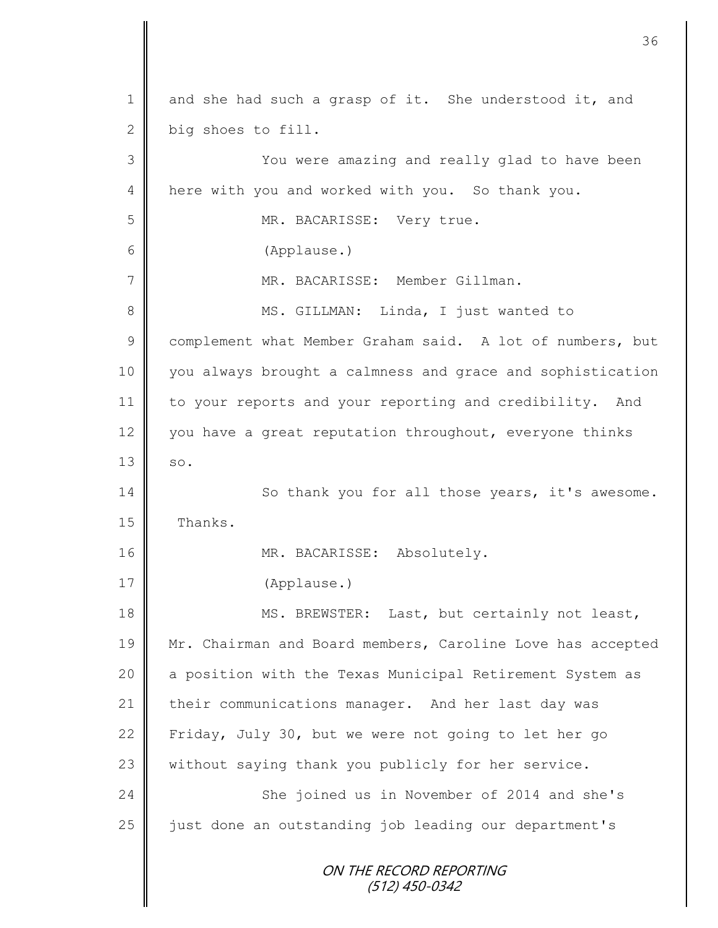|             | 36                                                         |
|-------------|------------------------------------------------------------|
| 1           | and she had such a grasp of it. She understood it, and     |
| 2           | big shoes to fill.                                         |
| 3           | You were amazing and really glad to have been              |
| 4           | here with you and worked with you. So thank you.           |
| 5           | MR. BACARISSE: Very true.                                  |
| 6           | (Applause.)                                                |
| 7           | MR. BACARISSE: Member Gillman.                             |
| 8           | MS. GILLMAN: Linda, I just wanted to                       |
| $\mathsf 9$ | complement what Member Graham said. A lot of numbers, but  |
| 10          | you always brought a calmness and grace and sophistication |
| 11          | to your reports and your reporting and credibility. And    |
| 12          | you have a great reputation throughout, everyone thinks    |
| 13          | SO.                                                        |
| 14          | So thank you for all those years, it's awesome.            |
| 15          | Thanks.                                                    |
| 16          | MR. BACARISSE: Absolutely.                                 |
| 17          | (Applause.)                                                |
| 18          | MS. BREWSTER: Last, but certainly not least,               |
| 19          | Mr. Chairman and Board members, Caroline Love has accepted |
| 20          | a position with the Texas Municipal Retirement System as   |
| 21          | their communications manager. And her last day was         |
| 22          | Friday, July 30, but we were not going to let her go       |
| 23          | without saying thank you publicly for her service.         |
| 24          | She joined us in November of 2014 and she's                |
| 25          | just done an outstanding job leading our department's      |
|             | ON THE RECORD REPORTING<br>$(512)$ 450-0342                |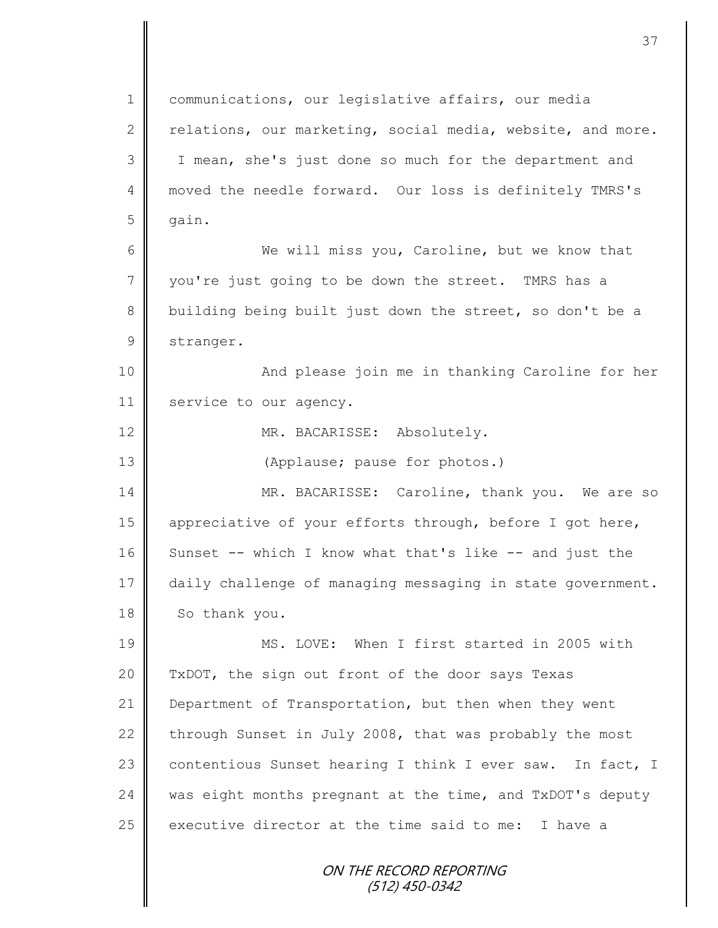ON THE RECORD REPORTING 1 communications, our legislative affairs, our media  $2 \parallel$  relations, our marketing, social media, website, and more. 3 I mean, she's just done so much for the department and 4 moved the needle forward. Our loss is definitely TMRS's  $5$  | gain. 6 We will miss you, Caroline, but we know that 7 vou're just going to be down the street. TMRS has a 8 building being built just down the street, so don't be a 9 stranger. 10 || And please join me in thanking Caroline for her 11 | service to our agency. 12 MR. BACARISSE: Absolutely. 13 **(Applause; pause for photos.)** 14 MR. BACARISSE: Caroline, thank you. We are so 15 | appreciative of your efforts through, before I got here, 16 Sunset -- which I know what that's like -- and just the 17 daily challenge of managing messaging in state government. 18 So thank you. 19 MS. LOVE: When I first started in 2005 with 20 TxDOT, the sign out front of the door says Texas 21 | Department of Transportation, but then when they went 22  $\parallel$  through Sunset in July 2008, that was probably the most 23 contentious Sunset hearing I think I ever saw. In fact, I 24 was eight months pregnant at the time, and  $Tx$ DOT's deputy 25 executive director at the time said to me: I have a

(512) 450-0342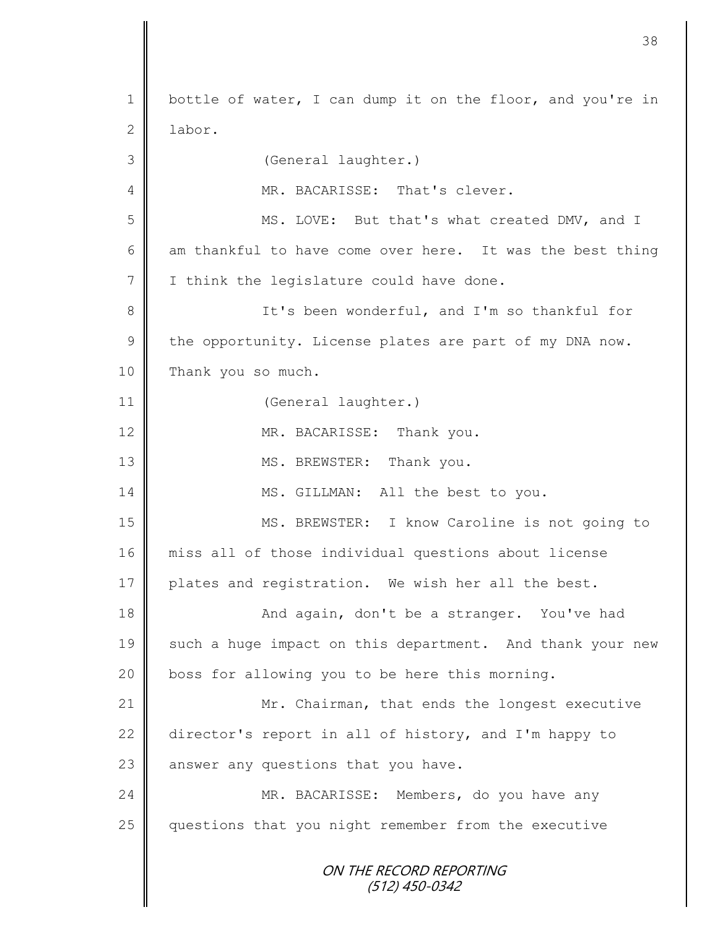ON THE RECORD REPORTING (512) 450-0342 1 | bottle of water, I can dump it on the floor, and you're in 2 labor. 3 (General laughter.) 4 MR. BACARISSE: That's clever. 5 || MS. LOVE: But that's what created DMV, and I 6  $\parallel$  am thankful to have come over here. It was the best thing 7 | I think the legislature could have done. 8 || It's been wonderful, and I'm so thankful for  $9 \parallel$  the opportunity. License plates are part of my DNA now. 10 Thank you so much. 11 | (General laughter.) 12 MR. BACARISSE: Thank you. 13 || MS. BREWSTER: Thank you. 14 MS. GILLMAN: All the best to you. 15 MS. BREWSTER: I know Caroline is not going to 16 miss all of those individual questions about license 17 plates and registration. We wish her all the best. 18 || And again, don't be a stranger. You've had 19 such a huge impact on this department. And thank your new 20  $\parallel$  boss for allowing you to be here this morning. 21 Mr. Chairman, that ends the longest executive 22 director's report in all of history, and I'm happy to 23  $\parallel$  answer any questions that you have. 24 MR. BACARISSE: Members, do you have any 25 questions that you night remember from the executive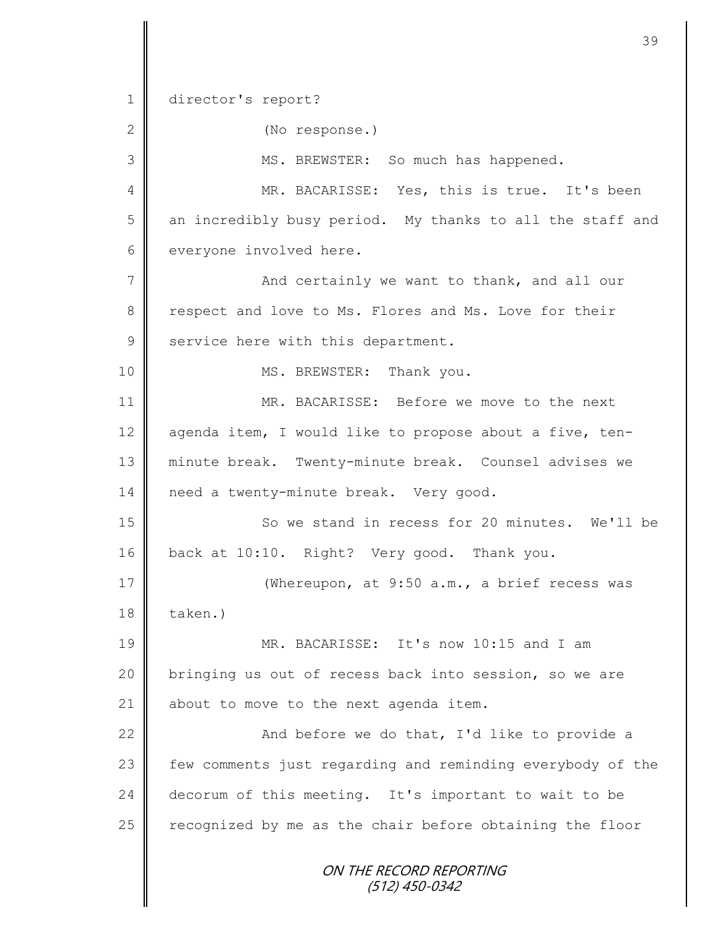ON THE RECORD REPORTING (512) 450-0342 1 director's report? 2 (No response.) 3 || MS. BREWSTER: So much has happened. 4 MR. BACARISSE: Yes, this is true. It's been  $5 \parallel$  an incredibly busy period. My thanks to all the staff and 6 everyone involved here. 7 And certainly we want to thank, and all our 8 respect and love to Ms. Flores and Ms. Love for their  $9 \parallel$  service here with this department. 10 || MS. BREWSTER: Thank you. 11 MR. BACARISSE: Before we move to the next  $12$  agenda item, I would like to propose about a five, ten-13 minute break. Twenty-minute break. Counsel advises we 14 | need a twenty-minute break. Very good. 15 || So we stand in recess for 20 minutes. We'll be 16 back at 10:10. Right? Very good. Thank you. 17 **I** (Whereupon, at 9:50 a.m., a brief recess was  $18$  | taken.) 19 MR. BACARISSE: It's now 10:15 and I am 20 bringing us out of recess back into session, so we are 21  $\parallel$  about to move to the next agenda item. 22  $\parallel$  and before we do that, I'd like to provide a 23 Few comments just regarding and reminding everybody of the 24 decorum of this meeting. It's important to wait to be 25  $\parallel$  recognized by me as the chair before obtaining the floor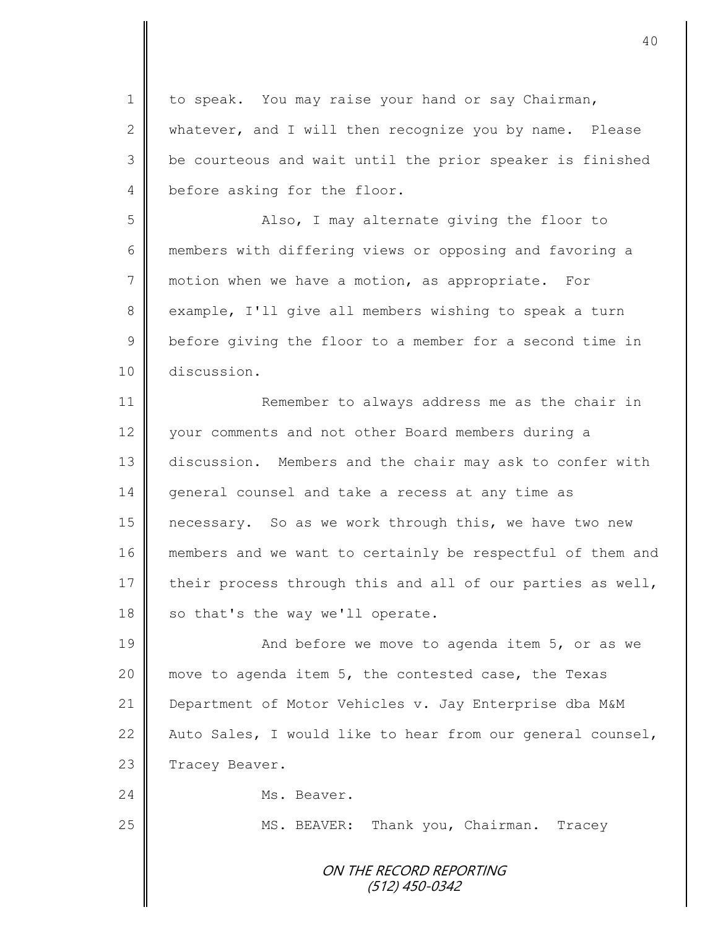1 to speak. You may raise your hand or say Chairman, 2 whatever, and I will then recognize you by name. Please  $3 \parallel$  be courteous and wait until the prior speaker is finished 4 before asking for the floor.

 Also, I may alternate giving the floor to members with differing views or opposing and favoring a 7 motion when we have a motion, as appropriate. For 8 example, I'll give all members wishing to speak a turn **b** before giving the floor to a member for a second time in discussion.

11 **Network** Remember to always address me as the chair in 12 vour comments and not other Board members during a 13 discussion. Members and the chair may ask to confer with 14 general counsel and take a recess at any time as 15 necessary. So as we work through this, we have two new 16 members and we want to certainly be respectful of them and 17 their process through this and all of our parties as well, 18 || so that's the way we'll operate.

19 || And before we move to agenda item 5, or as we 20 || move to agenda item 5, the contested case, the Texas 21 Department of Motor Vehicles v. Jay Enterprise dba M&M 22  $\parallel$  Auto Sales, I would like to hear from our general counsel, 23 Tracey Beaver.

24 Ms. Beaver.

25 MS. BEAVER: Thank you, Chairman. Tracey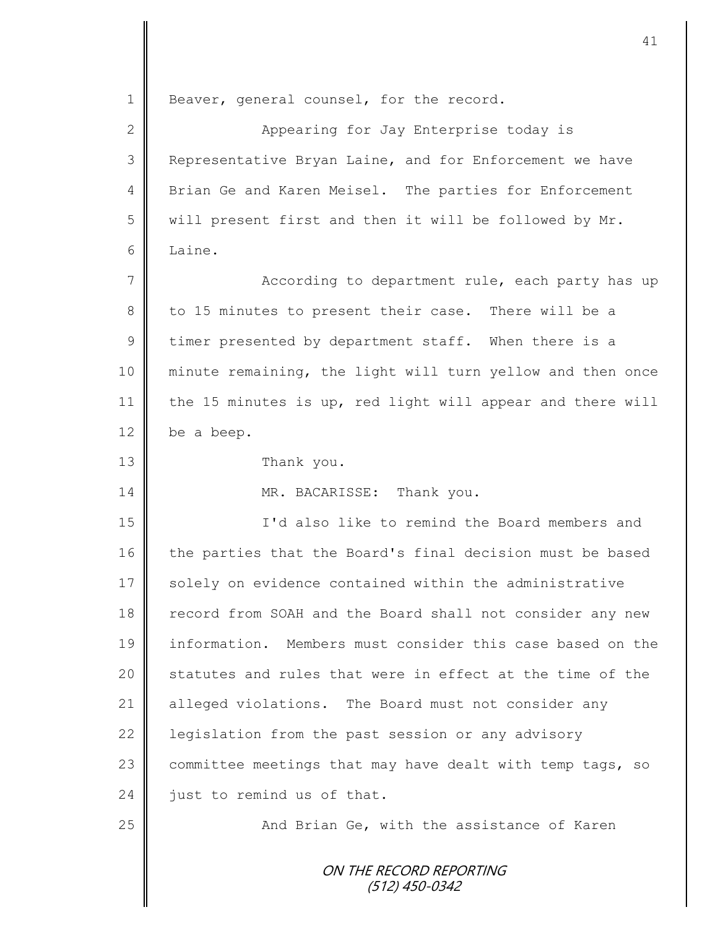| $\mathbf 1$    | Beaver, general counsel, for the record.                   |
|----------------|------------------------------------------------------------|
| $\mathbf{2}$   | Appearing for Jay Enterprise today is                      |
| 3              | Representative Bryan Laine, and for Enforcement we have    |
| 4              | Brian Ge and Karen Meisel. The parties for Enforcement     |
| 5              | will present first and then it will be followed by Mr.     |
| 6              | Laine.                                                     |
| 7              | According to department rule, each party has up            |
| 8              | to 15 minutes to present their case. There will be a       |
| $\overline{9}$ | timer presented by department staff. When there is a       |
| 10             | minute remaining, the light will turn yellow and then once |
| 11             | the 15 minutes is up, red light will appear and there will |
| 12             | be a beep.                                                 |
| 13             | Thank you.                                                 |
| 14             | MR. BACARISSE: Thank you.                                  |
| 15             | I'd also like to remind the Board members and              |
| 16             | the parties that the Board's final decision must be based  |
| 17             | solely on evidence contained within the administrative     |
| 18             | record from SOAH and the Board shall not consider any new  |
| 19             | information. Members must consider this case based on the  |
| 20             | statutes and rules that were in effect at the time of the  |
| 21             | alleged violations. The Board must not consider any        |
| 22             | legislation from the past session or any advisory          |
| 23             | committee meetings that may have dealt with temp tags, so  |
| 24             | just to remind us of that.                                 |
| 25             | And Brian Ge, with the assistance of Karen                 |
|                | ON THE RECORD REPORTING<br>$(512)$ 450-0342                |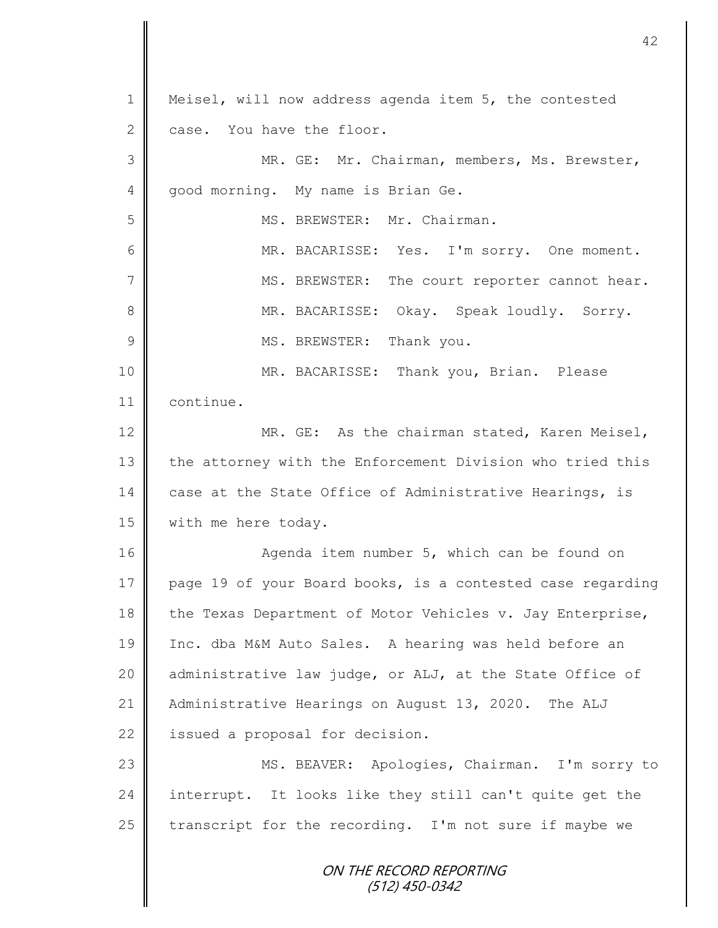ON THE RECORD REPORTING (512) 450-0342 1 || Meisel, will now address agenda item 5, the contested  $2 \parallel$  case. You have the floor. 3 MR. GE: Mr. Chairman, members, Ms. Brewster, 4 | good morning. My name is Brian Ge. 5 | MS. BREWSTER: Mr. Chairman. 6 MR. BACARISSE: Yes. I'm sorry. One moment. 7 MS. BREWSTER: The court reporter cannot hear. 8 MR. BACARISSE: Okay. Speak loudly. Sorry. 9 | MS. BREWSTER: Thank you. 10 || MR. BACARISSE: Thank you, Brian. Please 11 continue. 12 | MR. GE: As the chairman stated, Karen Meisel, 13 the attorney with the Enforcement Division who tried this 14 case at the State Office of Administrative Hearings, is 15 | with me here today. 16 | **Agenda item number 5, which can be found on** 17 page 19 of your Board books, is a contested case regarding 18 the Texas Department of Motor Vehicles v. Jay Enterprise, 19 Inc. dba M&M Auto Sales. A hearing was held before an 20 | administrative law judge, or ALJ, at the State Office of 21 Administrative Hearings on August 13, 2020. The ALJ 22 issued a proposal for decision. 23 MS. BEAVER: Apologies, Chairman. I'm sorry to 24 interrupt. It looks like they still can't quite get the 25 transcript for the recording. I'm not sure if maybe we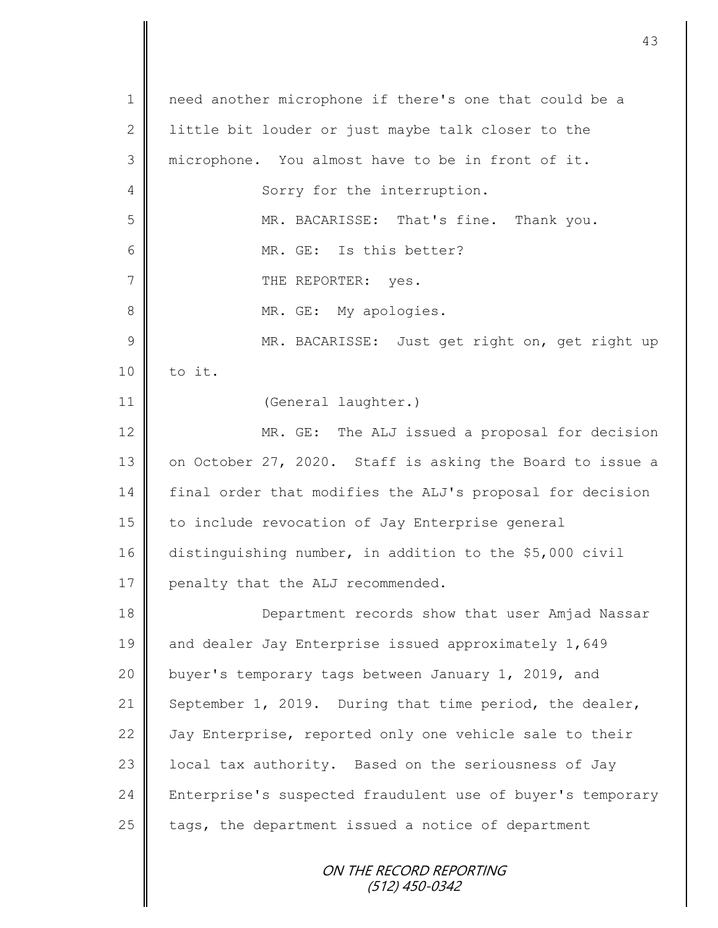ON THE RECORD REPORTING 1 || need another microphone if there's one that could be a 2 | little bit louder or just maybe talk closer to the 3 microphone. You almost have to be in front of it. 4 Sorry for the interruption. 5 MR. BACARISSE: That's fine. Thank you. 6 MR. GE: Is this better? 7 || THE REPORTER: yes. 8 || MR. GE: My apologies. 9 || MR. BACARISSE: Just get right on, get right up  $10 \parallel$  to it. 11 | (General laughter.) 12 MR. GE: The ALJ issued a proposal for decision 13 on October 27, 2020. Staff is asking the Board to issue a 14 final order that modifies the ALJ's proposal for decision 15 | to include revocation of Jay Enterprise general 16 distinguishing number, in addition to the \$5,000 civil 17 penalty that the ALJ recommended. 18 **Department records show that user Amjad Nassar** 19 and dealer Jay Enterprise issued approximately 1,649 20 buyer's temporary tags between January 1, 2019, and 21 September 1, 2019. During that time period, the dealer, 22 Jay Enterprise, reported only one vehicle sale to their 23  $\parallel$  local tax authority. Based on the seriousness of Jay 24 Enterprise's suspected fraudulent use of buyer's temporary  $25$   $\parallel$  tags, the department issued a notice of department

43

(512) 450-0342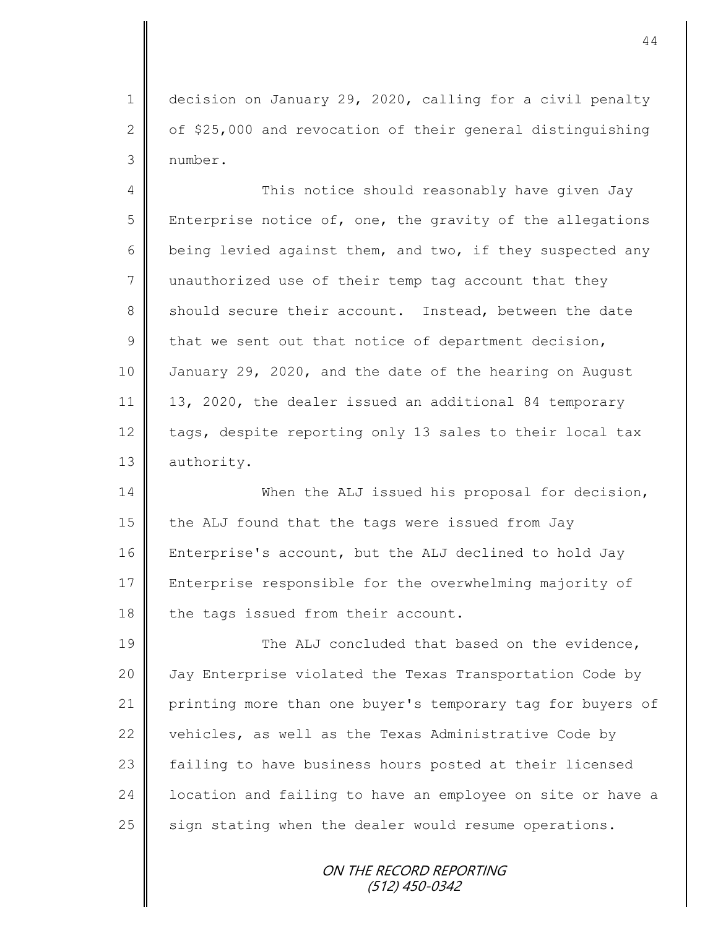1 decision on January 29, 2020, calling for a civil penalty 2  $\parallel$  of \$25,000 and revocation of their general distinguishing 3 number.

4 This notice should reasonably have given Jay  $5$  | Enterprise notice of, one, the gravity of the allegations 6 being levied against them, and two, if they suspected any  $7 \parallel$  unauthorized use of their temp tag account that they 8 should secure their account. Instead, between the date 9 that we sent out that notice of department decision, 10 January 29, 2020, and the date of the hearing on August 11 13, 2020, the dealer issued an additional 84 temporary 12  $\parallel$  tags, despite reporting only 13 sales to their local tax 13 authority.

14 When the ALJ issued his proposal for decision, 15 the ALJ found that the tags were issued from Jay 16 Enterprise's account, but the ALJ declined to hold Jay 17 Enterprise responsible for the overwhelming majority of 18  $\parallel$  the tags issued from their account.

19 The ALJ concluded that based on the evidence, 20 | Jay Enterprise violated the Texas Transportation Code by 21 printing more than one buyer's temporary tag for buyers of 22 vehicles, as well as the Texas Administrative Code by 23 failing to have business hours posted at their licensed 24 | location and failing to have an employee on site or have a 25  $\parallel$  sign stating when the dealer would resume operations.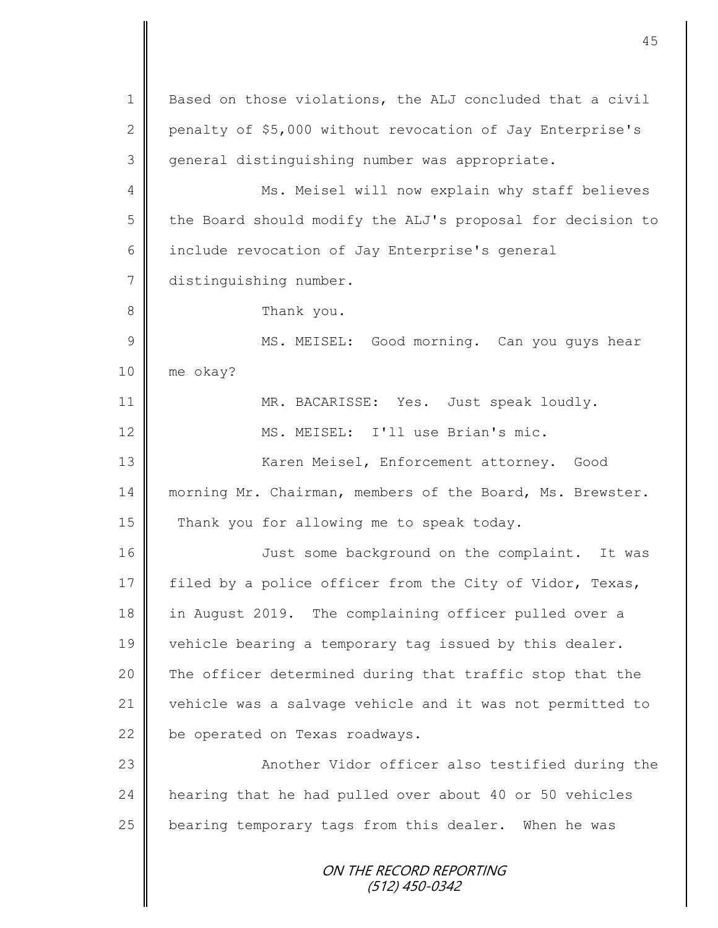ON THE RECORD REPORTING (512) 450-0342 1 Based on those violations, the ALJ concluded that a civil 2 penalty of \$5,000 without revocation of Jay Enterprise's 3 general distinguishing number was appropriate. 4 || Ms. Meisel will now explain why staff believes 5 the Board should modify the ALJ's proposal for decision to 6 | include revocation of Jay Enterprise's general 7 distinguishing number. 8 Thank you. 9 || MS. MEISEL: Good morning. Can you guys hear 10 me okay? 11 MR. BACARISSE: Yes. Just speak loudly. 12 || MS. MEISEL: I'll use Brian's mic. 13 || Karen Meisel, Enforcement attorney. Good 14 morning Mr. Chairman, members of the Board, Ms. Brewster. 15  $\parallel$  Thank you for allowing me to speak today. 16 | Just some background on the complaint. It was 17 | filed by a police officer from the City of Vidor, Texas, 18 in August 2019. The complaining officer pulled over a 19 vehicle bearing a temporary tag issued by this dealer. 20 The officer determined during that traffic stop that the 21 vehicle was a salvage vehicle and it was not permitted to 22 be operated on Texas roadways. 23 || Another Vidor officer also testified during the 24 hearing that he had pulled over about 40 or 50 vehicles 25 bearing temporary tags from this dealer. When he was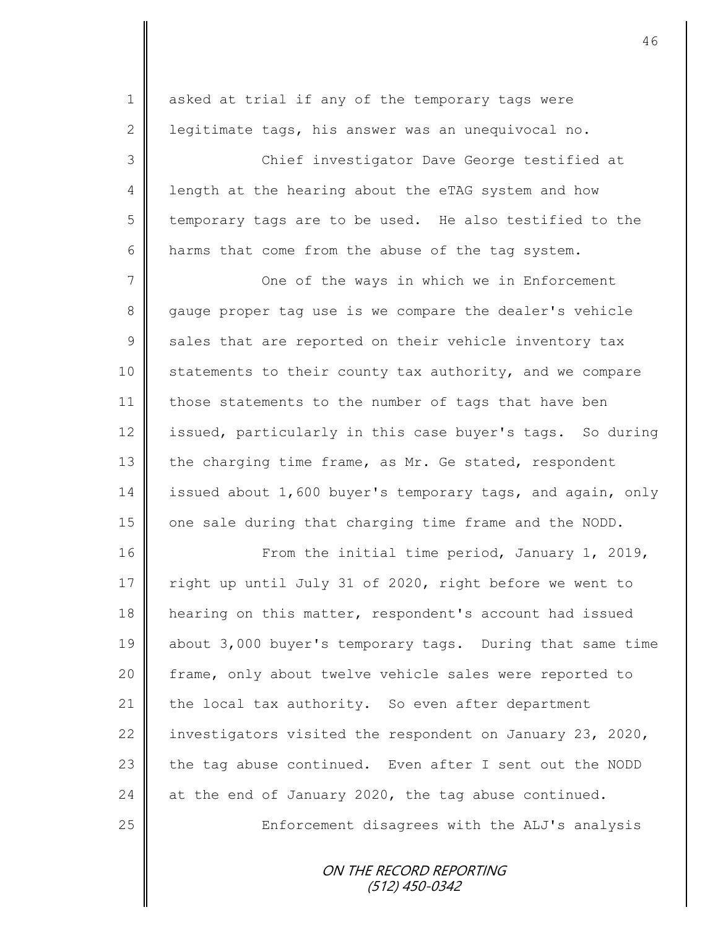| $\mathbf 1$   | asked at trial if any of the temporary tags were           |
|---------------|------------------------------------------------------------|
| $\mathbf{2}$  | legitimate tags, his answer was an unequivocal no.         |
| 3             | Chief investigator Dave George testified at                |
| 4             | length at the hearing about the eTAG system and how        |
| 5             | temporary tags are to be used. He also testified to the    |
| 6             | harms that come from the abuse of the tag system.          |
| 7             | One of the ways in which we in Enforcement                 |
| 8             | gauge proper tag use is we compare the dealer's vehicle    |
| $\mathcal{G}$ | sales that are reported on their vehicle inventory tax     |
| 10            | statements to their county tax authority, and we compare   |
| 11            | those statements to the number of tags that have ben       |
| 12            | issued, particularly in this case buyer's tags. So during  |
| 13            | the charging time frame, as Mr. Ge stated, respondent      |
| 14            | issued about 1,600 buyer's temporary tags, and again, only |
| 15            | one sale during that charging time frame and the NODD.     |
| 16            | From the initial time period, January 1, 2019,             |
| 17            | right up until July 31 of 2020, right before we went to    |
| 18            | hearing on this matter, respondent's account had issued    |
| 19            | about 3,000 buyer's temporary tags. During that same time  |
| 20            | frame, only about twelve vehicle sales were reported to    |
| 21            | the local tax authority. So even after department          |
| 22            | investigators visited the respondent on January 23, 2020,  |
| 23            | the tag abuse continued. Even after I sent out the NODD    |
| 24            | at the end of January 2020, the tag abuse continued.       |
| 25            | Enforcement disagrees with the ALJ's analysis              |
|               | ON THE RECORD REPORTING<br>(512) 450-0342                  |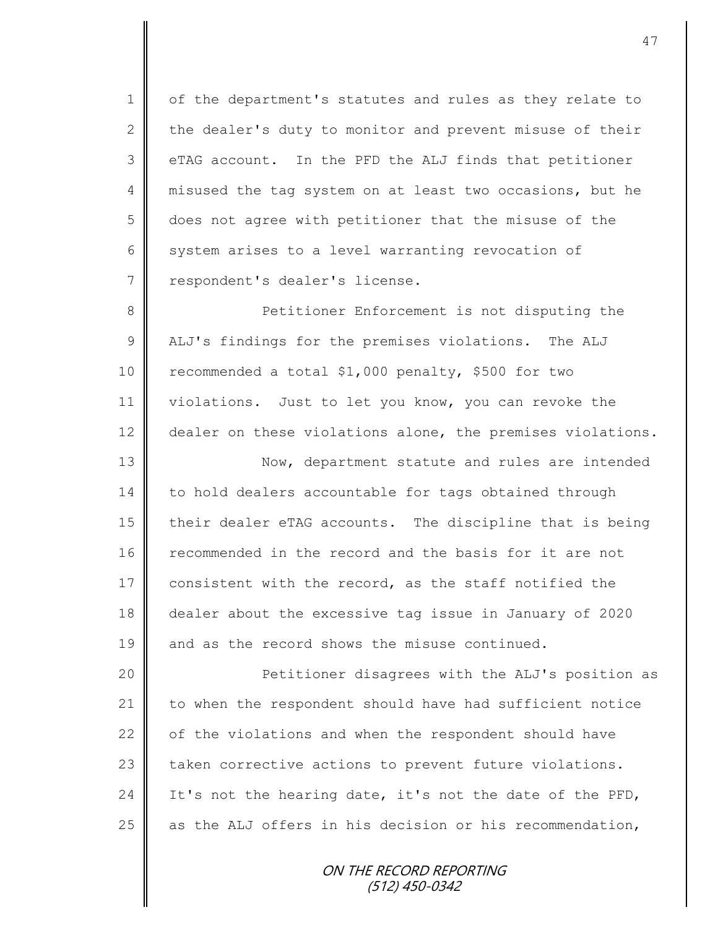1 | of the department's statutes and rules as they relate to 2  $\parallel$  the dealer's duty to monitor and prevent misuse of their  $3$   $\parallel$  eTAG account. In the PFD the ALJ finds that petitioner 4 misused the tag system on at least two occasions, but he 5 does not agree with petitioner that the misuse of the 6 system arises to a level warranting revocation of 7 | respondent's dealer's license.

8 Petitioner Enforcement is not disputing the 9 ALJ's findings for the premises violations. The ALJ 10 | recommended a total \$1,000 penalty, \$500 for two 11 violations. Just to let you know, you can revoke the 12 dealer on these violations alone, the premises violations.

13 || Now, department statute and rules are intended 14 to hold dealers accountable for tags obtained through 15 their dealer eTAG accounts. The discipline that is being 16 recommended in the record and the basis for it are not 17 consistent with the record, as the staff notified the 18 dealer about the excessive tag issue in January of 2020 19  $\parallel$  and as the record shows the misuse continued.

20 Petitioner disagrees with the ALJ's position as 21 to when the respondent should have had sufficient notice 22  $\parallel$  of the violations and when the respondent should have 23 taken corrective actions to prevent future violations. 24 It's not the hearing date, it's not the date of the PFD, 25  $\parallel$  as the ALJ offers in his decision or his recommendation,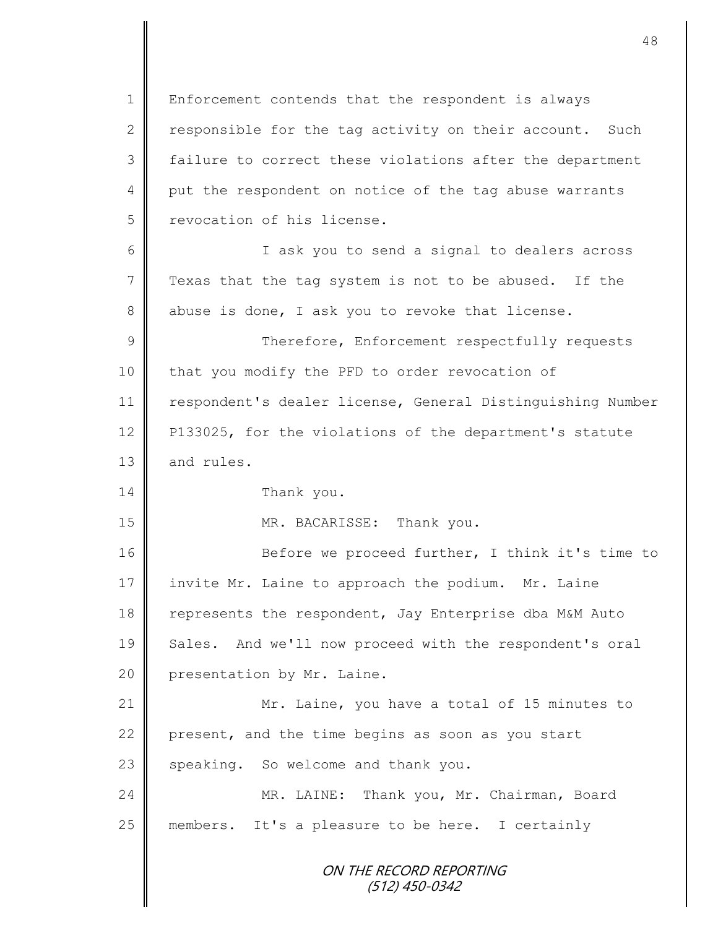1 | Enforcement contends that the respondent is always 2 responsible for the tag activity on their account. Such 3 failure to correct these violations after the department 4 put the respondent on notice of the tag abuse warrants 5 | revocation of his license.

6 I ask you to send a signal to dealers across 7 Texas that the tag system is not to be abused. If the 8 abuse is done, I ask you to revoke that license.

9 || Therefore, Enforcement respectfully requests 10 that you modify the PFD to order revocation of 11 | respondent's dealer license, General Distinguishing Number 12 P133025, for the violations of the department's statute  $13 \parallel$  and rules.

14 Thank you.

15 MR. BACARISSE: Thank you.

16 Before we proceed further, I think it's time to 17 invite Mr. Laine to approach the podium. Mr. Laine 18 Tepresents the respondent, Jay Enterprise dba M&M Auto 19 Sales. And we'll now proceed with the respondent's oral 20 **presentation by Mr. Laine.** 

21 Mr. Laine, you have a total of 15 minutes to 22 present, and the time begins as soon as you start  $23$  speaking. So welcome and thank you.

24 | MR. LAINE: Thank you, Mr. Chairman, Board 25  $\parallel$  members. It's a pleasure to be here. I certainly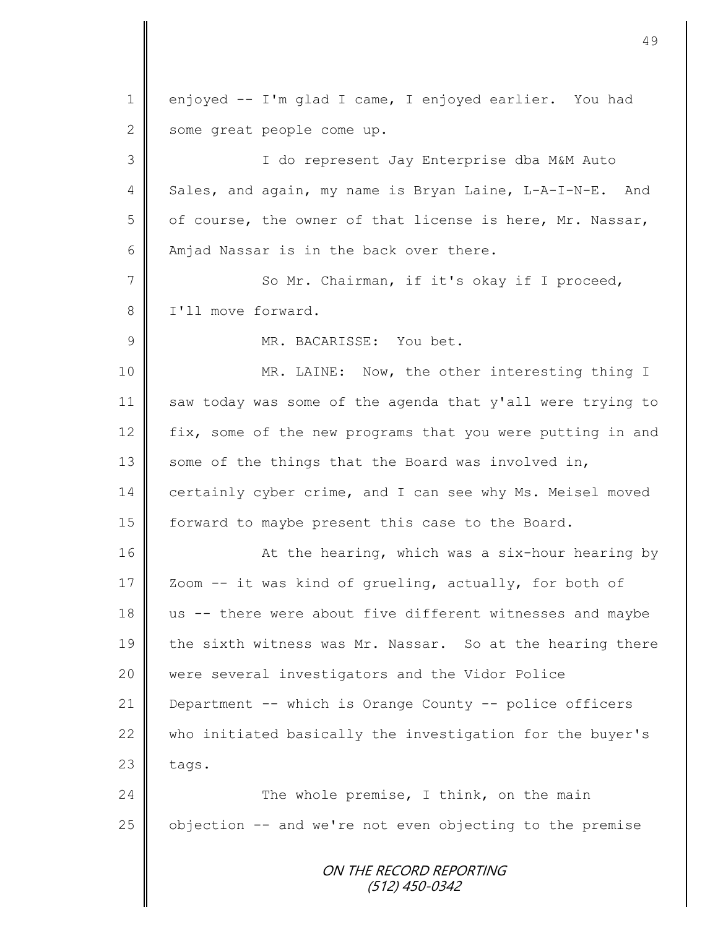ON THE RECORD REPORTING (512) 450-0342 1 enjoyed -- I'm glad I came, I enjoyed earlier. You had 2 some great people come up. 3 I do represent Jay Enterprise dba M&M Auto 4 Sales, and again, my name is Bryan Laine, L-A-I-N-E. And  $5 \parallel$  of course, the owner of that license is here, Mr. Nassar, 6 Amjad Nassar is in the back over there. 7 || So Mr. Chairman, if it's okay if I proceed, 8 | I'll move forward. 9 MR. BACARISSE: You bet. 10 || MR. LAINE: Now, the other interesting thing I 11 saw today was some of the agenda that y'all were trying to 12 fix, some of the new programs that you were putting in and 13 some of the things that the Board was involved in, 14 certainly cyber crime, and I can see why Ms. Meisel moved 15 | forward to maybe present this case to the Board. 16 | At the hearing, which was a six-hour hearing by 17 Zoom -- it was kind of grueling, actually, for both of 18 us -- there were about five different witnesses and maybe 19 the sixth witness was Mr. Nassar. So at the hearing there 20 were several investigators and the Vidor Police 21 Department -- which is Orange County -- police officers 22 who initiated basically the investigation for the buyer's  $23$  tags. 24 | The whole premise, I think, on the main  $25$  | objection  $-$  and we're not even objecting to the premise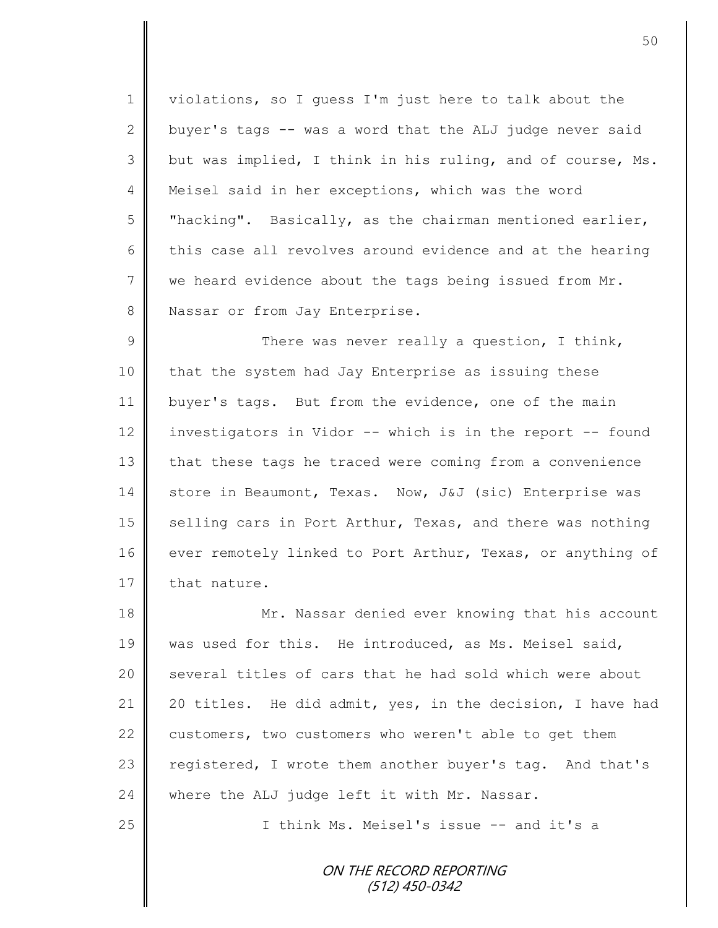1 || violations, so I quess I'm just here to talk about the 2 buyer's tags  $-$  was a word that the ALJ judge never said  $3 \parallel$  but was implied, I think in his ruling, and of course, Ms. 4 | Meisel said in her exceptions, which was the word 5  $\parallel$  "hacking". Basically, as the chairman mentioned earlier, 6 this case all revolves around evidence and at the hearing  $7 \parallel$  we heard evidence about the tags being issued from Mr. 8 Nassar or from Jay Enterprise.

 $9 \parallel$  There was never really a question, I think, 10 that the system had Jay Enterprise as issuing these 11 buyer's tags. But from the evidence, one of the main 12  $\parallel$  investigators in Vidor -- which is in the report -- found 13 that these tags he traced were coming from a convenience 14 Store in Beaumont, Texas. Now, J&J (sic) Enterprise was 15 | selling cars in Port Arthur, Texas, and there was nothing 16 ever remotely linked to Port Arthur, Texas, or anything of 17 | that nature.

18 Mr. Nassar denied ever knowing that his account 19 was used for this. He introduced, as Ms. Meisel said, 20 || several titles of cars that he had sold which were about 21 20 titles. He did admit, yes, in the decision, I have had 22 customers, two customers who weren't able to get them 23 registered, I wrote them another buyer's tag. And that's  $24$  where the ALJ judge left it with Mr. Nassar.

25 | Think Ms. Meisel's issue -- and it's a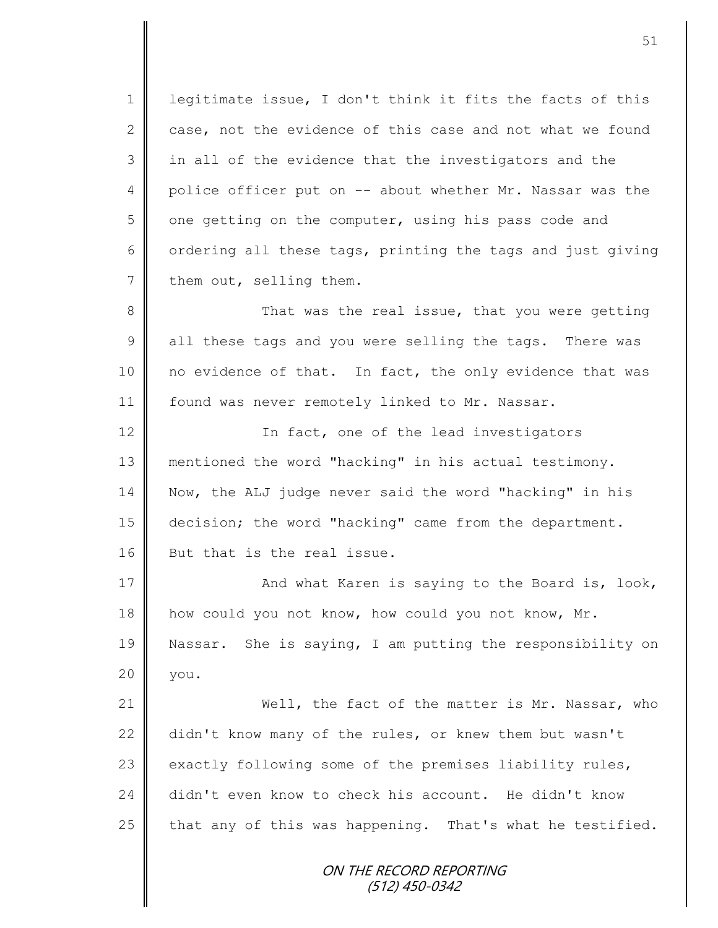1 | legitimate issue, I don't think it fits the facts of this 2 case, not the evidence of this case and not what we found 3 || in all of the evidence that the investigators and the 4 police officer put on -- about whether Mr. Nassar was the 5 | one getting on the computer, using his pass code and 6 | ordering all these tags, printing the tags and just giving  $7 \parallel$  them out, selling them.

8 That was the real issue, that you were getting  $9 \parallel$  all these tags and you were selling the tags. There was 10 no evidence of that. In fact, the only evidence that was 11 | found was never remotely linked to Mr. Nassar.

12 | The fact, one of the lead investigators 13 mentioned the word "hacking" in his actual testimony. 14 Now, the ALJ judge never said the word "hacking" in his 15 decision; the word "hacking" came from the department. 16 But that is the real issue.

17 || And what Karen is saying to the Board is, look, 18 how could you not know, how could you not know, Mr. 19 Nassar. She is saying, I am putting the responsibility on 20 | you.

21 Well, the fact of the matter is Mr. Nassar, who 22 didn't know many of the rules, or knew them but wasn't 23  $\parallel$  exactly following some of the premises liability rules, 24 didn't even know to check his account. He didn't know 25  $\parallel$  that any of this was happening. That's what he testified.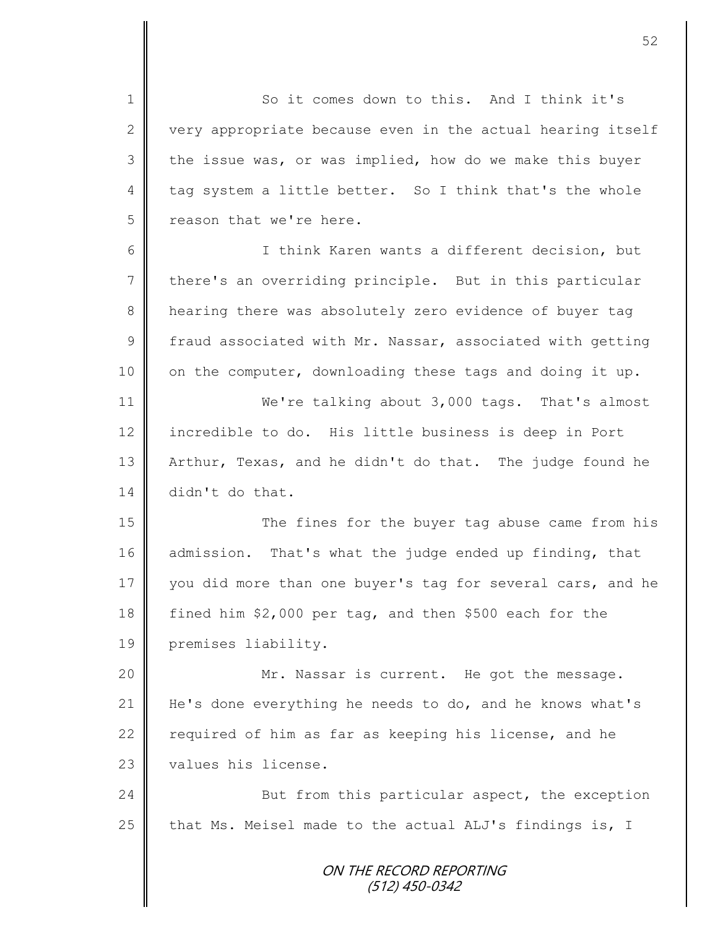1 So it comes down to this. And I think it's 2 very appropriate because even in the actual hearing itself  $3 \parallel$  the issue was, or was implied, how do we make this buyer 4 tag system a little better. So I think that's the whole 5 | reason that we're here. 6 I think Karen wants a different decision, but 7 there's an overriding principle. But in this particular

8 hearing there was absolutely zero evidence of buyer tag  $9 \parallel$  fraud associated with Mr. Nassar, associated with getting  $10$  on the computer, downloading these tags and doing it up.

11 We're talking about 3,000 tags. That's almost 12 incredible to do. His little business is deep in Port 13 Arthur, Texas, and he didn't do that. The judge found he 14 didn't do that.

15 || The fines for the buyer tag abuse came from his 16 admission. That's what the judge ended up finding, that 17 you did more than one buyer's tag for several cars, and he 18 fined him \$2,000 per tag, and then \$500 each for the 19 premises liability.

20 | Mr. Nassar is current. He got the message. 21 | He's done everything he needs to do, and he knows what's 22  $\parallel$  required of him as far as keeping his license, and he 23 | values his license.

24 But from this particular aspect, the exception 25 that Ms. Meisel made to the actual ALJ's findings is, I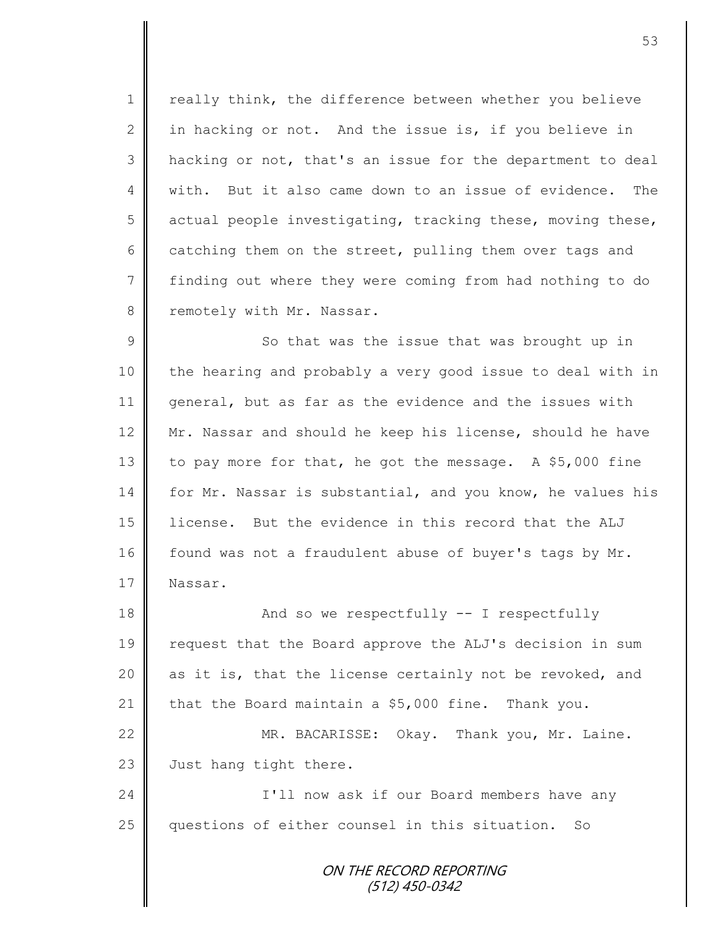1 | really think, the difference between whether you believe 2 | in hacking or not. And the issue is, if you believe in 3 | hacking or not, that's an issue for the department to deal 4 || with. But it also came down to an issue of evidence. The  $5 \parallel$  actual people investigating, tracking these, moving these, 6 catching them on the street, pulling them over tags and 7 finding out where they were coming from had nothing to do 8 | remotely with Mr. Nassar.

9 || So that was the issue that was brought up in 10 | the hearing and probably a very good issue to deal with in 11 general, but as far as the evidence and the issues with 12 Mr. Nassar and should he keep his license, should he have 13 to pay more for that, he got the message. A \$5,000 fine 14 for Mr. Nassar is substantial, and you know, he values his 15 license. But the evidence in this record that the ALJ 16 | found was not a fraudulent abuse of buyer's tags by Mr. 17 Nassar.

18  $\parallel$  And so we respectfully -- I respectfully 19 || request that the Board approve the ALJ's decision in sum 20  $\parallel$  as it is, that the license certainly not be revoked, and 21 that the Board maintain a  $$5,000$  fine. Thank you.

22 | MR. BACARISSE: Okay. Thank you, Mr. Laine. 23 Just hang tight there.

24 || I'll now ask if our Board members have any 25 || questions of either counsel in this situation. So

> ON THE RECORD REPORTING (512) 450-0342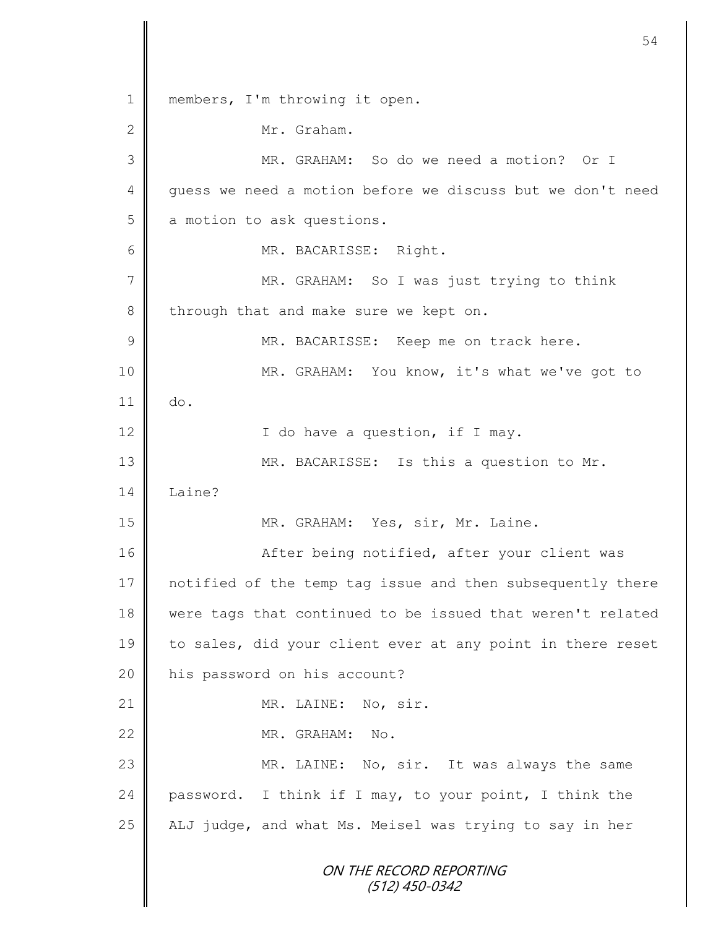ON THE RECORD REPORTING (512) 450-0342 1 || members, I'm throwing it open. 2 Mr. Graham. 3 MR. GRAHAM: So do we need a motion? Or I 4 guess we need a motion before we discuss but we don't need 5 a motion to ask questions. 6 MR. BACARISSE: Right. 7 || MR. GRAHAM: So I was just trying to think 8 through that and make sure we kept on. 9 || MR. BACARISSE: Keep me on track here. 10 MR. GRAHAM: You know, it's what we've got to 11 do.  $12$  |  $\sqrt{ }$  I do have a question, if I may. 13 || MR. BACARISSE: Is this a question to Mr. 14  $\blacksquare$  Laine? 15 || MR. GRAHAM: Yes, sir, Mr. Laine. 16 | After being notified, after your client was 17 notified of the temp tag issue and then subsequently there 18 were tags that continued to be issued that weren't related 19 to sales, did your client ever at any point in there reset 20 | his password on his account? 21 MR. LAINE: No, sir. 22 No. MR. GRAHAM: No. 23 MR. LAINE: No, sir. It was always the same 24 password. I think if I may, to your point, I think the 25 ALJ judge, and what Ms. Meisel was trying to say in her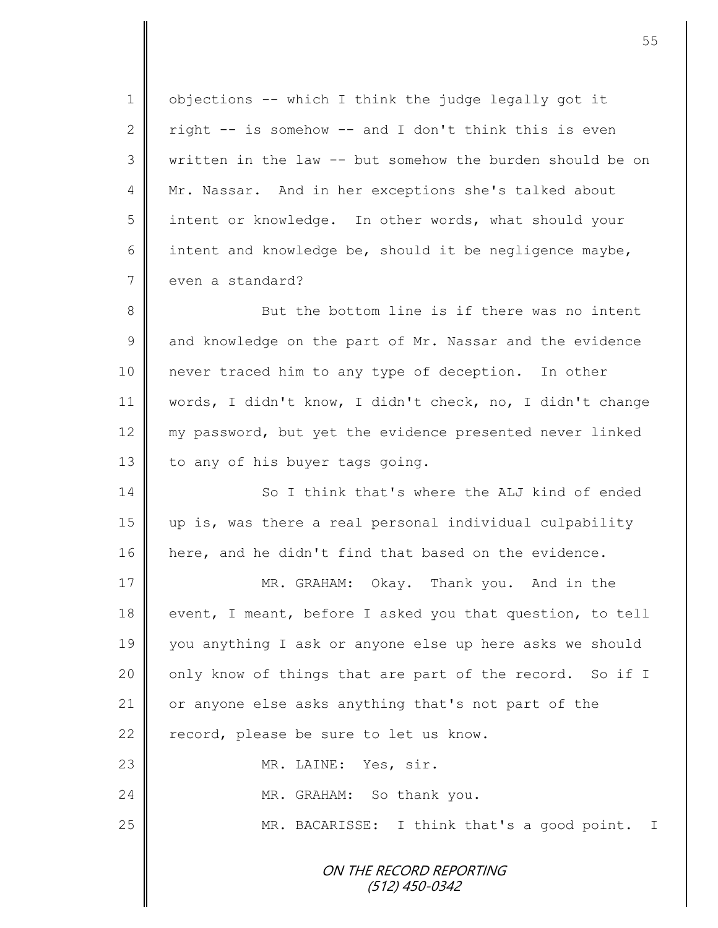1 objections -- which I think the judge legally got it 2 | right  $-$  is somehow  $-$  and I don't think this is even 3 || written in the law -- but somehow the burden should be on 4 Mr. Nassar. And in her exceptions she's talked about 5 intent or knowledge. In other words, what should your 6 intent and knowledge be, should it be negligence maybe, 7 even a standard? 8 But the bottom line is if there was no intent 9 and knowledge on the part of Mr. Nassar and the evidence 10 never traced him to any type of deception. In other 11 words, I didn't know, I didn't check, no, I didn't change 12 my password, but yet the evidence presented never linked 13 to any of his buyer tags going. 14 || So I think that's where the ALJ kind of ended 15 up is, was there a real personal individual culpability

16 here, and he didn't find that based on the evidence.

17 MR. GRAHAM: Okay. Thank you. And in the 18 event, I meant, before I asked you that question, to tell 19 you anything I ask or anyone else up here asks we should 20 | only know of things that are part of the record. So if I 21 or anyone else asks anything that's not part of the  $22$  record, please be sure to let us know. 23 MR. LAINE: Yes, sir. 24 MR. GRAHAM: So thank you.

25 | MR. BACARISSE: I think that's a good point. I

ON THE RECORD REPORTING (512) 450-0342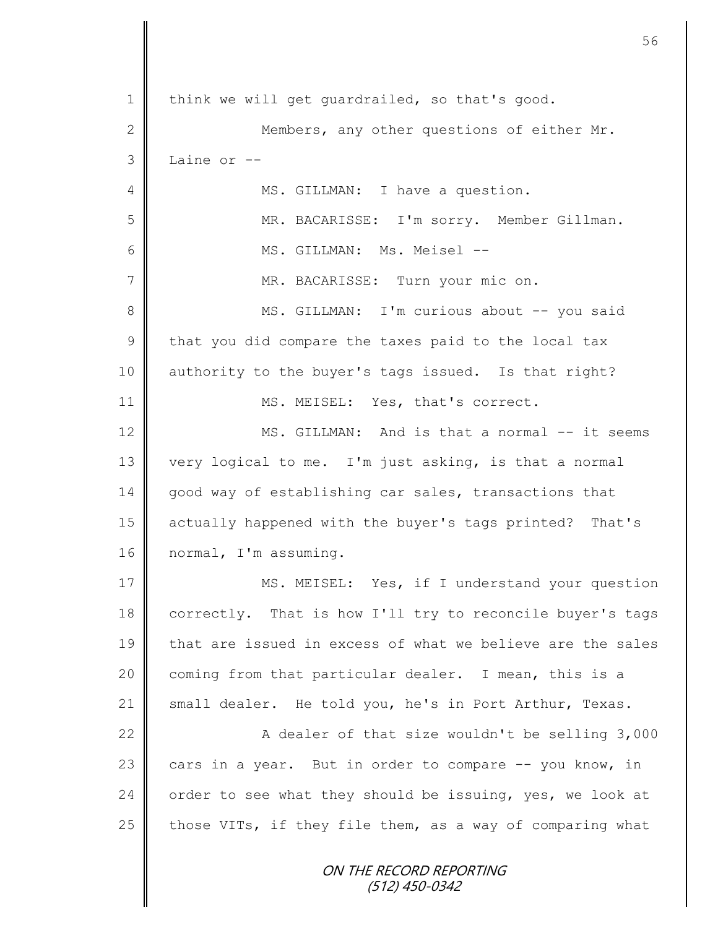|               | 56                                                         |
|---------------|------------------------------------------------------------|
| $\mathbf 1$   | think we will get guardrailed, so that's good.             |
| 2             | Members, any other questions of either Mr.                 |
| 3             | Laine or --                                                |
| 4             | MS. GILLMAN: I have a question.                            |
| 5             | MR. BACARISSE: I'm sorry. Member Gillman.                  |
| 6             | MS. GILLMAN: Ms. Meisel --                                 |
| 7             | MR. BACARISSE: Turn your mic on.                           |
| 8             | MS. GILLMAN: I'm curious about -- you said                 |
| $\mathcal{G}$ | that you did compare the taxes paid to the local tax       |
| 10            | authority to the buyer's tags issued. Is that right?       |
| 11            | MS. MEISEL: Yes, that's correct.                           |
| 12            | MS. GILLMAN: And is that a normal -- it seems              |
| 13            | very logical to me. I'm just asking, is that a normal      |
| 14            | good way of establishing car sales, transactions that      |
| 15            | actually happened with the buyer's tags printed? That's    |
| 16            | normal, I'm assuming.                                      |
| 17            | MS. MEISEL: Yes, if I understand your question             |
| 18            | correctly. That is how I'll try to reconcile buyer's tags  |
| 19            | that are issued in excess of what we believe are the sales |
| 20            | coming from that particular dealer. I mean, this is a      |
| 21            | small dealer. He told you, he's in Port Arthur, Texas.     |
| 22            | A dealer of that size wouldn't be selling 3,000            |
| 23            | cars in a year. But in order to compare -- you know, in    |
| 24            | order to see what they should be issuing, yes, we look at  |
| 25            | those VITs, if they file them, as a way of comparing what  |
|               | ON THE RECORD REPORTING<br>(512) 450-0342                  |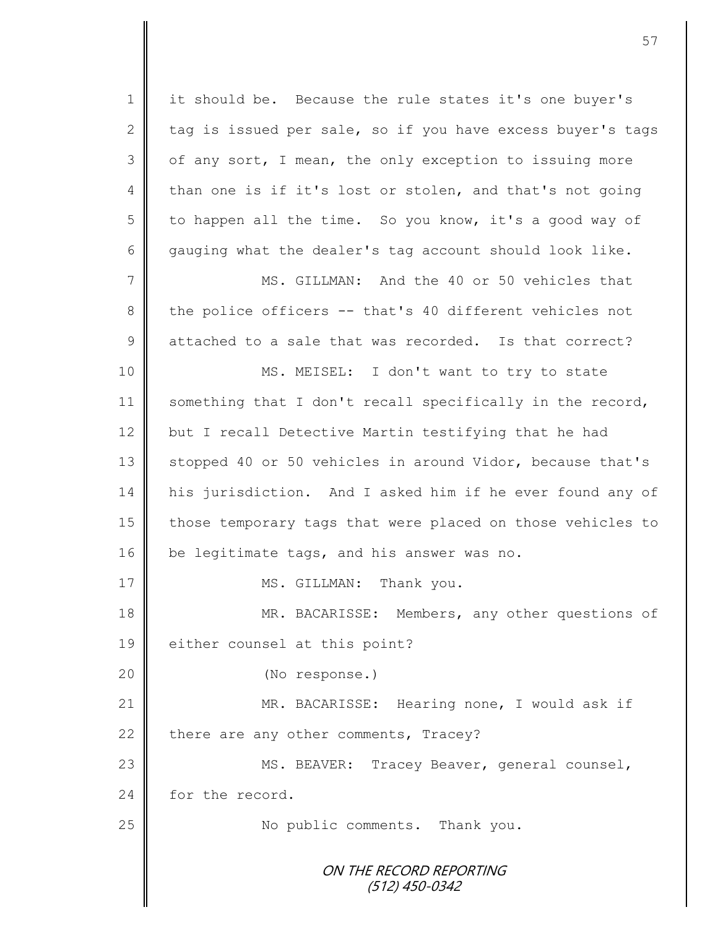ON THE RECORD REPORTING (512) 450-0342 1 | it should be. Because the rule states it's one buyer's 2 tag is issued per sale, so if you have excess buyer's tags 3 | of any sort, I mean, the only exception to issuing more 4 than one is if it's lost or stolen, and that's not going 5 to happen all the time. So you know, it's a good way of 6 gauging what the dealer's tag account should look like. 7 MS. GILLMAN: And the 40 or 50 vehicles that 8 the police officers -- that's 40 different vehicles not 9 attached to a sale that was recorded. Is that correct? 10 || MS. MEISEL: I don't want to try to state 11 something that I don't recall specifically in the record, 12 but I recall Detective Martin testifying that he had 13 Stopped 40 or 50 vehicles in around Vidor, because that's 14 his jurisdiction. And I asked him if he ever found any of 15 | those temporary tags that were placed on those vehicles to 16 be legitimate tags, and his answer was no. 17 || MS. GILLMAN: Thank you. 18 MR. BACARISSE: Members, any other questions of 19 either counsel at this point? 20 (No response.) 21 WR. BACARISSE: Hearing none, I would ask if 22 there are any other comments, Tracey? 23 || MS. BEAVER: Tracey Beaver, general counsel, 24 for the record. 25 | No public comments. Thank you.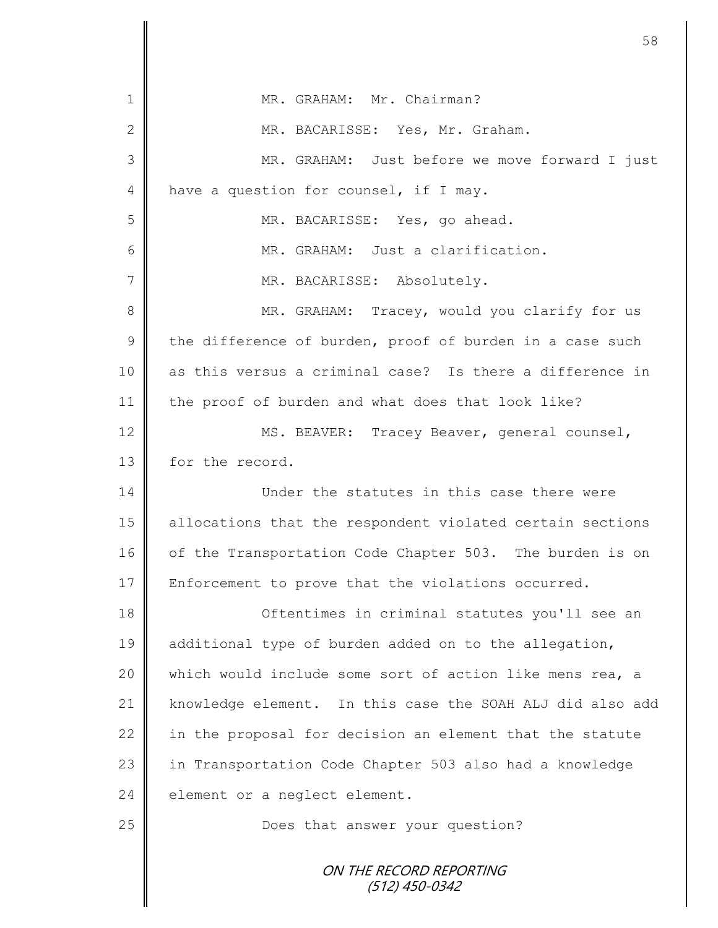|               | 58                                                        |
|---------------|-----------------------------------------------------------|
|               |                                                           |
| 1             | MR. GRAHAM: Mr. Chairman?                                 |
| 2             | MR. BACARISSE: Yes, Mr. Graham.                           |
| 3             | MR. GRAHAM: Just before we move forward I just            |
| 4             | have a question for counsel, if I may.                    |
| 5             | MR. BACARISSE: Yes, go ahead.                             |
| 6             | MR. GRAHAM: Just a clarification.                         |
| 7             | MR. BACARISSE: Absolutely.                                |
| 8             | MR. GRAHAM: Tracey, would you clarify for us              |
| $\mathcal{G}$ | the difference of burden, proof of burden in a case such  |
| 10            | as this versus a criminal case? Is there a difference in  |
| 11            | the proof of burden and what does that look like?         |
| 12            | MS. BEAVER: Tracey Beaver, general counsel,               |
| 13            | for the record.                                           |
| 14            | Under the statutes in this case there were                |
| 15            | allocations that the respondent violated certain sections |
| 16            | of the Transportation Code Chapter 503. The burden is on  |
| 17            | Enforcement to prove that the violations occurred.        |
| 18            | Oftentimes in criminal statutes you'll see an             |
| 19            | additional type of burden added on to the allegation,     |
| 20            | which would include some sort of action like mens rea, a  |
| 21            | knowledge element. In this case the SOAH ALJ did also add |
| 22            | in the proposal for decision an element that the statute  |
| 23            | in Transportation Code Chapter 503 also had a knowledge   |
| 24            | element or a neglect element.                             |
| 25            | Does that answer your question?                           |
|               | ON THE RECORD REPORTING<br>(512) 450-0342                 |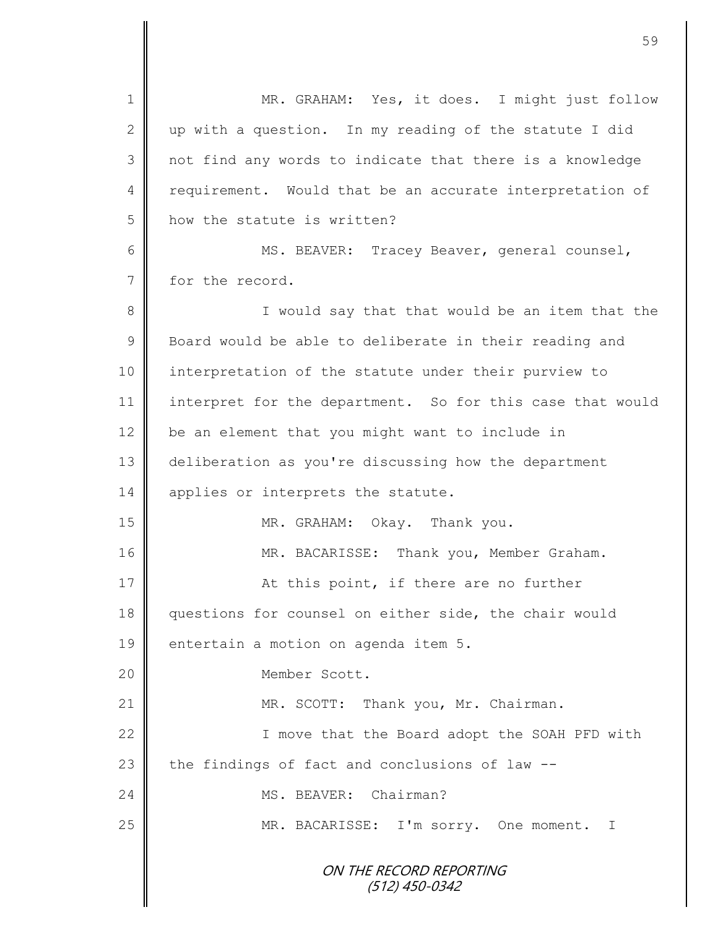ON THE RECORD REPORTING (512) 450-0342 1 MR. GRAHAM: Yes, it does. I might just follow 2 up with a question. In my reading of the statute I did 3 || not find any words to indicate that there is a knowledge 4 requirement. Would that be an accurate interpretation of 5 **h** how the statute is written? 6 || MS. BEAVER: Tracey Beaver, general counsel, 7 for the record. 8 || I would say that that would be an item that the 9 | Board would be able to deliberate in their reading and 10 interpretation of the statute under their purview to 11 interpret for the department. So for this case that would 12 be an element that you might want to include in 13 deliberation as you're discussing how the department 14 | applies or interprets the statute. 15 MR. GRAHAM: Okay. Thank you. 16 | MR. BACARISSE: Thank you, Member Graham. 17 || At this point, if there are no further 18 questions for counsel on either side, the chair would 19  $\parallel$  entertain a motion on agenda item 5. 20 | Member Scott. 21 MR. SCOTT: Thank you, Mr. Chairman. 22 || I move that the Board adopt the SOAH PFD with 23  $\parallel$  the findings of fact and conclusions of law --24 MS. BEAVER: Chairman? 25 || MR. BACARISSE: I'm sorry. One moment. I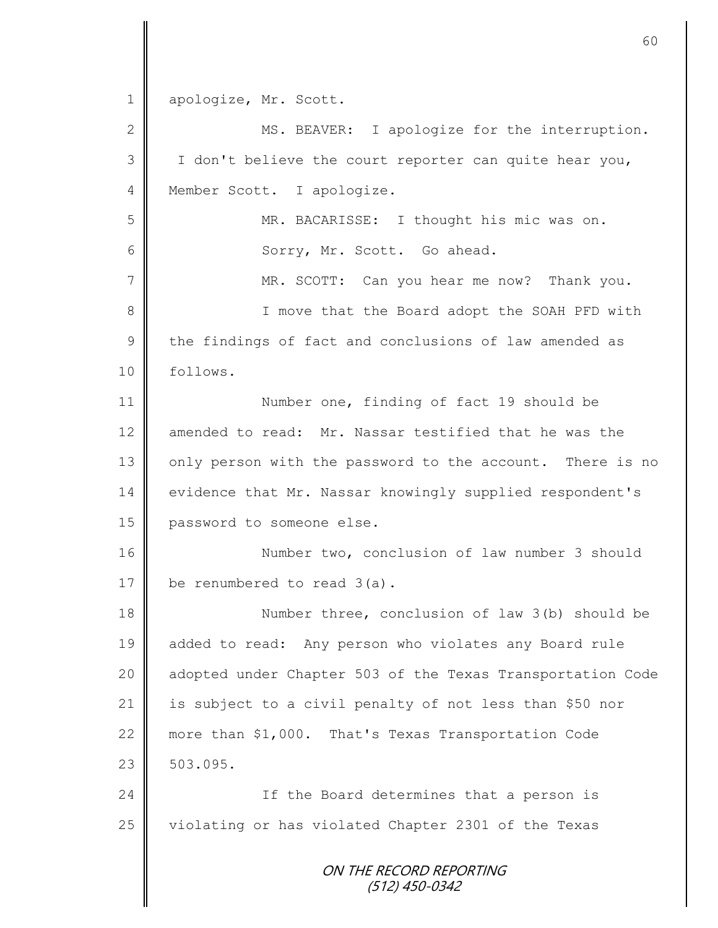1 apologize, Mr. Scott.

| $\mathbf{2}$   | MS. BEAVER: I apologize for the interruption.              |
|----------------|------------------------------------------------------------|
| 3              | I don't believe the court reporter can quite hear you,     |
| $\overline{4}$ | Member Scott. I apologize.                                 |
| 5              | MR. BACARISSE: I thought his mic was on.                   |
| 6              | Sorry, Mr. Scott. Go ahead.                                |
| 7              | MR. SCOTT: Can you hear me now? Thank you.                 |
| $8\,$          | I move that the Board adopt the SOAH PFD with              |
| $\overline{9}$ | the findings of fact and conclusions of law amended as     |
| 10             | follows.                                                   |
| 11             | Number one, finding of fact 19 should be                   |
| 12             | amended to read: Mr. Nassar testified that he was the      |
| 13             | only person with the password to the account. There is no  |
| 14             | evidence that Mr. Nassar knowingly supplied respondent's   |
| 15             | password to someone else.                                  |
| 16             | Number two, conclusion of law number 3 should              |
| 17             | be renumbered to read $3(a)$ .                             |
| 18             | Number three, conclusion of law 3(b) should be             |
| 19             | added to read: Any person who violates any Board rule      |
| 20             | adopted under Chapter 503 of the Texas Transportation Code |
| 21             | is subject to a civil penalty of not less than \$50 nor    |
| 22             | more than \$1,000. That's Texas Transportation Code        |
| 23             | 503.095.                                                   |
| 24             | If the Board determines that a person is                   |
| 25             | violating or has violated Chapter 2301 of the Texas        |
|                | ON THE RECORD REPORTING<br>$(512)$ 450-0342                |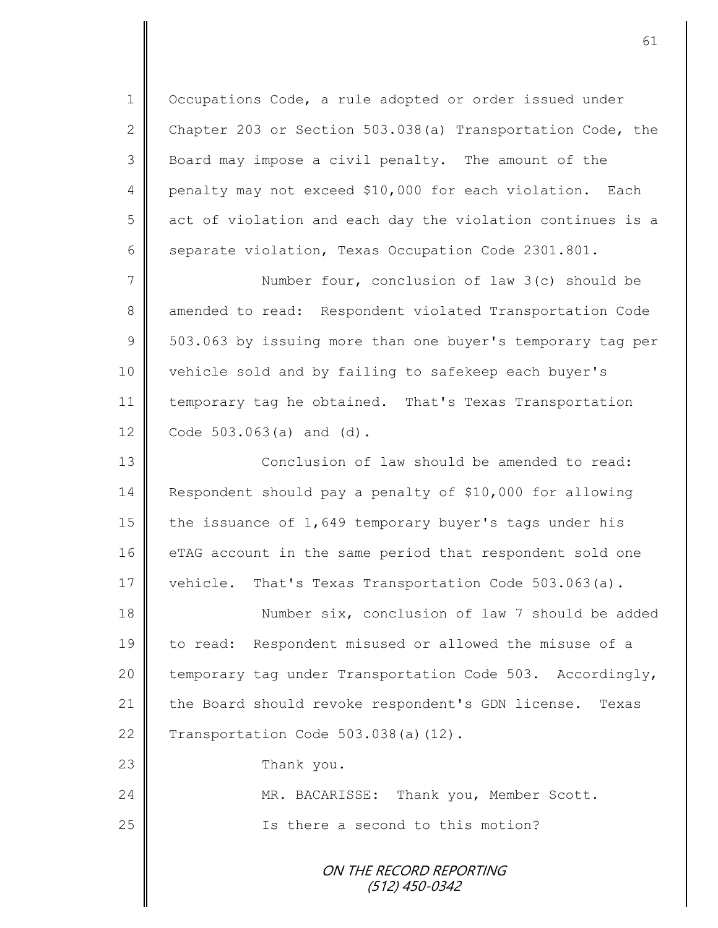1 | Occupations Code, a rule adopted or order issued under 2 Chapter 203 or Section 503.038(a) Transportation Code, the 3 | Board may impose a civil penalty. The amount of the 4 penalty may not exceed \$10,000 for each violation. Each 5 act of violation and each day the violation continues is a 6 separate violation, Texas Occupation Code 2301.801.

7 Number four, conclusion of law 3(c) should be 8 amended to read: Respondent violated Transportation Code  $9 \parallel 503.063$  by issuing more than one buyer's temporary tag per 10 | vehicle sold and by failing to safekeep each buyer's 11 temporary tag he obtained. That's Texas Transportation 12 Code 503.063(a) and (d).

13  $\parallel$ 14 Respondent should pay a penalty of \$10,000 for allowing 15 the issuance of 1,649 temporary buyer's tags under his 16 eTAG account in the same period that respondent sold one 17 vehicle. That's Texas Transportation Code 503.063(a).

18 Number six, conclusion of law 7 should be added 19 to read: Respondent misused or allowed the misuse of a 20 temporary tag under Transportation Code 503. Accordingly, 21 the Board should revoke respondent's GDN license. Texas 22 Transportation Code  $503.038$ (a)(12).

23 **Thank** you.

24 MR. BACARISSE: Thank you, Member Scott. 25 | Is there a second to this motion?

> ON THE RECORD REPORTING (512) 450-0342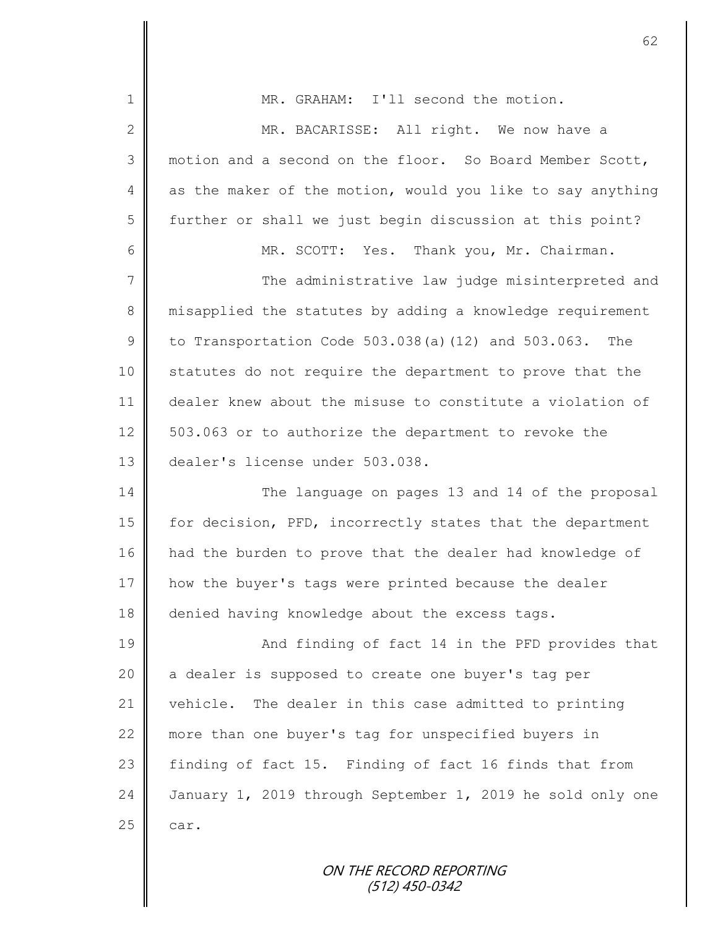| $\mathbf 1$    | MR. GRAHAM: I'll second the motion.                        |
|----------------|------------------------------------------------------------|
| $\overline{2}$ | MR. BACARISSE: All right. We now have a                    |
| 3              | motion and a second on the floor. So Board Member Scott,   |
| 4              | as the maker of the motion, would you like to say anything |
| 5              | further or shall we just begin discussion at this point?   |
| 6              | MR. SCOTT: Yes. Thank you, Mr. Chairman.                   |
| 7              | The administrative law judge misinterpreted and            |
| $8\,$          | misapplied the statutes by adding a knowledge requirement  |
| $\overline{9}$ | to Transportation Code 503.038(a) (12) and 503.063.<br>The |
| 10             | statutes do not require the department to prove that the   |
| 11             | dealer knew about the misuse to constitute a violation of  |
| 12             | 503.063 or to authorize the department to revoke the       |
| 13             | dealer's license under 503.038.                            |
| 14             | The language on pages 13 and 14 of the proposal            |
| 15             | for decision, PFD, incorrectly states that the department  |
| 16             | had the burden to prove that the dealer had knowledge of   |
| 17             | how the buyer's tags were printed because the dealer       |
| 18             | denied having knowledge about the excess tags.             |
| 19             | And finding of fact 14 in the PFD provides that            |
| 20             | a dealer is supposed to create one buyer's tag per         |
| 21             | vehicle. The dealer in this case admitted to printing      |
| 22             | more than one buyer's tag for unspecified buyers in        |
| 23             | finding of fact 15. Finding of fact 16 finds that from     |
| 24             | January 1, 2019 through September 1, 2019 he sold only one |
| 25             | car.                                                       |
|                |                                                            |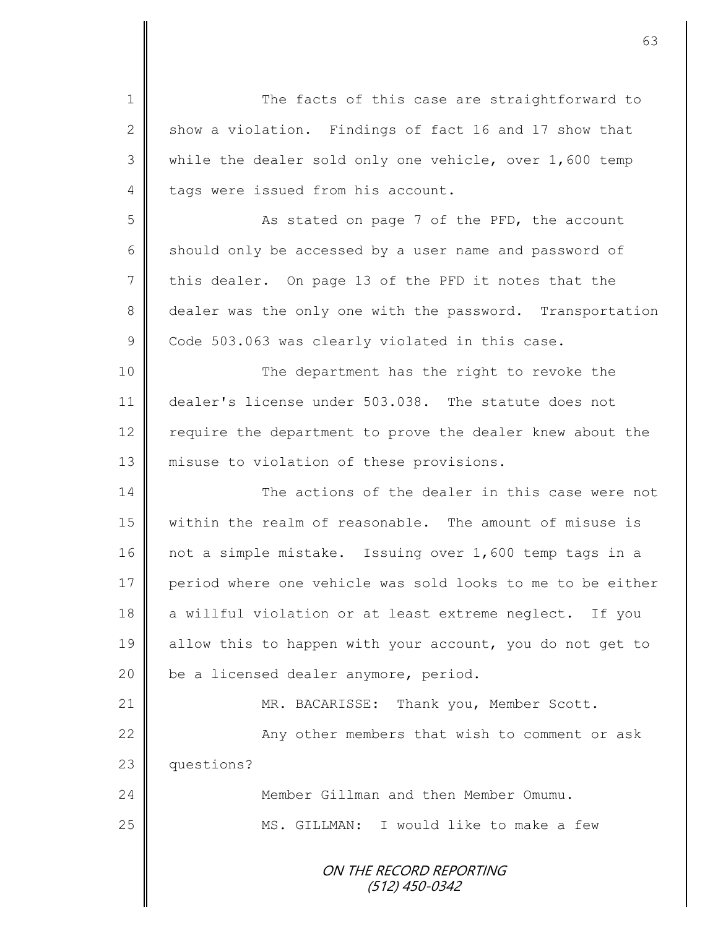ON THE RECORD REPORTING (512) 450-0342 1 The facts of this case are straightforward to 2 show a violation. Findings of fact 16 and 17 show that 3 while the dealer sold only one vehicle, over 1,600 temp 4 tags were issued from his account. 5 || As stated on page 7 of the PFD, the account 6 should only be accessed by a user name and password of  $7$  this dealer. On page 13 of the PFD it notes that the 8 dealer was the only one with the password. Transportation  $9 \parallel$  Code 503.063 was clearly violated in this case. 10 || The department has the right to revoke the 11 dealer's license under 503.038. The statute does not 12 require the department to prove the dealer knew about the 13 || misuse to violation of these provisions. 14 || The actions of the dealer in this case were not 15 | within the realm of reasonable. The amount of misuse is 16 not a simple mistake. Issuing over 1,600 temp tags in a 17 period where one vehicle was sold looks to me to be either 18 || a willful violation or at least extreme neglect. If you 19 allow this to happen with your account, you do not get to 20 **b**e a licensed dealer anymore, period. 21 MR. BACARISSE: Thank you, Member Scott. 22 | Any other members that wish to comment or ask 23 **questions?** 24 Member Gillman and then Member Omumu. 25 | MS. GILLMAN: I would like to make a few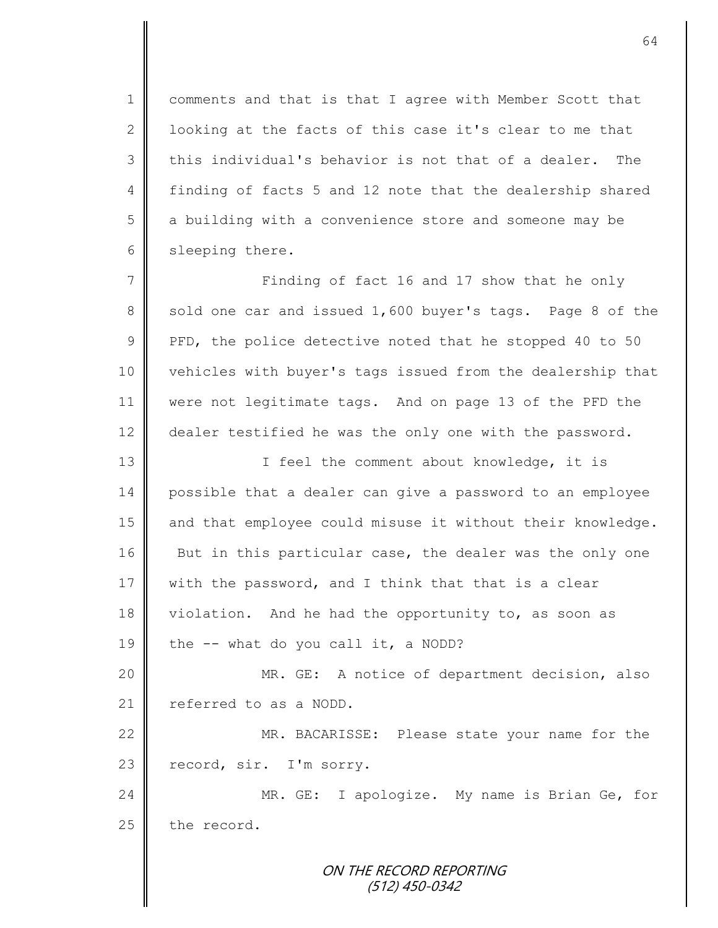1 | comments and that is that I agree with Member Scott that 2  $\parallel$  100 king at the facts of this case it's clear to me that  $3 \parallel$  this individual's behavior is not that of a dealer. The 4 finding of facts 5 and 12 note that the dealership shared 5 a building with a convenience store and someone may be 6 sleeping there.

7 | Finding of fact 16 and 17 show that he only  $8 \parallel$  sold one car and issued 1,600 buyer's tags. Page 8 of the 9 PFD, the police detective noted that he stopped 40 to 50 10 | vehicles with buyer's tags issued from the dealership that 11 || were not legitimate tags. And on page 13 of the PFD the 12 dealer testified he was the only one with the password.

13 || The comment about knowledge, it is 14 possible that a dealer can give a password to an employee 15 || and that employee could misuse it without their knowledge. 16 But in this particular case, the dealer was the only one 17 with the password, and I think that that is a clear 18 violation. And he had the opportunity to, as soon as 19  $\parallel$  the -- what do you call it, a NODD?

20 MR. GE: A notice of department decision, also 21 | referred to as a NODD.

22 MR. BACARISSE: Please state your name for the 23 record, sir. I'm sorry.

24 MR. GE: I apologize. My name is Brian Ge, for  $25$  the record.

> ON THE RECORD REPORTING (512) 450-0342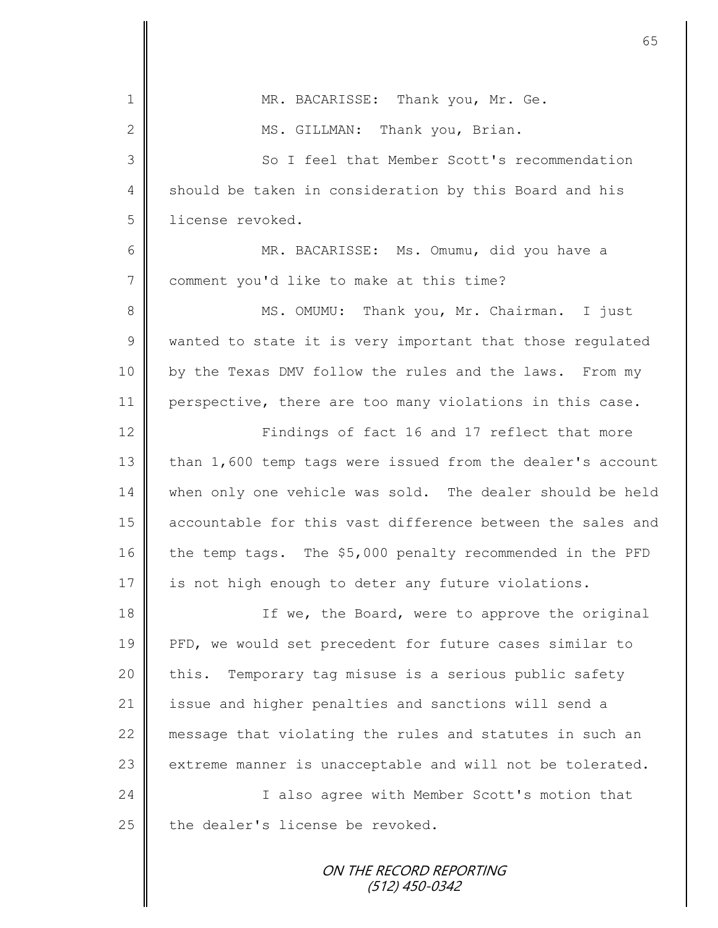| $\mathbf 1$    | MR. BACARISSE: Thank you, Mr. Ge.                          |
|----------------|------------------------------------------------------------|
| $\mathbf{2}$   | MS. GILLMAN: Thank you, Brian.                             |
| 3              | So I feel that Member Scott's recommendation               |
| 4              | should be taken in consideration by this Board and his     |
| 5              | license revoked.                                           |
| 6              | MR. BACARISSE: Ms. Omumu, did you have a                   |
| $\overline{7}$ | comment you'd like to make at this time?                   |
| $8\,$          | MS. OMUMU: Thank you, Mr. Chairman. I just                 |
| $\mathsf 9$    | wanted to state it is very important that those regulated  |
| 10             | by the Texas DMV follow the rules and the laws. From my    |
| 11             | perspective, there are too many violations in this case.   |
| 12             | Findings of fact 16 and 17 reflect that more               |
| 13             | than 1,600 temp tags were issued from the dealer's account |
| 14             | when only one vehicle was sold. The dealer should be held  |
| 15             | accountable for this vast difference between the sales and |
| 16             | the temp tags. The \$5,000 penalty recommended in the PFD  |
| 17             | is not high enough to deter any future violations.         |
| 18             | If we, the Board, were to approve the original             |
| 19             | PFD, we would set precedent for future cases similar to    |
| 20             | Temporary tag misuse is a serious public safety<br>this.   |
| 21             | issue and higher penalties and sanctions will send a       |
| 22             | message that violating the rules and statutes in such an   |
| 23             | extreme manner is unacceptable and will not be tolerated.  |
| 24             | I also agree with Member Scott's motion that               |
| 25             | the dealer's license be revoked.                           |
|                |                                                            |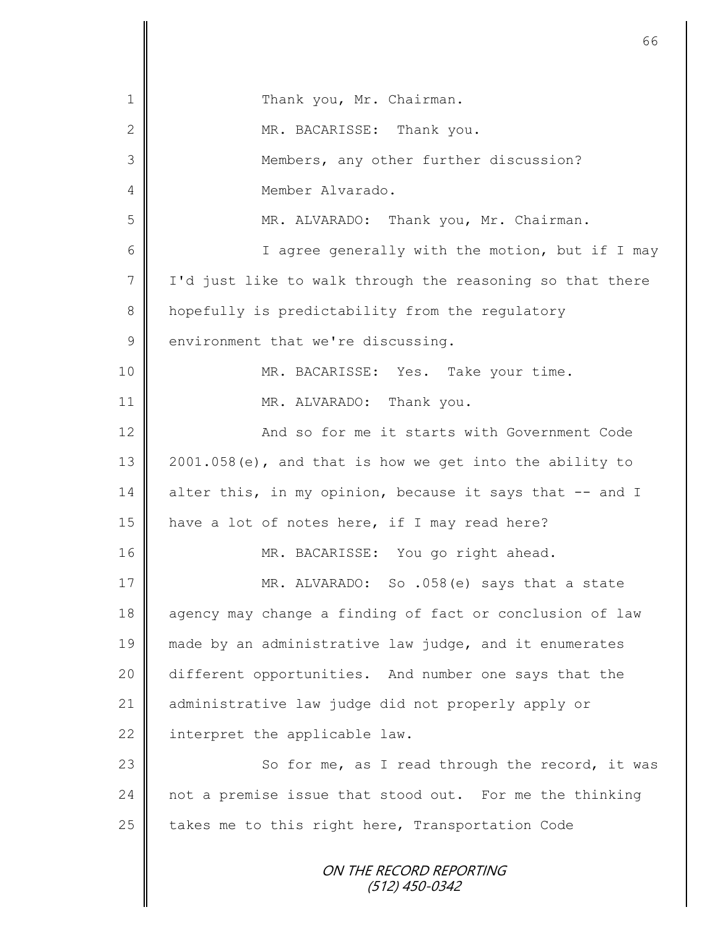| $\mathbf 1$     | Thank you, Mr. Chairman.                                   |
|-----------------|------------------------------------------------------------|
| $\mathbf{2}$    | MR. BACARISSE: Thank you.                                  |
| 3               | Members, any other further discussion?                     |
| 4               | Member Alvarado.                                           |
| 5               | MR. ALVARADO: Thank you, Mr. Chairman.                     |
| 6               | I agree generally with the motion, but if I may            |
| $7\phantom{.0}$ | I'd just like to walk through the reasoning so that there  |
| 8               | hopefully is predictability from the regulatory            |
| $\mathcal{G}$   | environment that we're discussing.                         |
| 10              | MR. BACARISSE: Yes. Take your time.                        |
| 11              | MR. ALVARADO: Thank you.                                   |
| 12              | And so for me it starts with Government Code               |
| 13              | $2001.058(e)$ , and that is how we get into the ability to |
| 14              | alter this, in my opinion, because it says that -- and I   |
| 15              | have a lot of notes here, if I may read here?              |
| 16              | MR. BACARISSE: You go right ahead.                         |
| 17              | MR. ALVARADO: So .058(e) says that a state                 |
| 18              | agency may change a finding of fact or conclusion of law   |
| 19              | made by an administrative law judge, and it enumerates     |
| 20              | different opportunities. And number one says that the      |
| 21              | administrative law judge did not properly apply or         |
| 22              | interpret the applicable law.                              |
| 23              | So for me, as I read through the record, it was            |
| 24              | not a premise issue that stood out. For me the thinking    |
| 25              | takes me to this right here, Transportation Code           |
|                 | ON THE RECORD REPORTING<br>(512) 450-0342                  |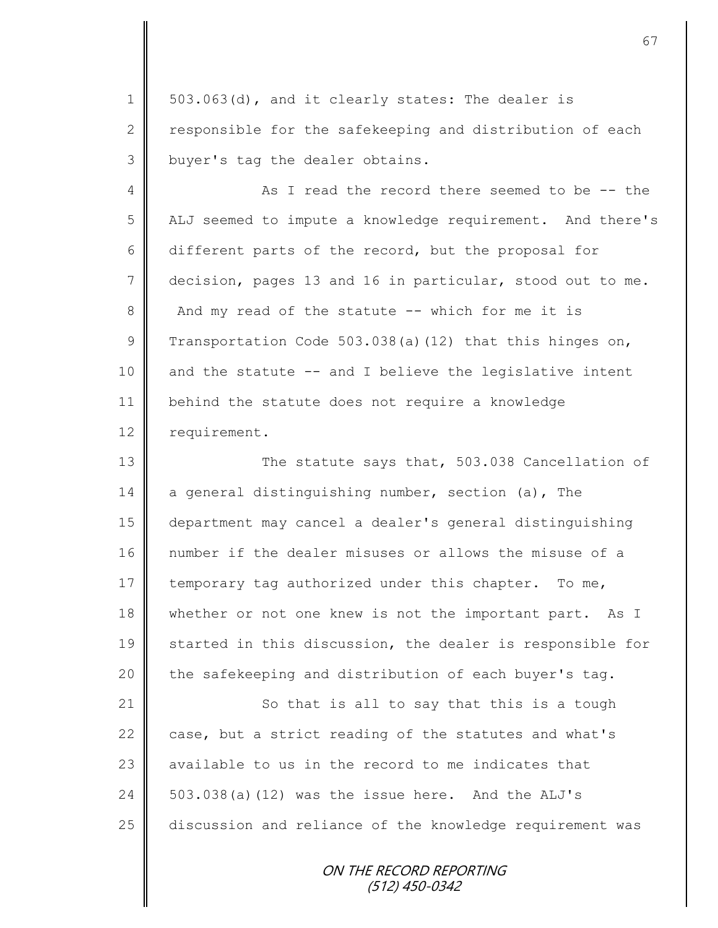$1 \parallel$  503.063(d), and it clearly states: The dealer is 2  $\parallel$  responsible for the safekeeping and distribution of each 3 | buyer's tag the dealer obtains.

4 As I read the record there seemed to be -- the 5 ALJ seemed to impute a knowledge requirement. And there's 6 different parts of the record, but the proposal for 7 decision, pages 13 and 16 in particular, stood out to me. 8 And my read of the statute -- which for me it is 9 Transportation Code 503.038(a)(12) that this hinges on,  $10$  and the statute  $-$  and I believe the legislative intent 11 behind the statute does not require a knowledge 12 | requirement.

13 The statute says that, 503.038 Cancellation of  $14$  a general distinguishing number, section (a), The 15 department may cancel a dealer's general distinguishing 16 number if the dealer misuses or allows the misuse of a 17 temporary tag authorized under this chapter. To me, 18 whether or not one knew is not the important part. As I 19 Started in this discussion, the dealer is responsible for 20  $\parallel$  the safekeeping and distribution of each buyer's tag. 21  $\parallel$  So that is all to say that this is a tough 22  $\parallel$  case, but a strict reading of the statutes and what's 23  $\parallel$  available to us in the record to me indicates that 24  $\parallel$  503.038(a)(12) was the issue here. And the ALJ's

25 discussion and reliance of the knowledge requirement was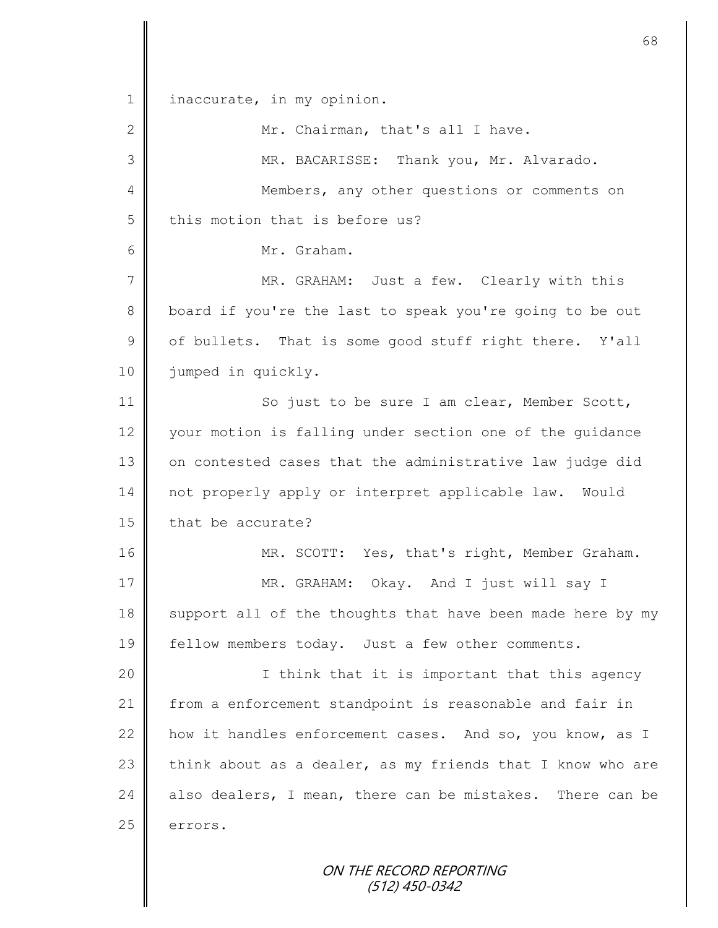1 | inaccurate, in my opinion.

2 | Mr. Chairman, that's all I have. 3 MR. BACARISSE: Thank you, Mr. Alvarado. 4 || Members, any other questions or comments on  $5$  this motion that is before us? 6 Mr. Graham. 7 MR. GRAHAM: Just a few. Clearly with this 8 board if you're the last to speak you're going to be out  $9 \parallel$  of bullets. That is some good stuff right there. Y'all 10 jumped in quickly. 11 | So just to be sure I am clear, Member Scott, 12 vour motion is falling under section one of the quidance 13 | on contested cases that the administrative law judge did 14 not properly apply or interpret applicable law. Would 15  $\parallel$  that be accurate? 16 MR. SCOTT: Yes, that's right, Member Graham. 17 || MR. GRAHAM: Okay. And I just will say I 18 support all of the thoughts that have been made here by my 19 || fellow members today. Just a few other comments. 20 || I think that it is important that this agency 21 from a enforcement standpoint is reasonable and fair in 22 how it handles enforcement cases. And so, you know, as I 23 think about as a dealer, as my friends that I know who are 24 also dealers, I mean, there can be mistakes. There can be  $25$  errors.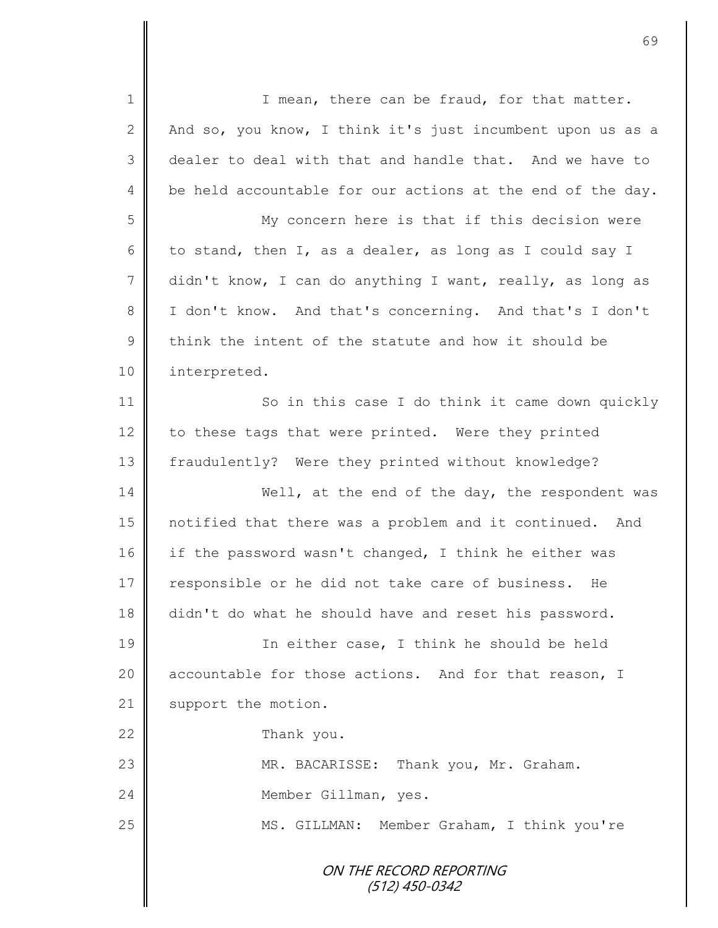ON THE RECORD REPORTING (512) 450-0342 1 || I mean, there can be fraud, for that matter. 2  $\parallel$  And so, you know, I think it's just incumbent upon us as a 3 dealer to deal with that and handle that. And we have to  $4 \parallel$  be held accountable for our actions at the end of the day. 5 My concern here is that if this decision were 6 to stand, then I, as a dealer, as long as I could say I 7 didn't know, I can do anything I want, really, as long as 8 I don't know. And that's concerning. And that's I don't 9 think the intent of the statute and how it should be 10 | interpreted. 11 So in this case I do think it came down quickly 12 to these tags that were printed. Were they printed 13 fraudulently? Were they printed without knowledge? 14 Well, at the end of the day, the respondent was 15 notified that there was a problem and it continued. And 16 if the password wasn't changed, I think he either was 17 | responsible or he did not take care of business. He 18 didn't do what he should have and reset his password. 19 || In either case, I think he should be held 20 accountable for those actions. And for that reason, I 21 | support the motion. 22 Thank you. 23 || MR. BACARISSE: Thank you, Mr. Graham. 24 **Member Gillman, yes.** 25 | MS. GILLMAN: Member Graham, I think you're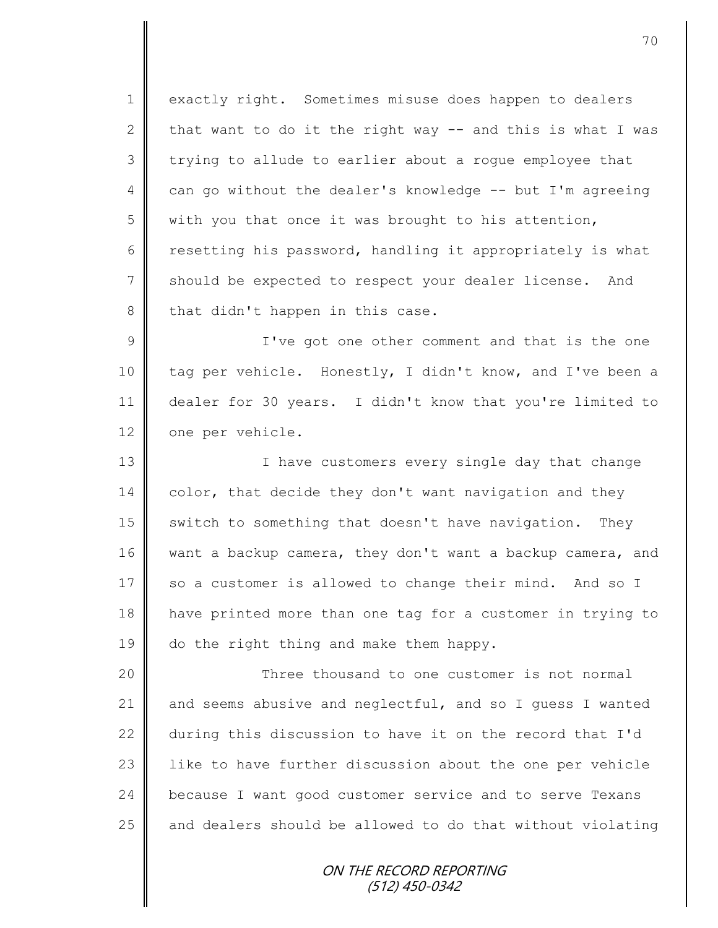1 | exactly right. Sometimes misuse does happen to dealers 2 that want to do it the right way  $-$  and this is what I was 3 | trying to allude to earlier about a rogue employee that 4 can go without the dealer's knowledge  $-$ - but I'm agreeing  $5 \parallel$  with you that once it was brought to his attention, 6 resetting his password, handling it appropriately is what 7 Should be expected to respect your dealer license. And  $8$  | that didn't happen in this case.

9 || I've got one other comment and that is the one 10 tag per vehicle. Honestly, I didn't know, and I've been a 11 dealer for 30 years. I didn't know that you're limited to 12 one per vehicle.

13 || I have customers every single day that change 14 color, that decide they don't want navigation and they 15 | switch to something that doesn't have navigation. They 16 want a backup camera, they don't want a backup camera, and 17 so a customer is allowed to change their mind. And so I 18 have printed more than one tag for a customer in trying to 19 do the right thing and make them happy.

 $\parallel$  Three thousand to one customer is not normal  $\parallel$  and seems abusive and neglectful, and so I quess I wanted  $\parallel$  during this discussion to have it on the record that I'd 23 | like to have further discussion about the one per vehicle 24 because I want good customer service and to serve Texans and dealers should be allowed to do that without violating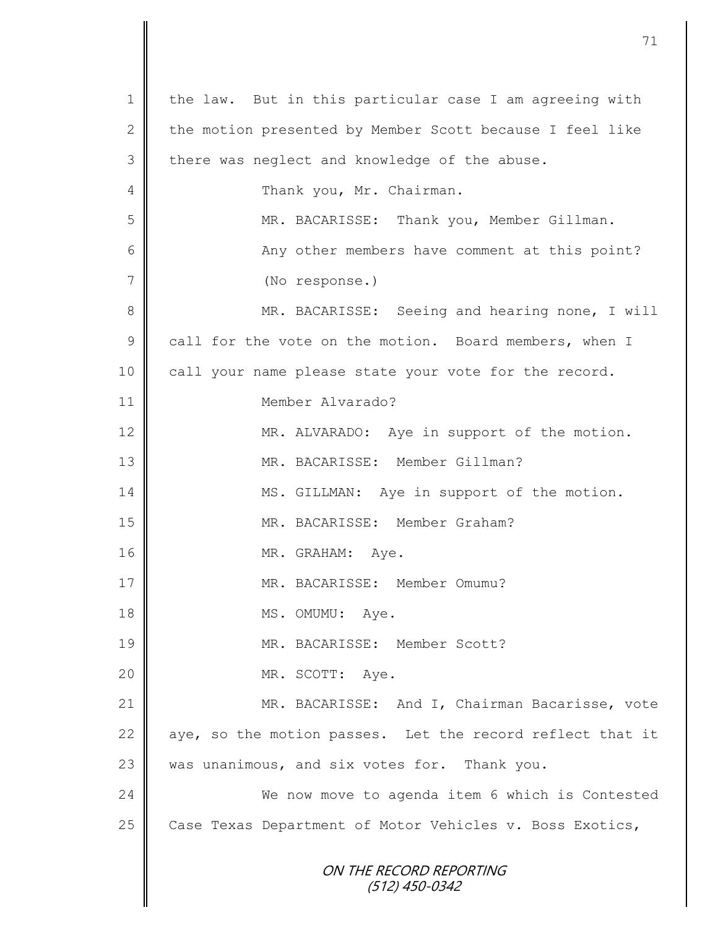ON THE RECORD REPORTING (512) 450-0342 1 | the law. But in this particular case I am agreeing with 2 the motion presented by Member Scott because I feel like 3 there was neglect and knowledge of the abuse. 4 | Thank you, Mr. Chairman. 5 || MR. BACARISSE: Thank you, Member Gillman. 6 || Any other members have comment at this point? 7 (No response.) 8 || MR. BACARISSE: Seeing and hearing none, I will  $9 \parallel$  call for the vote on the motion. Board members, when I 10 call your name please state your vote for the record. 11 Member Alvarado? 12 MR. ALVARADO: Aye in support of the motion. 13 || MR. BACARISSE: Member Gillman? 14 MS. GILLMAN: Aye in support of the motion. 15 || MR. BACARISSE: Member Graham? 16 MR. GRAHAM: Aye. 17 || MR. BACARISSE: Member Omumu? 18 || MS. OMUMU: Aye. 19 MR. BACARISSE: Member Scott? 20 || MR. SCOTT: Aye. 21 MR. BACARISSE: And I, Chairman Bacarisse, vote 22  $\parallel$  aye, so the motion passes. Let the record reflect that it 23  $\parallel$  was unanimous, and six votes for. Thank you. 24 We now move to agenda item 6 which is Contested 25 Case Texas Department of Motor Vehicles v. Boss Exotics,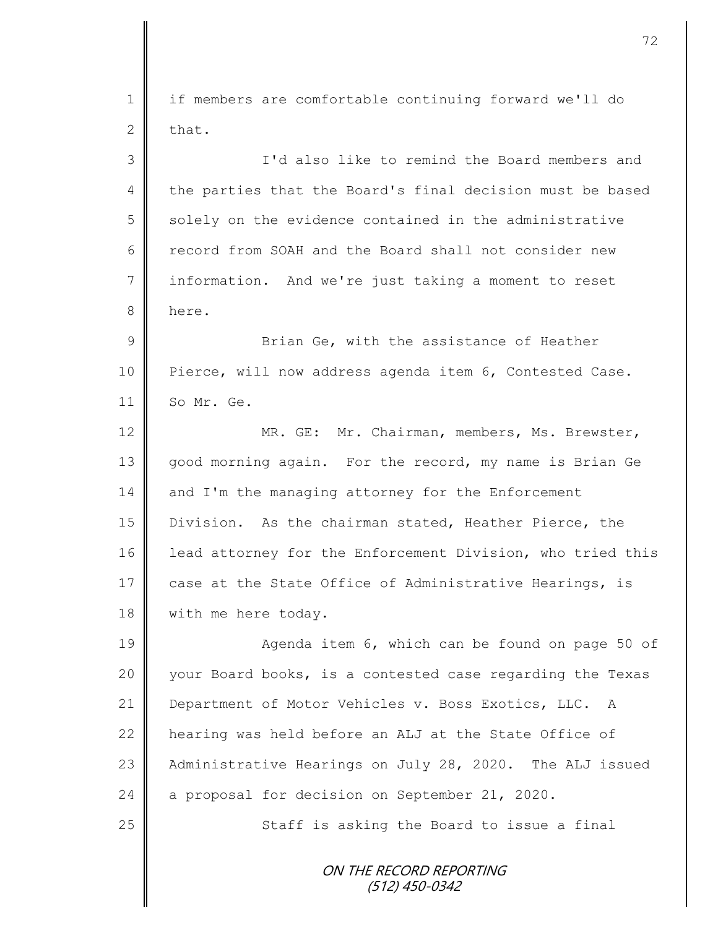ON THE RECORD REPORTING (512) 450-0342 1 if members are comfortable continuing forward we'll do  $2$  that. 3 I'd also like to remind the Board members and 4 the parties that the Board's final decision must be based 5 solely on the evidence contained in the administrative 6 Fecord from SOAH and the Board shall not consider new 7 information. And we're just taking a moment to reset 8 here. 9 Brian Ge, with the assistance of Heather 10 Pierce, will now address agenda item 6, Contested Case. 11 So Mr. Ge. 12 | MR. GE: Mr. Chairman, members, Ms. Brewster, 13 || good morning again. For the record, my name is Brian Ge  $14$  and I'm the managing attorney for the Enforcement 15 Division. As the chairman stated, Heather Pierce, the 16 | lead attorney for the Enforcement Division, who tried this 17 case at the State Office of Administrative Hearings, is 18 | with me here today. 19 || Agenda item 6, which can be found on page 50 of 20 your Board books, is a contested case regarding the Texas 21 Department of Motor Vehicles v. Boss Exotics, LLC. A 22  $\parallel$  hearing was held before an ALJ at the State Office of 23 Administrative Hearings on July 28, 2020. The ALJ issued 24 a proposal for decision on September 21, 2020.  $25$   $\parallel$  Staff is asking the Board to issue a final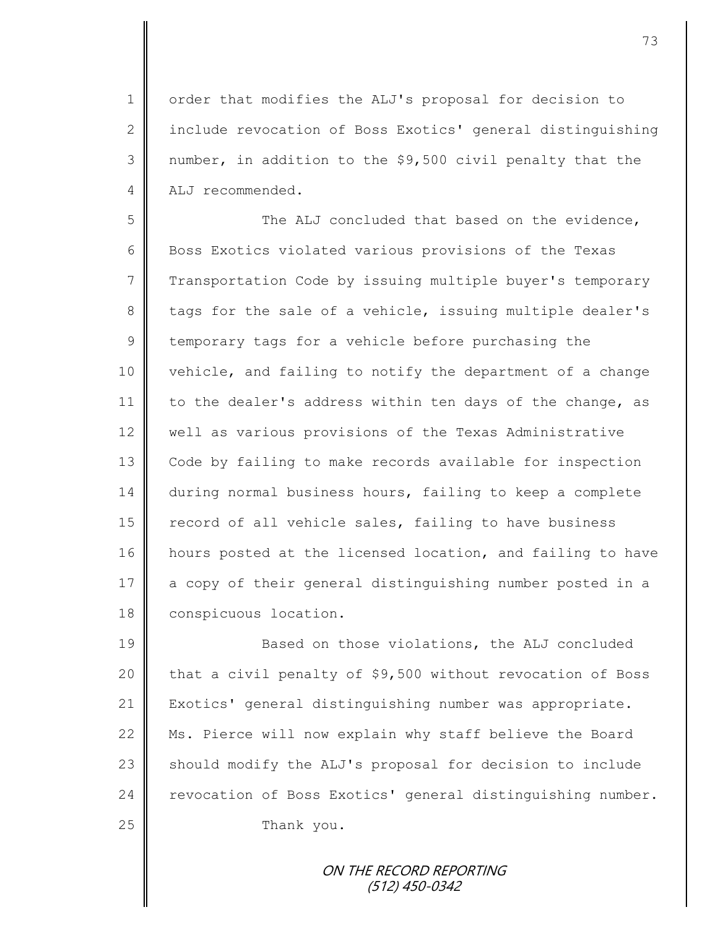1 | order that modifies the ALJ's proposal for decision to 2 | include revocation of Boss Exotics' general distinguishing 3 number, in addition to the \$9,500 civil penalty that the 4 ALJ recommended.

5 Such the ALJ concluded that based on the evidence, 6 Boss Exotics violated various provisions of the Texas 7 Transportation Code by issuing multiple buyer's temporary 8 tags for the sale of a vehicle, issuing multiple dealer's  $9 \parallel$  temporary tags for a vehicle before purchasing the 10 vehicle, and failing to notify the department of a change 11 to the dealer's address within ten days of the change, as 12 well as various provisions of the Texas Administrative 13 Code by failing to make records available for inspection 14 during normal business hours, failing to keep a complete 15 | record of all vehicle sales, failing to have business 16 hours posted at the licensed location, and failing to have 17 a copy of their general distinguishing number posted in a 18 **conspicuous** location.

19 Based on those violations, the ALJ concluded 20  $\parallel$  that a civil penalty of \$9,500 without revocation of Boss 21 Exotics' general distinguishing number was appropriate. 22 Ms. Pierce will now explain why staff believe the Board  $23$  should modify the ALJ's proposal for decision to include 24 revocation of Boss Exotics' general distinguishing number. 25 Thank you.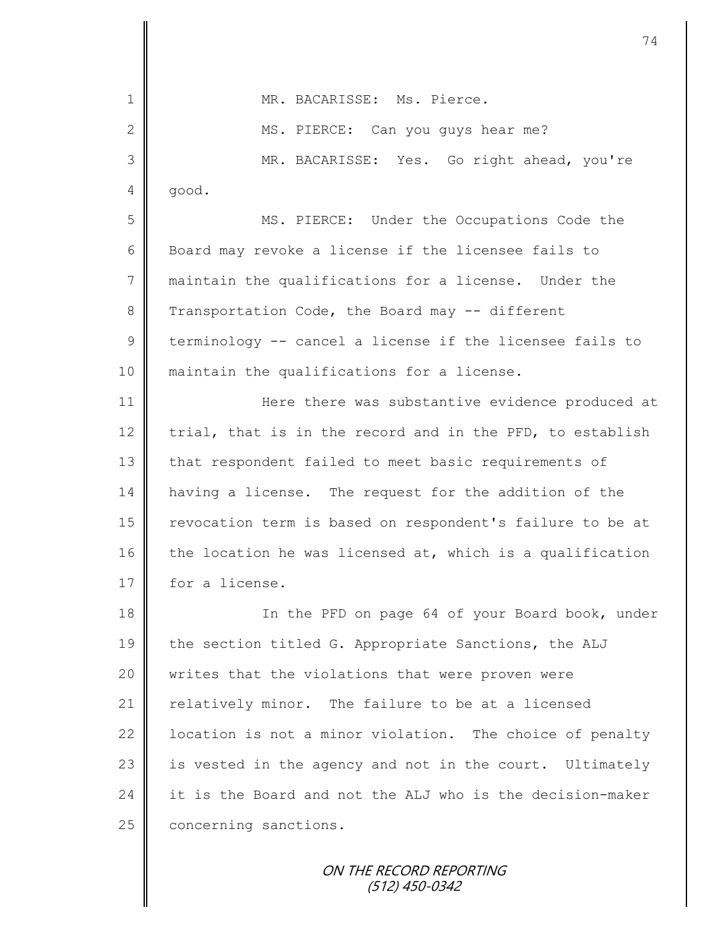1 MR. BACARISSE: Ms. Pierce. 2 || MS. PIERCE: Can you quys hear me? 3 MR. BACARISSE: Yes. Go right ahead, you're 4 good. 5 MS. PIERCE: Under the Occupations Code the 6 Board may revoke a license if the licensee fails to 7 maintain the qualifications for a license. Under the 8 Transportation Code, the Board may -- different  $9 \parallel$  terminology -- cancel a license if the licensee fails to 10 | maintain the qualifications for a license. 11 **Here** there was substantive evidence produced at 12 trial, that is in the record and in the PFD, to establish 13 that respondent failed to meet basic requirements of 14 having a license. The request for the addition of the 15 | revocation term is based on respondent's failure to be at 16 the location he was licensed at, which is a qualification 17 | for a license. 18 || In the PFD on page 64 of your Board book, under 19 the section titled G. Appropriate Sanctions, the ALJ 20 writes that the violations that were proven were 21 | relatively minor. The failure to be at a licensed 22  $\parallel$  location is not a minor violation. The choice of penalty  $23$  is vested in the agency and not in the court. Ultimately 24 it is the Board and not the ALJ who is the decision-maker 25 concerning sanctions.

74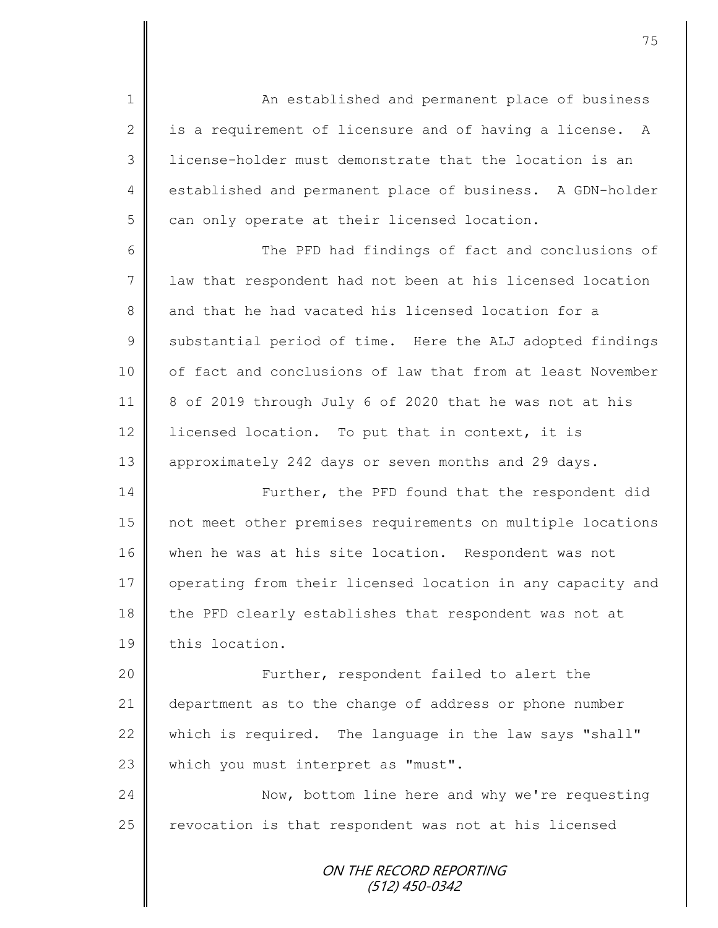ON THE RECORD REPORTING (512) 450-0342 1 An established and permanent place of business 2  $\parallel$  is a requirement of licensure and of having a license. A 3 license-holder must demonstrate that the location is an 4 | established and permanent place of business. A GDN-holder  $5 \parallel$  can only operate at their licensed location. 6 The PFD had findings of fact and conclusions of 7 law that respondent had not been at his licensed location 8 and that he had vacated his licensed location for a  $9 \parallel$  substantial period of time. Here the ALJ adopted findings 10 | of fact and conclusions of law that from at least November 11 8 of 2019 through July 6 of 2020 that he was not at his 12 | licensed location. To put that in context, it is 13 approximately 242 days or seven months and 29 days. 14 Further, the PFD found that the respondent did 15 not meet other premises requirements on multiple locations 16 when he was at his site location. Respondent was not 17 | operating from their licensed location in any capacity and 18 the PFD clearly establishes that respondent was not at 19 this location. 20 || Further, respondent failed to alert the 21 department as to the change of address or phone number 22 which is required. The language in the law says "shall" 23 which you must interpret as "must". 24 Now, bottom line here and why we're requesting  $25$  revocation is that respondent was not at his licensed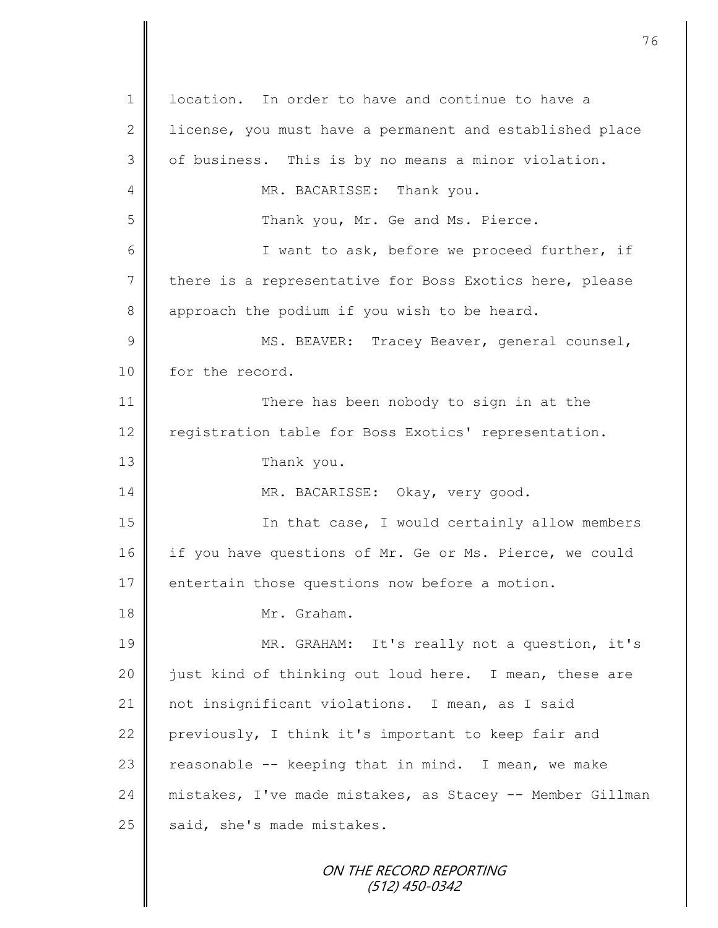1 **l** location. In order to have and continue to have a 2 | license, you must have a permanent and established place  $3 \parallel$  of business. This is by no means a minor violation. 4 MR. BACARISSE: Thank you. 5 Thank you, Mr. Ge and Ms. Pierce. 6 || I want to ask, before we proceed further, if 7 there is a representative for Boss Exotics here, please 8 approach the podium if you wish to be heard. 9 || MS. BEAVER: Tracey Beaver, general counsel, 10 for the record. 11 There has been nobody to sign in at the 12 | registration table for Boss Exotics' representation. 13 || Thank you. 14 | MR. BACARISSE: Okay, very good. 15 || In that case, I would certainly allow members 16 if you have questions of Mr. Ge or Ms. Pierce, we could 17 | entertain those questions now before a motion. 18 Mr. Graham. 19 || MR. GRAHAM: It's really not a question, it's 20  $\parallel$  just kind of thinking out loud here. I mean, these are 21 | not insignificant violations. I mean, as I said 22 previously, I think it's important to keep fair and 23  $\parallel$  reasonable -- keeping that in mind. I mean, we make 24 mistakes, I've made mistakes, as Stacey -- Member Gillman  $25$  said, she's made mistakes.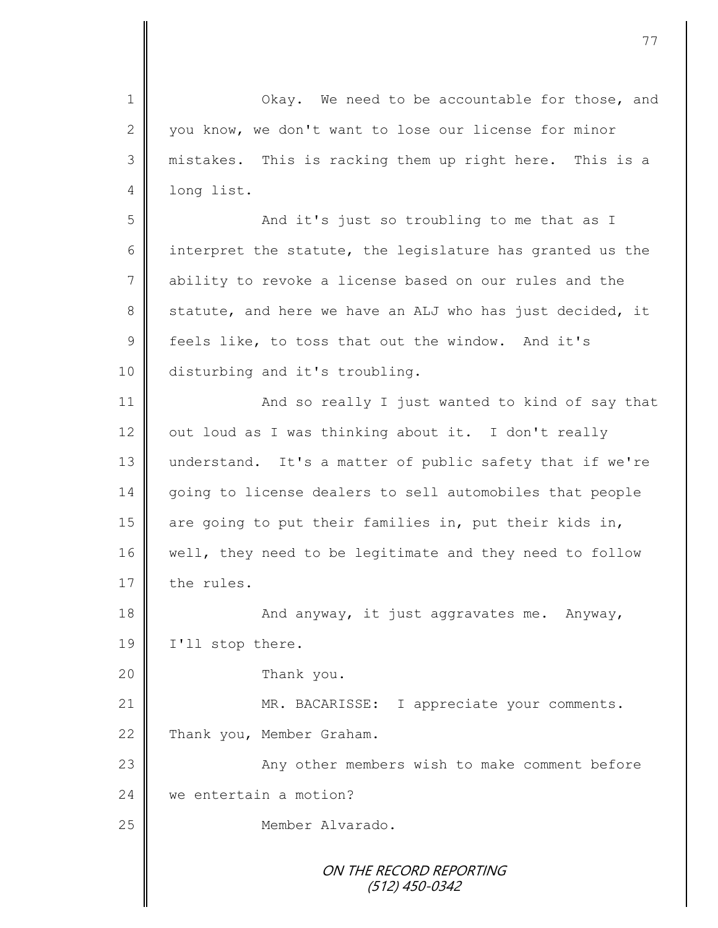ON THE RECORD REPORTING (512) 450-0342 1 || Okay. We need to be accountable for those, and 2  $\parallel$  you know, we don't want to lose our license for minor 3 mistakes. This is racking them up right here. This is a 4 long list. 5 And it's just so troubling to me that as I 6 interpret the statute, the legislature has granted us the 7 ability to revoke a license based on our rules and the 8 statute, and here we have an ALJ who has just decided, it  $9 \parallel$  feels like, to toss that out the window. And it's 10 disturbing and it's troubling. 11 **And so really I just wanted to kind of say that** 12  $\parallel$  out loud as I was thinking about it. I don't really 13 understand. It's a matter of public safety that if we're 14 going to license dealers to sell automobiles that people 15 are going to put their families in, put their kids in, 16 well, they need to be legitimate and they need to follow 17  $\parallel$  the rules. 18 || And anyway, it just aggravates me. Anyway, 19 | I'll stop there. 20 **Thank** you. 21 | MR. BACARISSE: I appreciate your comments. 22 Thank you, Member Graham. 23 || Any other members wish to make comment before 24 we entertain a motion? 25 || Member Alvarado.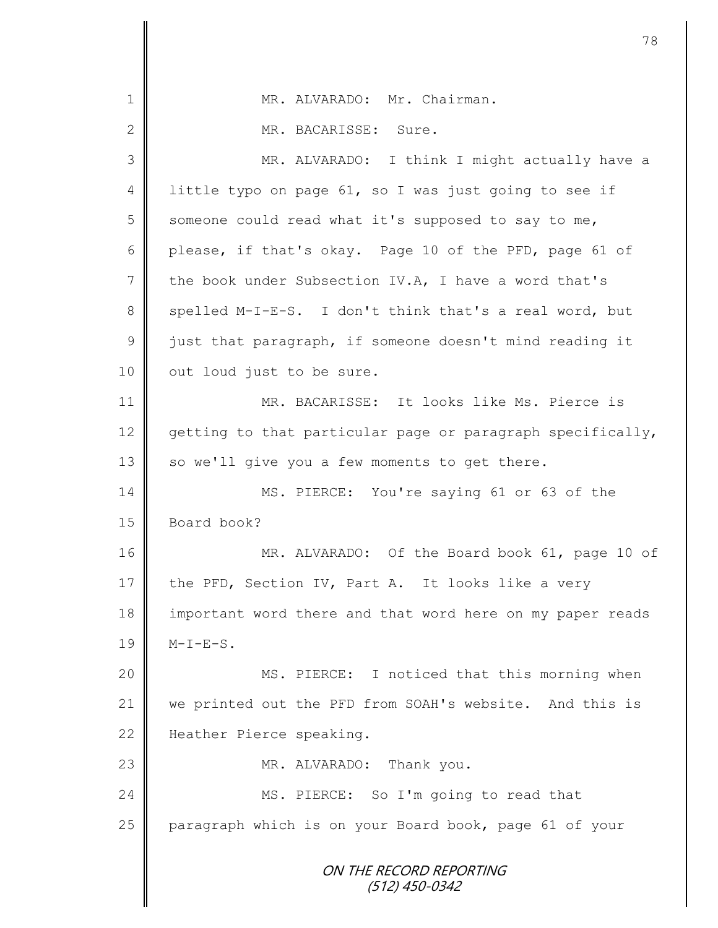ON THE RECORD REPORTING (512) 450-0342 1 | MR. ALVARADO: Mr. Chairman. 2 MR. BACARISSE: Sure. 3 MR. ALVARADO: I think I might actually have a 4 I little typo on page 61, so I was just going to see if  $5 \parallel$  someone could read what it's supposed to say to me, 6 please, if that's okay. Page 10 of the PFD, page 61 of 7 the book under Subsection IV.A, I have a word that's 8 spelled M-I-E-S. I don't think that's a real word, but  $9 \parallel$  just that paragraph, if someone doesn't mind reading it 10 | out loud just to be sure. 11 MR. BACARISSE: It looks like Ms. Pierce is  $12$  getting to that particular page or paragraph specifically, 13  $\parallel$  so we'll give you a few moments to get there. 14 MS. PIERCE: You're saying 61 or 63 of the 15 Board book? 16 || MR. ALVARADO: Of the Board book 61, page 10 of 17 the PFD, Section IV, Part A. It looks like a very 18 important word there and that word here on my paper reads  $19 \parallel$  M-I-E-S. 20 || MS. PIERCE: I noticed that this morning when 21 we printed out the PFD from SOAH's website. And this is 22 Heather Pierce speaking. 23 MR. ALVARADO: Thank you. 24 | MS. PIERCE: So I'm going to read that 25 paragraph which is on your Board book, page 61 of your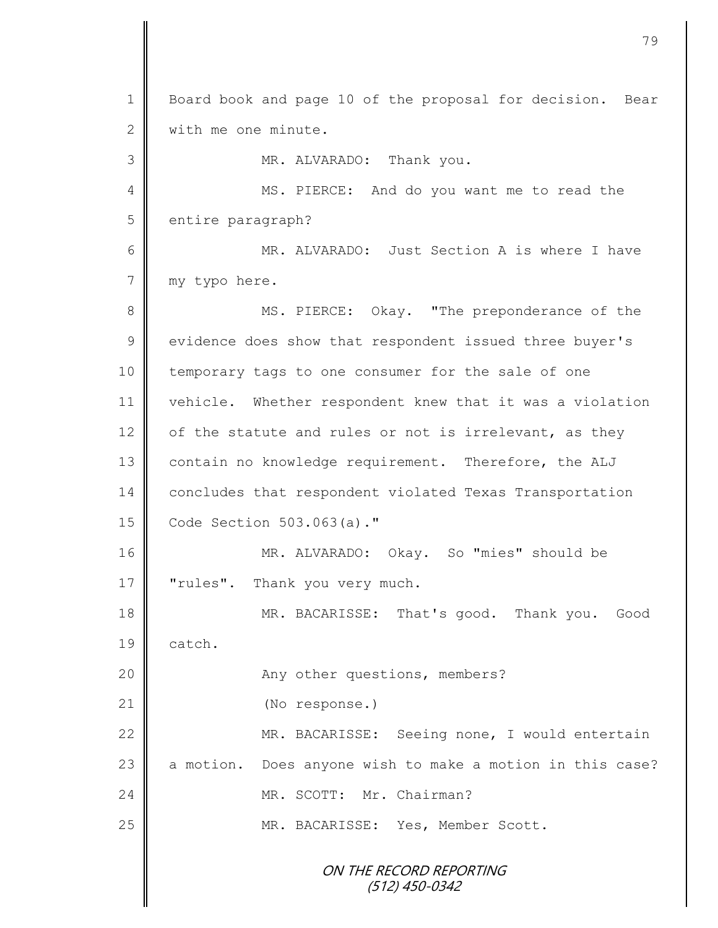ON THE RECORD REPORTING (512) 450-0342 1 Board book and page 10 of the proposal for decision. Bear 2 with me one minute. 3 MR. ALVARADO: Thank you. 4 || MS. PIERCE: And do you want me to read the 5 entire paragraph? 6 MR. ALVARADO: Just Section A is where I have 7 || my typo here. 8 MS. PIERCE: Okay. "The preponderance of the 9 vidence does show that respondent issued three buyer's 10 temporary tags to one consumer for the sale of one 11 vehicle. Whether respondent knew that it was a violation 12 of the statute and rules or not is irrelevant, as they 13 contain no knowledge requirement. Therefore, the ALJ 14 concludes that respondent violated Texas Transportation 15 **Code Section 503.063(a)."** 16 MR. ALVARADO: Okay. So "mies" should be 17 **W** "rules". Thank you very much. 18 MR. BACARISSE: That's good. Thank you. Good 19 catch. 20 | Rany other questions, members? 21 (No response.) 22 MR. BACARISSE: Seeing none, I would entertain 23 a motion. Does anyone wish to make a motion in this case? 24 WR. SCOTT: Mr. Chairman? 25 | MR. BACARISSE: Yes, Member Scott.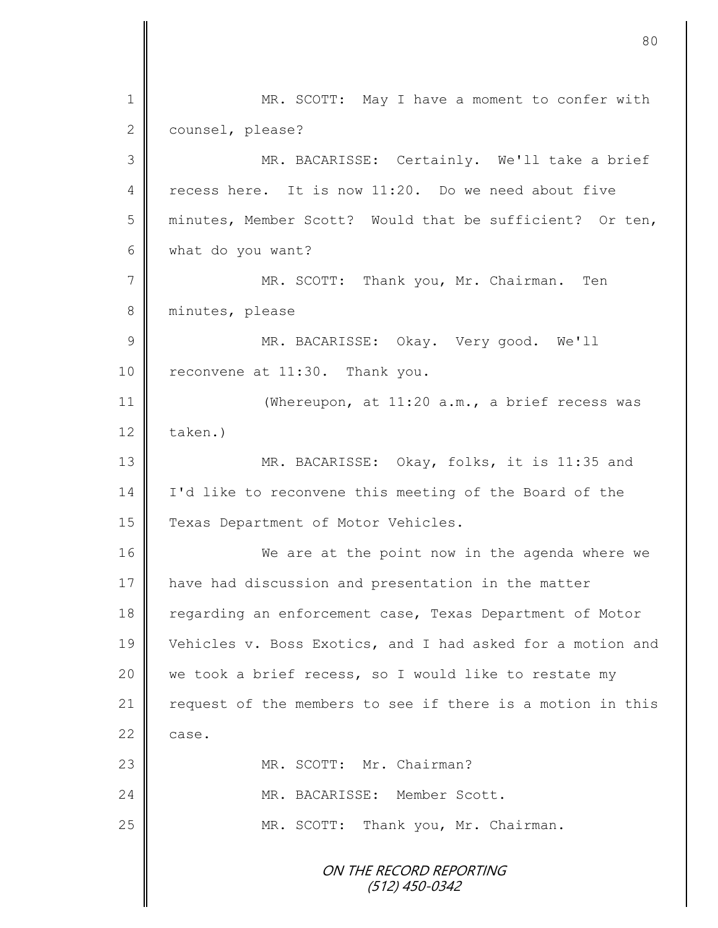ON THE RECORD REPORTING (512) 450-0342 1 MR. SCOTT: May I have a moment to confer with 2 counsel, please? 3 MR. BACARISSE: Certainly. We'll take a brief 4 recess here. It is now 11:20. Do we need about five 5 minutes, Member Scott? Would that be sufficient? Or ten, 6 what do you want? 7 || MR. SCOTT: Thank you, Mr. Chairman. Ten 8 minutes, please 9 MR. BACARISSE: Okay. Very good. We'll 10 reconvene at 11:30. Thank you. 11 | (Whereupon, at 11:20 a.m., a brief recess was  $12$   $\parallel$  taken.) 13 MR. BACARISSE: Okay, folks, it is 11:35 and 14 I'd like to reconvene this meeting of the Board of the 15 | Texas Department of Motor Vehicles. 16 We are at the point now in the agenda where we 17 have had discussion and presentation in the matter 18 | regarding an enforcement case, Texas Department of Motor 19 Vehicles v. Boss Exotics, and I had asked for a motion and 20  $\parallel$  we took a brief recess, so I would like to restate my 21 | request of the members to see if there is a motion in this  $22 \parallel$  case. 23 || MR. SCOTT: Mr. Chairman? 24 MR. BACARISSE: Member Scott. 25 MR. SCOTT: Thank you, Mr. Chairman.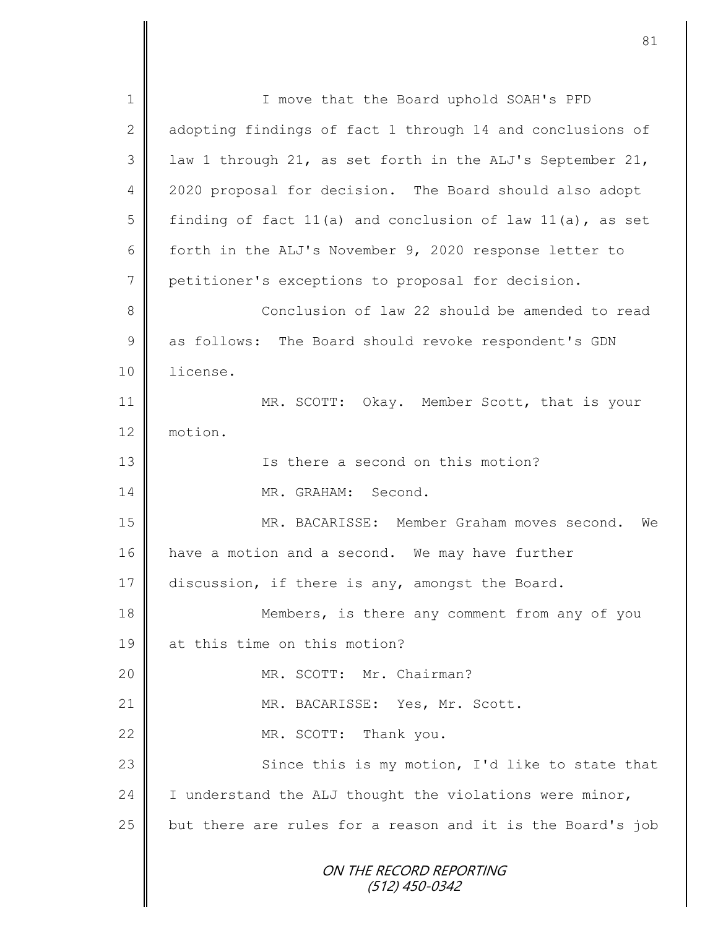ON THE RECORD REPORTING (512) 450-0342 1 || I move that the Board uphold SOAH's PFD 2 adopting findings of fact 1 through 14 and conclusions of  $3 \parallel$  law 1 through 21, as set forth in the ALJ's September 21, 4 2020 proposal for decision. The Board should also adopt 5 finding of fact 11(a) and conclusion of law 11(a), as set 6 forth in the ALJ's November 9, 2020 response letter to 7 petitioner's exceptions to proposal for decision. 8 Supersy Conclusion of law 22 should be amended to read 9 as follows: The Board should revoke respondent's GDN 10 license. 11 MR. SCOTT: Okay. Member Scott, that is your 12 motion. 13 Is there a second on this motion? 14 MR. GRAHAM: Second. 15 MR. BACARISSE: Member Graham moves second. We 16 | have a motion and a second. We may have further 17 discussion, if there is any, amongst the Board. 18 || Members, is there any comment from any of you 19 **at this time on this motion?** 20 | MR. SCOTT: Mr. Chairman? 21 MR. BACARISSE: Yes, Mr. Scott. 22 MR. SCOTT: Thank you. 23 | Since this is my motion, I'd like to state that 24  $\parallel$  I understand the ALJ thought the violations were minor, 25  $\parallel$  but there are rules for a reason and it is the Board's job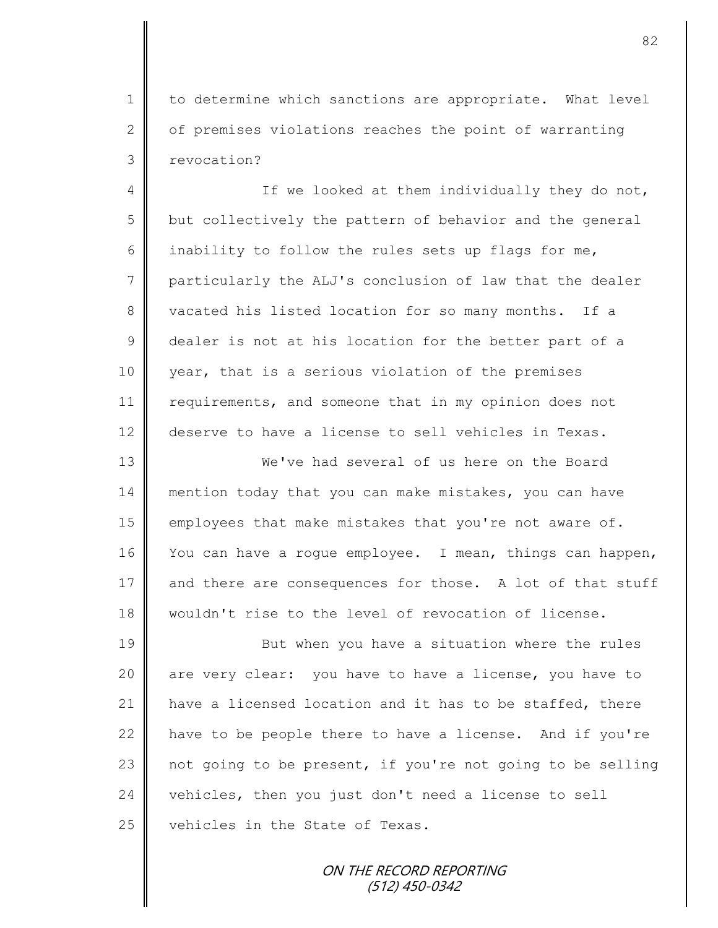1 | to determine which sanctions are appropriate. What level 2  $\parallel$  of premises violations reaches the point of warranting 3 | revocation?

4 || If we looked at them individually they do not, 5 | but collectively the pattern of behavior and the general 6 inability to follow the rules sets up flags for me, 7 particularly the ALJ's conclusion of law that the dealer 8 vacated his listed location for so many months. If a 9 dealer is not at his location for the better part of a 10 year, that is a serious violation of the premises 11 requirements, and someone that in my opinion does not 12 deserve to have a license to sell vehicles in Texas.

13 We've had several of us here on the Board 14 mention today that you can make mistakes, you can have 15 employees that make mistakes that you're not aware of. 16 You can have a rogue employee. I mean, things can happen, 17 and there are consequences for those. A lot of that stuff 18 wouldn't rise to the level of revocation of license.

19 **But when you have a situation where the rules** 20 || are very clear: you have to have a license, you have to 21 | have a licensed location and it has to be staffed, there  $22$  have to be people there to have a license. And if you're 23  $\parallel$  not going to be present, if you're not going to be selling 24 vehicles, then you just don't need a license to sell 25 vehicles in the State of Texas.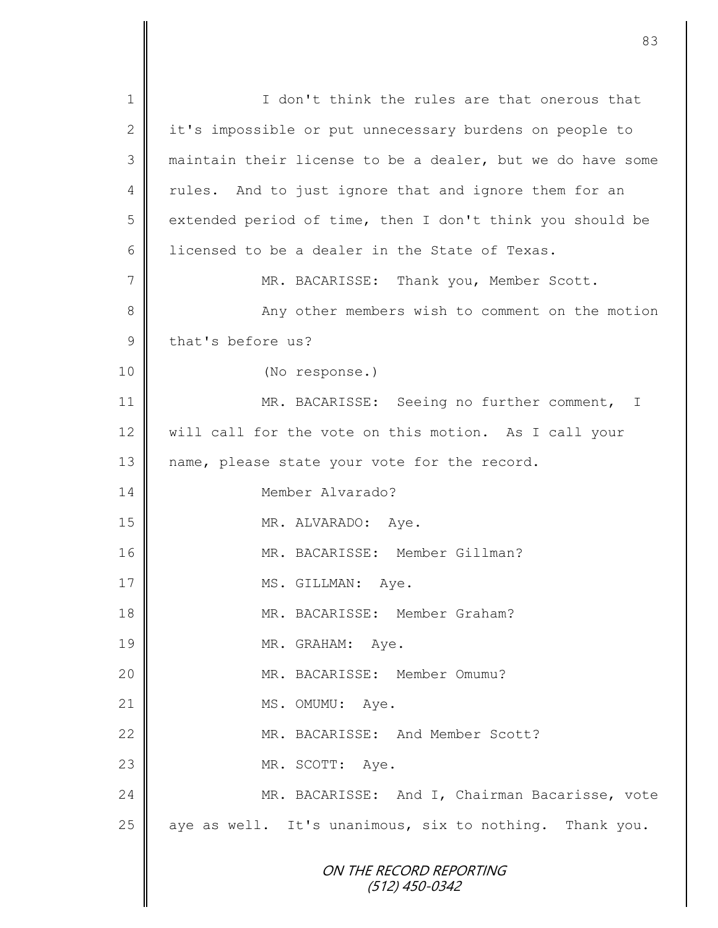ON THE RECORD REPORTING (512) 450-0342 1 I I don't think the rules are that onerous that 2 it's impossible or put unnecessary burdens on people to 3 maintain their license to be a dealer, but we do have some 4 || rules. And to just ignore that and ignore them for an 5 | extended period of time, then I don't think you should be 6 iicensed to be a dealer in the State of Texas. 7 || MR. BACARISSE: Thank you, Member Scott. 8 || Any other members wish to comment on the motion 9 that's before us? 10 || (No response.) 11 || MR. BACARISSE: Seeing no further comment, I 12 will call for the vote on this motion. As I call your 13 | name, please state your vote for the record. 14 Member Alvarado? 15 NR. ALVARADO: Aye. 16 || MR. BACARISSE: Member Gillman? 17 || MS. GILLMAN: Aye. 18 MR. BACARISSE: Member Graham? 19 MR. GRAHAM: Aye. 20  $\parallel$  MR. BACARISSE: Member Omumu? 21 MS. OMUMU: Aye. 22 MR. BACARISSE: And Member Scott? 23 MR. SCOTT: Aye. 24 MR. BACARISSE: And I, Chairman Bacarisse, vote  $25$  aye as well. It's unanimous, six to nothing. Thank you.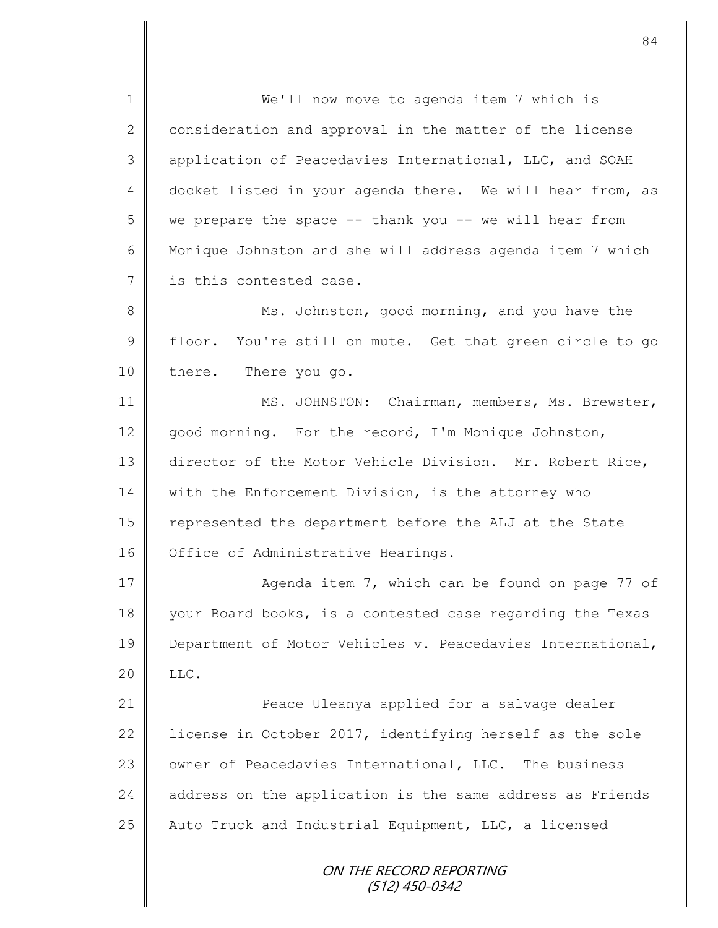ON THE RECORD REPORTING (512) 450-0342 1 || We'll now move to agenda item 7 which is  $2 \parallel$  consideration and approval in the matter of the license 3 | application of Peacedavies International, LLC, and SOAH 4 docket listed in your agenda there. We will hear from, as 5 we prepare the space -- thank you -- we will hear from 6 | Monique Johnston and she will address agenda item 7 which 7 is this contested case. 8 Ms. Johnston, good morning, and you have the 9 | floor. You're still on mute. Get that green circle to go 10 there. There you go. 11 | MS. JOHNSTON: Chairman, members, Ms. Brewster, 12 | good morning. For the record, I'm Monique Johnston, 13 director of the Motor Vehicle Division. Mr. Robert Rice, 14 | with the Enforcement Division, is the attorney who 15 | represented the department before the ALJ at the State 16 | Office of Administrative Hearings. 17 | Agenda item 7, which can be found on page 77 of 18 your Board books, is a contested case regarding the Texas 19 **Department of Motor Vehicles v. Peacedavies International**, 20 LLC. 21 | Peace Uleanya applied for a salvage dealer 22  $\parallel$  license in October 2017, identifying herself as the sole 23 owner of Peacedavies International, LLC. The business 24 address on the application is the same address as Friends 25  $\parallel$  Auto Truck and Industrial Equipment, LLC, a licensed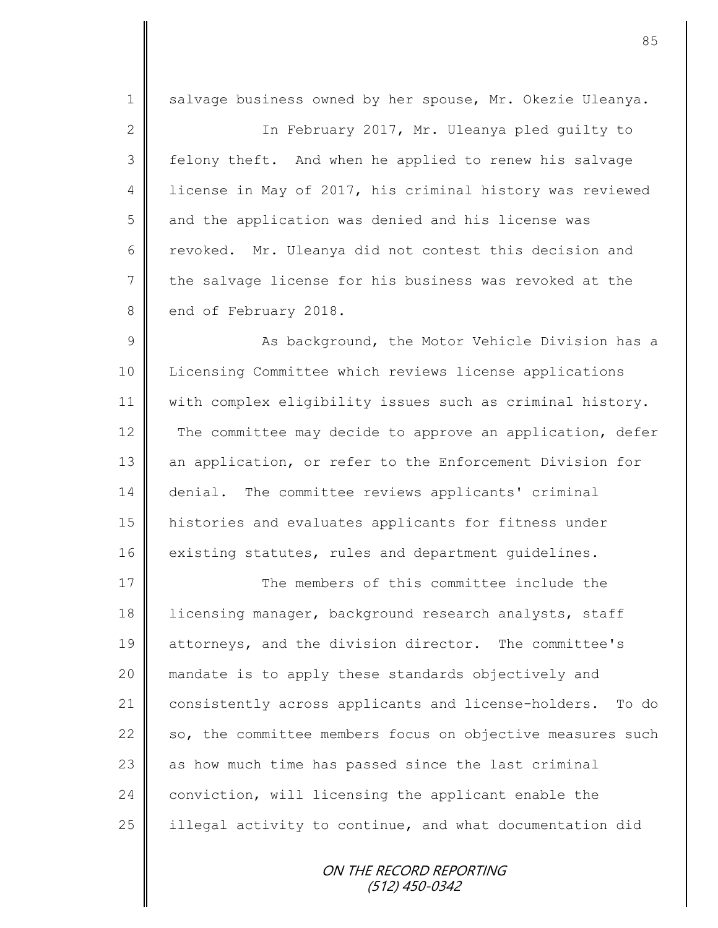1 salvage business owned by her spouse, Mr. Okezie Uleanya. 2 || In February 2017, Mr. Uleanya pled quilty to 3 felony theft. And when he applied to renew his salvage 4 license in May of 2017, his criminal history was reviewed  $5 \parallel$  and the application was denied and his license was 6 revoked. Mr. Uleanya did not contest this decision and 7 the salvage license for his business was revoked at the 8 end of February 2018.

9 || As background, the Motor Vehicle Division has a 10 Licensing Committee which reviews license applications 11 | with complex eligibility issues such as criminal history. 12 The committee may decide to approve an application, defer 13 an application, or refer to the Enforcement Division for 14 denial. The committee reviews applicants' criminal 15 histories and evaluates applicants for fitness under 16 existing statutes, rules and department quidelines.

17 **Numbers** of this committee include the 18 | licensing manager, background research analysts, staff 19 attorneys, and the division director. The committee's 20 mandate is to apply these standards objectively and 21 consistently across applicants and license-holders. To do 22  $\parallel$  so, the committee members focus on objective measures such 23 as how much time has passed since the last criminal 24 conviction, will licensing the applicant enable the  $25$  illegal activity to continue, and what documentation did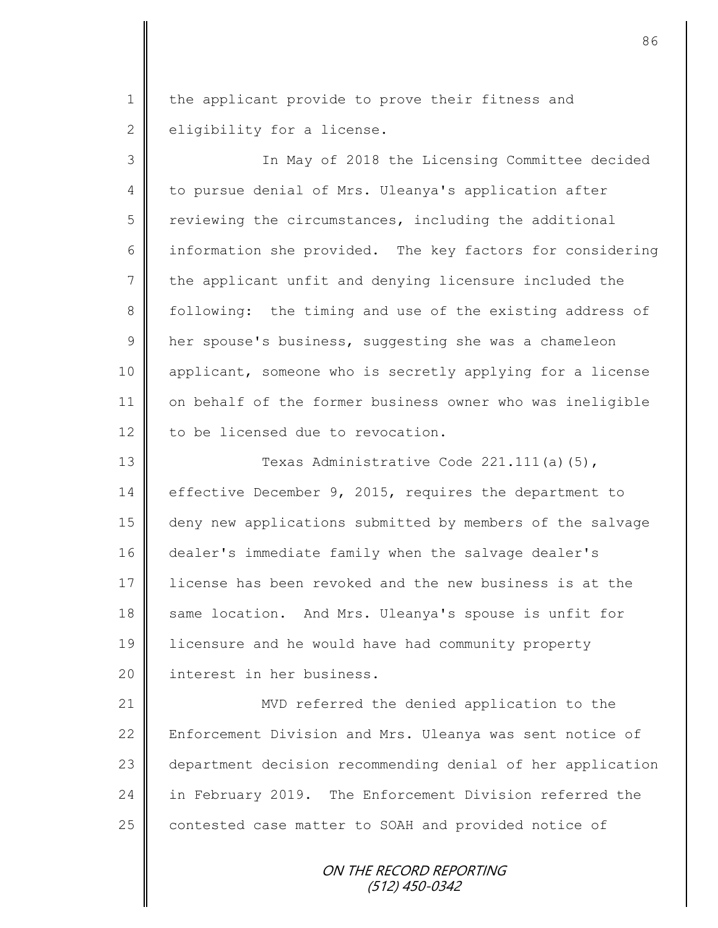1 | the applicant provide to prove their fitness and 2 eligibility for a license.

3 In May of 2018 the Licensing Committee decided 4 to pursue denial of Mrs. Uleanya's application after  $5 \parallel$  reviewing the circumstances, including the additional 6 information she provided. The key factors for considering  $7 \parallel$  the applicant unfit and denying licensure included the 8 following: the timing and use of the existing address of 9 | her spouse's business, suggesting she was a chameleon 10 | applicant, someone who is secretly applying for a license 11 on behalf of the former business owner who was ineligible 12 to be licensed due to revocation.

13 | Texas Administrative Code 221.111(a)(5), 14 effective December 9, 2015, requires the department to 15 deny new applications submitted by members of the salvage 16 dealer's immediate family when the salvage dealer's 17 license has been revoked and the new business is at the 18 same location. And Mrs. Uleanya's spouse is unfit for 19 | licensure and he would have had community property 20 | interest in her business.

21 || MVD referred the denied application to the 22 Enforcement Division and Mrs. Uleanya was sent notice of 23 department decision recommending denial of her application 24 in February 2019. The Enforcement Division referred the 25 contested case matter to SOAH and provided notice of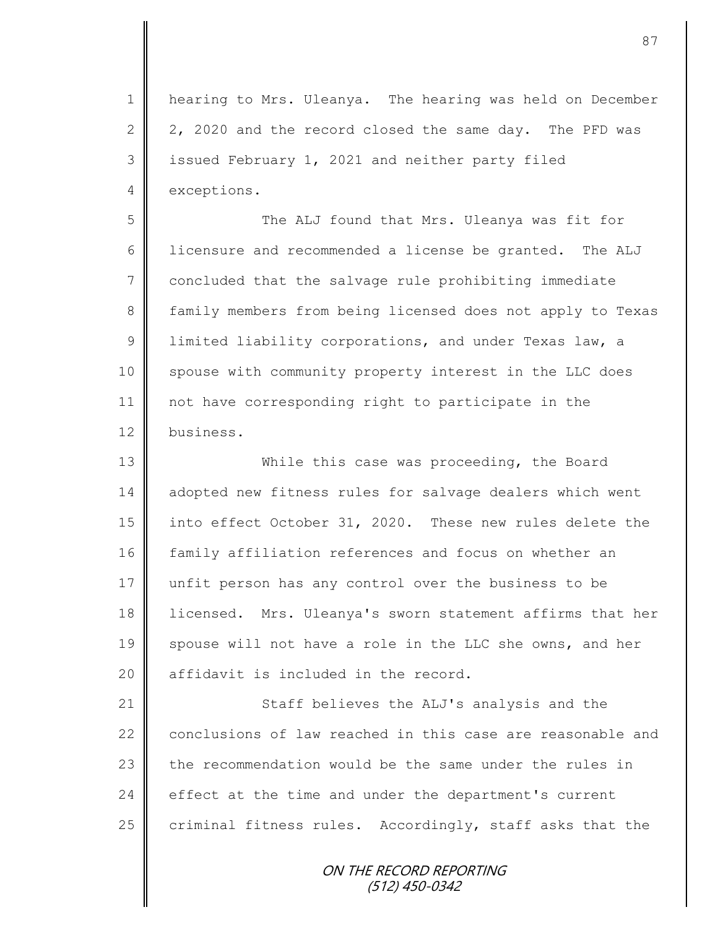1 | hearing to Mrs. Uleanya. The hearing was held on December 2  $\parallel$  2, 2020 and the record closed the same day. The PFD was 3 issued February 1, 2021 and neither party filed 4 exceptions.

5 The ALJ found that Mrs. Uleanya was fit for 6 | licensure and recommended a license be granted. The ALJ 7 concluded that the salvage rule prohibiting immediate 8 | family members from being licensed does not apply to Texas 9 | limited liability corporations, and under Texas law, a 10 | spouse with community property interest in the LLC does 11 not have corresponding right to participate in the 12 business.

13 While this case was proceeding, the Board 14 adopted new fitness rules for salvage dealers which went 15 into effect October 31, 2020. These new rules delete the 16 family affiliation references and focus on whether an 17 unfit person has any control over the business to be 18 licensed. Mrs. Uleanya's sworn statement affirms that her 19 spouse will not have a role in the LLC she owns, and her 20  $\parallel$  affidavit is included in the record.

21 | Staff believes the ALJ's analysis and the 22 conclusions of law reached in this case are reasonable and 23  $\parallel$  the recommendation would be the same under the rules in 24 effect at the time and under the department's current 25 criminal fitness rules. Accordingly, staff asks that the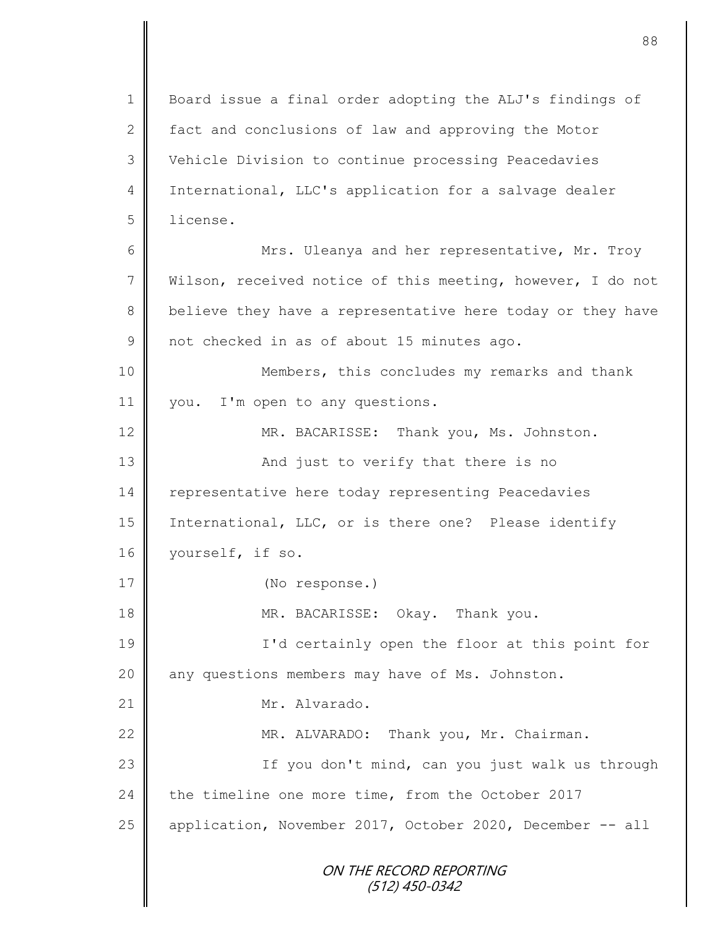ON THE RECORD REPORTING (512) 450-0342 1 || Board issue a final order adopting the ALJ's findings of 2 fact and conclusions of law and approving the Motor 3 Vehicle Division to continue processing Peacedavies 4 International, LLC's application for a salvage dealer 5 license. 6 Mrs. Uleanya and her representative, Mr. Troy 7 Wilson, received notice of this meeting, however, I do not 8 believe they have a representative here today or they have 9 not checked in as of about 15 minutes ago. 10 || Members, this concludes my remarks and thank 11 | you. I'm open to any questions. 12 MR. BACARISSE: Thank you, Ms. Johnston. 13 || And just to verify that there is no 14 **P** representative here today representing Peacedavies 15 | International, LLC, or is there one? Please identify 16 | yourself, if so. 17 (No response.) 18 **MR. BACARISSE:** Okay. Thank you. 19 I'd certainly open the floor at this point for 20 | any questions members may have of Ms. Johnston. 21 | Mr. Alvarado. 22 MR. ALVARADO: Thank you, Mr. Chairman. 23 | The Vou don't mind, can you just walk us through 24 the timeline one more time, from the October 2017 25 application, November 2017, October 2020, December -- all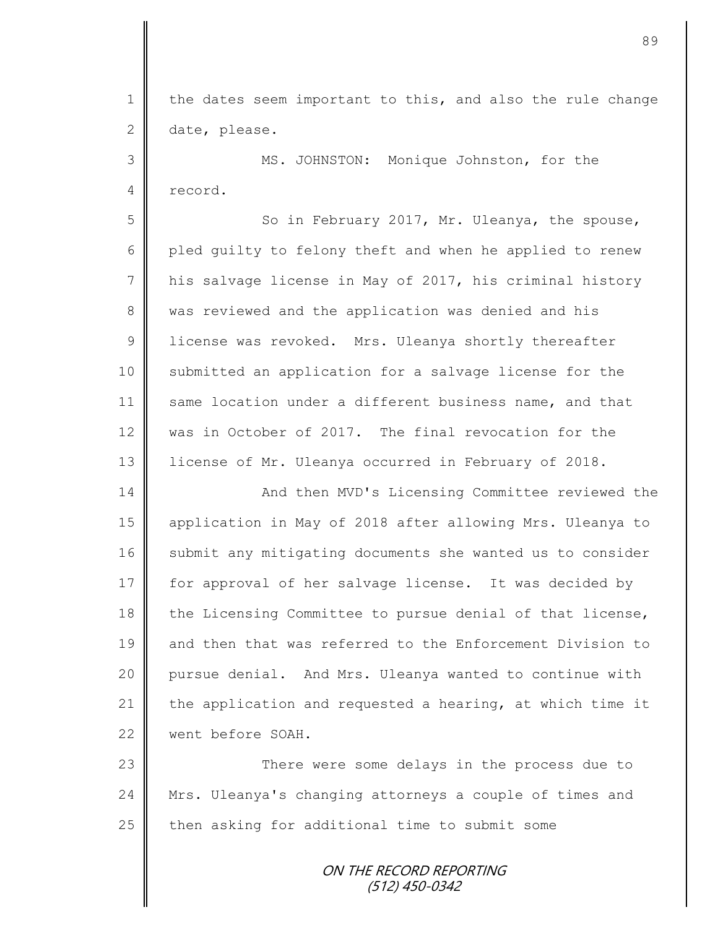1 | the dates seem important to this, and also the rule change 2 date, please.

3 MS. JOHNSTON: Monique Johnston, for the 4 record.

5 || So in February 2017, Mr. Uleanya, the spouse, 6 pled guilty to felony theft and when he applied to renew 7 his salvage license in May of 2017, his criminal history 8 We was reviewed and the application was denied and his 9 U license was revoked. Mrs. Uleanya shortly thereafter 10 Submitted an application for a salvage license for the 11 Same location under a different business name, and that 12 was in October of 2017. The final revocation for the 13 | license of Mr. Uleanya occurred in February of 2018.

14 | And then MVD's Licensing Committee reviewed the 15 application in May of 2018 after allowing Mrs. Uleanya to 16 submit any mitigating documents she wanted us to consider 17 for approval of her salvage license. It was decided by 18 the Licensing Committee to pursue denial of that license, 19 and then that was referred to the Enforcement Division to 20 || pursue denial. And Mrs. Uleanya wanted to continue with 21 the application and requested a hearing, at which time it 22 went before SOAH.

23 | There were some delays in the process due to 24 | Mrs. Uleanya's changing attorneys a couple of times and  $25$  then asking for additional time to submit some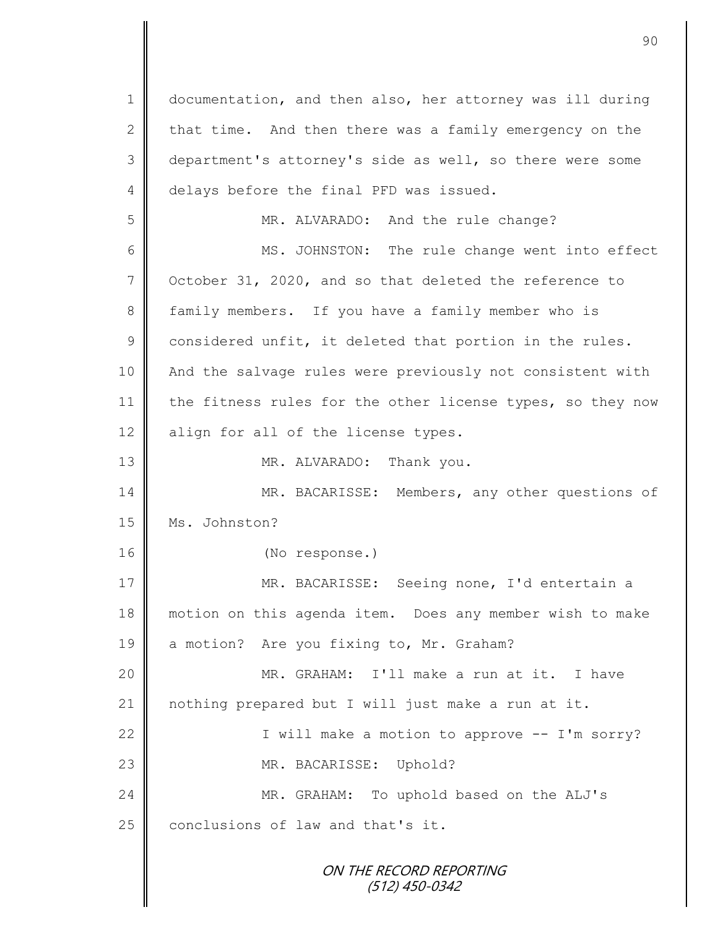ON THE RECORD REPORTING (512) 450-0342 1 documentation, and then also, her attorney was ill during 2 that time. And then there was a family emergency on the 3 department's attorney's side as well, so there were some 4 delays before the final PFD was issued. 5 MR. ALVARADO: And the rule change? 6 || MS. JOHNSTON: The rule change went into effect 7 Cotober 31, 2020, and so that deleted the reference to 8 family members. If you have a family member who is  $9 \parallel$  considered unfit, it deleted that portion in the rules. 10 | And the salvage rules were previously not consistent with 11 the fitness rules for the other license types, so they now 12  $\parallel$  align for all of the license types. 13 MR. ALVARADO: Thank you. 14 MR. BACARISSE: Members, any other questions of 15 Ms. Johnston? 16 (No response.) 17 MR. BACARISSE: Seeing none, I'd entertain a 18 motion on this agenda item. Does any member wish to make 19 a motion? Are you fixing to, Mr. Graham? 20 | MR. GRAHAM: I'll make a run at it. I have 21 nothing prepared but I will just make a run at it. 22 || I will make a motion to approve -- I'm sorry? 23 MR. BACARISSE: Uphold? 24 MR. GRAHAM: To uphold based on the ALJ's  $25$  conclusions of law and that's it.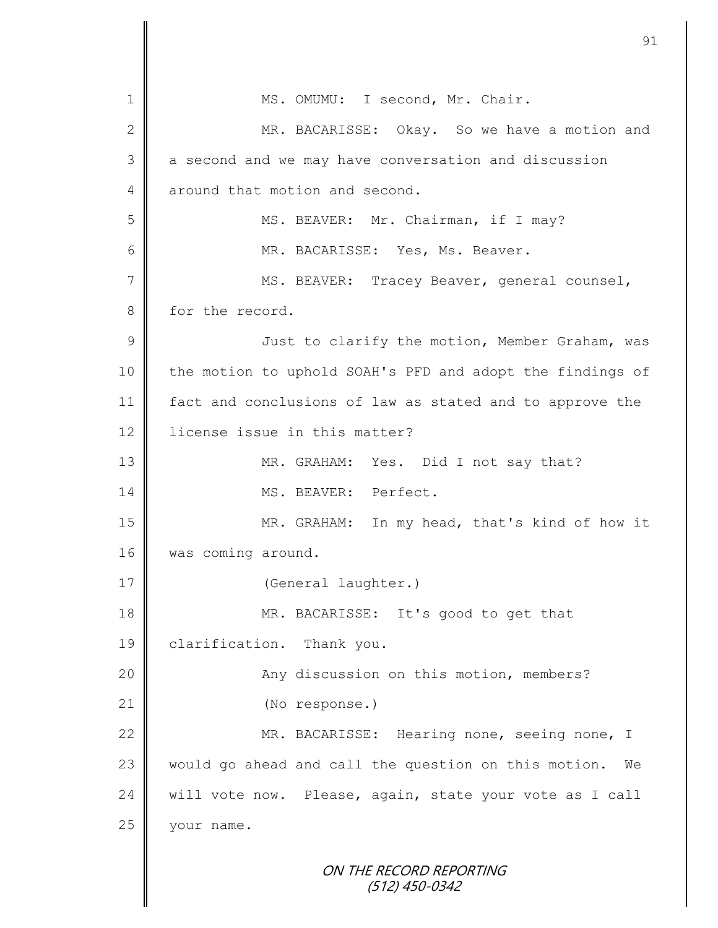ON THE RECORD REPORTING (512) 450-0342 1 || MS. OMUMU: I second, Mr. Chair. 2 MR. BACARISSE: Okay. So we have a motion and 3 a second and we may have conversation and discussion 4 around that motion and second. 5 || MS. BEAVER: Mr. Chairman, if I may? 6 MR. BACARISSE: Yes, Ms. Beaver. 7 || MS. BEAVER: Tracey Beaver, general counsel, 8 for the record. 9 || Just to clarify the motion, Member Graham, was 10 the motion to uphold SOAH's PFD and adopt the findings of 11 fact and conclusions of law as stated and to approve the 12 | license issue in this matter? 13 MR. GRAHAM: Yes. Did I not say that? 14 || MS. BEAVER: Perfect. 15 || MR. GRAHAM: In my head, that's kind of how it 16 | was coming around. 17 | (General laughter.) 18 MR. BACARISSE: It's good to get that 19 | clarification. Thank you. 20 | Roman any discussion on this motion, members? 21 | (No response.) 22 | MR. BACARISSE: Hearing none, seeing none, I 23 would go ahead and call the question on this motion. We 24 | will vote now. Please, again, state your vote as I call 25 your name.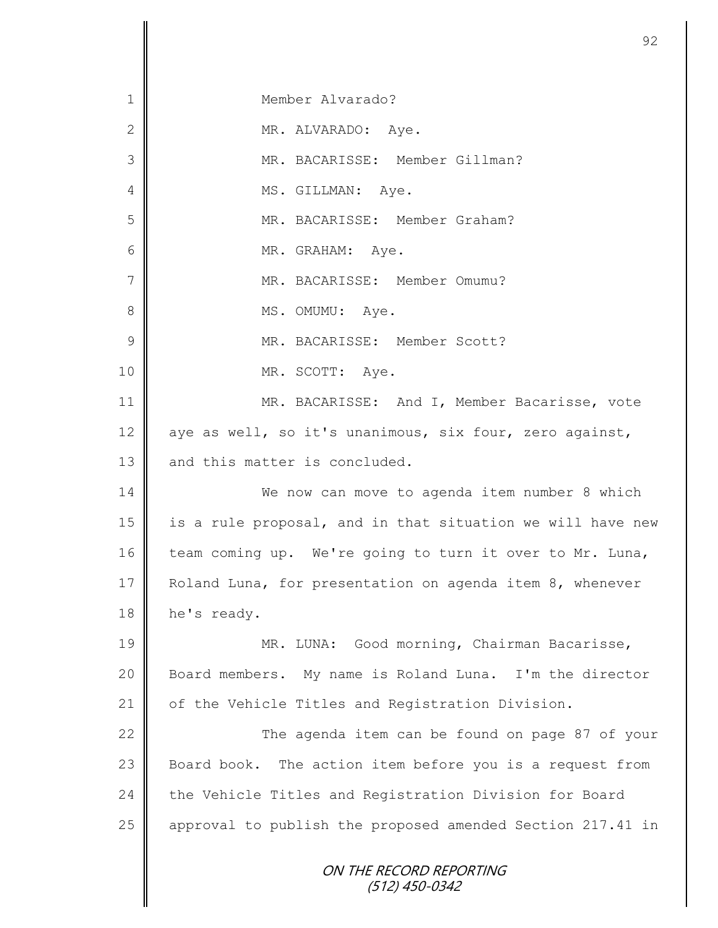ON THE RECORD REPORTING (512) 450-0342 1 Member Alvarado? 2 MR. ALVARADO: Aye. 3 || MR. BACARISSE: Member Gillman? 4 || MS. GILLMAN: Aye. 5 MR. BACARISSE: Member Graham? 6 || MR. GRAHAM: Aye. 7 MR. BACARISSE: Member Omumu? 8 || MS. OMUMU: Aye. 9 MR. BACARISSE: Member Scott? 10 || MR. SCOTT: Aye. 11 MR. BACARISSE: And I, Member Bacarisse, vote 12  $\parallel$  aye as well, so it's unanimous, six four, zero against, 13 || and this matter is concluded. 14 We now can move to agenda item number 8 which 15 | is a rule proposal, and in that situation we will have new 16 team coming up. We're going to turn it over to Mr. Luna, 17 | Roland Luna, for presentation on agenda item 8, whenever 18 he's ready. 19 || MR. LUNA: Good morning, Chairman Bacarisse, 20 Board members. My name is Roland Luna. I'm the director 21 | of the Vehicle Titles and Registration Division. 22 | The agenda item can be found on page 87 of your 23 Board book. The action item before you is a request from 24 the Vehicle Titles and Registration Division for Board 25 | approval to publish the proposed amended Section 217.41 in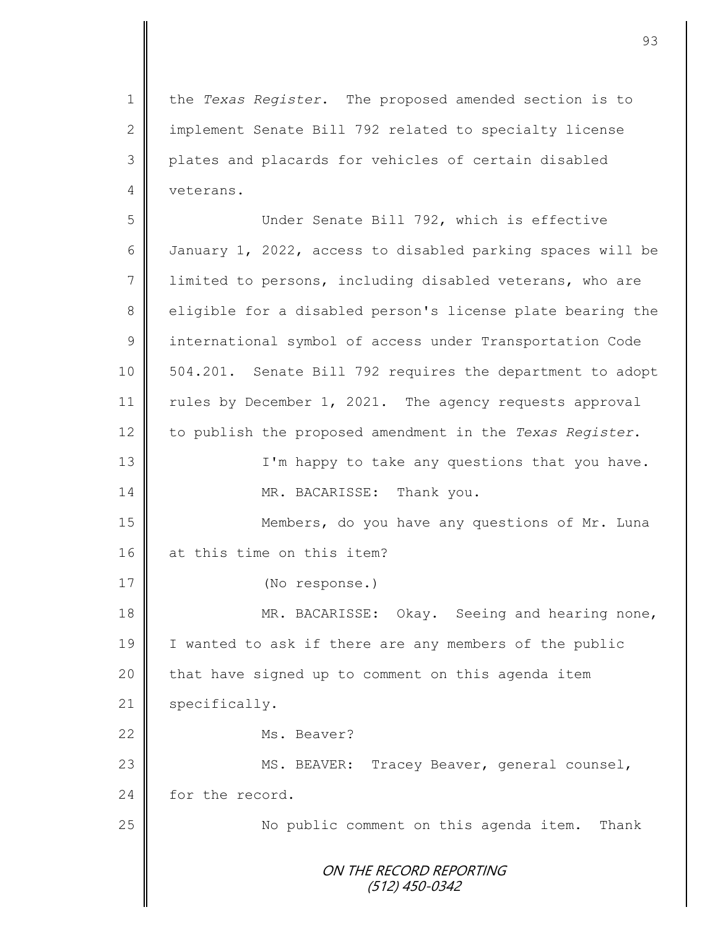1 the *Texas Register*. The proposed amended section is to 2 | implement Senate Bill 792 related to specialty license 3 || plates and placards for vehicles of certain disabled 4 veterans.

ON THE RECORD REPORTING (512) 450-0342 5 Under Senate Bill 792, which is effective 6 January 1, 2022, access to disabled parking spaces will be 7 | limited to persons, including disabled veterans, who are 8 | eligible for a disabled person's license plate bearing the 9 international symbol of access under Transportation Code 10 504.201. Senate Bill 792 requires the department to adopt 11 | rules by December 1, 2021. The agency requests approval 12 to publish the proposed amendment in the *Texas Register*. 13 | I'm happy to take any questions that you have. 14 MR. BACARISSE: Thank you. 15 | Members, do you have any questions of Mr. Luna 16 at this time on this item? 17 (No response.) 18 || MR. BACARISSE: Okay. Seeing and hearing none, 19 I wanted to ask if there are any members of the public  $20$  | that have signed up to comment on this agenda item 21 specifically. 22 Ms. Beaver? 23 || MS. BEAVER: Tracey Beaver, general counsel, 24 for the record. 25 || No public comment on this agenda item. Thank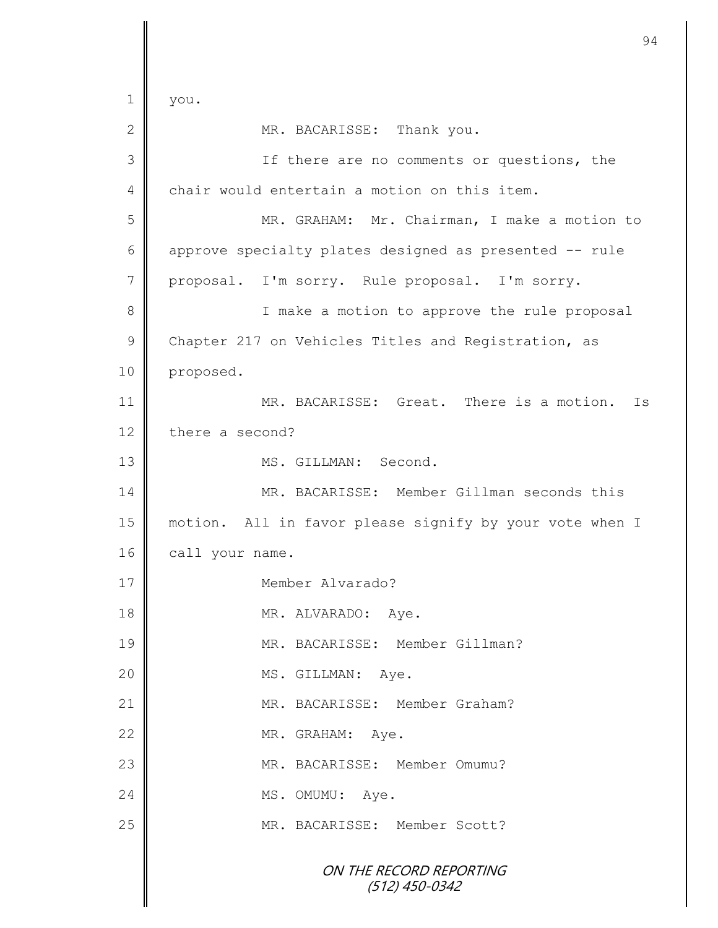ON THE RECORD REPORTING (512) 450-0342  $1 \parallel$  you. 2 MR. BACARISSE: Thank you. 3 || If there are no comments or questions, the 4 chair would entertain a motion on this item. 5 MR. GRAHAM: Mr. Chairman, I make a motion to 6 approve specialty plates designed as presented -- rule 7 proposal. I'm sorry. Rule proposal. I'm sorry. 8 || I make a motion to approve the rule proposal 9 Chapter 217 on Vehicles Titles and Registration, as 10 proposed. 11 MR. BACARISSE: Great. There is a motion. Is 12 there a second? 13 **||** MS. GILLMAN: Second. 14 || MR. BACARISSE: Member Gillman seconds this 15 motion. All in favor please signify by your vote when I 16 call your name. 17 Member Alvarado? 18 || MR. ALVARADO: Aye. 19 MR. BACARISSE: Member Gillman? 20 || MS. GILLMAN: Aye. 21 MR. BACARISSE: Member Graham? 22 MR. GRAHAM: Aye. 23 MR. BACARISSE: Member Omumu? 24 || MS. OMUMU: Ave. 25 || MR. BACARISSE: Member Scott?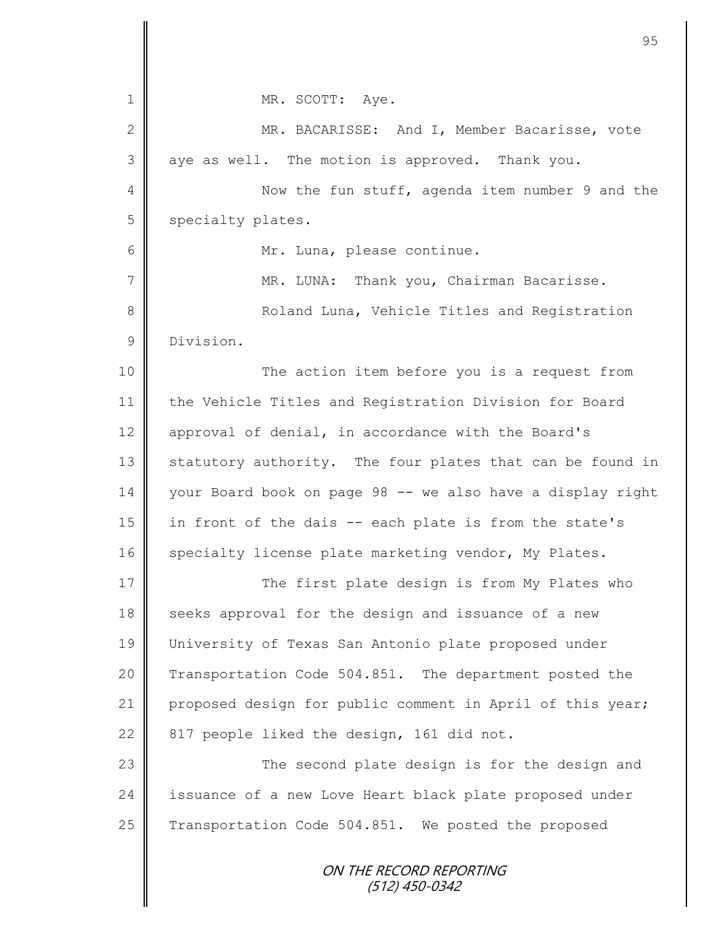| $\mathbf 1$    | MR. SCOTT: Aye.                                            |
|----------------|------------------------------------------------------------|
| $\mathbf 2$    | MR. BACARISSE: And I, Member Bacarisse, vote               |
| 3              | aye as well. The motion is approved. Thank you.            |
| 4              | Now the fun stuff, agenda item number 9 and the            |
| 5              | specialty plates.                                          |
| 6              | Mr. Luna, please continue.                                 |
| $\overline{7}$ | MR. LUNA: Thank you, Chairman Bacarisse.                   |
| $8\,$          | Roland Luna, Vehicle Titles and Registration               |
| $\mathcal{G}$  | Division.                                                  |
| 10             | The action item before you is a request from               |
| 11             | the Vehicle Titles and Registration Division for Board     |
| 12             | approval of denial, in accordance with the Board's         |
| 13             | statutory authority. The four plates that can be found in  |
| 14             | your Board book on page 98 -- we also have a display right |
| 15             | in front of the dais -- each plate is from the state's     |
| 16             | specialty license plate marketing vendor, My Plates.       |
| 17             | The first plate design is from My Plates who               |
| 18             | seeks approval for the design and issuance of a new        |
| 19             | University of Texas San Antonio plate proposed under       |
| 20             | Transportation Code 504.851. The department posted the     |
| 21             | proposed design for public comment in April of this year;  |
| 22             | 817 people liked the design, 161 did not.                  |
| 23             | The second plate design is for the design and              |
| 24             | issuance of a new Love Heart black plate proposed under    |
| 25             | Transportation Code 504.851. We posted the proposed        |
|                | ON THE RECORD REPORTING<br>(512) 450-0342                  |

 $\mathbf l$ II

Ш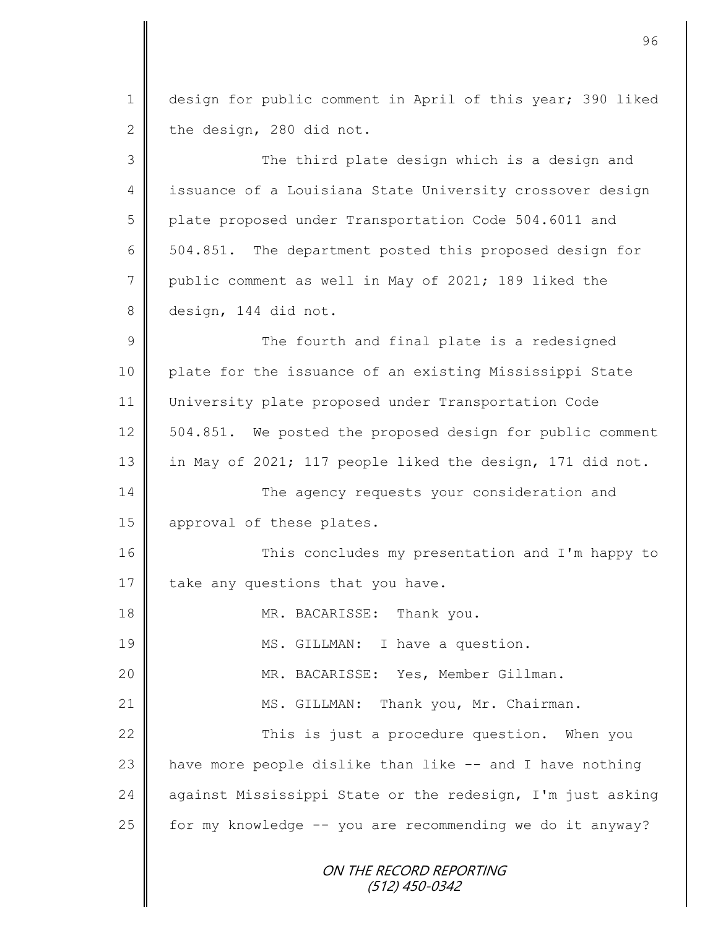ON THE RECORD REPORTING (512) 450-0342 1 design for public comment in April of this year; 390 liked 2 the design, 280 did not. 3 The third plate design which is a design and 4 issuance of a Louisiana State University crossover design 5 | plate proposed under Transportation Code 504.6011 and 6 504.851. The department posted this proposed design for 7 public comment as well in May of 2021; 189 liked the 8 design, 144 did not. 9 || The fourth and final plate is a redesigned 10 plate for the issuance of an existing Mississippi State 11 University plate proposed under Transportation Code 12 | 504.851. We posted the proposed design for public comment 13 in May of 2021; 117 people liked the design, 171 did not. 14 The agency requests your consideration and 15 | approval of these plates. 16 This concludes my presentation and I'm happy to 17 take any questions that you have. 18 **MR. BACARISSE:** Thank you. 19 || MS. GILLMAN: I have a question. 20 MR. BACARISSE: Yes, Member Gillman. 21 | MS. GILLMAN: Thank you, Mr. Chairman. 22 **This is just a procedure question.** When you 23  $\parallel$  have more people dislike than like -- and I have nothing 24 against Mississippi State or the redesign, I'm just asking 25  $\parallel$  for my knowledge -- you are recommending we do it anyway?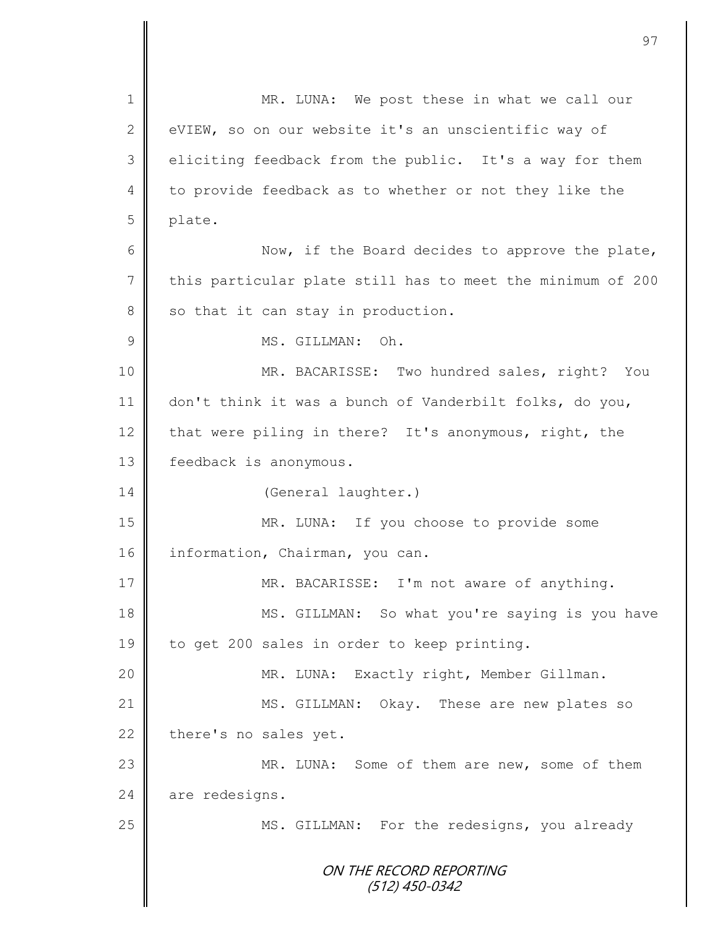ON THE RECORD REPORTING (512) 450-0342 1 || MR. LUNA: We post these in what we call our 2 | eVIEW, so on our website it's an unscientific way of 3 | eliciting feedback from the public. It's a way for them 4 | to provide feedback as to whether or not they like the 5 plate. 6 Now, if the Board decides to approve the plate, 7 this particular plate still has to meet the minimum of 200  $8 \parallel$  so that it can stay in production. 9  $\parallel$  MS. GILLMAN: Oh. 10 | MR. BACARISSE: Two hundred sales, right? You 11 don't think it was a bunch of Vanderbilt folks, do you, 12  $\parallel$  that were piling in there? It's anonymous, right, the 13 Feedback is anonymous. 14 | (General laughter.) 15 | MR. LUNA: If you choose to provide some 16 information, Chairman, you can. 17 MR. BACARISSE: I'm not aware of anything. 18 MS. GILLMAN: So what you're saying is you have 19 to get 200 sales in order to keep printing. 20 MR. LUNA: Exactly right, Member Gillman. 21 MS. GILLMAN: Okay. These are new plates so  $22$  there's no sales yet. 23 || MR. LUNA: Some of them are new, some of them 24 are redesigns. 25 | MS. GILLMAN: For the redesigns, you already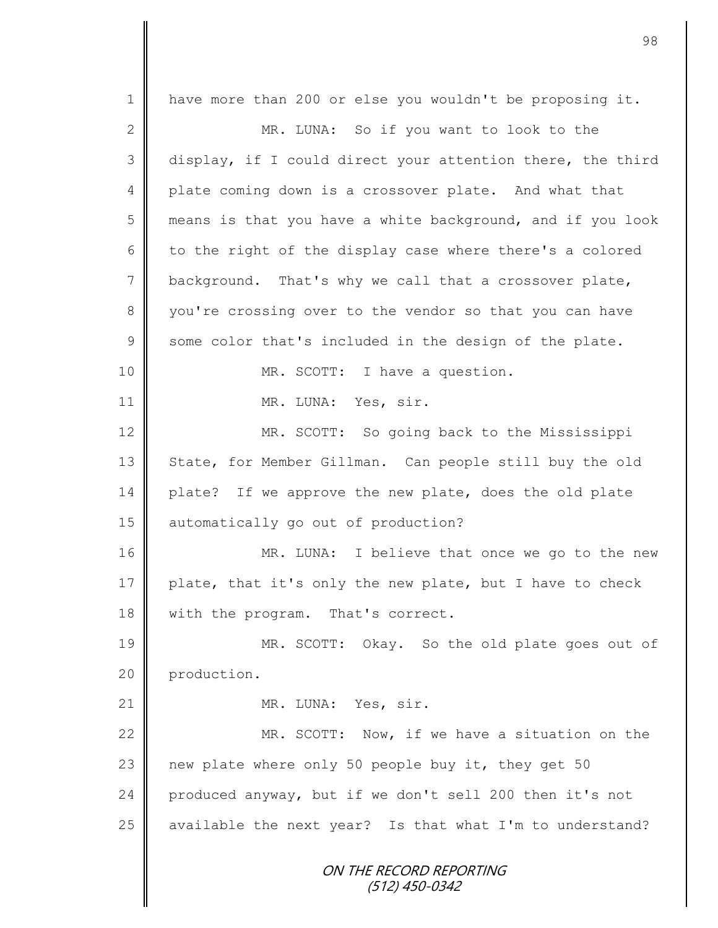ON THE RECORD REPORTING (512) 450-0342 1 have more than 200 or else you wouldn't be proposing it. 2 || MR. LUNA: So if you want to look to the 3 display, if I could direct your attention there, the third 4 plate coming down is a crossover plate. And what that 5 means is that you have a white background, and if you look  $6 \parallel$  to the right of the display case where there's a colored 7 background. That's why we call that a crossover plate, 8 you're crossing over to the vendor so that you can have  $9 \parallel$  some color that's included in the design of the plate. 10 || MR. SCOTT: I have a question. 11 | MR. LUNA: Yes, sir. 12 MR. SCOTT: So going back to the Mississippi 13 State, for Member Gillman. Can people still buy the old 14 plate? If we approve the new plate, does the old plate 15 | automatically go out of production? 16 MR. LUNA: I believe that once we go to the new 17 | plate, that it's only the new plate, but I have to check 18 | with the program. That's correct. 19 MR. SCOTT: Okay. So the old plate goes out of 20 production. 21 MR. LUNA: Yes, sir. 22 MR. SCOTT: Now, if we have a situation on the 23  $\parallel$  new plate where only 50 people buy it, they get 50 24 produced anyway, but if we don't sell 200 then it's not 25  $\parallel$  available the next year? Is that what I'm to understand?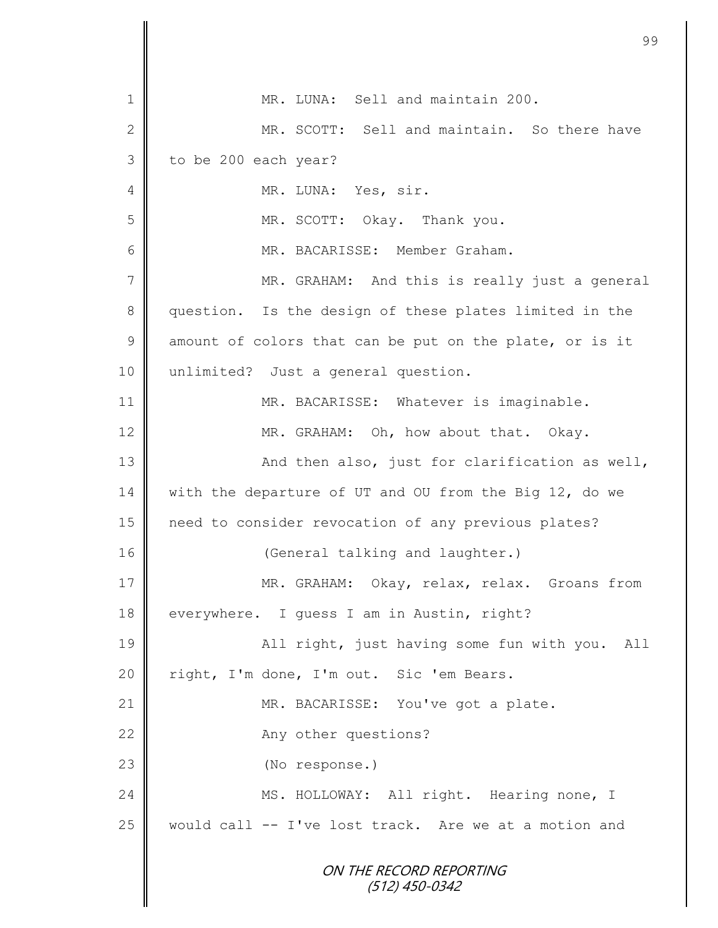|                | 99                                                      |
|----------------|---------------------------------------------------------|
| $\mathbf 1$    | MR. LUNA: Sell and maintain 200.                        |
|                |                                                         |
| $\mathbf{2}$   | MR. SCOTT: Sell and maintain. So there have             |
| $\mathfrak{Z}$ | to be 200 each year?                                    |
| 4              | MR. LUNA: Yes, sir.                                     |
| 5              | MR. SCOTT:<br>Okay. Thank you.                          |
| 6              | MR. BACARISSE: Member Graham.                           |
| $\overline{7}$ | MR. GRAHAM: And this is really just a general           |
| $8\,$          | question. Is the design of these plates limited in the  |
| $\mathcal{G}$  | amount of colors that can be put on the plate, or is it |
| 10             | unlimited? Just a general question.                     |
| 11             | MR. BACARISSE: Whatever is imaginable.                  |
| 12             | MR. GRAHAM: Oh, how about that. Okay.                   |
| 13             | And then also, just for clarification as well,          |
| 14             | with the departure of UT and OU from the Big 12, do we  |
| 15             | need to consider revocation of any previous plates?     |
| 16             | (General talking and laughter.)                         |
| 17             | MR. GRAHAM: Okay, relax, relax. Groans from             |
| 18             | everywhere. I quess I am in Austin, right?              |
| 19             | All right, just having some fun with you.<br>All        |
| 20             | right, I'm done, I'm out. Sic 'em Bears.                |
| 21             | MR. BACARISSE: You've got a plate.                      |
| 22             | Any other questions?                                    |
| 23             | (No response.)                                          |
| 24             | MS. HOLLOWAY: All right. Hearing none, I                |
| 25             | would call -- I've lost track. Are we at a motion and   |
|                | ON THE RECORD REPORTING<br>$(512)$ 450-0342             |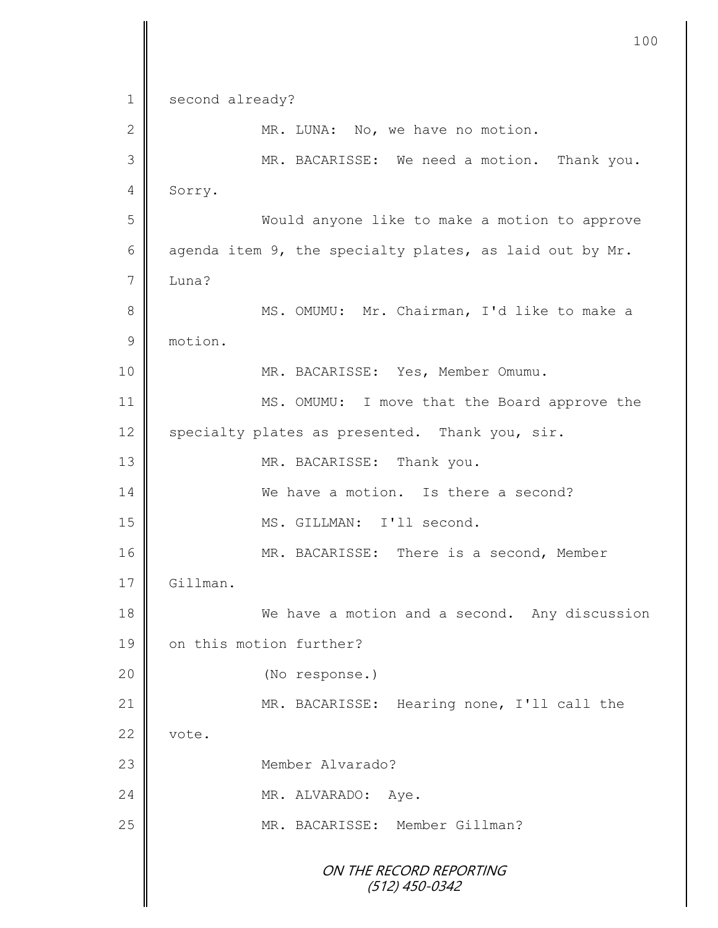ON THE RECORD REPORTING (512) 450-0342 1 second already? 2 || MR. LUNA: No, we have no motion. 3 MR. BACARISSE: We need a motion. Thank you. 4 Sorry. 5 Would anyone like to make a motion to approve 6 agenda item 9, the specialty plates, as laid out by Mr. 7 Luna? 8 || MS. OMUMU: Mr. Chairman, I'd like to make a 9 motion. 10 || MR. BACARISSE: Yes, Member Omumu. 11 || MS. OMUMU: I move that the Board approve the 12 specialty plates as presented. Thank you, sir. 13 MR. BACARISSE: Thank you. 14 We have a motion. Is there a second? 15 || MS. GILLMAN: I'll second. 16 MR. BACARISSE: There is a second, Member 17 | Gillman. 18 We have a motion and a second. Any discussion 19 **||** on this motion further? 20 (No response.) 21 | MR. BACARISSE: Hearing none, I'll call the  $22 \parallel$  vote. 23 || **Member Alvarado?** 24 NR. ALVARADO: Aye. 25 || MR. BACARISSE: Member Gillman?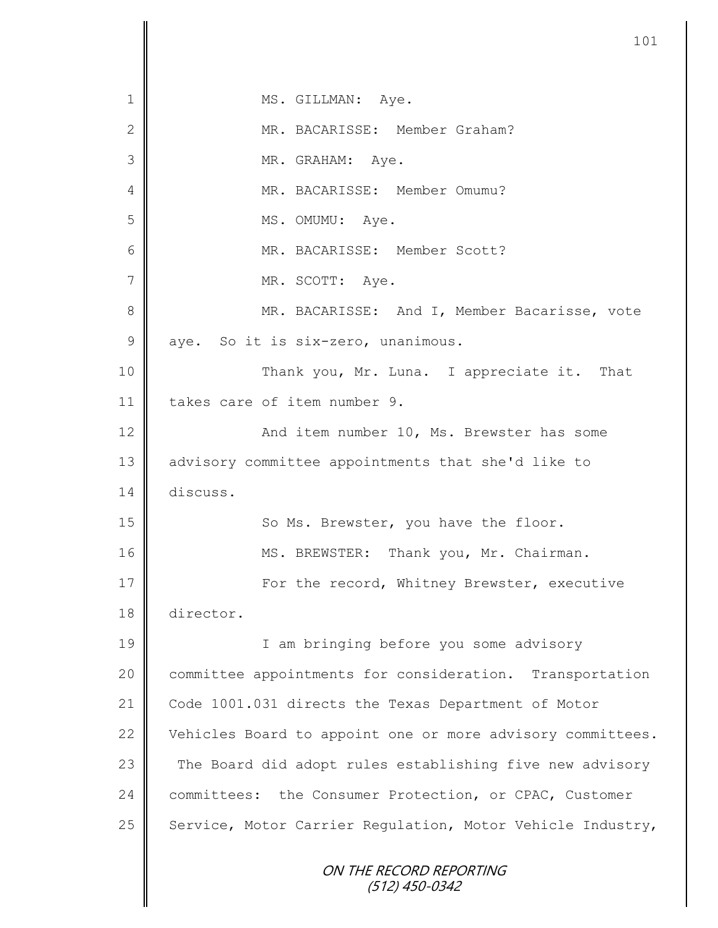ON THE RECORD REPORTING (512) 450-0342 1 || MS. GILLMAN: Aye. 2 MR. BACARISSE: Member Graham? 3 || MR. GRAHAM: Aye. 4 MR. BACARISSE: Member Omumu? 5 || MS. OMUMU: Aye. 6 MR. BACARISSE: Member Scott? 7 MR. SCOTT: Ave. 8 || MR. BACARISSE: And I, Member Bacarisse, vote 9 aye. So it is six-zero, unanimous. 10 || Thank you, Mr. Luna. I appreciate it. That 11 takes care of item number 9. 12 | And item number 10, Ms. Brewster has some 13 advisory committee appointments that she'd like to 14 discuss. 15 | So Ms. Brewster, you have the floor. 16 MS. BREWSTER: Thank you, Mr. Chairman. 17 | For the record, Whitney Brewster, executive 18 director. 19 || I am bringing before you some advisory 20 committee appointments for consideration. Transportation 21 Code 1001.031 directs the Texas Department of Motor 22 Vehicles Board to appoint one or more advisory committees. 23 The Board did adopt rules establishing five new advisory 24 committees: the Consumer Protection, or CPAC, Customer 25 Service, Motor Carrier Regulation, Motor Vehicle Industry,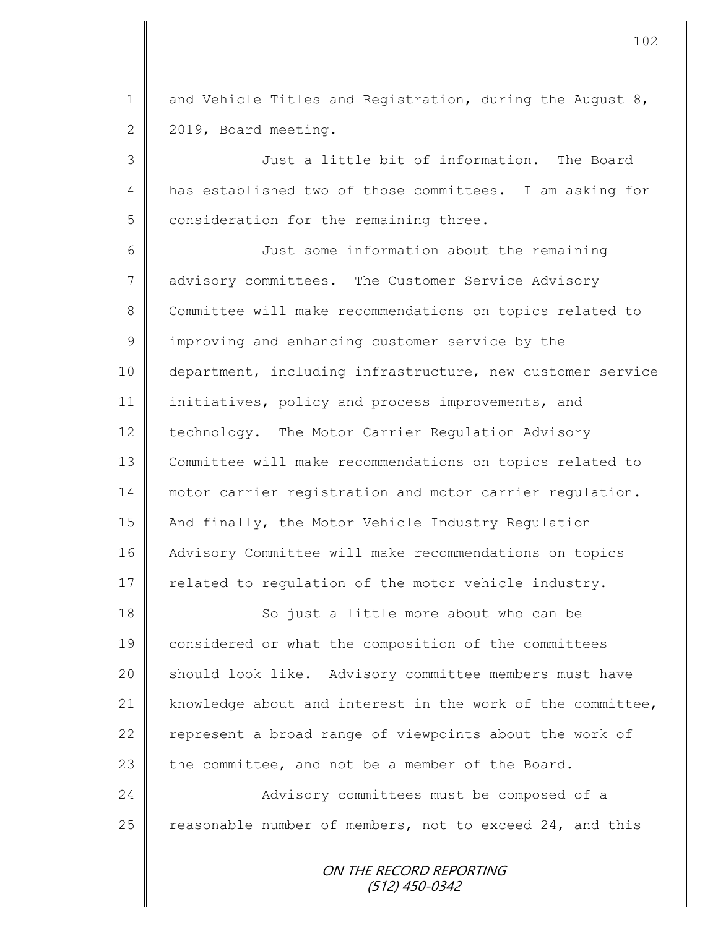1 and Vehicle Titles and Registration, during the August 8,  $2 \parallel 2019$ , Board meeting.

3 Just a little bit of information. The Board 4 has established two of those committees. I am asking for  $5$  consideration for the remaining three.

6 Just some information about the remaining 7 advisory committees. The Customer Service Advisory 8 Committee will make recommendations on topics related to 9 improving and enhancing customer service by the 10 department, including infrastructure, new customer service 11 initiatives, policy and process improvements, and 12 technology. The Motor Carrier Regulation Advisory 13 Committee will make recommendations on topics related to 14 | motor carrier registration and motor carrier regulation. 15 | And finally, the Motor Vehicle Industry Regulation 16 Advisory Committee will make recommendations on topics 17 | related to requlation of the motor vehicle industry.

18 || So just a little more about who can be 19 considered or what the composition of the committees 20 | should look like. Advisory committee members must have 21  $\parallel$  knowledge about and interest in the work of the committee, 22 represent a broad range of viewpoints about the work of 23 the committee, and not be a member of the Board.

24 | Advisory committees must be composed of a 25  $\parallel$  reasonable number of members, not to exceed 24, and this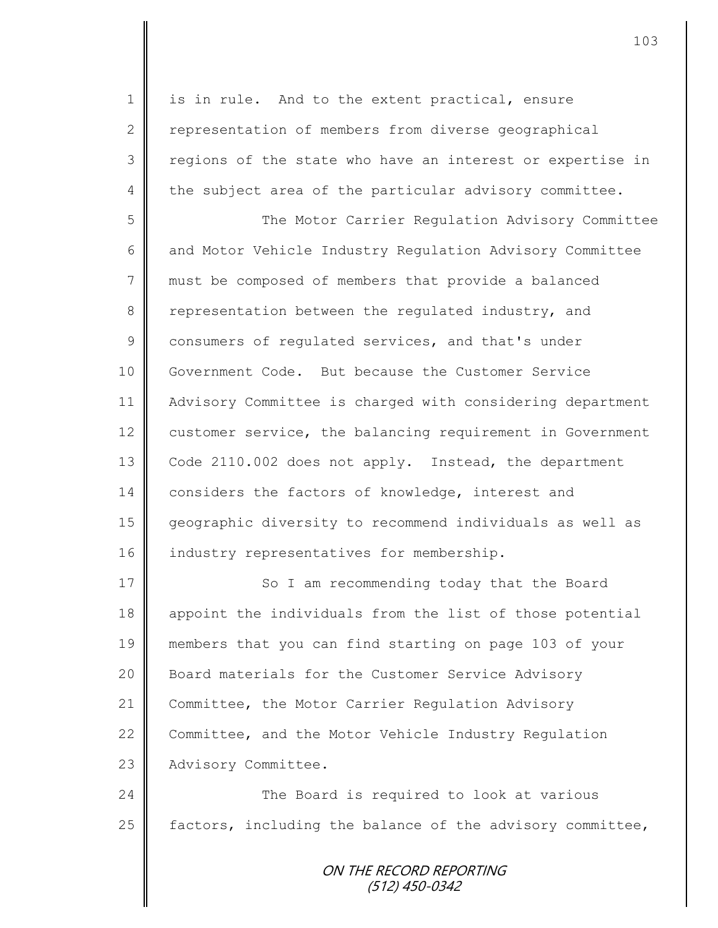1 is in rule. And to the extent practical, ensure 2 representation of members from diverse geographical 3 || regions of the state who have an interest or expertise in 4 the subject area of the particular advisory committee.

5 || The Motor Carrier Requlation Advisory Committee 6 and Motor Vehicle Industry Regulation Advisory Committee 7 must be composed of members that provide a balanced 8 representation between the regulated industry, and 9 consumers of regulated services, and that's under 10 Government Code. But because the Customer Service 11 | Advisory Committee is charged with considering department 12 customer service, the balancing requirement in Government 13 Code 2110.002 does not apply. Instead, the department 14 considers the factors of knowledge, interest and 15 geographic diversity to recommend individuals as well as 16 industry representatives for membership.

17 So I am recommending today that the Board 18 appoint the individuals from the list of those potential 19 members that you can find starting on page 103 of your 20 **Board materials for the Customer Service Advisory** 21 Committee, the Motor Carrier Regulation Advisory 22 Committee, and the Motor Vehicle Industry Regulation 23 | Advisory Committee.

24 The Board is required to look at various 25  $\parallel$  factors, including the balance of the advisory committee,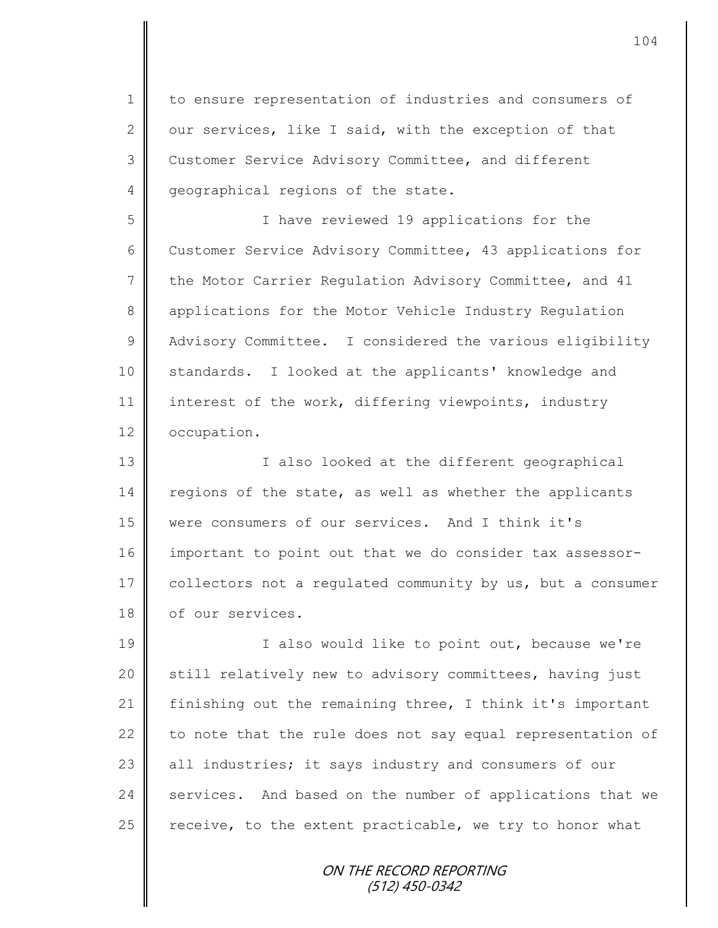1 to ensure representation of industries and consumers of 2 our services, like I said, with the exception of that 3 Customer Service Advisory Committee, and different 4 geographical regions of the state.

5 I have reviewed 19 applications for the 6 Customer Service Advisory Committee, 43 applications for 7 the Motor Carrier Regulation Advisory Committee, and 41 8 applications for the Motor Vehicle Industry Regulation 9 Advisory Committee. I considered the various eligibility 10 standards. I looked at the applicants' knowledge and 11 interest of the work, differing viewpoints, industry 12 | occupation.

13 | T also looked at the different geographical 14 regions of the state, as well as whether the applicants 15 were consumers of our services. And I think it's 16 || important to point out that we do consider tax assessor-17 collectors not a regulated community by us, but a consumer 18 of our services.

19 || I also would like to point out, because we're 20 || still relatively new to advisory committees, having just 21 finishing out the remaining three, I think it's important 22 to note that the rule does not say equal representation of 23  $\parallel$  all industries; it says industry and consumers of our 24 services. And based on the number of applications that we  $25$  receive, to the extent practicable, we try to honor what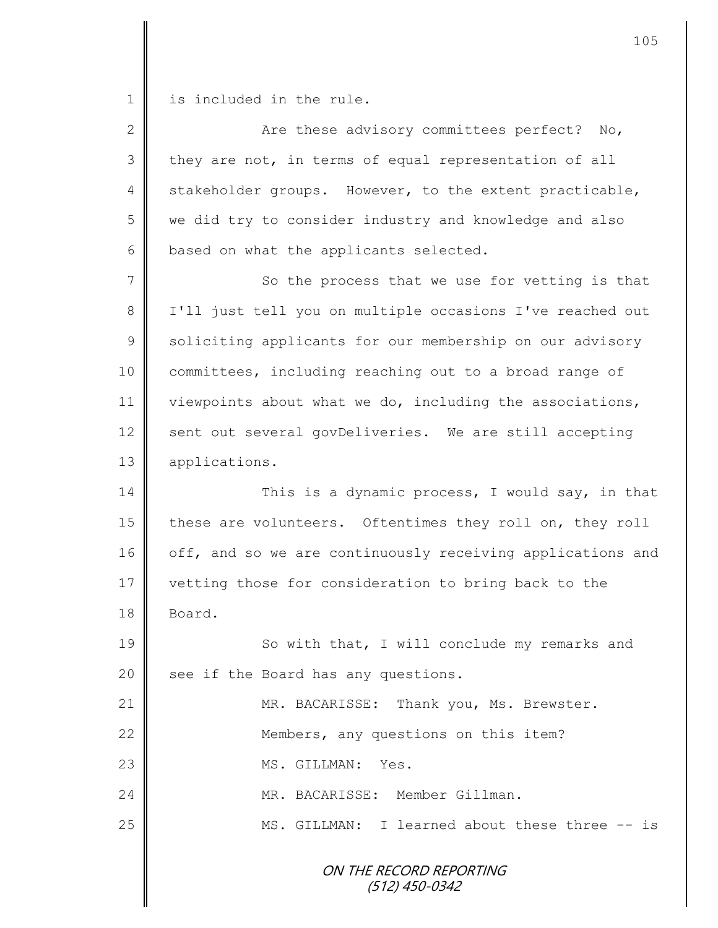1 is included in the rule.

| $\overline{2}$ | Are these advisory committees perfect? No,                 |
|----------------|------------------------------------------------------------|
| 3              | they are not, in terms of equal representation of all      |
| $\overline{4}$ | stakeholder groups. However, to the extent practicable,    |
| 5              | we did try to consider industry and knowledge and also     |
| 6              | based on what the applicants selected.                     |
| 7              | So the process that we use for vetting is that             |
| $\,8\,$        | I'll just tell you on multiple occasions I've reached out  |
| $\mathsf 9$    | soliciting applicants for our membership on our advisory   |
| 10             | committees, including reaching out to a broad range of     |
| 11             | viewpoints about what we do, including the associations,   |
| 12             | sent out several govDeliveries. We are still accepting     |
| 13             | applications.                                              |
| 14             | This is a dynamic process, I would say, in that            |
| 15             | these are volunteers. Oftentimes they roll on, they roll   |
| 16             | off, and so we are continuously receiving applications and |
| 17             | vetting those for consideration to bring back to the       |
| 18             | Board.                                                     |
| 19             | So with that, I will conclude my remarks and               |
| 20             | see if the Board has any questions.                        |
| 21             | MR. BACARISSE: Thank you, Ms. Brewster.                    |
| 22             | Members, any questions on this item?                       |
| 23             | MS. GILLMAN:<br>Yes.                                       |
| 24             | MR. BACARISSE: Member Gillman.                             |
| 25             | MS. GILLMAN: I learned about these three -- is             |
|                | ON THE RECORD REPORTING                                    |

(512) 450-0342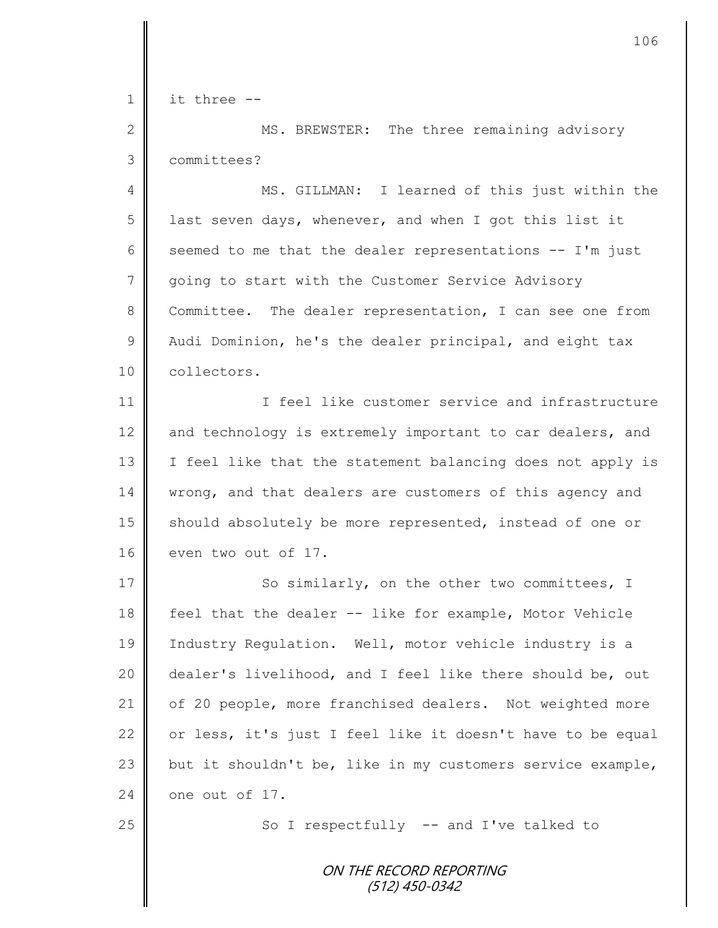$1 \parallel$  it three --

2 MS. BREWSTER: The three remaining advisory 3 committees?

4 || MS. GILLMAN: I learned of this just within the 5 | last seven days, whenever, and when I got this list it 6 seemed to me that the dealer representations  $-$  I'm just 7 going to start with the Customer Service Advisory 8 Committee. The dealer representation, I can see one from 9 Audi Dominion, he's the dealer principal, and eight tax 10 | collectors.

11 **I I** feel like customer service and infrastructure 12 and technology is extremely important to car dealers, and 13 | I feel like that the statement balancing does not apply is 14 | wrong, and that dealers are customers of this agency and 15 | should absolutely be more represented, instead of one or 16 even two out of 17.

17 So similarly, on the other two committees, I 18 | feel that the dealer -- like for example, Motor Vehicle 19 | Industry Regulation. Well, motor vehicle industry is a 20 dealer's livelihood, and I feel like there should be, out 21 | of 20 people, more franchised dealers. Not weighted more 22  $\parallel$  or less, it's just I feel like it doesn't have to be equal 23 but it shouldn't be, like in my customers service example, 24  $\blacksquare$  one out of 17.

25 || So I respectfully -- and I've talked to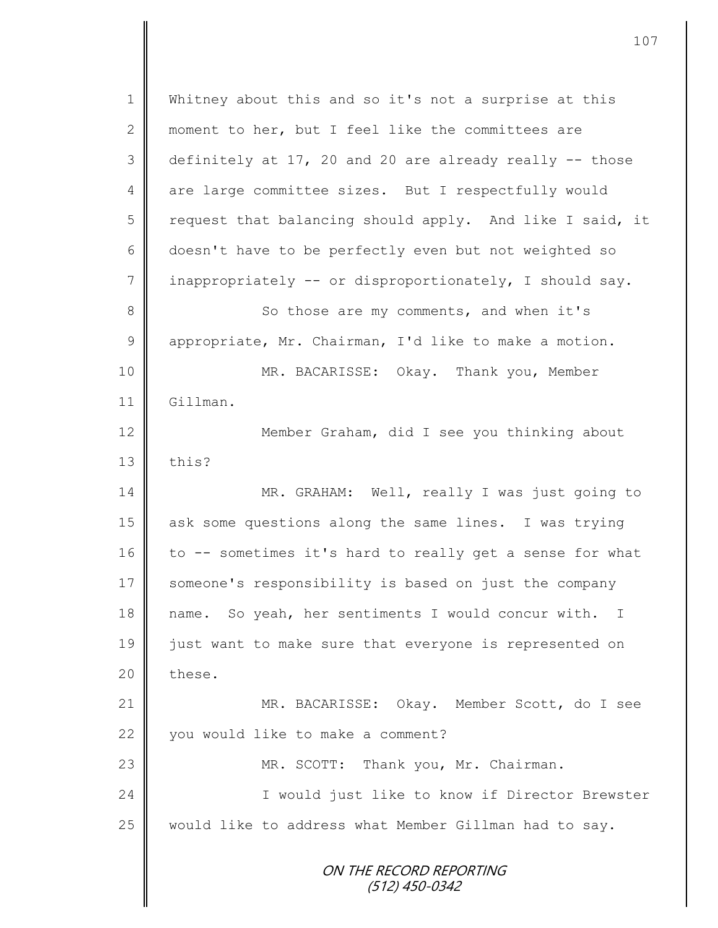ON THE RECORD REPORTING (512) 450-0342 1 Whitney about this and so it's not a surprise at this 2 moment to her, but I feel like the committees are 3 definitely at 17, 20 and 20 are already really -- those 4 are large committee sizes. But I respectfully would  $5 \parallel$  request that balancing should apply. And like I said, it 6 doesn't have to be perfectly even but not weighted so 7 inappropriately -- or disproportionately, I should say. 8 So those are my comments, and when it's 9  $\parallel$  appropriate, Mr. Chairman, I'd like to make a motion. 10 MR. BACARISSE: Okay. Thank you, Member 11 Gillman. 12 **Member Graham, did I see you thinking about**  $13 \parallel$  this? 14 || MR. GRAHAM: Well, really I was just going to 15 ask some questions along the same lines. I was trying 16 to -- sometimes it's hard to really get a sense for what 17 Someone's responsibility is based on just the company 18 | name. So yeah, her sentiments I would concur with. I 19 just want to make sure that everyone is represented on  $20$  | these. 21 MR. BACARISSE: Okay. Member Scott, do I see 22 you would like to make a comment? 23 | MR. SCOTT: Thank you, Mr. Chairman. 24 | Christ Like to know if Director Brewster 25 | would like to address what Member Gillman had to say.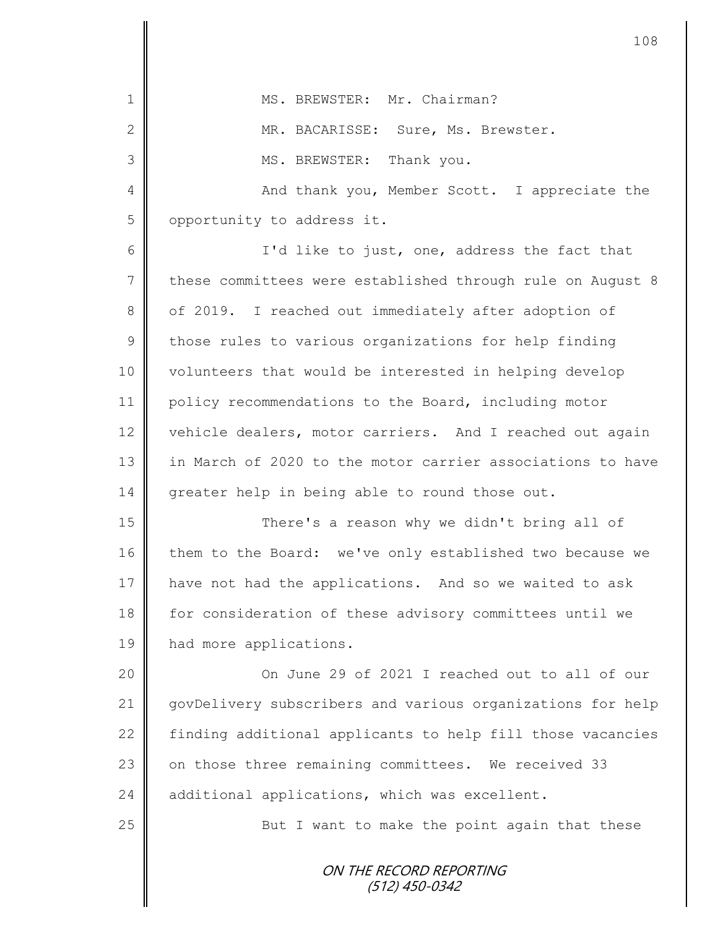ON THE RECORD REPORTING 1 | MS. BREWSTER: Mr. Chairman? 2 || MR. BACARISSE: Sure, Ms. Brewster. 3 MS. BREWSTER: Thank you. 4 And thank you, Member Scott. I appreciate the 5 | opportunity to address it. 6 || I'd like to just, one, address the fact that 7 these committees were established through rule on August 8 8 | of 2019. I reached out immediately after adoption of  $9 \parallel$  those rules to various organizations for help finding 10 | volunteers that would be interested in helping develop 11 | policy recommendations to the Board, including motor 12 vehicle dealers, motor carriers. And I reached out again 13 || in March of 2020 to the motor carrier associations to have 14 greater help in being able to round those out. 15 | There's a reason why we didn't bring all of 16 them to the Board: we've only established two because we 17 have not had the applications. And so we waited to ask 18 for consideration of these advisory committees until we 19 | had more applications. 20 **On June 29 of 2021 I reached out to all of our** 21 govDelivery subscribers and various organizations for help 22 finding additional applicants to help fill those vacancies 23 | on those three remaining committees. We received 33 24 additional applications, which was excellent. 25 But I want to make the point again that these

108

(512) 450-0342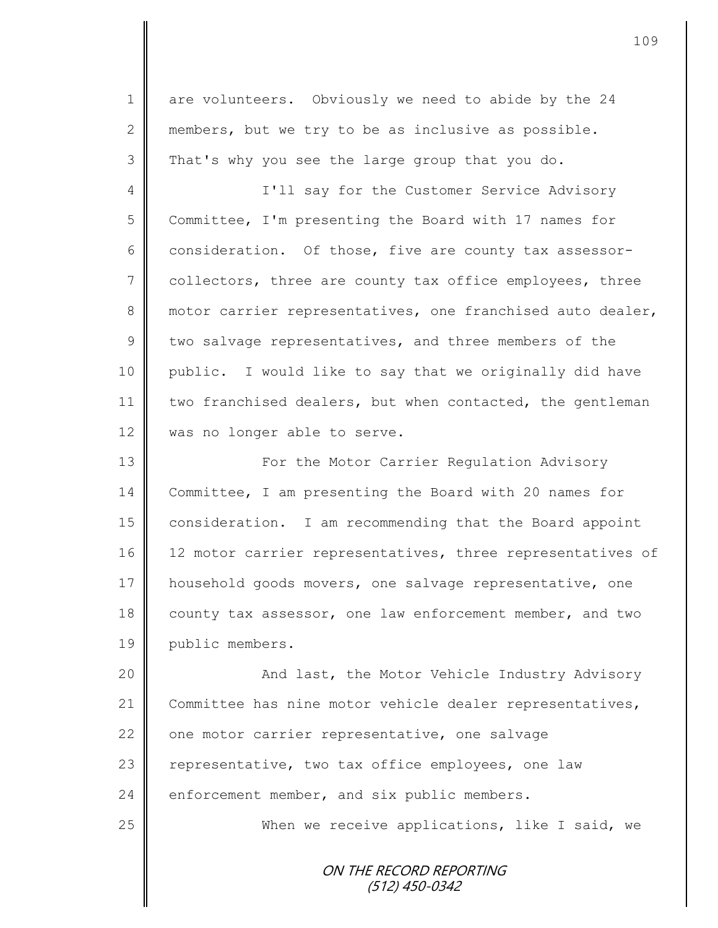1 are volunteers. Obviously we need to abide by the 24 2 members, but we try to be as inclusive as possible.  $3 \parallel$  That's why you see the large group that you do.

4 || I'll say for the Customer Service Advisory 5 Committee, I'm presenting the Board with 17 names for 6 consideration. Of those, five are county tax assessor-7 collectors, three are county tax office employees, three 8 motor carrier representatives, one franchised auto dealer,  $9 \parallel$  two salvage representatives, and three members of the 10 public. I would like to say that we originally did have 11 two franchised dealers, but when contacted, the gentleman 12 | was no longer able to serve.

13 || For the Motor Carrier Regulation Advisory 14 Committee, I am presenting the Board with 20 names for 15 consideration. I am recommending that the Board appoint 16 12 motor carrier representatives, three representatives of 17 | household goods movers, one salvage representative, one 18 county tax assessor, one law enforcement member, and two 19 public members.

20 || And last, the Motor Vehicle Industry Advisory 21 Committee has nine motor vehicle dealer representatives, 22  $\parallel$  one motor carrier representative, one salvage 23 | representative, two tax office employees, one law  $24$  enforcement member, and six public members.

25 || When we receive applications, like I said, we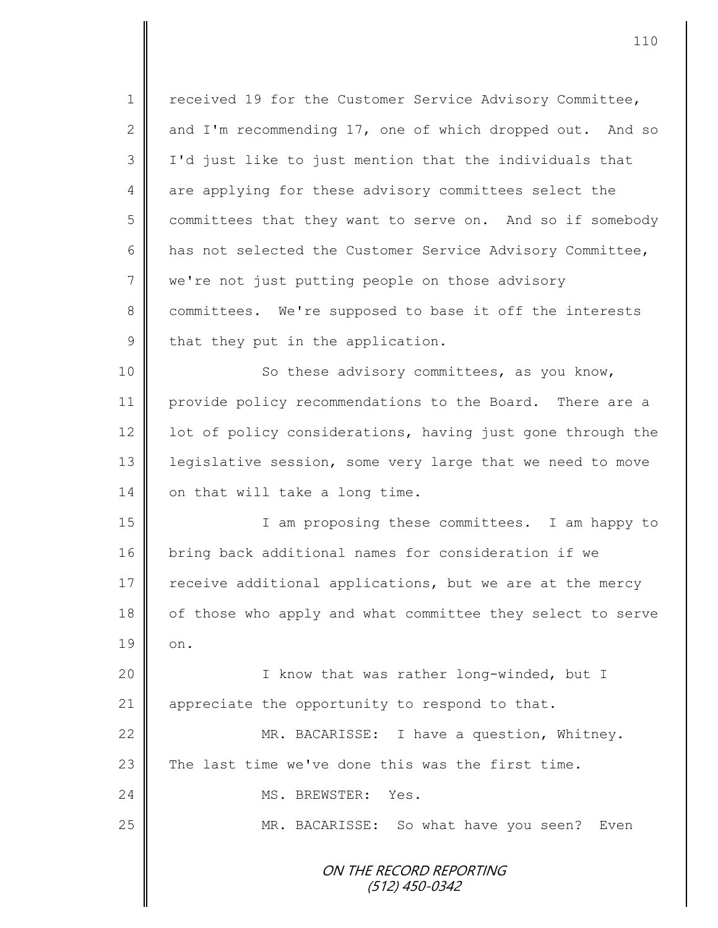ON THE RECORD REPORTING (512) 450-0342 1 | received 19 for the Customer Service Advisory Committee, 2 and I'm recommending 17, one of which dropped out. And so 3 I'd just like to just mention that the individuals that 4 are applying for these advisory committees select the 5 committees that they want to serve on. And so if somebody 6 has not selected the Customer Service Advisory Committee, 7 we're not just putting people on those advisory 8 committees. We're supposed to base it off the interests  $9 \parallel$  that they put in the application. 10 | So these advisory committees, as you know, 11 provide policy recommendations to the Board. There are a 12 | lot of policy considerations, having just gone through the 13 | legislative session, some very large that we need to move 14 on that will take a long time. 15 || I am proposing these committees. I am happy to 16 bring back additional names for consideration if we  $17$  receive additional applications, but we are at the mercy 18 of those who apply and what committee they select to serve  $19 \parallel \text{on.}$ 20 || I know that was rather long-winded, but I 21  $\parallel$  appreciate the opportunity to respond to that. 22 MR. BACARISSE: I have a question, Whitney. 23  $\parallel$  The last time we've done this was the first time. 24 NS. BREWSTER: Yes. 25 | MR. BACARISSE: So what have you seen? Even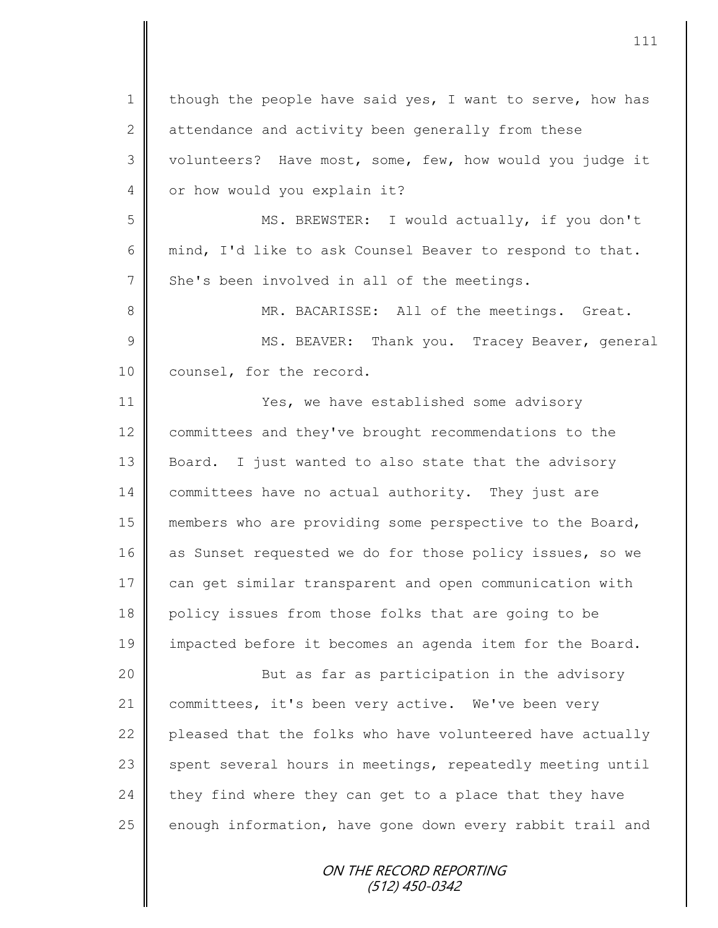ON THE RECORD REPORTING 1 | though the people have said yes, I want to serve, how has 2 attendance and activity been generally from these 3 volunteers? Have most, some, few, how would you judge it 4 or how would you explain it? 5 MS. BREWSTER: I would actually, if you don't 6 mind, I'd like to ask Counsel Beaver to respond to that.  $7 \parallel$  She's been involved in all of the meetings. 8 MR. BACARISSE: All of the meetings. Great. 9 || MS. BEAVER: Thank you. Tracey Beaver, general 10 | counsel, for the record. 11 **||** Yes, we have established some advisory 12 committees and they've brought recommendations to the 13 Board. I just wanted to also state that the advisory 14 committees have no actual authority. They just are 15 members who are providing some perspective to the Board, 16 as Sunset requested we do for those policy issues, so we 17 can get similar transparent and open communication with 18 policy issues from those folks that are going to be 19 impacted before it becomes an agenda item for the Board. 20 || But as far as participation in the advisory 21 committees, it's been very active. We've been very 22 pleased that the folks who have volunteered have actually 23 spent several hours in meetings, repeatedly meeting until  $24$  | they find where they can get to a place that they have  $25$  enough information, have gone down every rabbit trail and

(512) 450-0342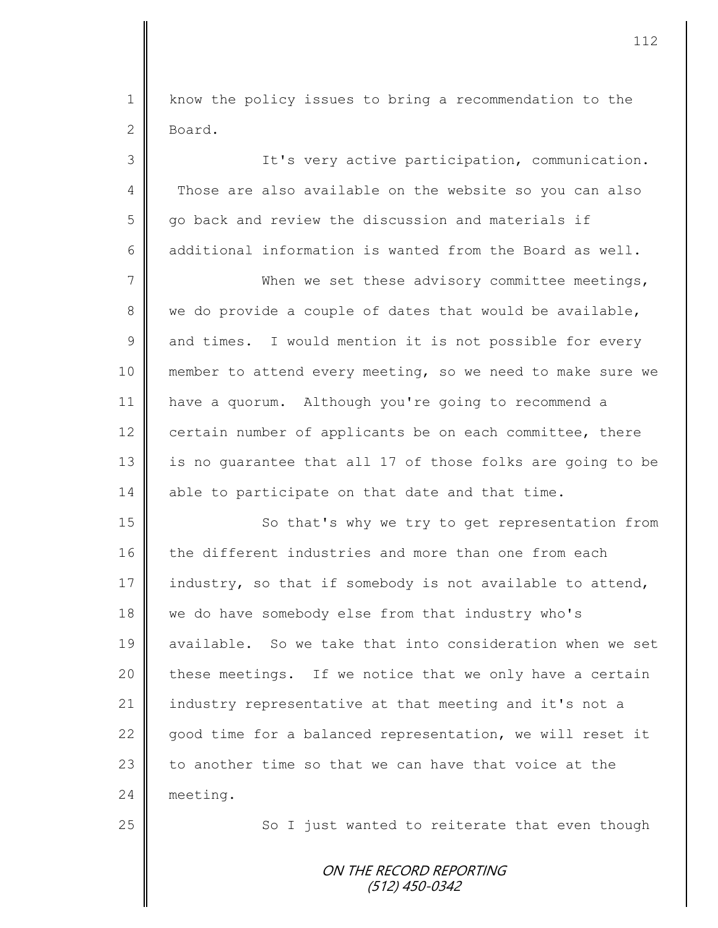1 | know the policy issues to bring a recommendation to the 2 Board.

3 It's very active participation, communication. 4 Those are also available on the website so you can also 5 go back and review the discussion and materials if 6 additional information is wanted from the Board as well.

7 When we set these advisory committee meetings,  $8 \parallel$  we do provide a couple of dates that would be available,  $9 \parallel$  and times. I would mention it is not possible for every 10 member to attend every meeting, so we need to make sure we 11 have a quorum. Although you're going to recommend a 12  $\parallel$  certain number of applicants be on each committee, there 13 || is no quarantee that all 17 of those folks are going to be 14 able to participate on that date and that time.

15 | So that's why we try to get representation from 16 the different industries and more than one from each 17 industry, so that if somebody is not available to attend, 18 we do have somebody else from that industry who's 19 available. So we take that into consideration when we set  $20$  | these meetings. If we notice that we only have a certain 21 industry representative at that meeting and it's not a 22  $\parallel$  good time for a balanced representation, we will reset it 23  $\parallel$  to another time so that we can have that voice at the 24 **meeting.** 

 $25$   $\parallel$  So I just wanted to reiterate that even though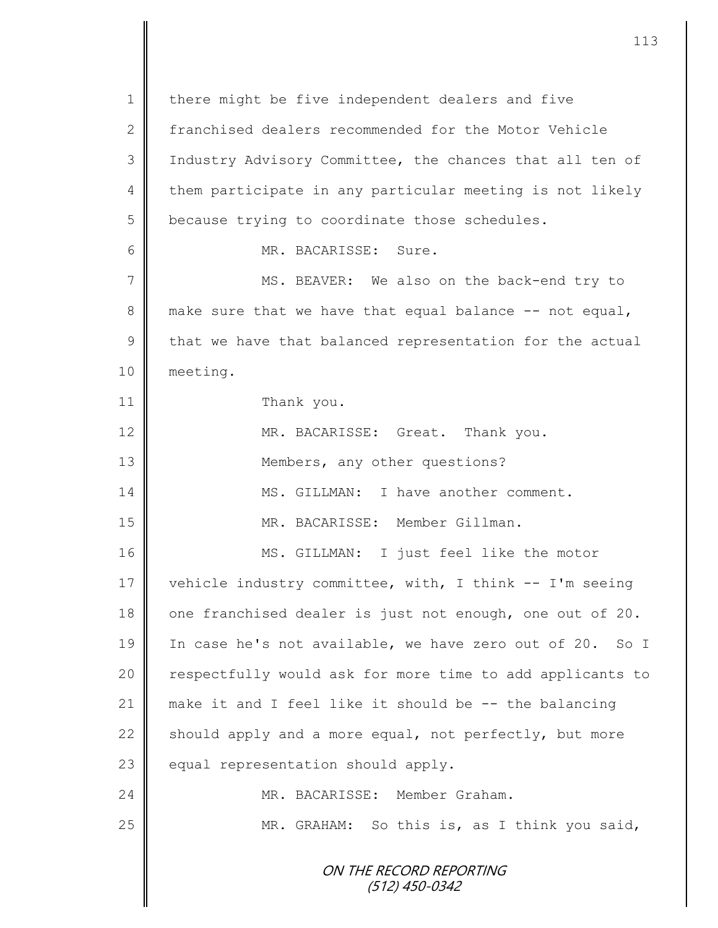ON THE RECORD REPORTING (512) 450-0342 1 | there might be five independent dealers and five 2 franchised dealers recommended for the Motor Vehicle 3 | Industry Advisory Committee, the chances that all ten of 4 them participate in any particular meeting is not likely  $5$  because trying to coordinate those schedules. 6 MR. BACARISSE: Sure. 7 || MS. BEAVER: We also on the back-end try to 8 make sure that we have that equal balance  $-$ - not equal,  $9 \parallel$  that we have that balanced representation for the actual 10 meeting. 11 Thank you. 12 MR. BACARISSE: Great. Thank you. 13 **||** Members, any other questions? 14 MS. GILLMAN: I have another comment. 15 || MR. BACARISSE: Member Gillman. 16 MS. GILLMAN: I just feel like the motor 17 vehicle industry committee, with, I think -- I'm seeing 18 one franchised dealer is just not enough, one out of 20. 19 In case he's not available, we have zero out of 20. So I 20 | respectfully would ask for more time to add applicants to 21  $\parallel$  make it and I feel like it should be -- the balancing 22  $\parallel$  should apply and a more equal, not perfectly, but more 23 equal representation should apply. 24 MR. BACARISSE: Member Graham. 25 | MR. GRAHAM: So this is, as I think you said,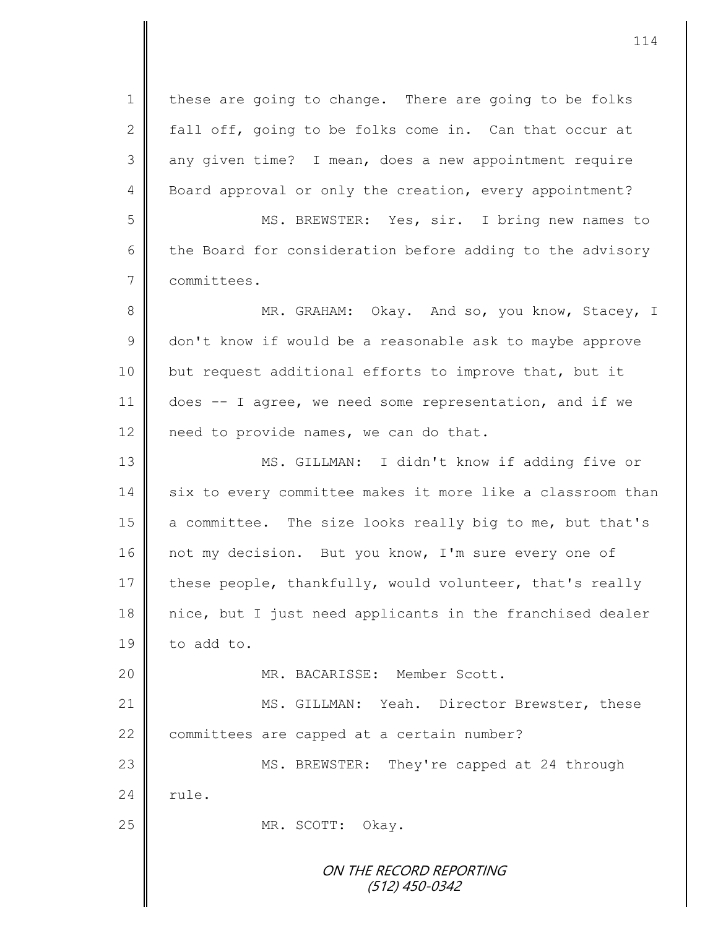1 | these are going to change. There are going to be folks 2 fall off, going to be folks come in. Can that occur at 3 any given time? I mean, does a new appointment require 4 Board approval or only the creation, every appointment? 5 MS. BREWSTER: Yes, sir. I bring new names to  $6 \parallel$  the Board for consideration before adding to the advisory 7 committees. 8 MR. GRAHAM: Okay. And so, you know, Stacey, I 9 don't know if would be a reasonable ask to maybe approve 10 but request additional efforts to improve that, but it 11 does -- I agree, we need some representation, and if we 12 | need to provide names, we can do that. 13 MS. GILLMAN: I didn't know if adding five or 14 six to every committee makes it more like a classroom than 15 a committee. The size looks really big to me, but that's 16 not my decision. But you know, I'm sure every one of 17 these people, thankfully, would volunteer, that's really 18 nice, but I just need applicants in the franchised dealer 19 to add to. 20 MR. BACARISSE: Member Scott. 21 || MS. GILLMAN: Yeah. Director Brewster, these 22 | committees are capped at a certain number? 23 MS. BREWSTER: They're capped at 24 through  $24$   $\blacksquare$  rule. 25 MR. SCOTT: Okay.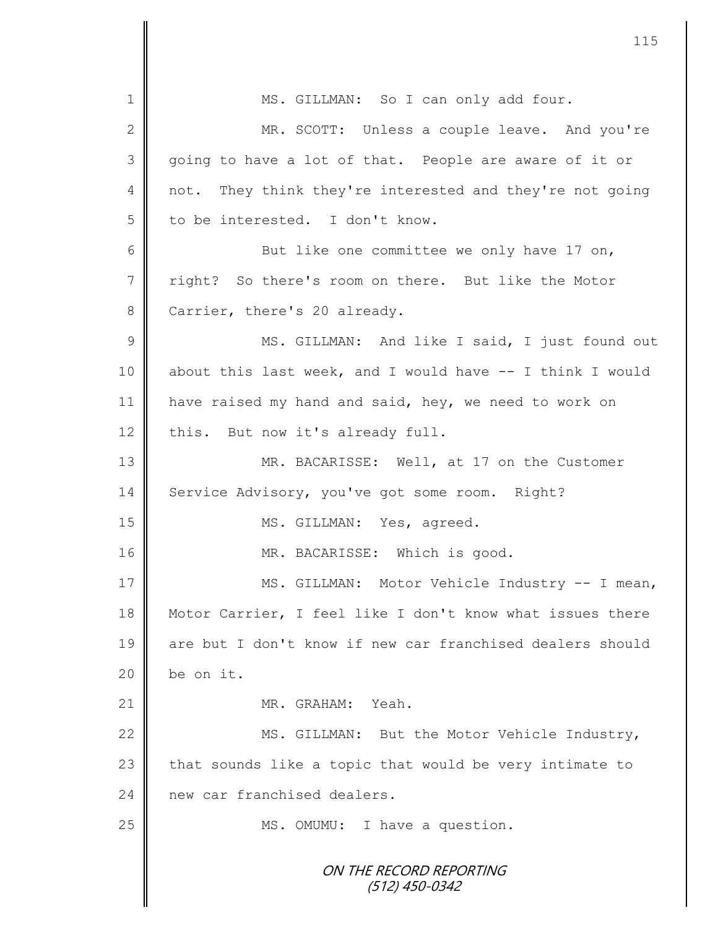ON THE RECORD REPORTING (512) 450-0342 1 || MS. GILLMAN: So I can only add four. 2 MR. SCOTT: Unless a couple leave. And you're 3 going to have a lot of that. People are aware of it or 4 not. They think they're interested and they're not going 5 to be interested. I don't know. 6 But like one committee we only have 17 on, 7 right? So there's room on there. But like the Motor 8 Carrier, there's 20 already. 9 || MS. GILLMAN: And like I said, I just found out 10 about this last week, and I would have -- I think I would 11 | have raised my hand and said, hey, we need to work on 12 this. But now it's already full. 13 MR. BACARISSE: Well, at 17 on the Customer 14 Service Advisory, you've got some room. Right? 15 || MS. GILLMAN: Yes, agreed. 16 || MR. BACARISSE: Which is good. 17 || MS. GILLMAN: Motor Vehicle Industry -- I mean, 18 Motor Carrier, I feel like I don't know what issues there 19 are but I don't know if new car franchised dealers should 20  $\parallel$  be on it. 21 | MR. GRAHAM: Yeah. 22 | MS. GILLMAN: But the Motor Vehicle Industry, 23  $\parallel$  that sounds like a topic that would be very intimate to 24 new car franchised dealers. 25 | MS. OMUMU: I have a question.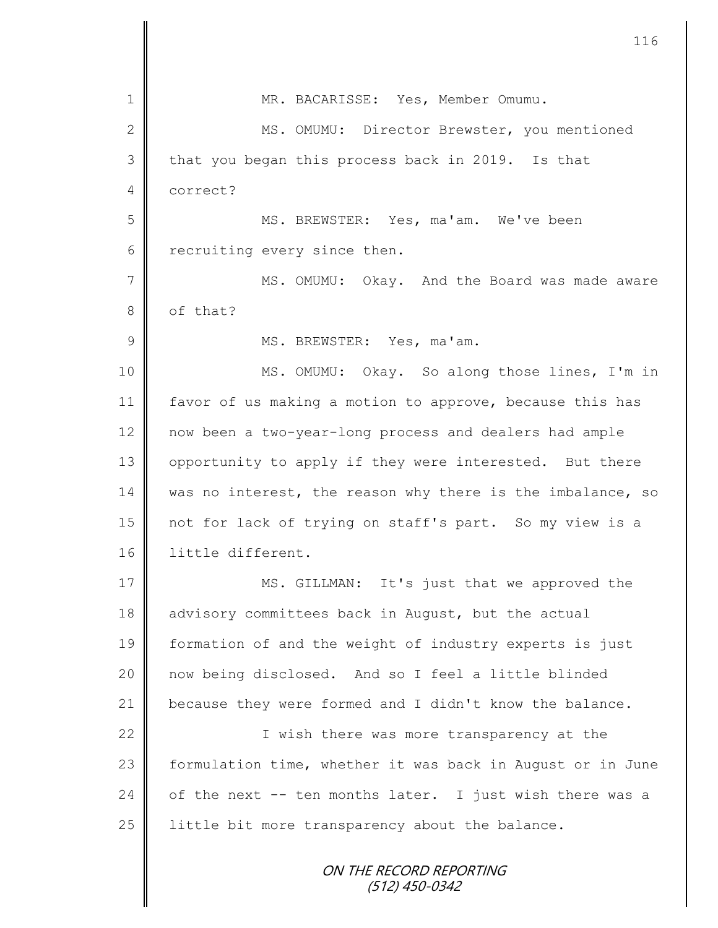| $\mathbf 1$    | MR. BACARISSE: Yes, Member Omumu.                          |
|----------------|------------------------------------------------------------|
| $\mathbf{2}$   | MS. OMUMU: Director Brewster, you mentioned                |
| $\mathfrak{Z}$ | that you began this process back in 2019. Is that          |
| 4              | correct?                                                   |
| 5              | MS. BREWSTER: Yes, ma'am. We've been                       |
| 6              | recruiting every since then.                               |
| 7              | MS. OMUMU: Okay. And the Board was made aware              |
| $8\,$          | of that?                                                   |
| $\overline{9}$ | MS. BREWSTER: Yes, ma'am.                                  |
| 10             | MS. OMUMU: Okay. So along those lines, I'm in              |
| 11             | favor of us making a motion to approve, because this has   |
| 12             | now been a two-year-long process and dealers had ample     |
| 13             | opportunity to apply if they were interested. But there    |
| 14             | was no interest, the reason why there is the imbalance, so |
| 15             | not for lack of trying on staff's part. So my view is a    |
| 16             | little different.                                          |
| 17             | MS. GILLMAN: It's just that we approved the                |
| 18             | advisory committees back in August, but the actual         |
| 19             | formation of and the weight of industry experts is just    |
| 20             | now being disclosed. And so I feel a little blinded        |
| 21             | because they were formed and I didn't know the balance.    |
| 22             | I wish there was more transparency at the                  |
| 23             | formulation time, whether it was back in August or in June |
| 24             | of the next -- ten months later. I just wish there was a   |
| 25             | little bit more transparency about the balance.            |
|                | ON THE RECORD REPORTING<br>(512) 450-0342                  |

 $\mathbf{I}$ II

II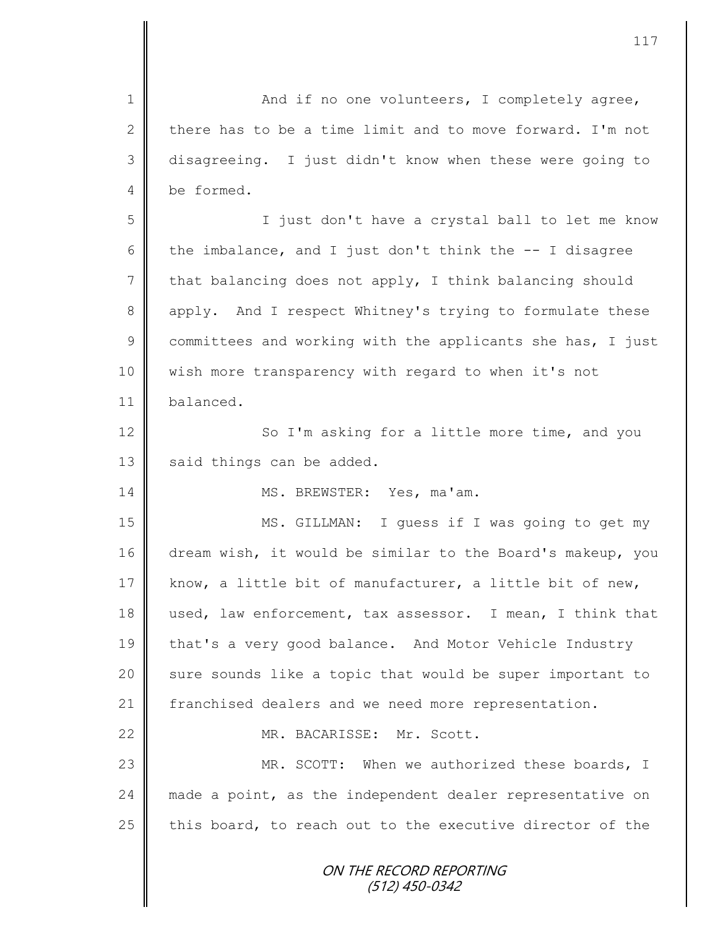| 1               | And if no one volunteers, I completely agree,              |
|-----------------|------------------------------------------------------------|
| $\mathbf{2}$    | there has to be a time limit and to move forward. I'm not  |
| 3               | disagreeing. I just didn't know when these were going to   |
| 4               | be formed.                                                 |
| 5               | I just don't have a crystal ball to let me know            |
| 6               | the imbalance, and I just don't think the $-$ - I disagree |
| $7\phantom{.0}$ | that balancing does not apply, I think balancing should    |
| 8               | apply. And I respect Whitney's trying to formulate these   |
| $\mathsf 9$     | committees and working with the applicants she has, I just |
| 10              | wish more transparency with regard to when it's not        |
| 11              | balanced.                                                  |
| 12              | So I'm asking for a little more time, and you              |
| 13              | said things can be added.                                  |
| 14              | MS. BREWSTER: Yes, ma'am.                                  |
| 15              | MS. GILLMAN: I guess if I was going to get my              |
| 16              | dream wish, it would be similar to the Board's makeup, you |
| 17              | know, a little bit of manufacturer, a little bit of new,   |
| 18              | used, law enforcement, tax assessor. I mean, I think that  |
| 19              | that's a very good balance. And Motor Vehicle Industry     |
| 20              | sure sounds like a topic that would be super important to  |
| 21              | franchised dealers and we need more representation.        |
| 22              | MR. BACARISSE: Mr. Scott.                                  |
| 23              | MR. SCOTT: When we authorized these boards, I              |
| 24              | made a point, as the independent dealer representative on  |
| 25              | this board, to reach out to the executive director of the  |
|                 | ON THE RECORD REPORTING<br>(512) 450-0342                  |

Ш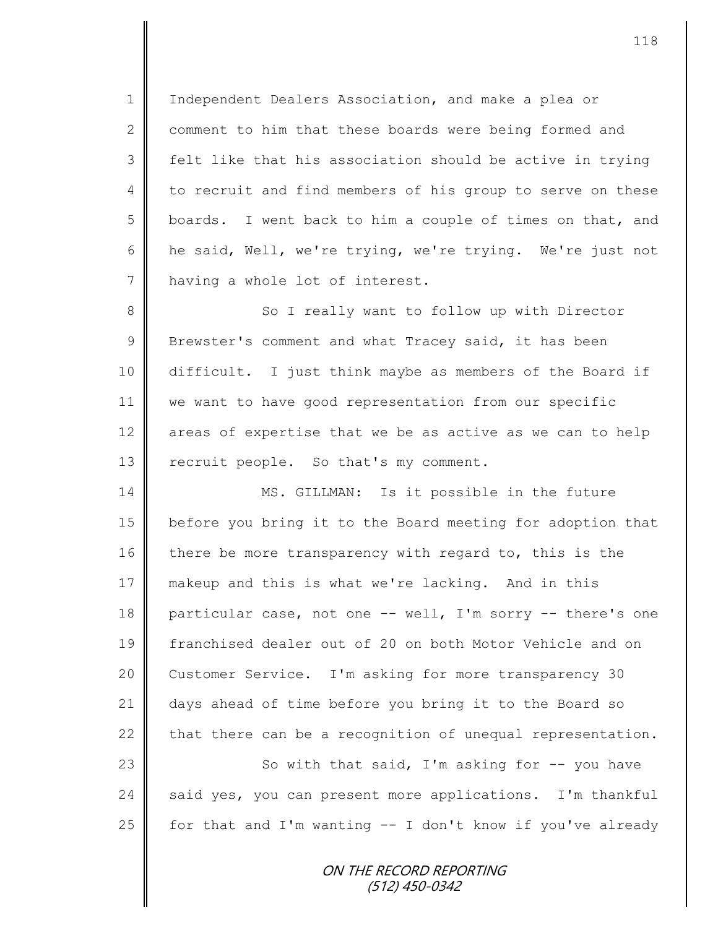1 | Independent Dealers Association, and make a plea or 2  $\parallel$  comment to him that these boards were being formed and  $3 \parallel$  felt like that his association should be active in trying 4 to recruit and find members of his group to serve on these 5 | boards. I went back to him a couple of times on that, and 6 he said, Well, we're trying, we're trying. We're just not 7 | having a whole lot of interest.

8 So I really want to follow up with Director  $9 \parallel$  Brewster's comment and what Tracey said, it has been 10 difficult. I just think maybe as members of the Board if 11 we want to have good representation from our specific 12 areas of expertise that we be as active as we can to help 13 | recruit people. So that's my comment.

14 || MS. GILLMAN: Is it possible in the future 15 before you bring it to the Board meeting for adoption that 16 there be more transparency with regard to, this is the 17 makeup and this is what we're lacking. And in this 18 particular case, not one -- well, I'm sorry -- there's one 19 franchised dealer out of 20 on both Motor Vehicle and on 20 Customer Service. I'm asking for more transparency 30 21 days ahead of time before you bring it to the Board so 22  $\parallel$  that there can be a recognition of unequal representation. 23 || So with that said, I'm asking for -- you have 24 said yes, you can present more applications. I'm thankful

> ON THE RECORD REPORTING (512) 450-0342

25  $\parallel$  for that and I'm wanting -- I don't know if you've already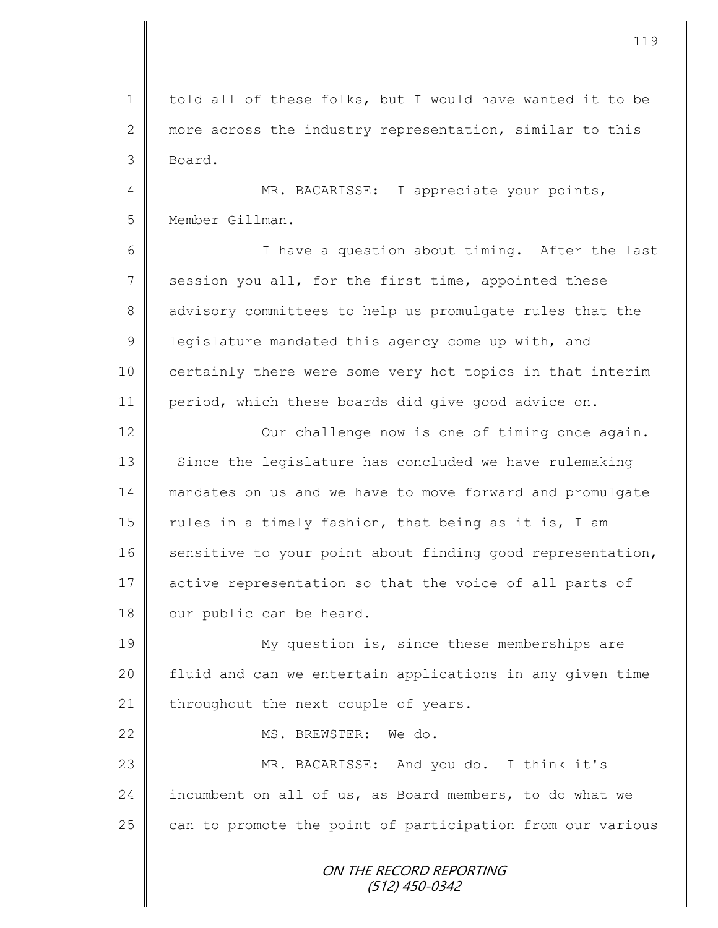ON THE RECORD REPORTING 1 told all of these folks, but I would have wanted it to be 2 more across the industry representation, similar to this 3 Board. 4 || MR. BACARISSE: I appreciate your points, 5 Member Gillman. 6 || I have a question about timing. After the last  $7 \parallel$  session you all, for the first time, appointed these 8 advisory committees to help us promulgate rules that the  $9 \parallel$  legislature mandated this agency come up with, and 10 | certainly there were some very hot topics in that interim 11 period, which these boards did give good advice on. 12 | Our challenge now is one of timing once again. 13 Since the legislature has concluded we have rulemaking 14 mandates on us and we have to move forward and promulgate 15 | rules in a timely fashion, that being as it is, I am 16 sensitive to your point about finding good representation, 17 active representation so that the voice of all parts of 18 | our public can be heard. 19 My question is, since these memberships are 20 | fluid and can we entertain applications in any given time 21 | throughout the next couple of years. 22  $\parallel$  MS. BREWSTER: We do. 23 || MR. BACARISSE: And you do. I think it's 24 incumbent on all of us, as Board members, to do what we 25 can to promote the point of participation from our various

(512) 450-0342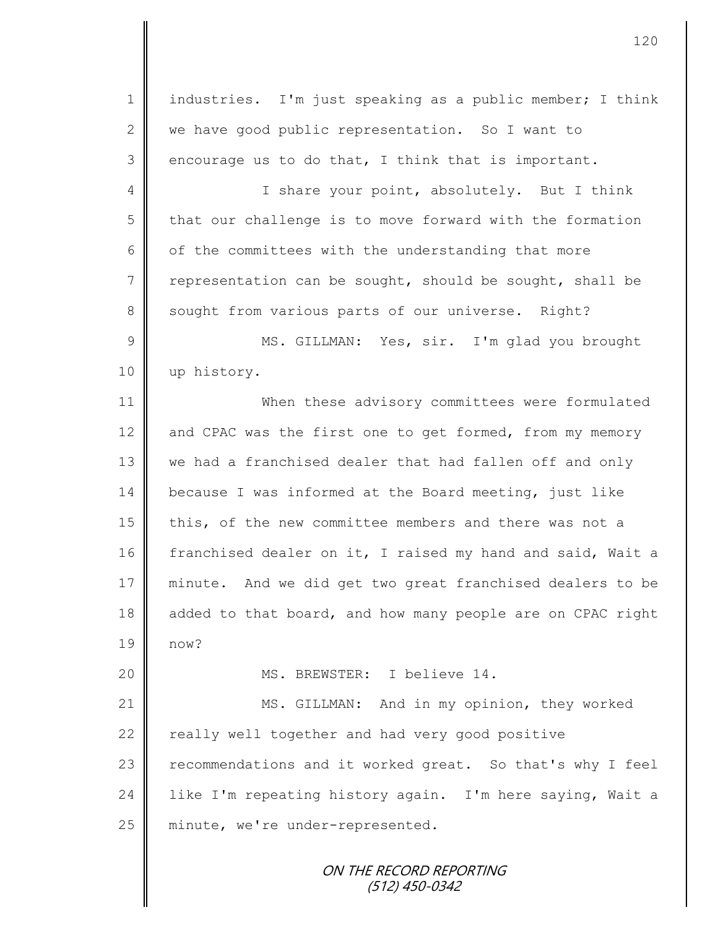1 || industries. I'm just speaking as a public member; I think 2 we have good public representation. So I want to  $3 \parallel$  encourage us to do that, I think that is important.

4 || I share your point, absolutely. But I think  $5 \parallel$  that our challenge is to move forward with the formation  $6 \parallel$  of the committees with the understanding that more 7 representation can be sought, should be sought, shall be 8 sought from various parts of our universe. Right?

9 || MS. GILLMAN: Yes, sir. I'm glad you brought 10 | up history.

11 When these advisory committees were formulated 12 and CPAC was the first one to get formed, from my memory 13 we had a franchised dealer that had fallen off and only 14 because I was informed at the Board meeting, just like 15 this, of the new committee members and there was not a 16 franchised dealer on it, I raised my hand and said, Wait a 17 minute. And we did get two great franchised dealers to be 18 added to that board, and how many people are on CPAC right 19 now?

20 MS. BREWSTER: I believe 14.

21 MS. GILLMAN: And in my opinion, they worked 22 really well together and had very good positive 23 | recommendations and it worked great. So that's why I feel 24 | like I'm repeating history again. I'm here saying, Wait a 25 minute, we're under-represented.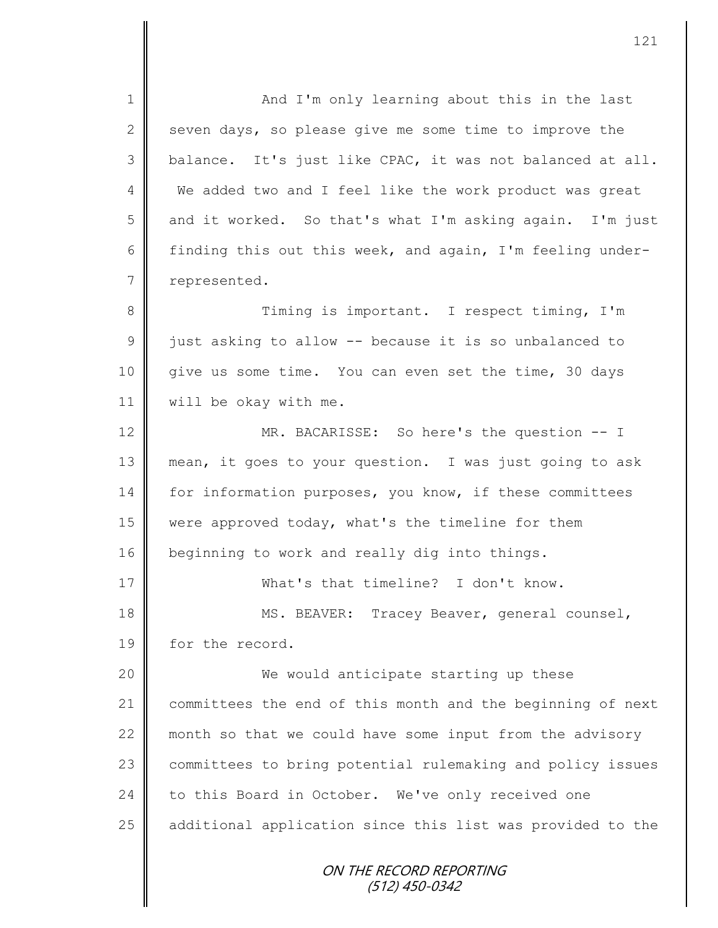ON THE RECORD REPORTING (512) 450-0342 1 || And I'm only learning about this in the last 2 seven days, so please give me some time to improve the  $3 \parallel$  balance. It's just like CPAC, it was not balanced at all. 4 We added two and I feel like the work product was great 5 and it worked. So that's what I'm asking again. I'm just 6 finding this out this week, and again, I'm feeling under-7 represented. 8 || Timing is important. I respect timing, I'm  $9 \parallel$  just asking to allow -- because it is so unbalanced to 10 give us some time. You can even set the time, 30 days 11 | will be okay with me. 12 MR. BACARISSE: So here's the question -- I 13 mean, it goes to your question. I was just going to ask 14 for information purposes, you know, if these committees 15 were approved today, what's the timeline for them 16 beginning to work and really dig into things. 17 What's that timeline? I don't know. 18 || MS. BEAVER: Tracey Beaver, general counsel, 19 for the record. 20 We would anticipate starting up these 21 committees the end of this month and the beginning of next 22 month so that we could have some input from the advisory 23 | committees to bring potential rulemaking and policy issues 24 to this Board in October. We've only received one 25 | additional application since this list was provided to the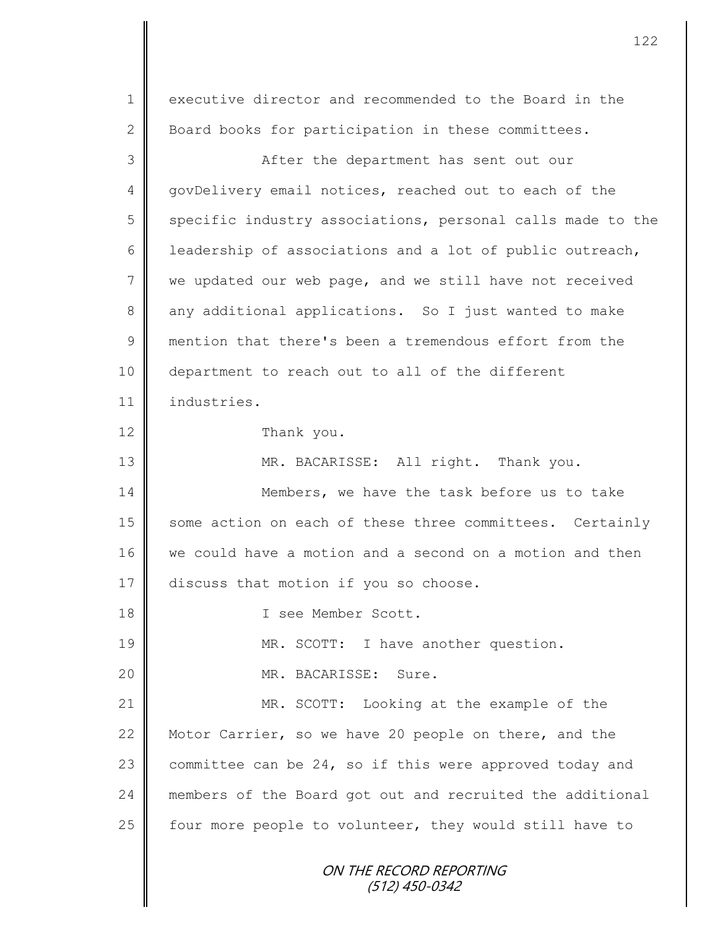ON THE RECORD REPORTING (512) 450-0342 1 executive director and recommended to the Board in the 2 Board books for participation in these committees. 3 || After the department has sent out our 4 govDelivery email notices, reached out to each of the 5 specific industry associations, personal calls made to the 6 | leadership of associations and a lot of public outreach,  $7 \parallel$  we updated our web page, and we still have not received 8 any additional applications. So I just wanted to make 9 mention that there's been a tremendous effort from the 10 department to reach out to all of the different 11 industries. 12 Thank you. 13 || MR. BACARISSE: All right. Thank you. 14 Members, we have the task before us to take 15 some action on each of these three committees. Certainly 16 we could have a motion and a second on a motion and then 17 discuss that motion if you so choose. 18 I see Member Scott. 19 MR. SCOTT: I have another question. 20 MR. BACARISSE: Sure. 21 || MR. SCOTT: Looking at the example of the 22 Motor Carrier, so we have 20 people on there, and the 23 committee can be 24, so if this were approved today and 24 members of the Board got out and recruited the additional  $25$  four more people to volunteer, they would still have to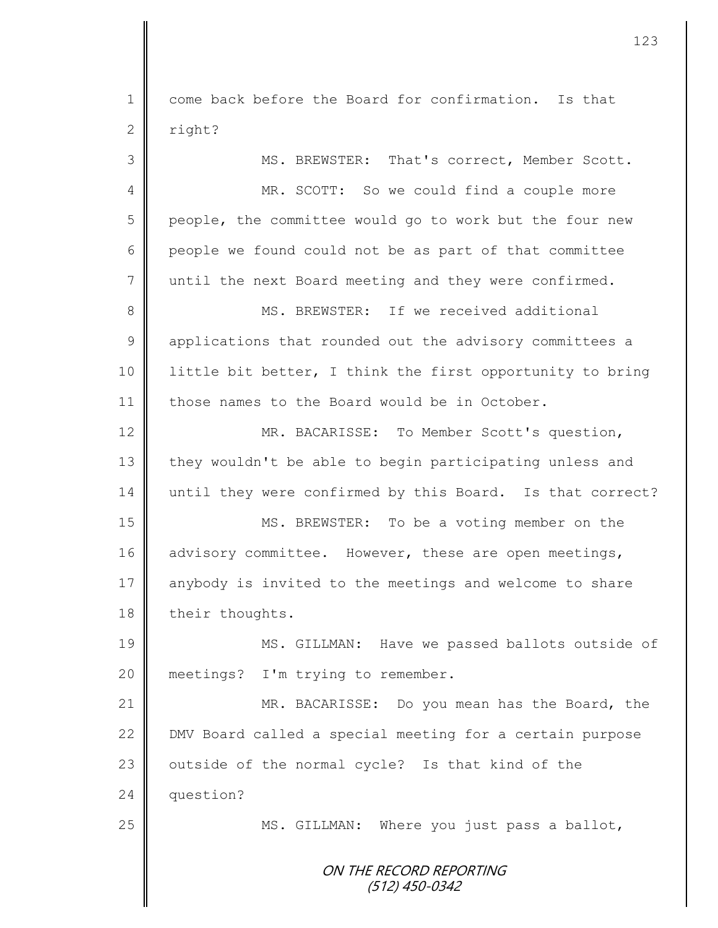1 | come back before the Board for confirmation. Is that  $2 \parallel$  right? 3 || MS. BREWSTER: That's correct, Member Scott. 4 MR. SCOTT: So we could find a couple more 5 people, the committee would go to work but the four new 6 people we found could not be as part of that committee 7 until the next Board meeting and they were confirmed. 8 MS. BREWSTER: If we received additional 9 applications that rounded out the advisory committees a 10 little bit better, I think the first opportunity to bring 11 those names to the Board would be in October. 12 MR. BACARISSE: To Member Scott's question, 13 they wouldn't be able to begin participating unless and 14 until they were confirmed by this Board. Is that correct? 15 MS. BREWSTER: To be a voting member on the 16 advisory committee. However, these are open meetings, 17 anybody is invited to the meetings and welcome to share 18 their thoughts. 19 MS. GILLMAN: Have we passed ballots outside of 20 meetings? I'm trying to remember. 21 | MR. BACARISSE: Do you mean has the Board, the 22 | DMV Board called a special meeting for a certain purpose  $23$  | outside of the normal cycle? Is that kind of the 24 question? 25 | MS. GILLMAN: Where you just pass a ballot,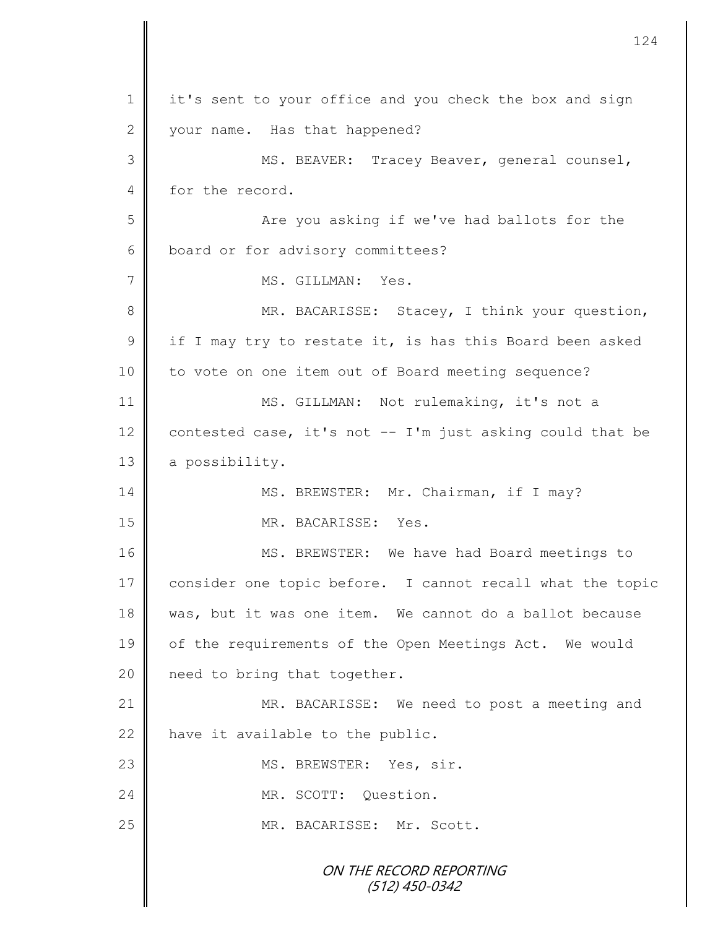ON THE RECORD REPORTING (512) 450-0342 1 || it's sent to your office and you check the box and sign 2 your name. Has that happened? 3 || MS. BEAVER: Tracey Beaver, general counsel, 4 for the record. 5 Are you asking if we've had ballots for the 6 board or for advisory committees? 7 || MS. GILLMAN: Yes. 8 || MR. BACARISSE: Stacey, I think your question,  $9 \parallel$  if I may try to restate it, is has this Board been asked 10 | to vote on one item out of Board meeting sequence? 11 MS. GILLMAN: Not rulemaking, it's not a 12 contested case, it's not  $-$  I'm just asking could that be 13 a possibility. 14 || MS. BREWSTER: Mr. Chairman, if I may? 15 MR. BACARISSE: Yes. 16 | MS. BREWSTER: We have had Board meetings to 17 consider one topic before. I cannot recall what the topic 18 was, but it was one item. We cannot do a ballot because 19 | of the requirements of the Open Meetings Act. We would 20 || need to bring that together. 21 || MR. BACARISSE: We need to post a meeting and 22  $\parallel$  have it available to the public. 23 || MS. BREWSTER: Yes, sir. 24 MR. SCOTT: Question. 25 MR. BACARISSE: Mr. Scott.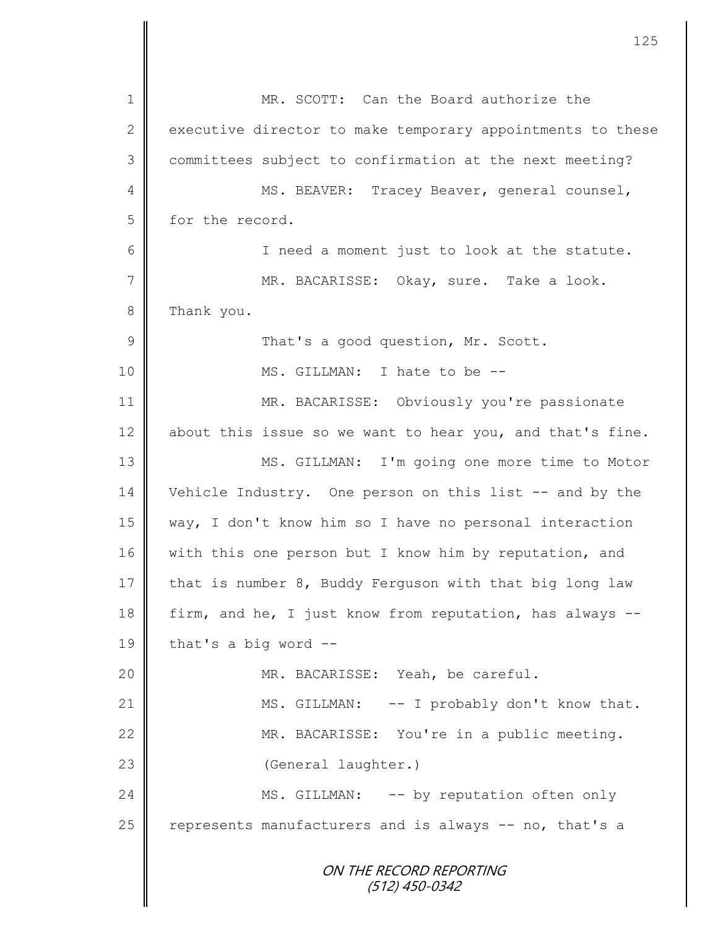ON THE RECORD REPORTING (512) 450-0342 1 MR. SCOTT: Can the Board authorize the 2 executive director to make temporary appointments to these 3 committees subject to confirmation at the next meeting? 4 || MS. BEAVER: Tracey Beaver, general counsel, 5 for the record. 6 I need a moment just to look at the statute. 7 || MR. BACARISSE: Okay, sure. Take a look. 8 Thank you. 9 | That's a good question, Mr. Scott. 10 || MS. GILLMAN: I hate to be --11 MR. BACARISSE: Obviously you're passionate 12 | about this issue so we want to hear you, and that's fine. 13 MS. GILLMAN: I'm going one more time to Motor 14 Vehicle Industry. One person on this list -- and by the 15 way, I don't know him so I have no personal interaction 16 with this one person but I know him by reputation, and 17 that is number 8, Buddy Ferguson with that big long law 18 firm, and he, I just know from reputation, has always  $-$ 19 | that's a big word  $-$ 20 || MR. BACARISSE: Yeah, be careful. 21 | MS. GILLMAN: -- I probably don't know that. 22 MR. BACARISSE: You're in a public meeting. 23 | (General laughter.) 24 | MS. GILLMAN: -- by reputation often only 25 | represents manufacturers and is always -- no, that's a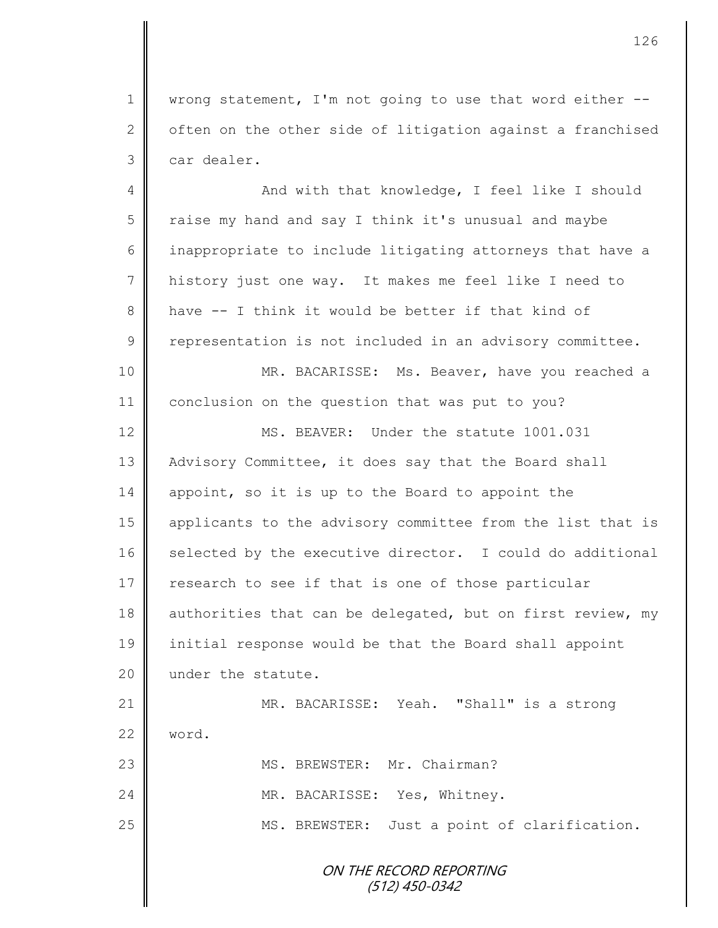1 || wrong statement, I'm not going to use that word either -- $2 \parallel$  often on the other side of litigation against a franchised 3 car dealer.

ON THE RECORD REPORTING (512) 450-0342 4 || And with that knowledge, I feel like I should 5 || raise my hand and say I think it's unusual and maybe 6 inappropriate to include litigating attorneys that have a 7 history just one way. It makes me feel like I need to 8 have -- I think it would be better if that kind of 9 | representation is not included in an advisory committee. 10 MR. BACARISSE: Ms. Beaver, have you reached a 11 | conclusion on the question that was put to you? 12 MS. BEAVER: Under the statute 1001.031 13 | Advisory Committee, it does say that the Board shall 14 appoint, so it is up to the Board to appoint the 15 applicants to the advisory committee from the list that is  $16$  selected by the executive director. I could do additional 17 | research to see if that is one of those particular 18 authorities that can be delegated, but on first review, my 19 initial response would be that the Board shall appoint 20 under the statute. 21 | MR. BACARISSE: Yeah. "Shall" is a strong  $22 \parallel$  word. 23 MS. BREWSTER: Mr. Chairman? 24 | MR. BACARISSE: Yes, Whitney. 25 | MS. BREWSTER: Just a point of clarification.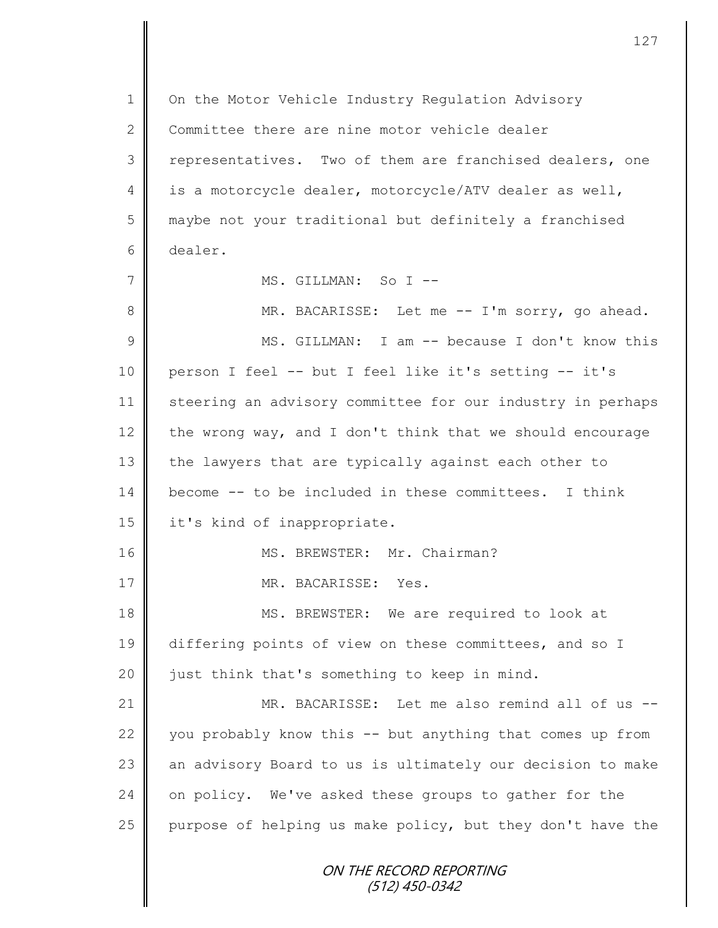ON THE RECORD REPORTING (512) 450-0342 1 On the Motor Vehicle Industry Requlation Advisory 2 Committee there are nine motor vehicle dealer 3 | representatives. Two of them are franchised dealers, one 4 is a motorcycle dealer, motorcycle/ATV dealer as well, 5 maybe not your traditional but definitely a franchised 6 dealer. 7 || MS. GILLMAN: So I --8 || MR. BACARISSE: Let me -- I'm sorry, go ahead. 9 MS. GILLMAN: I am -- because I don't know this 10 person I feel -- but I feel like it's setting -- it's 11 steering an advisory committee for our industry in perhaps 12 the wrong way, and I don't think that we should encourage 13 the lawyers that are typically against each other to 14 become -- to be included in these committees. I think 15 | it's kind of inappropriate. 16 || MS. BREWSTER: Mr. Chairman? 17 NR. BACARISSE: Yes. 18 || MS. BREWSTER: We are required to look at 19 differing points of view on these committees, and so I 20  $\parallel$  just think that's something to keep in mind. 21 **MR. BACARISSE:** Let me also remind all of us --22  $\parallel$  you probably know this -- but anything that comes up from 23 an advisory Board to us is ultimately our decision to make 24 on policy. We've asked these groups to gather for the 25 purpose of helping us make policy, but they don't have the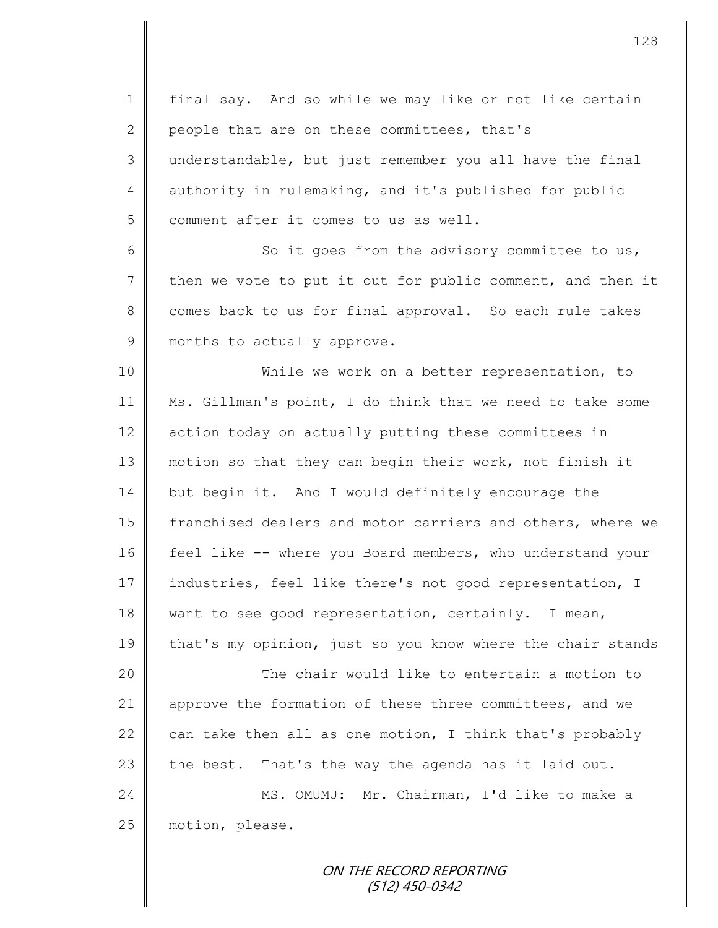1 | final say. And so while we may like or not like certain 2 people that are on these committees, that's 3 understandable, but just remember you all have the final 4 authority in rulemaking, and it's published for public 5 comment after it comes to us as well. 6  $\parallel$  So it goes from the advisory committee to us, 7 then we vote to put it out for public comment, and then it 8 comes back to us for final approval. So each rule takes 9 months to actually approve. 10 While we work on a better representation, to 11 Ms. Gillman's point, I do think that we need to take some 12 action today on actually putting these committees in 13 motion so that they can begin their work, not finish it 14 but begin it. And I would definitely encourage the 15 franchised dealers and motor carriers and others, where we 16 feel like -- where you Board members, who understand your 17 industries, feel like there's not good representation, I 18 want to see good representation, certainly. I mean, 19 that's my opinion, just so you know where the chair stands 20 || The chair would like to entertain a motion to 21 approve the formation of these three committees, and we 22 can take then all as one motion, I think that's probably 23 the best. That's the way the agenda has it laid out. 24 MS. OMUMU: Mr. Chairman, I'd like to make a 25 | motion, please.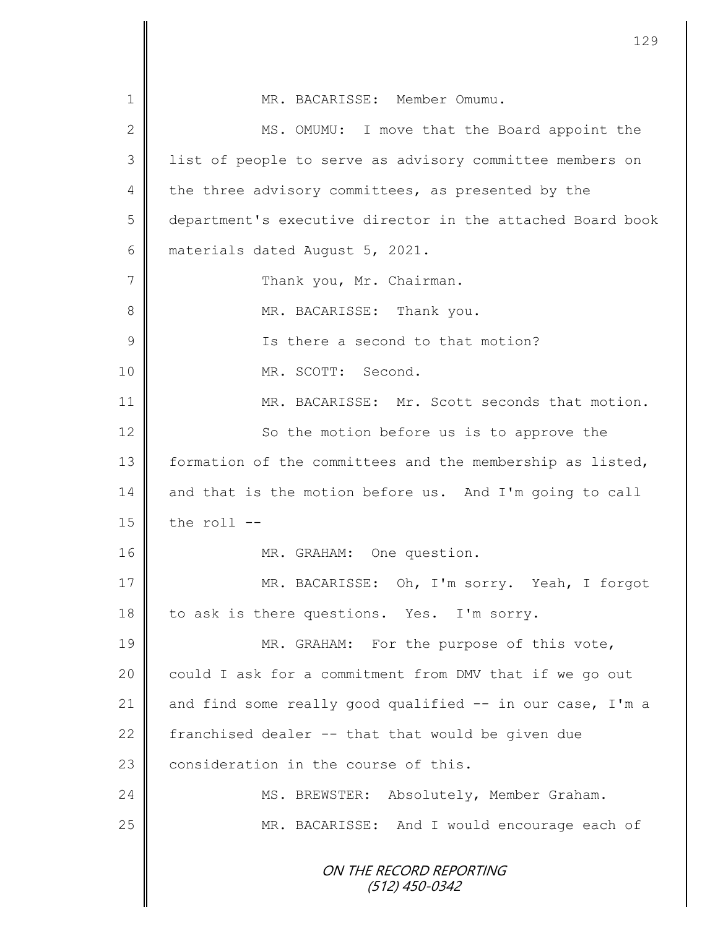|                | 129                                                        |
|----------------|------------------------------------------------------------|
|                |                                                            |
| 1              | MR. BACARISSE: Member Omumu.                               |
| $\mathbf{2}$   | MS. OMUMU: I move that the Board appoint the               |
| 3              | list of people to serve as advisory committee members on   |
| 4              | the three advisory committees, as presented by the         |
| 5              | department's executive director in the attached Board book |
| 6              | materials dated August 5, 2021.                            |
| $\overline{7}$ | Thank you, Mr. Chairman.                                   |
| 8              | MR. BACARISSE: Thank you.                                  |
| 9              | Is there a second to that motion?                          |
| 10             | MR. SCOTT: Second.                                         |
| 11             | MR. BACARISSE: Mr. Scott seconds that motion.              |
| 12             | So the motion before us is to approve the                  |
| 13             | formation of the committees and the membership as listed,  |
| 14             | and that is the motion before us. And I'm going to call    |
| 15             | the roll --                                                |
| 16             | MR. GRAHAM: One question.                                  |
| 17             | MR. BACARISSE: Oh, I'm sorry. Yeah, I forgot               |
| 18             | to ask is there questions. Yes. I'm sorry.                 |
| 19             | MR. GRAHAM: For the purpose of this vote,                  |
| 20             | could I ask for a commitment from DMV that if we go out    |
| 21             | and find some really good qualified -- in our case, I'm a  |
| 22             | franchised dealer -- that that would be given due          |
| 23             | consideration in the course of this.                       |
| 24             | MS. BREWSTER: Absolutely, Member Graham.                   |
| 25             | MR. BACARISSE: And I would encourage each of               |
|                | ON THE RECORD REPORTING<br>(512) 450-0342                  |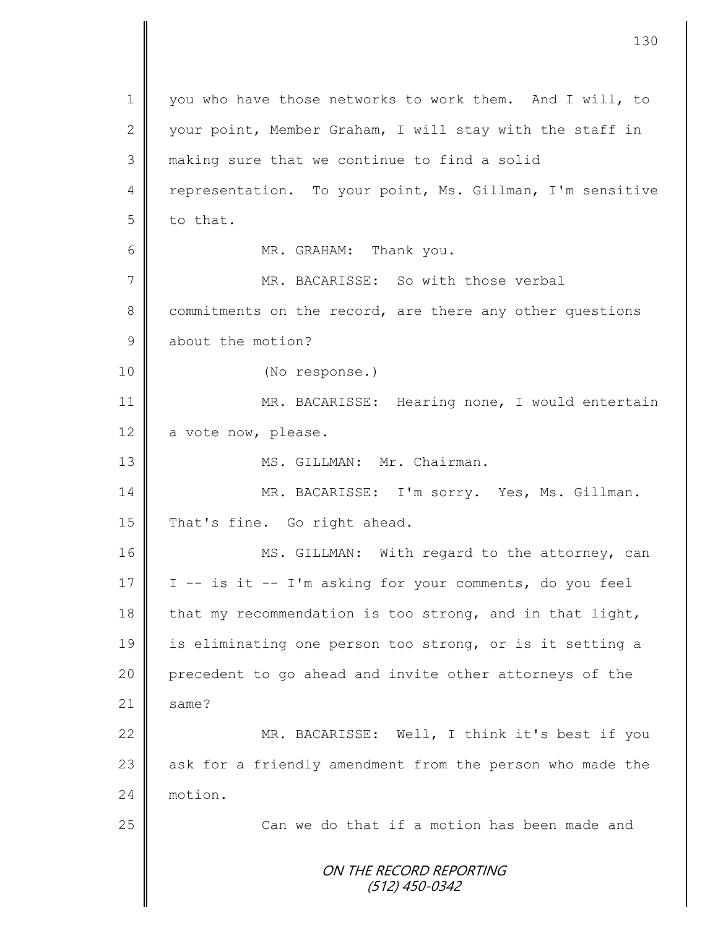ON THE RECORD REPORTING (512) 450-0342 1 you who have those networks to work them. And I will, to 2 your point, Member Graham, I will stay with the staff in 3 making sure that we continue to find a solid 4 representation. To your point, Ms. Gillman, I'm sensitive  $5 \parallel$  to that. 6 | MR. GRAHAM: Thank you. 7 MR. BACARISSE: So with those verbal 8 commitments on the record, are there any other questions 9 about the motion? 10 (No response.) 11 | MR. BACARISSE: Hearing none, I would entertain 12 a vote now, please. 13 || MS. GILLMAN: Mr. Chairman. 14 | MR. BACARISSE: I'm sorry. Yes, Ms. Gillman. 15 That's fine. Go right ahead. 16 MS. GILLMAN: With regard to the attorney, can 17 | I -- is it -- I'm asking for your comments, do you feel  $18$  | that my recommendation is too strong, and in that light, 19 | is eliminating one person too strong, or is it setting a 20 precedent to go ahead and invite other attorneys of the  $21 \parallel$  same? 22 MR. BACARISSE: Well, I think it's best if you 23 ask for a friendly amendment from the person who made the 24 motion. 25 | Can we do that if a motion has been made and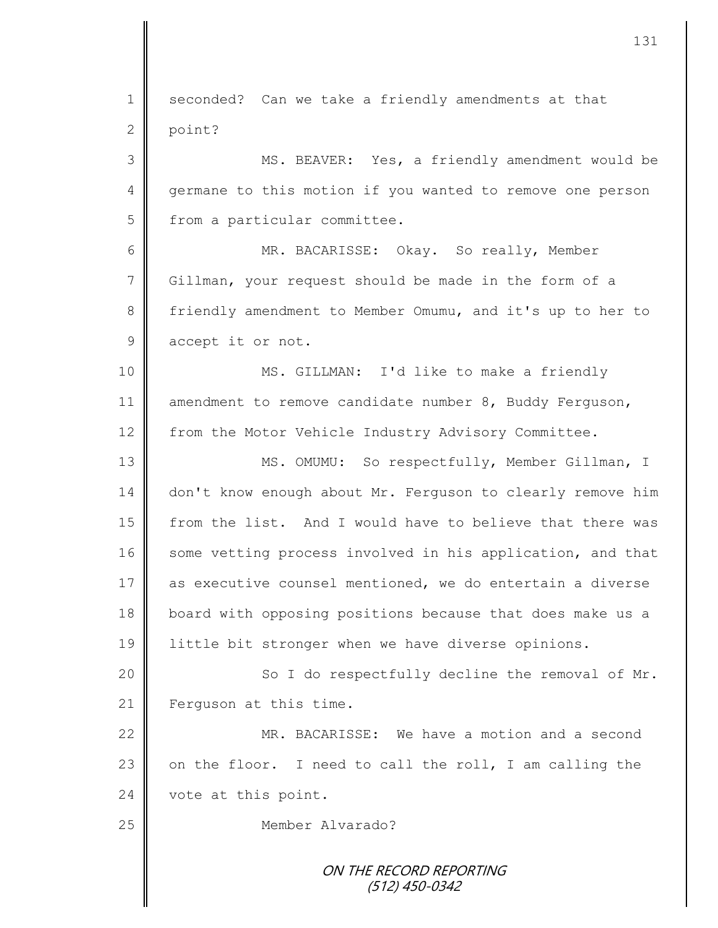ON THE RECORD REPORTING (512) 450-0342 1 seconded? Can we take a friendly amendments at that  $2 \parallel$  point? 3 MS. BEAVER: Yes, a friendly amendment would be 4 germane to this motion if you wanted to remove one person 5 | from a particular committee. 6 MR. BACARISSE: Okay. So really, Member 7 Gillman, your request should be made in the form of a 8 friendly amendment to Member Omumu, and it's up to her to 9 accept it or not. 10 MS. GILLMAN: I'd like to make a friendly 11 amendment to remove candidate number 8, Buddy Ferguson, 12 from the Motor Vehicle Industry Advisory Committee. 13 | MS. OMUMU: So respectfully, Member Gillman, I 14 don't know enough about Mr. Ferguson to clearly remove him 15 from the list. And I would have to believe that there was 16 some vetting process involved in his application, and that 17 as executive counsel mentioned, we do entertain a diverse 18 **board with opposing positions because that does make us a** 19 | little bit stronger when we have diverse opinions. 20 || So I do respectfully decline the removal of Mr. 21 | Ferguson at this time. 22 MR. BACARISSE: We have a motion and a second 23  $\parallel$  on the floor. I need to call the roll, I am calling the 24 vote at this point. 25 Member Alvarado?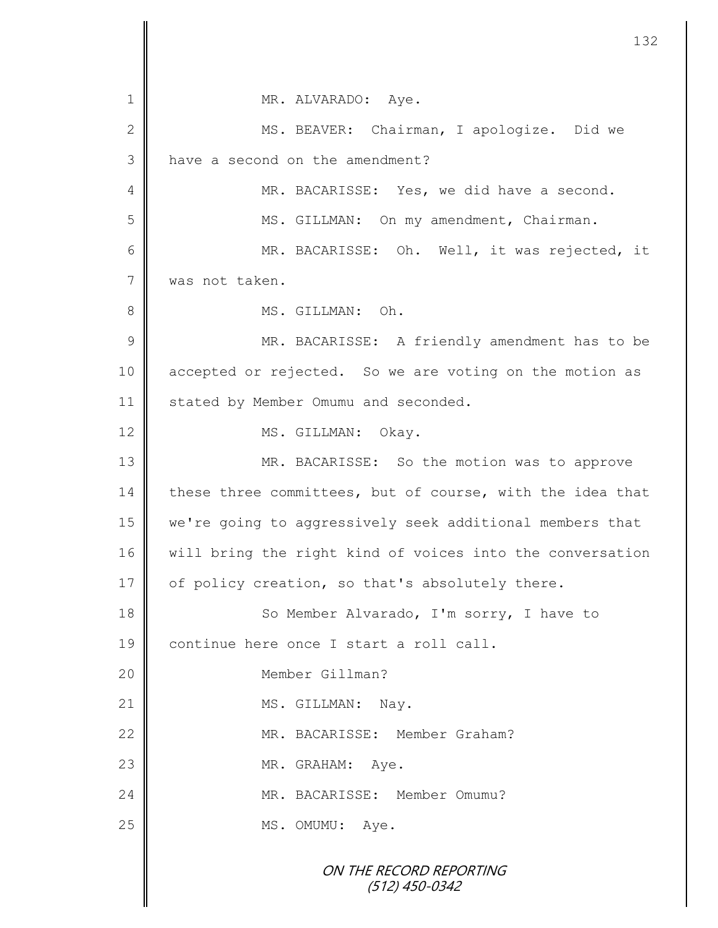ON THE RECORD REPORTING (512) 450-0342 1 || MR. ALVARADO: Aye. 2 || MS. BEAVER: Chairman, I apologize. Did we 3 have a second on the amendment? 4 MR. BACARISSE: Yes, we did have a second. 5 MS. GILLMAN: On my amendment, Chairman. 6 MR. BACARISSE: Oh. Well, it was rejected, it 7 was not taken. 8 || MS. GILLMAN: Oh. 9 || MR. BACARISSE: A friendly amendment has to be 10 || accepted or rejected. So we are voting on the motion as 11 | stated by Member Omumu and seconded. 12 MS. GILLMAN: Okay. 13 || MR. BACARISSE: So the motion was to approve 14 these three committees, but of course, with the idea that 15 we're going to aggressively seek additional members that 16 | will bring the right kind of voices into the conversation 17 | of policy creation, so that's absolutely there. 18 So Member Alvarado, I'm sorry, I have to 19 | continue here once I start a roll call. 20 || **Member Gillman?** 21 | MS. GILLMAN: Nay. 22 WR. BACARISSE: Member Graham? 23 MR. GRAHAM: Aye. 24 MR. BACARISSE: Member Omumu? 25 MS. OMUMU: Aye.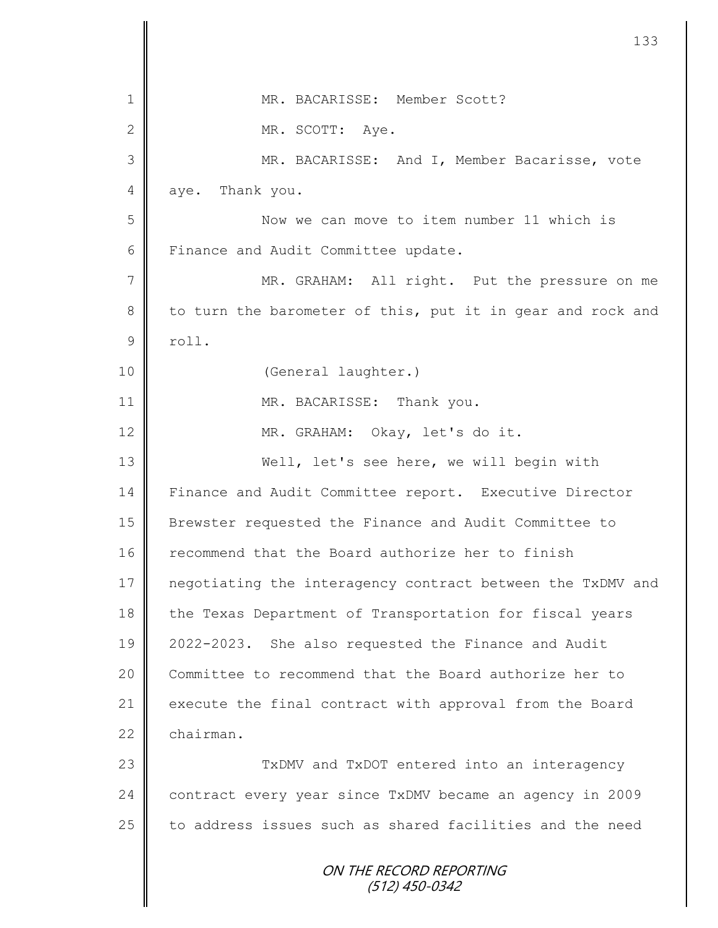| $\mathbf 1$    | MR. BACARISSE: Member Scott?                               |
|----------------|------------------------------------------------------------|
| $\mathbf{2}$   | MR. SCOTT: Aye.                                            |
| 3              | MR. BACARISSE: And I, Member Bacarisse, vote               |
| 4              | aye. Thank you.                                            |
| 5              | Now we can move to item number 11 which is                 |
| 6              | Finance and Audit Committee update.                        |
| 7              | MR. GRAHAM: All right. Put the pressure on me              |
| 8              | to turn the barometer of this, put it in gear and rock and |
| $\overline{9}$ | roll.                                                      |
| 10             | (General laughter.)                                        |
| 11             | MR. BACARISSE: Thank you.                                  |
| 12             | MR. GRAHAM: Okay, let's do it.                             |
| 13             | Well, let's see here, we will begin with                   |
| 14             | Finance and Audit Committee report. Executive Director     |
| 15             | Brewster requested the Finance and Audit Committee to      |
| 16             | recommend that the Board authorize her to finish           |
| 17             | negotiating the interagency contract between the TxDMV and |
| 18             | the Texas Department of Transportation for fiscal years    |
| 19             | 2022-2023. She also requested the Finance and Audit        |
| 20             | Committee to recommend that the Board authorize her to     |
| 21             | execute the final contract with approval from the Board    |
| 22             | chairman.                                                  |
| 23             | TxDMV and TxDOT entered into an interagency                |
| 24             | contract every year since TxDMV became an agency in 2009   |
| 25             | to address issues such as shared facilities and the need   |
|                | ON THE RECORD REPORTING<br>(512) 450-0342                  |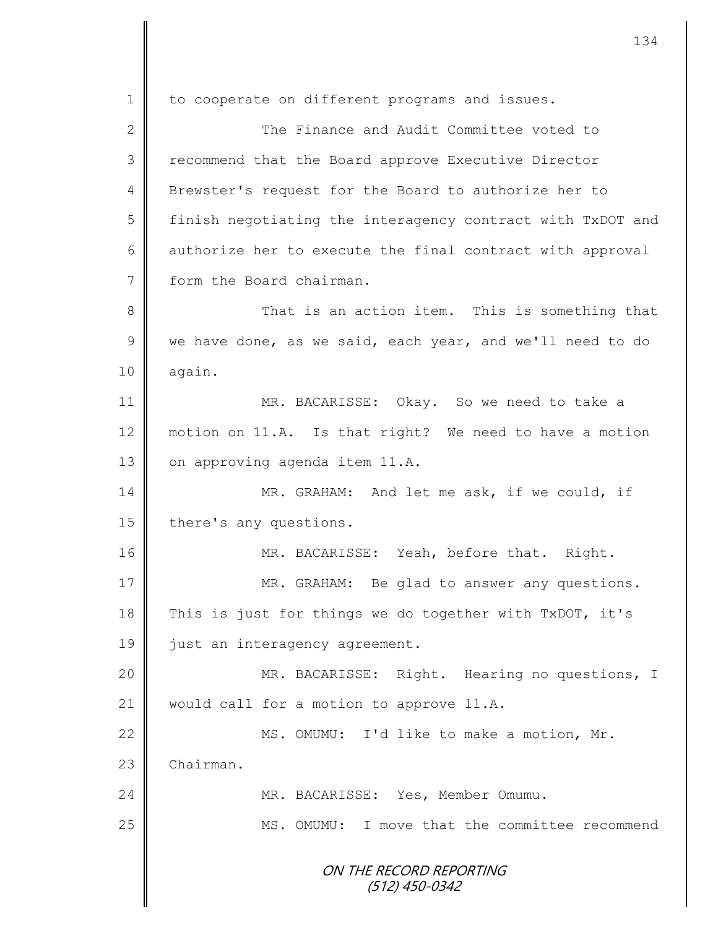ON THE RECORD REPORTING (512) 450-0342 1 | to cooperate on different programs and issues. 2 **The Finance and Audit Committee voted to** 3 Tecommend that the Board approve Executive Director 4 Brewster's request for the Board to authorize her to 5 | finish negotiating the interagency contract with TxDOT and  $6$  authorize her to execute the final contract with approval 7 form the Board chairman. 8 || That is an action item. This is something that 9 we have done, as we said, each year, and we'll need to do 10 | again. 11 MR. BACARISSE: Okay. So we need to take a 12 motion on 11.A. Is that right? We need to have a motion 13 | on approving agenda item 11.A. 14 MR. GRAHAM: And let me ask, if we could, if 15 there's any questions. 16 || MR. BACARISSE: Yeah, before that. Right. 17 MR. GRAHAM: Be glad to answer any questions. 18 This is just for things we do together with  $TxDOT$ , it's 19 just an interagency agreement. 20 MR. BACARISSE: Right. Hearing no questions, I 21 | would call for a motion to approve 11.A. 22 | MS. OMUMU: I'd like to make a motion, Mr. 23 Chairman. 24 MR. BACARISSE: Yes, Member Omumu. 25 MS. OMUMU: I move that the committee recommend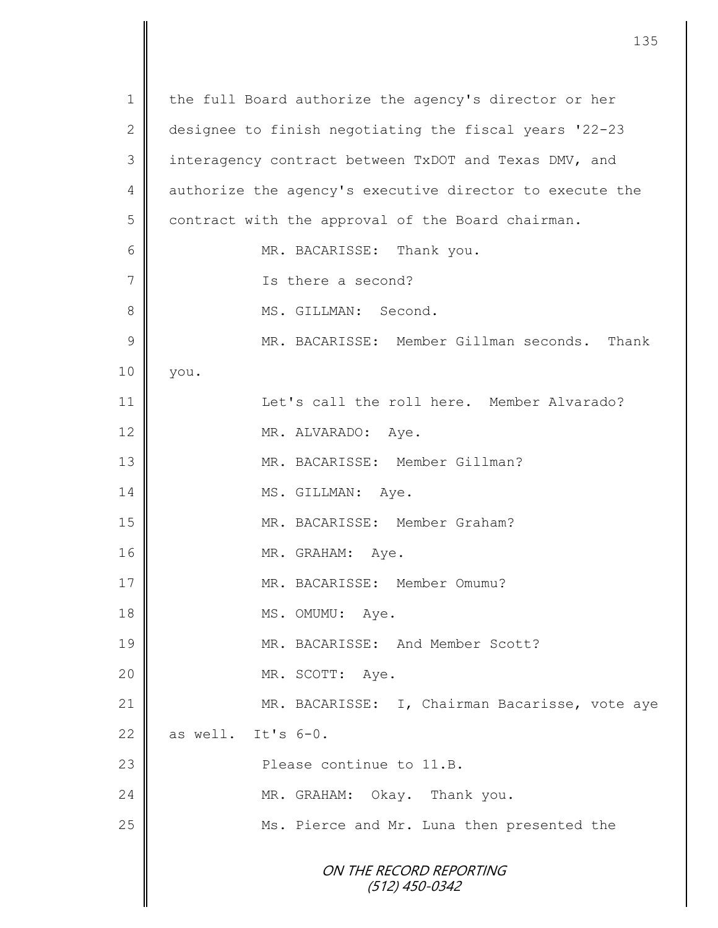ON THE RECORD REPORTING (512) 450-0342 1 | the full Board authorize the agency's director or her 2 designee to finish negotiating the fiscal years '22-23 3 interagency contract between TxDOT and Texas DMV, and 4 authorize the agency's executive director to execute the  $5 \parallel$  contract with the approval of the Board chairman. 6 | MR. BACARISSE: Thank you. 7 Is there a second? 8 MS. GILLMAN: Second. 9 MR. BACARISSE: Member Gillman seconds. Thank 10 you. 11 **Let's call the roll here.** Member Alvarado? 12 MR. ALVARADO: Aye. 13 || MR. BACARISSE: Member Gillman? 14 MS. GILLMAN: Aye. 15 || MR. BACARISSE: Member Graham? 16 MR. GRAHAM: Aye. 17 **MR. BACARISSE:** Member Omumu? 18 MS. OMUMU: Aye. 19 MR. BACARISSE: And Member Scott? 20 NR. SCOTT: Aye. 21 | MR. BACARISSE: I, Chairman Bacarisse, vote aye 22  $\parallel$  as well. It's 6-0. 23 || Please continue to 11.B. 24 MR. GRAHAM: Okay. Thank you. 25 || Ms. Pierce and Mr. Luna then presented the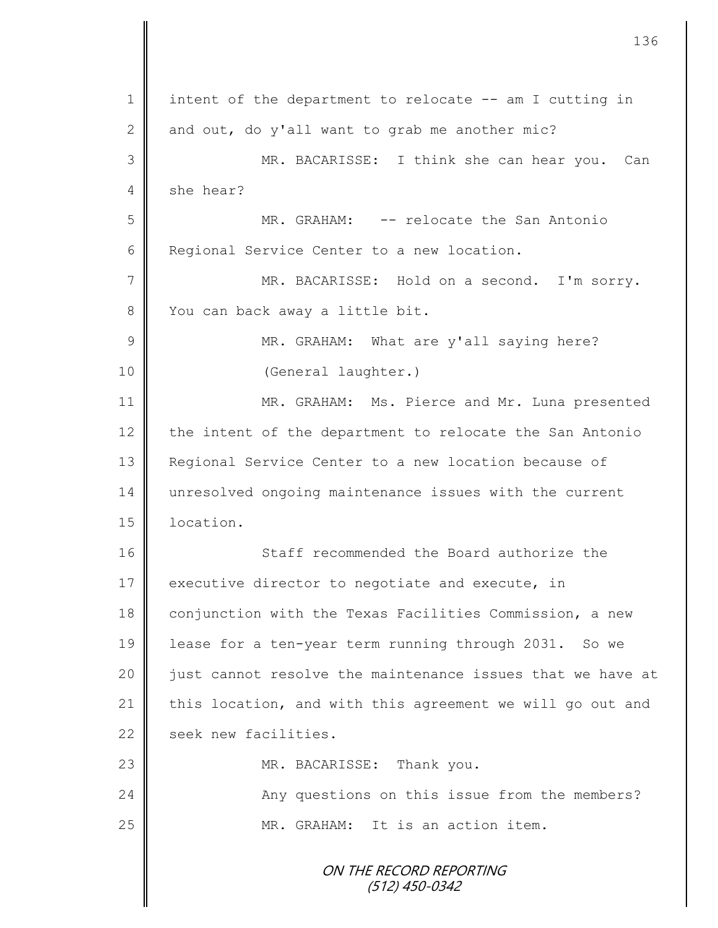| $\mathbf 1$    | intent of the department to relocate -- am I cutting in    |
|----------------|------------------------------------------------------------|
| $\mathbf{2}$   | and out, do y'all want to grab me another mic?             |
| 3              | MR. BACARISSE: I think she can hear you. Can               |
| 4              | she hear?                                                  |
| 5              | MR. GRAHAM: -- relocate the San Antonio                    |
| 6              | Regional Service Center to a new location.                 |
| $\overline{7}$ | MR. BACARISSE: Hold on a second. I'm sorry.                |
| 8              | You can back away a little bit.                            |
| $\overline{9}$ | MR. GRAHAM: What are y'all saying here?                    |
| 10             | (General laughter.)                                        |
| 11             | MR. GRAHAM: Ms. Pierce and Mr. Luna presented              |
| 12             | the intent of the department to relocate the San Antonio   |
| 13             | Regional Service Center to a new location because of       |
| 14             | unresolved ongoing maintenance issues with the current     |
| 15             | location.                                                  |
| 16             | Staff recommended the Board authorize the                  |
| 17             | executive director to negotiate and execute, in            |
| 18             | conjunction with the Texas Facilities Commission, a new    |
| 19             | lease for a ten-year term running through 2031. So we      |
| 20             | just cannot resolve the maintenance issues that we have at |
| 21             | this location, and with this agreement we will go out and  |
| 22             | seek new facilities.                                       |
| 23             | MR. BACARISSE: Thank you.                                  |
| 24             | Any questions on this issue from the members?              |
| 25             | MR. GRAHAM: It is an action item.                          |
|                | ON THE RECORD REPORTING<br>$(512)$ 450-0342                |

II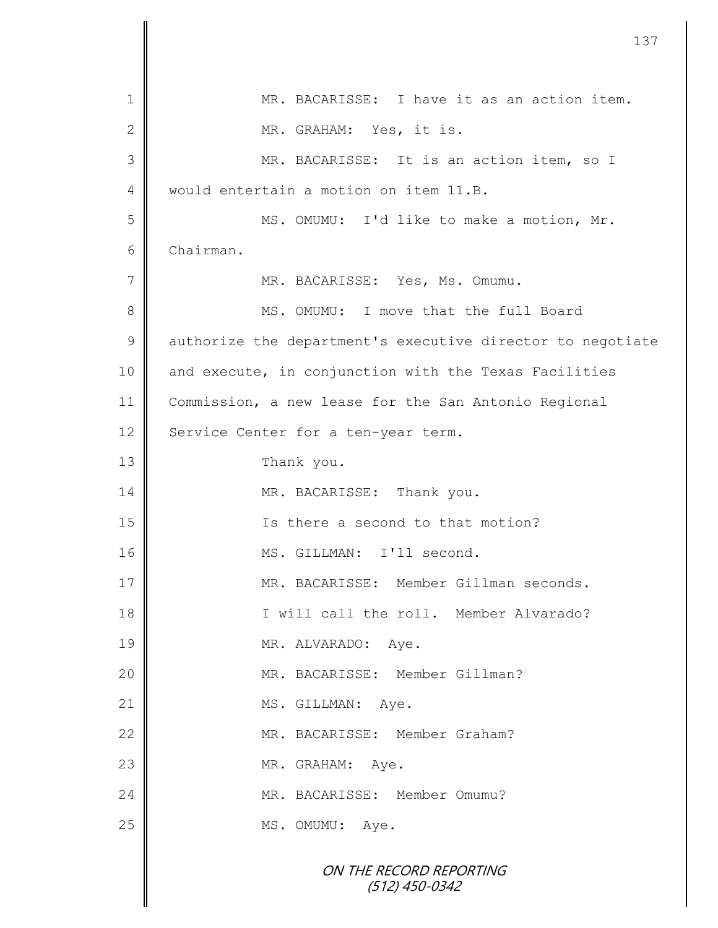|    | 137                                                        |
|----|------------------------------------------------------------|
|    |                                                            |
| 1  | MR. BACARISSE: I have it as an action item.                |
| 2  | MR. GRAHAM: Yes, it is.                                    |
| 3  | MR. BACARISSE: It is an action item, so I                  |
| 4  | would entertain a motion on item 11.B.                     |
| 5  | MS. OMUMU: I'd like to make a motion, Mr.                  |
| 6  | Chairman.                                                  |
| 7  | MR. BACARISSE: Yes, Ms. Omumu.                             |
| 8  | MS. OMUMU: I move that the full Board                      |
| 9  | authorize the department's executive director to negotiate |
| 10 | and execute, in conjunction with the Texas Facilities      |
| 11 | Commission, a new lease for the San Antonio Regional       |
| 12 | Service Center for a ten-year term.                        |
| 13 | Thank you.                                                 |
| 14 | MR. BACARISSE: Thank you.                                  |
| 15 | Is there a second to that motion?                          |
| 16 | MS. GILLMAN: I'll second.                                  |
| 17 | MR. BACARISSE: Member Gillman seconds.                     |
| 18 | I will call the roll. Member Alvarado?                     |
| 19 | MR. ALVARADO: Aye.                                         |
| 20 | MR. BACARISSE: Member Gillman?                             |
| 21 | MS. GILLMAN: Aye.                                          |
| 22 | MR. BACARISSE: Member Graham?                              |
| 23 | MR. GRAHAM: Aye.                                           |
| 24 | MR. BACARISSE: Member Omumu?                               |
| 25 | MS. OMUMU: Aye.                                            |
|    | ON THE RECORD REPORTING<br>$(512)$ 450-0342                |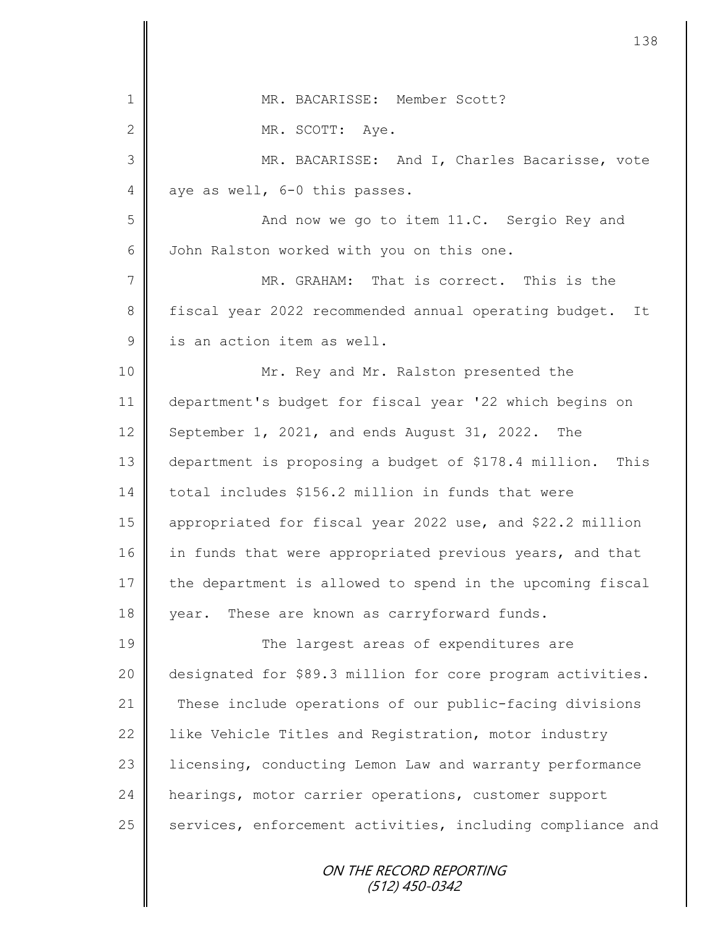|              | 138                                                          |
|--------------|--------------------------------------------------------------|
| 1            | MR. BACARISSE: Member Scott?                                 |
|              |                                                              |
| $\mathbf{2}$ | MR. SCOTT: Aye.                                              |
| 3            | MR. BACARISSE: And I, Charles Bacarisse, vote                |
| 4            | aye as well, 6-0 this passes.                                |
| 5            | And now we go to item 11.C. Sergio Rey and                   |
| 6            | John Ralston worked with you on this one.                    |
| 7            | MR. GRAHAM: That is correct. This is the                     |
| 8            | fiscal year 2022 recommended annual operating budget.<br>It  |
| $\mathsf 9$  | is an action item as well.                                   |
| 10           | Mr. Rey and Mr. Ralston presented the                        |
| 11           | department's budget for fiscal year '22 which begins on      |
| 12           | September 1, 2021, and ends August 31, 2022.<br>The          |
| 13           | department is proposing a budget of \$178.4 million.<br>This |
| 14           | total includes \$156.2 million in funds that were            |
| 15           | appropriated for fiscal year 2022 use, and \$22.2 million    |
| 16           | in funds that were appropriated previous years, and that     |
| 17           | the department is allowed to spend in the upcoming fiscal    |
| 18           | These are known as carryforward funds.<br>year.              |
| 19           | The largest areas of expenditures are                        |
| 20           | designated for \$89.3 million for core program activities.   |
| 21           | These include operations of our public-facing divisions      |
| 22           | like Vehicle Titles and Registration, motor industry         |
| 23           | licensing, conducting Lemon Law and warranty performance     |
| 24           | hearings, motor carrier operations, customer support         |
| 25           | services, enforcement activities, including compliance and   |
|              | ON THE RECORD REPORTING<br>$(512)$ 450-0342                  |

 $\parallel$ 

II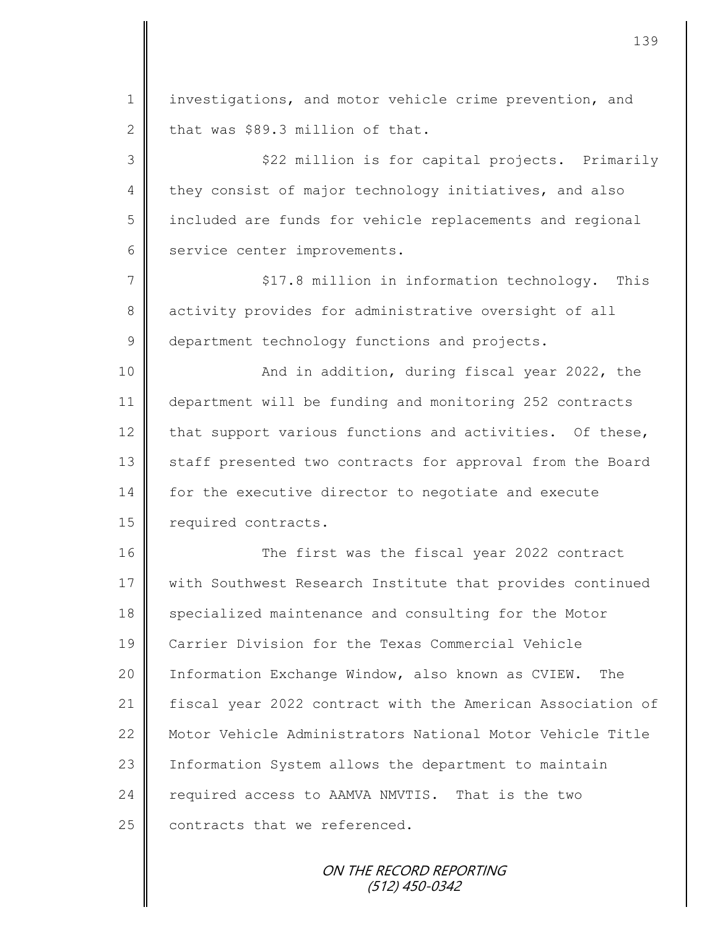1 | investigations, and motor vehicle crime prevention, and 2 that was \$89.3 million of that. 3 \$22 million is for capital projects. Primarily  $4 \parallel$  they consist of major technology initiatives, and also 5 included are funds for vehicle replacements and regional 6 service center improvements. 7 || \$17.8 million in information technology. This 8 activity provides for administrative oversight of all 9 department technology functions and projects. 10 || And in addition, during fiscal year 2022, the 11 department will be funding and monitoring 252 contracts 12 that support various functions and activities. Of these, 13 staff presented two contracts for approval from the Board 14 for the executive director to negotiate and execute 15 | required contracts. 16 The first was the fiscal year 2022 contract 17 | with Southwest Research Institute that provides continued 18 specialized maintenance and consulting for the Motor 19 Carrier Division for the Texas Commercial Vehicle 20 | Information Exchange Window, also known as CVIEW. The 21 fiscal year 2022 contract with the American Association of 22 **Motor Vehicle Administrators National Motor Vehicle Title** 23 | Information System allows the department to maintain 24 required access to AAMVA NMVTIS. That is the two  $25$  contracts that we referenced.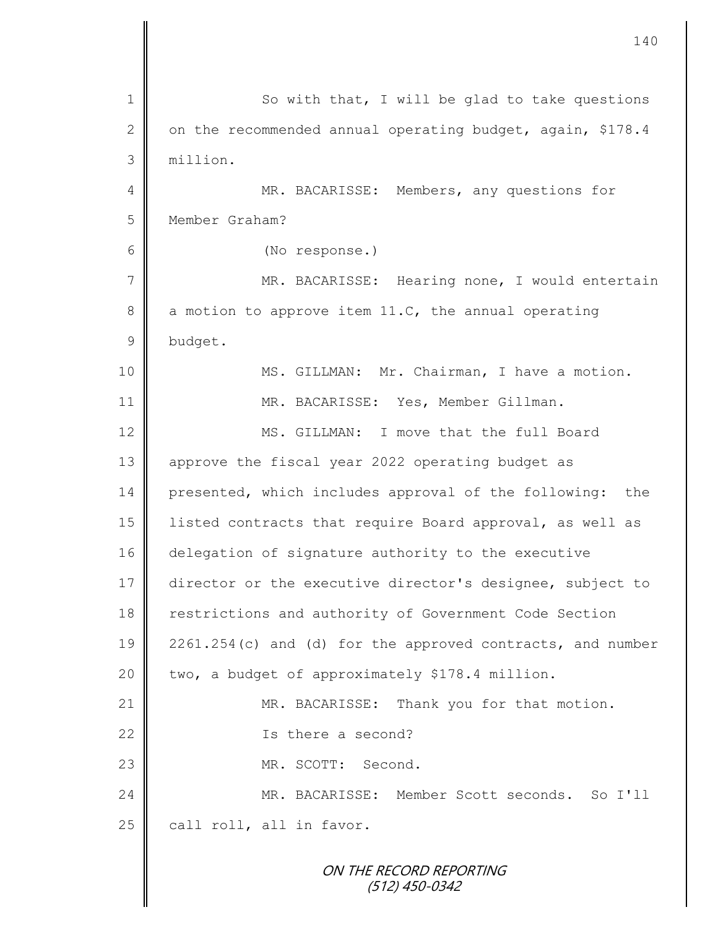| $\mathbf 1$    | So with that, I will be glad to take questions             |
|----------------|------------------------------------------------------------|
| $\sqrt{2}$     | on the recommended annual operating budget, again, \$178.4 |
| $\mathfrak{Z}$ | million.                                                   |
| 4              | MR. BACARISSE: Members, any questions for                  |
| 5              | Member Graham?                                             |
| 6              | (No response.)                                             |
| $\overline{7}$ | MR. BACARISSE: Hearing none, I would entertain             |
| $8\,$          | a motion to approve item 11.C, the annual operating        |
| $\mathcal{G}$  | budget.                                                    |
| 10             | MS. GILLMAN: Mr. Chairman, I have a motion.                |
| 11             | MR. BACARISSE: Yes, Member Gillman.                        |
| 12             | MS. GILLMAN: I move that the full Board                    |
| 13             | approve the fiscal year 2022 operating budget as           |
| 14             | presented, which includes approval of the following: the   |
| 15             | listed contracts that require Board approval, as well as   |
| 16             | delegation of signature authority to the executive         |
| 17             | director or the executive director's designee, subject to  |
| 18             | restrictions and authority of Government Code Section      |
| 19             | 2261.254(c) and (d) for the approved contracts, and number |
| 20             | two, a budget of approximately \$178.4 million.            |
| 21             | MR. BACARISSE: Thank you for that motion.                  |
| 22             | Is there a second?                                         |
| 23             | MR. SCOTT: Second.                                         |
| 24             | MR. BACARISSE: Member Scott seconds. So I'll               |
| 25             | call roll, all in favor.                                   |
|                | ON THE RECORD REPORTING                                    |

(512) 450-0342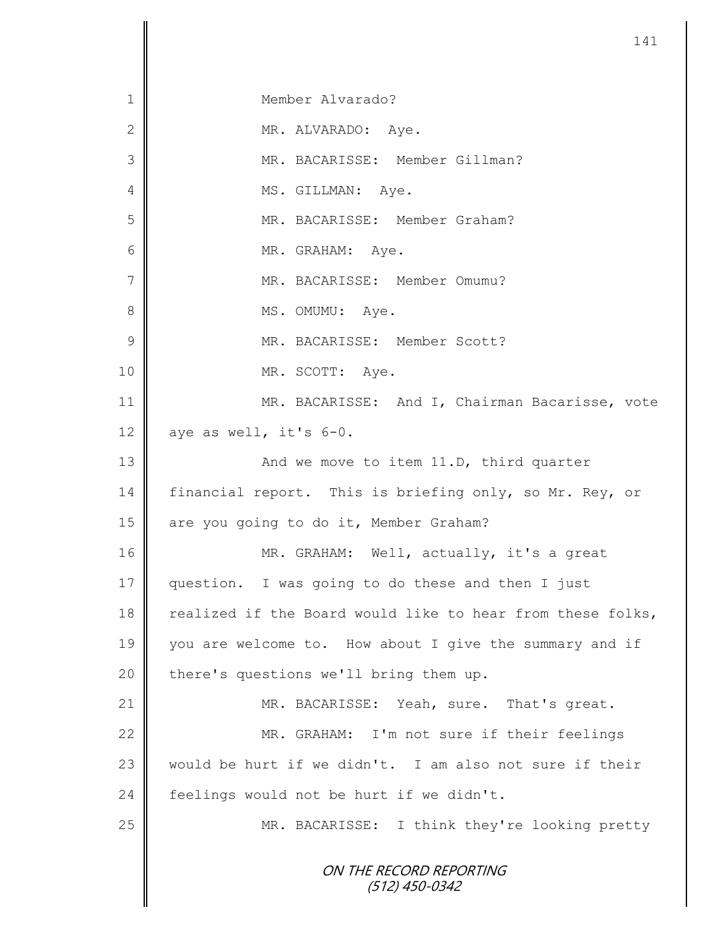|                | 141                                                        |
|----------------|------------------------------------------------------------|
| 1              | Member Alvarado?                                           |
| $\mathbf{2}$   | MR. ALVARADO: Aye.                                         |
| 3              | MR. BACARISSE: Member Gillman?                             |
| 4              | MS. GILLMAN: Aye.                                          |
| 5              | MR. BACARISSE: Member Graham?                              |
| 6              | MR. GRAHAM: Aye.                                           |
| $\overline{7}$ | MR. BACARISSE: Member Omumu?                               |
| 8              | MS. OMUMU: Aye.                                            |
| 9              | MR. BACARISSE: Member Scott?                               |
| 10             | MR. SCOTT: Aye.                                            |
| 11             | MR. BACARISSE: And I, Chairman Bacarisse, vote             |
| 12             | aye as well, it's 6-0.                                     |
| 13             | And we move to item 11.D, third quarter                    |
| 14             | financial report. This is briefing only, so Mr. Rey, or    |
| 15             | are you going to do it, Member Graham?                     |
| 16             | MR. GRAHAM: Well, actually, it's a great                   |
| 17             | question. I was going to do these and then I just          |
| 18             | realized if the Board would like to hear from these folks, |
| 19             | you are welcome to. How about I give the summary and if    |
| 20             | there's questions we'll bring them up.                     |
| 21             | MR. BACARISSE: Yeah, sure. That's great.                   |
| 22             | MR. GRAHAM: I'm not sure if their feelings                 |
| 23             | would be hurt if we didn't. I am also not sure if their    |
| 24             | feelings would not be hurt if we didn't.                   |
| 25             | MR. BACARISSE: I think they're looking pretty              |
|                | ON THE RECORD REPORTING<br>(512) 450-0342                  |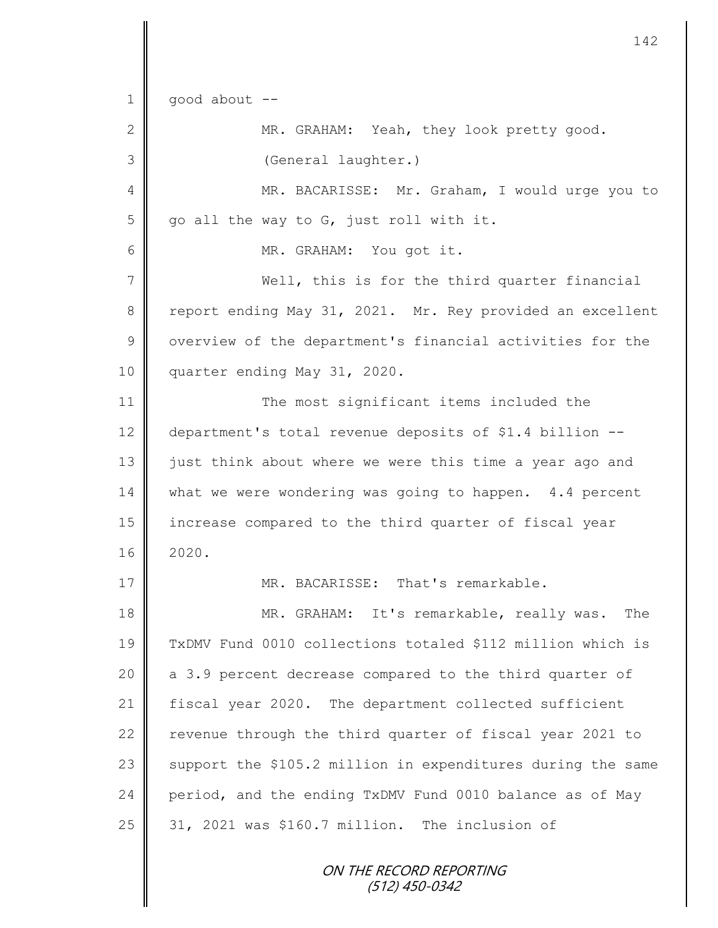ON THE RECORD REPORTING  $1 \parallel$  good about --2 MR. GRAHAM: Yeah, they look pretty good. 3 (General laughter.) 4 || MR. BACARISSE: Mr. Graham, I would urge you to  $5 \parallel$  go all the way to G, just roll with it. 6 || MR. GRAHAM: You got it. 7 Well, this is for the third quarter financial 8 report ending May 31, 2021. Mr. Rey provided an excellent  $9 \parallel$  overview of the department's financial activities for the 10 quarter ending May 31, 2020. 11 The most significant items included the 12 department's total revenue deposits of \$1.4 billion -- 13 iust think about where we were this time a year ago and 14 what we were wondering was going to happen. 4.4 percent 15 || increase compared to the third quarter of fiscal year 16 2020. 17 MR. BACARISSE: That's remarkable. 18 MR. GRAHAM: It's remarkable, really was. The 19 TxDMV Fund 0010 collections totaled \$112 million which is 20 | a 3.9 percent decrease compared to the third quarter of 21 fiscal year 2020. The department collected sufficient 22  $\parallel$  revenue through the third quarter of fiscal year 2021 to 23 support the \$105.2 million in expenditures during the same 24 period, and the ending  $TxDMV$  Fund 0010 balance as of May 25  $\parallel$  31, 2021 was \$160.7 million. The inclusion of

142

(512) 450-0342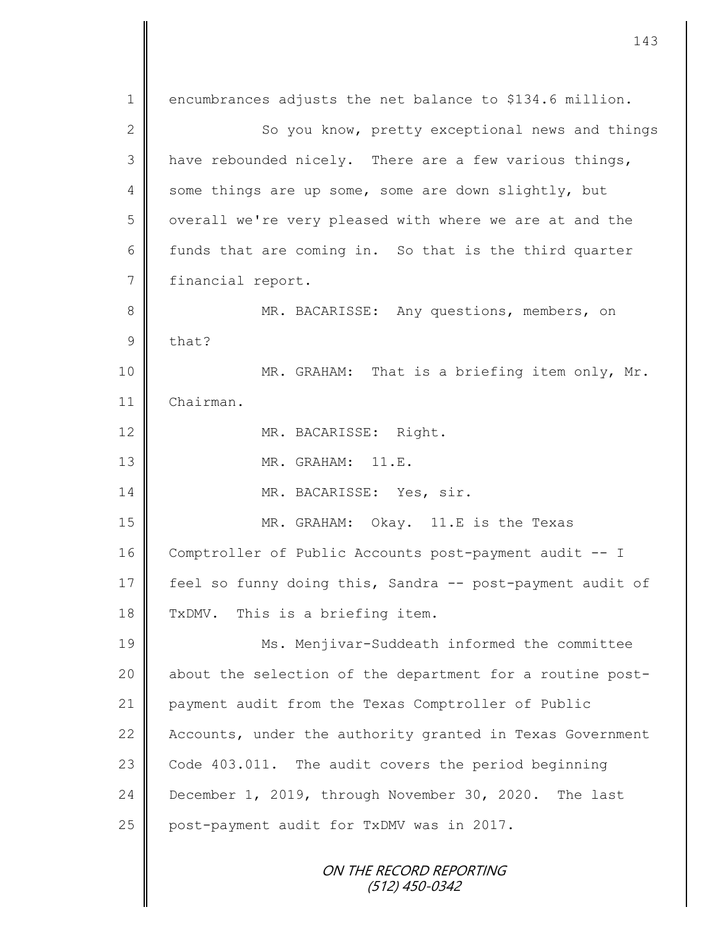ON THE RECORD REPORTING (512) 450-0342 1 encumbrances adjusts the net balance to \$134.6 million. 2 So you know, pretty exceptional news and things  $3 \parallel$  have rebounded nicely. There are a few various things, 4 some things are up some, some are down slightly, but 5 | overall we're very pleased with where we are at and the 6  $\parallel$  funds that are coming in. So that is the third quarter 7 | financial report. 8 || MR. BACARISSE: Any questions, members, on  $9$  that? 10 | MR. GRAHAM: That is a briefing item only, Mr. 11 Chairman. 12 MR. BACARISSE: Right. 13 MR. GRAHAM: 11.E. 14 || MR. BACARISSE: Yes, sir. 15 MR. GRAHAM: Okay. 11.E is the Texas 16 Comptroller of Public Accounts post-payment audit -- I 17 | feel so funny doing this, Sandra -- post-payment audit of 18 TxDMV. This is a briefing item. 19 || Ms. Menjivar-Suddeath informed the committee 20 | about the selection of the department for a routine post-21 payment audit from the Texas Comptroller of Public 22 | Accounts, under the authority granted in Texas Government 23 Code 403.011. The audit covers the period beginning 24 December 1, 2019, through November 30, 2020. The last 25 | post-payment audit for TxDMV was in 2017.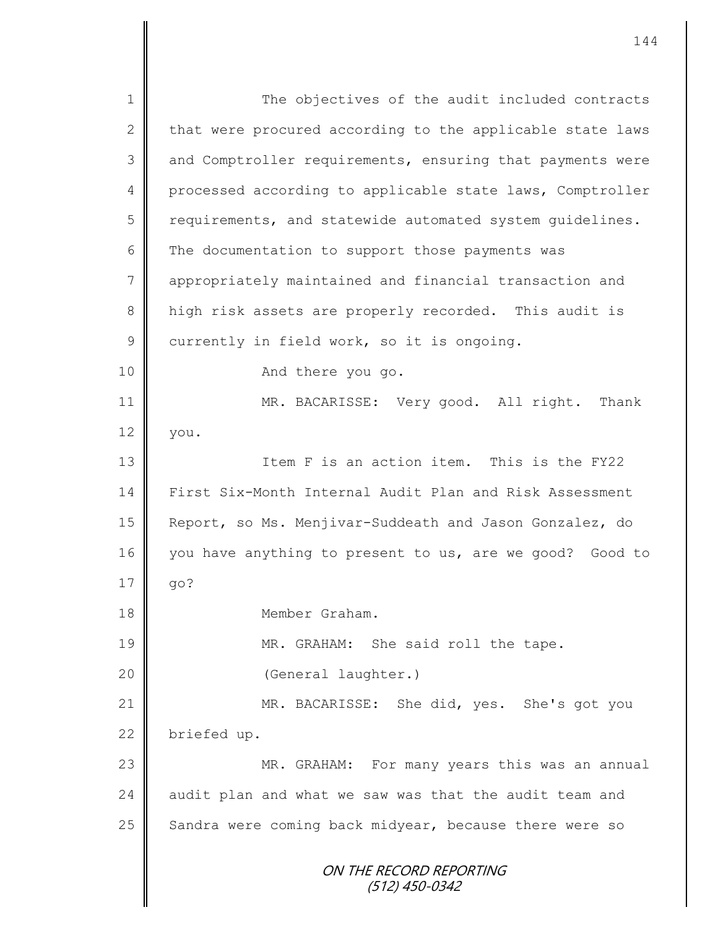ON THE RECORD REPORTING (512) 450-0342 1 The objectives of the audit included contracts 2  $\parallel$  that were procured according to the applicable state laws 3 and Comptroller requirements, ensuring that payments were 4 processed according to applicable state laws, Comptroller 5 requirements, and statewide automated system quidelines. 6 The documentation to support those payments was 7 | appropriately maintained and financial transaction and 8 high risk assets are properly recorded. This audit is  $9 \parallel$  currently in field work, so it is ongoing. 10 || **And there you go.** 11 || MR. BACARISSE: Very good. All right. Thank  $12 \parallel$  you. 13 Item F is an action item. This is the FY22 14 First Six-Month Internal Audit Plan and Risk Assessment 15 Report, so Ms. Menjivar-Suddeath and Jason Gonzalez, do 16 you have anything to present to us, are we good? Good to  $17 \parallel$  go? 18 Member Graham. 19 MR. GRAHAM: She said roll the tape. 20 (General laughter.) 21 MR. BACARISSE: She did, yes. She's got you 22 briefed up. 23 | MR. GRAHAM: For many years this was an annual  $24$  audit plan and what we saw was that the audit team and 25 Sandra were coming back midyear, because there were so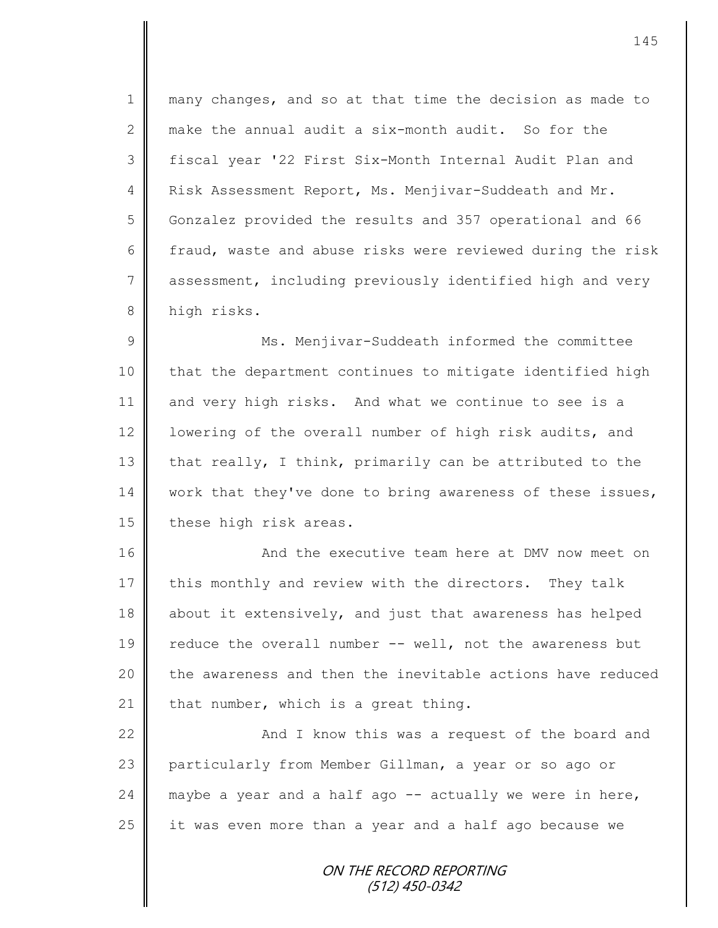1 || many changes, and so at that time the decision as made to 2 make the annual audit a six-month audit. So for the 3 fiscal year '22 First Six-Month Internal Audit Plan and 4 Risk Assessment Report, Ms. Menjivar-Suddeath and Mr. 5 Gonzalez provided the results and 357 operational and 66 6 fraud, waste and abuse risks were reviewed during the risk 7 assessment, including previously identified high and very 8 high risks.

9 || Ms. Menjivar-Suddeath informed the committee 10 | that the department continues to mitigate identified high 11 and very high risks. And what we continue to see is a 12 | lowering of the overall number of high risk audits, and 13  $\parallel$  that really, I think, primarily can be attributed to the 14 | work that they've done to bring awareness of these issues, 15 these high risk areas.

16 | And the executive team here at DMV now meet on 17 this monthly and review with the directors. They talk 18 about it extensively, and just that awareness has helped 19 || reduce the overall number -- well, not the awareness but 20 the awareness and then the inevitable actions have reduced 21 | that number, which is a great thing.

22 | And I know this was a request of the board and 23 particularly from Member Gillman, a year or so ago or 24  $\parallel$  maybe a year and a half ago -- actually we were in here, 25 it was even more than a year and a half ago because we

> ON THE RECORD REPORTING (512) 450-0342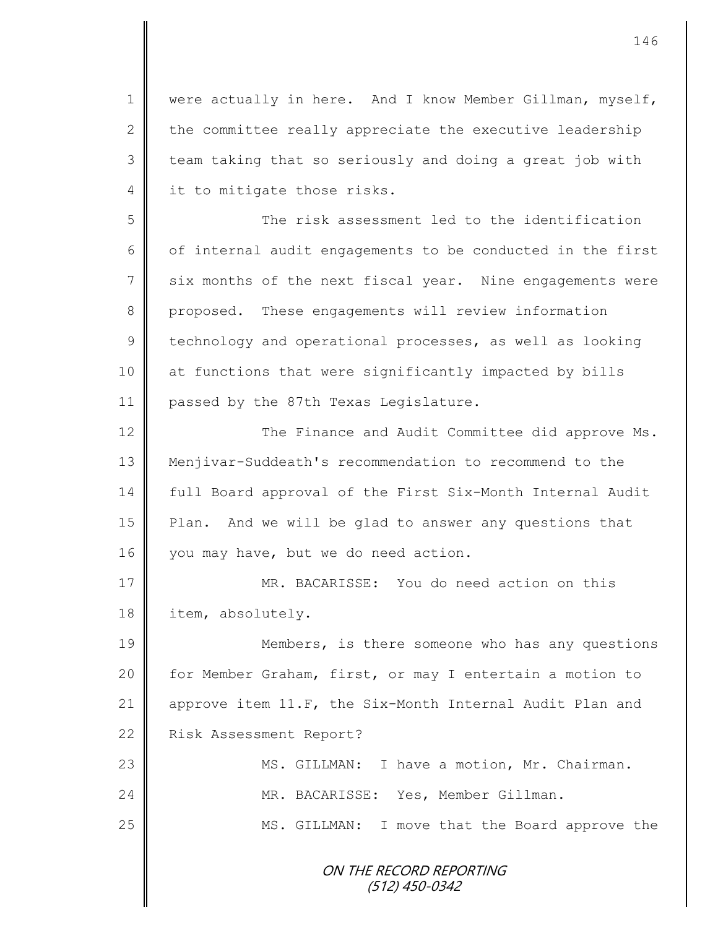1 | were actually in here. And I know Member Gillman, myself, 2 the committee really appreciate the executive leadership  $3 \parallel$  team taking that so seriously and doing a great job with 4 it to mitigate those risks.

5 The risk assessment led to the identification  $6 \parallel$  of internal audit engagements to be conducted in the first 7 six months of the next fiscal year. Nine engagements were 8 proposed. These engagements will review information  $9 \parallel$  technology and operational processes, as well as looking 10 at functions that were significantly impacted by bills 11 | passed by the 87th Texas Legislature.

12 | The Finance and Audit Committee did approve Ms. 13 Menjivar-Suddeath's recommendation to recommend to the 14 full Board approval of the First Six-Month Internal Audit 15 Plan. And we will be glad to answer any questions that 16 you may have, but we do need action.

17 MR. BACARISSE: You do need action on this 18 item, absolutely.

19 Members, is there someone who has any questions 20 | for Member Graham, first, or may I entertain a motion to 21  $\parallel$  approve item 11.F, the Six-Month Internal Audit Plan and 22 | Risk Assessment Report?

23 || MS. GILLMAN: I have a motion, Mr. Chairman. 24 MR. BACARISSE: Yes, Member Gillman. 25 | MS. GILLMAN: I move that the Board approve the

> ON THE RECORD REPORTING (512) 450-0342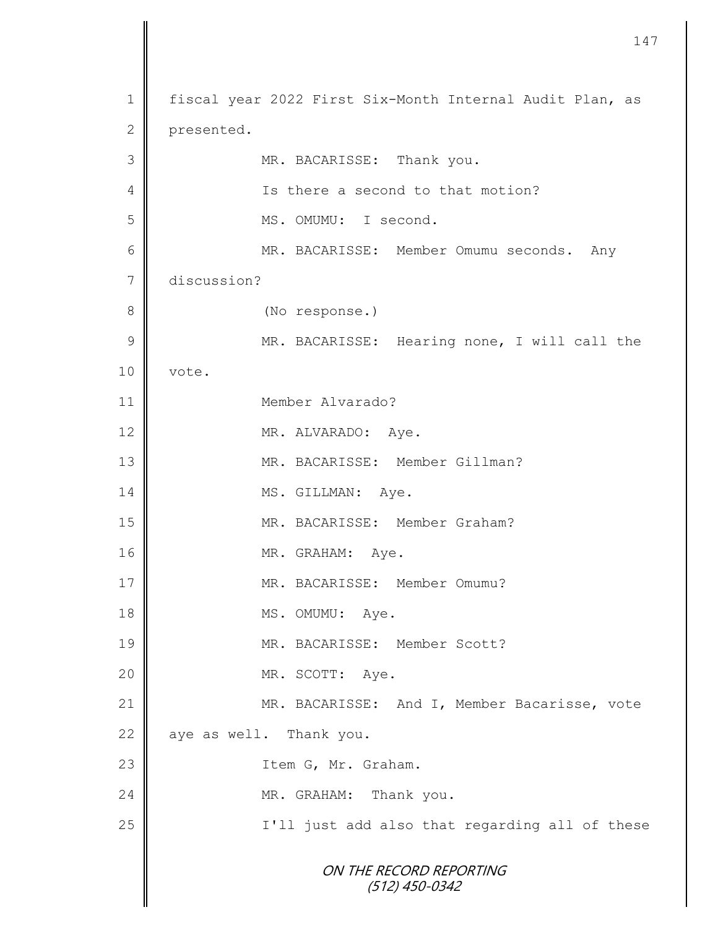ON THE RECORD REPORTING (512) 450-0342 1 | fiscal year 2022 First Six-Month Internal Audit Plan, as 2 presented. 3 MR. BACARISSE: Thank you. 4 || Is there a second to that motion? 5 || MS. OMUMU: I second. 6 MR. BACARISSE: Member Omumu seconds. Any 7 discussion? 8 **(No response.)** 9 || MR. BACARISSE: Hearing none, I will call the 10 | vote. 11 Member Alvarado? 12 MR. ALVARADO: Aye. 13 || MR. BACARISSE: Member Gillman? 14 MS. GILLMAN: Aye. 15 || MR. BACARISSE: Member Graham? 16 MR. GRAHAM: Aye. 17  $\parallel$  MR. BACARISSE: Member Omumu? 18 || MS. OMUMU: Aye. 19 || MR. BACARISSE: Member Scott? 20 || MR. SCOTT: Aye. 21 | MR. BACARISSE: And I, Member Bacarisse, vote  $22$  aye as well. Thank you. 23 | Item G, Mr. Graham. 24 MR. GRAHAM: Thank you. 25 || I'll just add also that regarding all of these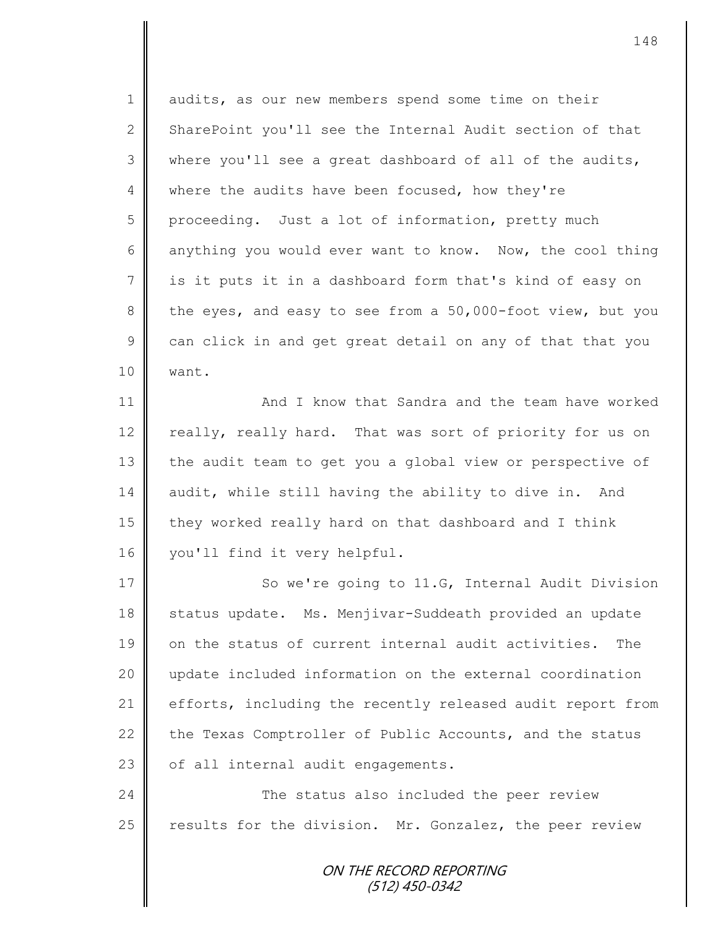1 audits, as our new members spend some time on their 2 SharePoint you'll see the Internal Audit section of that 3 where you'll see a great dashboard of all of the audits, 4 where the audits have been focused, how they're  $5 \parallel$  proceeding. Just a lot of information, pretty much 6 anything you would ever want to know. Now, the cool thing 7 || is it puts it in a dashboard form that's kind of easy on 8 the eyes, and easy to see from a 50,000-foot view, but you  $9 \parallel$  can click in and get great detail on any of that that you 10 want.

11 **And I know that Sandra and the team have worked** 12 really, really hard. That was sort of priority for us on 13 the audit team to get you a global view or perspective of 14 audit, while still having the ability to dive in. And 15  $\parallel$  they worked really hard on that dashboard and I think 16 vou'll find it very helpful.

17 So we're going to 11.G, Internal Audit Division 18 status update. Ms. Menjivar-Suddeath provided an update 19 || on the status of current internal audit activities. The 20 update included information on the external coordination 21 efforts, including the recently released audit report from 22  $\parallel$  the Texas Comptroller of Public Accounts, and the status  $23$  of all internal audit engagements.

24 **The status also included the peer review**  $25$  results for the division. Mr. Gonzalez, the peer review

> ON THE RECORD REPORTING (512) 450-0342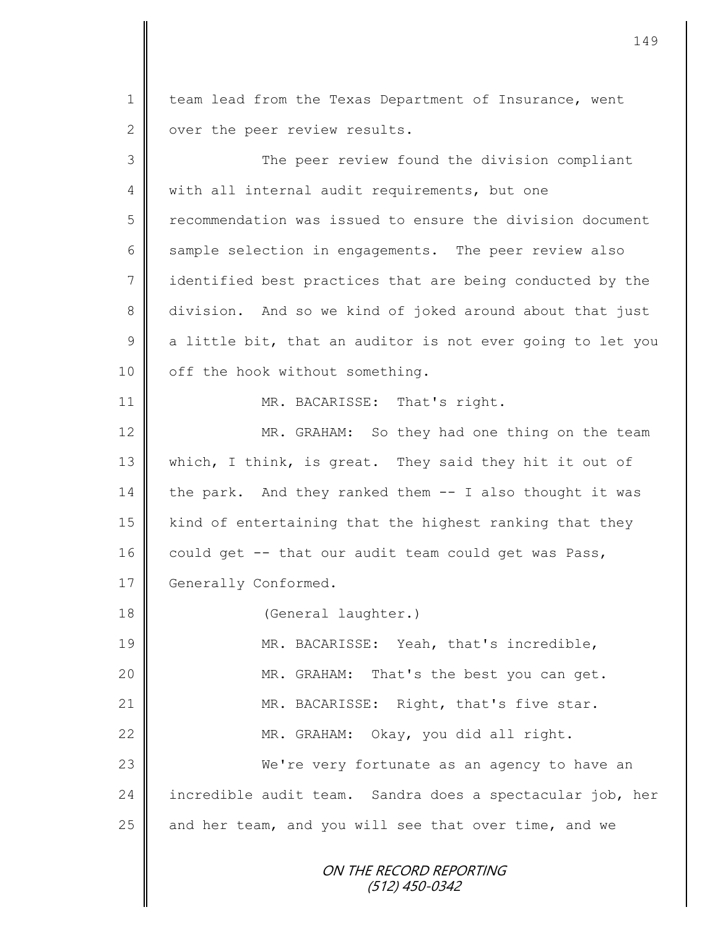ON THE RECORD REPORTING 1 team lead from the Texas Department of Insurance, went 2 | over the peer review results. 3 || The peer review found the division compliant 4 | with all internal audit requirements, but one 5 Tecommendation was issued to ensure the division document 6 sample selection in engagements. The peer review also 7 identified best practices that are being conducted by the 8 division. And so we kind of joked around about that just  $9 \parallel$  a little bit, that an auditor is not ever going to let you 10 | off the hook without something. 11 || MR. BACARISSE: That's right. 12 MR. GRAHAM: So they had one thing on the team 13 | which, I think, is great. They said they hit it out of  $14$  the park. And they ranked them  $-$  I also thought it was  $15$  kind of entertaining that the highest ranking that they 16 could get  $-$ - that our audit team could get was Pass, 17 Generally Conformed. 18 | (General laughter.) 19 MR. BACARISSE: Yeah, that's incredible, 20 MR. GRAHAM: That's the best you can get. 21 | MR. BACARISSE: Right, that's five star. 22 | MR. GRAHAM: Okay, you did all right. 23 We're very fortunate as an agency to have an 24 | incredible audit team. Sandra does a spectacular job, her 25  $\parallel$  and her team, and you will see that over time, and we

149

(512) 450-0342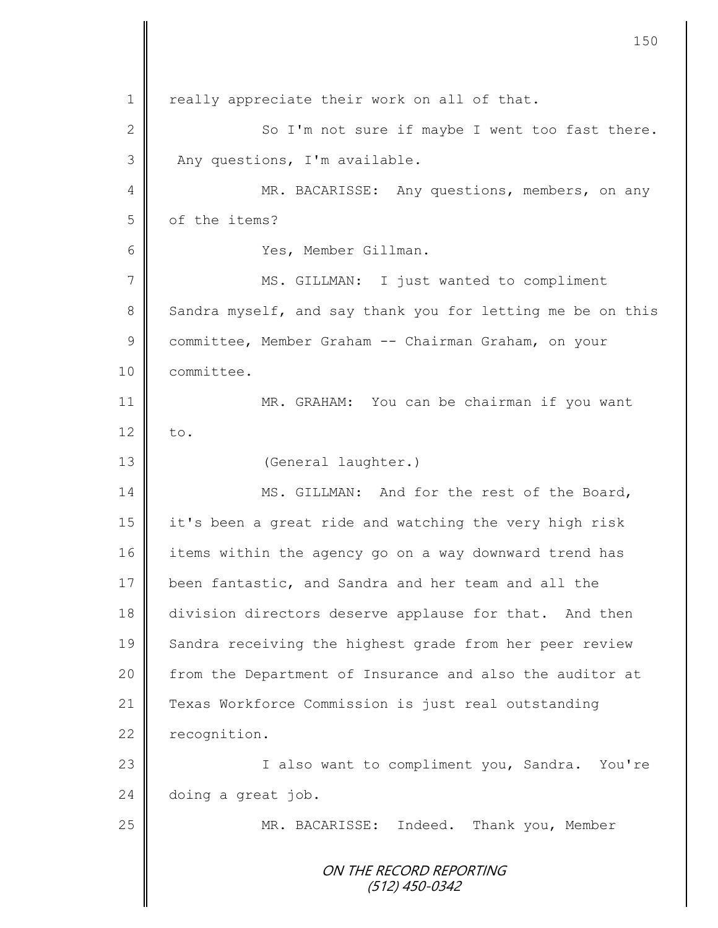ON THE RECORD REPORTING (512) 450-0342 1 || really appreciate their work on all of that.  $2 \parallel$  So I'm not sure if maybe I went too fast there.  $3$  | Any questions, I'm available. 4 || MR. BACARISSE: Any questions, members, on any 5 of the items? 6 Yes, Member Gillman. 7 || MS. GILLMAN: I just wanted to compliment 8 | Sandra myself, and say thank you for letting me be on this 9 committee, Member Graham -- Chairman Graham, on your 10 | committee. 11 | MR. GRAHAM: You can be chairman if you want  $12 \parallel$  to. 13 | (General laughter.) 14 || MS. GILLMAN: And for the rest of the Board, 15 it's been a great ride and watching the very high risk 16 items within the agency go on a way downward trend has 17 been fantastic, and Sandra and her team and all the 18 division directors deserve applause for that. And then 19 Sandra receiving the highest grade from her peer review 20 | from the Department of Insurance and also the auditor at 21 Texas Workforce Commission is just real outstanding 22 recognition. 23 | Calso want to compliment you, Sandra. You're  $24$  doing a great job. 25 || MR. BACARISSE: Indeed. Thank you, Member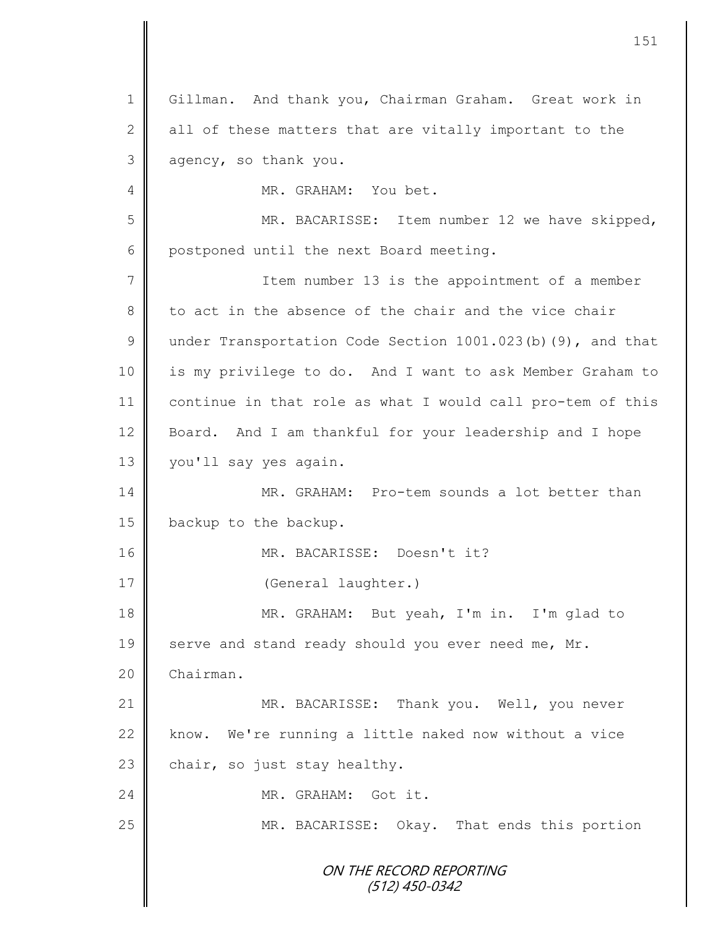| $\mathbf 1$  | Gillman. And thank you, Chairman Graham. Great work in     |
|--------------|------------------------------------------------------------|
| $\mathbf{2}$ | all of these matters that are vitally important to the     |
| 3            | agency, so thank you.                                      |
| 4            | MR. GRAHAM: You bet.                                       |
| 5            | MR. BACARISSE: Item number 12 we have skipped,             |
| 6            | postponed until the next Board meeting.                    |
| 7            | Item number 13 is the appointment of a member              |
| $8\,$        | to act in the absence of the chair and the vice chair      |
| $\mathsf 9$  | under Transportation Code Section 1001.023(b)(9), and that |
| 10           | is my privilege to do. And I want to ask Member Graham to  |
| 11           | continue in that role as what I would call pro-tem of this |
| 12           | Board. And I am thankful for your leadership and I hope    |
| 13           | you'll say yes again.                                      |
| 14           | MR. GRAHAM: Pro-tem sounds a lot better than               |
| 15           | backup to the backup.                                      |
| 16           | MR. BACARISSE: Doesn't it?                                 |
| 17           | (General laughter.)                                        |
| 18           | MR. GRAHAM: But yeah, I'm in. I'm glad to                  |
| 19           | serve and stand ready should you ever need me, Mr.         |
| 20           | Chairman.                                                  |
| 21           | MR. BACARISSE: Thank you. Well, you never                  |
| 22           | We're running a little naked now without a vice<br>know.   |
| 23           | chair, so just stay healthy.                               |
| 24           | MR. GRAHAM: Got it.                                        |
| 25           | MR. BACARISSE: Okay. That ends this portion                |
|              | ON THE RECORD REPORTING<br>$(512)$ 450-0342                |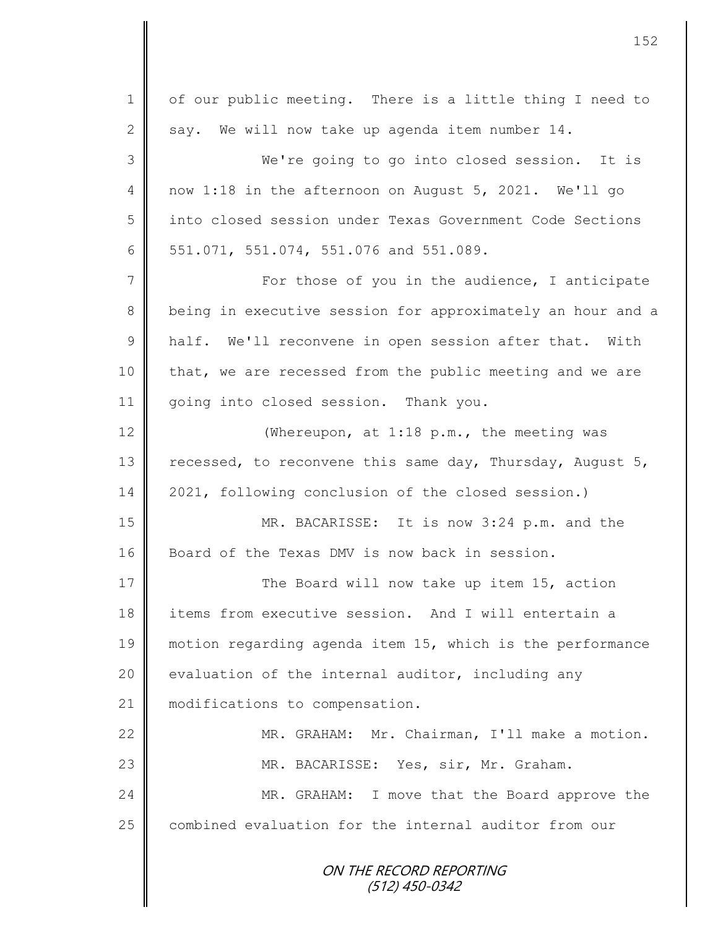| $\mathbf 1$    | of our public meeting. There is a little thing I need to   |
|----------------|------------------------------------------------------------|
| $\mathbf{2}$   | say. We will now take up agenda item number 14.            |
| 3              | We're going to go into closed session. It is               |
| 4              | now 1:18 in the afternoon on August 5, 2021. We'll go      |
| 5              | into closed session under Texas Government Code Sections   |
| 6              | 551.071, 551.074, 551.076 and 551.089.                     |
| $\overline{7}$ | For those of you in the audience, I anticipate             |
| 8              | being in executive session for approximately an hour and a |
| $\mathcal{G}$  | half. We'll reconvene in open session after that. With     |
| 10             | that, we are recessed from the public meeting and we are   |
| 11             | going into closed session. Thank you.                      |
| 12             | (Whereupon, at 1:18 p.m., the meeting was                  |
| 13             | recessed, to reconvene this same day, Thursday, August 5,  |
| 14             | 2021, following conclusion of the closed session.)         |
| 15             | MR. BACARISSE: It is now 3:24 p.m. and the                 |
| 16             | Board of the Texas DMV is now back in session.             |
| 17             | The Board will now take up item 15, action                 |
| 18             | items from executive session. And I will entertain a       |
| 19             | motion regarding agenda item 15, which is the performance  |
| 20             | evaluation of the internal auditor, including any          |
| 21             | modifications to compensation.                             |
| 22             | MR. GRAHAM: Mr. Chairman, I'll make a motion.              |
| 23             | MR. BACARISSE: Yes, sir, Mr. Graham.                       |
| 24             | MR. GRAHAM: I move that the Board approve the              |
| 25             | combined evaluation for the internal auditor from our      |
|                | ON THE RECORD REPORTING<br>(512) 450-0342                  |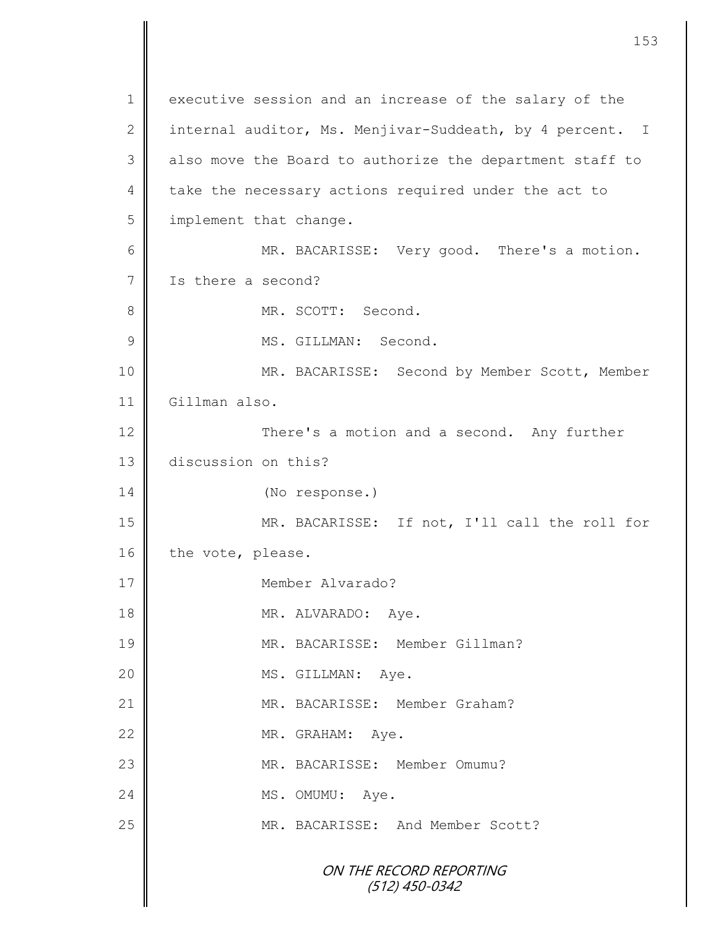ON THE RECORD REPORTING (512) 450-0342 1 executive session and an increase of the salary of the 2  $\parallel$  internal auditor, Ms. Menjivar-Suddeath, by 4 percent. I 3 also move the Board to authorize the department staff to 4 take the necessary actions required under the act to 5 | implement that change. 6 || MR. BACARISSE: Very good. There's a motion. 7 Is there a second? 8 || MR. SCOTT: Second. 9 || MS. GILLMAN: Second. 10 | MR. BACARISSE: Second by Member Scott, Member 11 Gillman also. 12 There's a motion and a second. Any further 13 discussion on this? 14 (No response.) 15 MR. BACARISSE: If not, I'll call the roll for 16 the vote, please. 17 Member Alvarado? 18 || MR. ALVARADO: Aye. 19 MR. BACARISSE: Member Gillman? 20 || MS. GILLMAN: Aye. 21 MR. BACARISSE: Member Graham? 22 MR. GRAHAM: Aye. 23 MR. BACARISSE: Member Omumu? 24 || MS. OMUMU: Ave. 25 MR. BACARISSE: And Member Scott?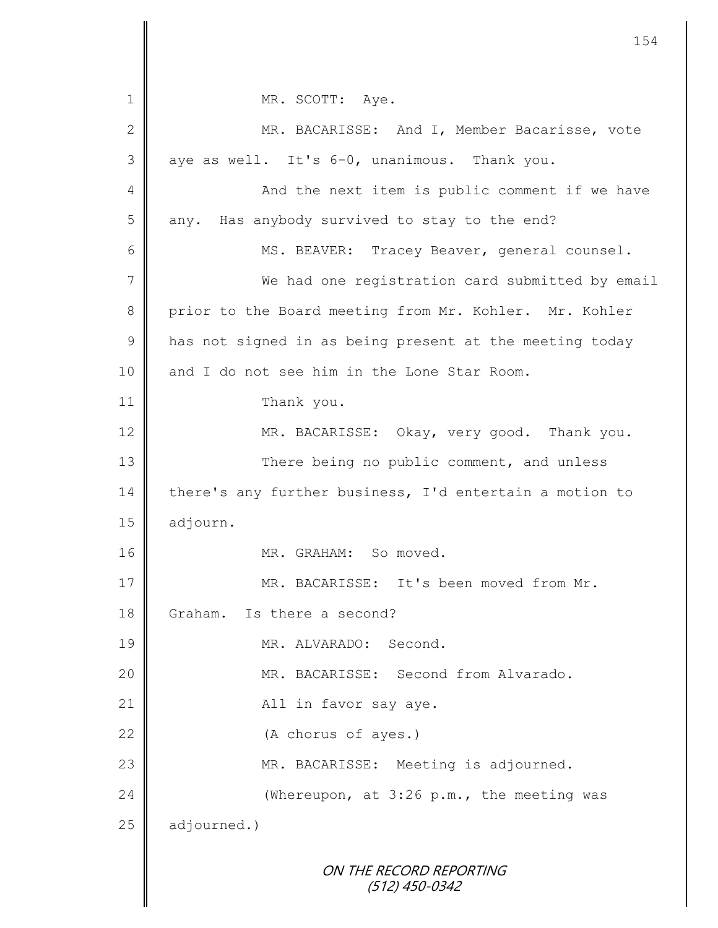|    | 154                                                     |
|----|---------------------------------------------------------|
|    |                                                         |
| 1  | MR. SCOTT: Aye.                                         |
| 2  | MR. BACARISSE: And I, Member Bacarisse, vote            |
| 3  | aye as well. It's 6-0, unanimous. Thank you.            |
| 4  | And the next item is public comment if we have          |
| 5  | any. Has anybody survived to stay to the end?           |
| 6  | MS. BEAVER: Tracey Beaver, general counsel.             |
| 7  | We had one registration card submitted by email         |
| 8  | prior to the Board meeting from Mr. Kohler. Mr. Kohler  |
| 9  | has not signed in as being present at the meeting today |
| 10 | and I do not see him in the Lone Star Room.             |
| 11 | Thank you.                                              |
| 12 | MR. BACARISSE: Okay, very good. Thank you.              |
| 13 | There being no public comment, and unless               |
| 14 | there's any further business, I'd entertain a motion to |
| 15 | adjourn.                                                |
| 16 | MR. GRAHAM: So moved.                                   |
| 17 | MR. BACARISSE: It's been moved from Mr.                 |
| 18 | Is there a second?<br>Graham.                           |
| 19 | MR. ALVARADO: Second.                                   |
| 20 | MR. BACARISSE: Second from Alvarado.                    |
| 21 | All in favor say aye.                                   |
| 22 | (A chorus of ayes.)                                     |
| 23 | MR. BACARISSE: Meeting is adjourned.                    |
| 24 | (Whereupon, at 3:26 p.m., the meeting was               |
| 25 | adjourned.)                                             |
|    | ON THE RECORD REPORTING<br>$(512)$ 450-0342             |